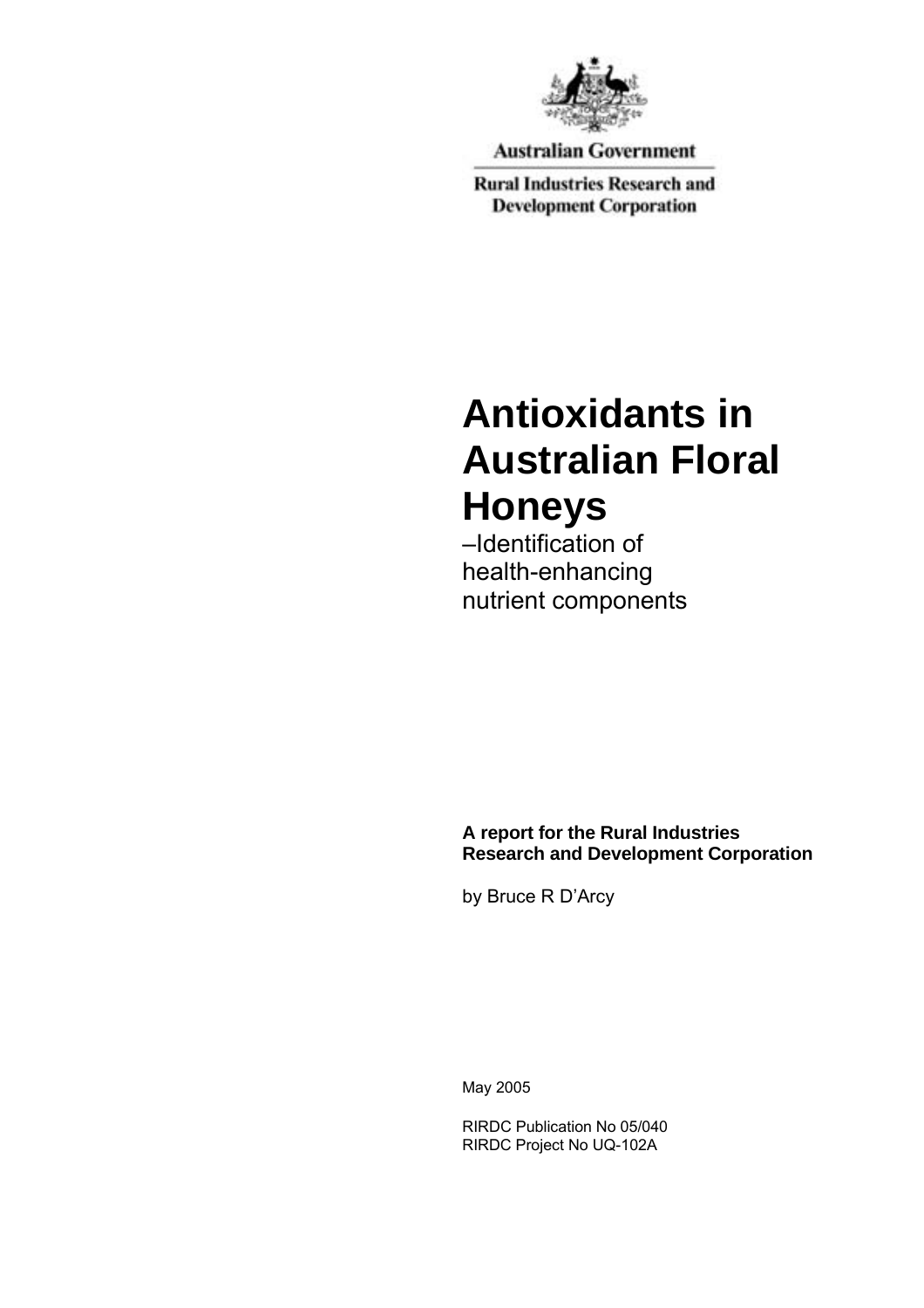

**Australian Government** 

**Rural Industries Research and Development Corporation** 

# **Antioxidants in Australian Floral Honeys**

–Identification of health-enhancing nutrient components

**A report for the Rural Industries Research and Development Corporation** 

by Bruce R D'Arcy

May 2005

RIRDC Publication No 05/040 RIRDC Project No UQ-102A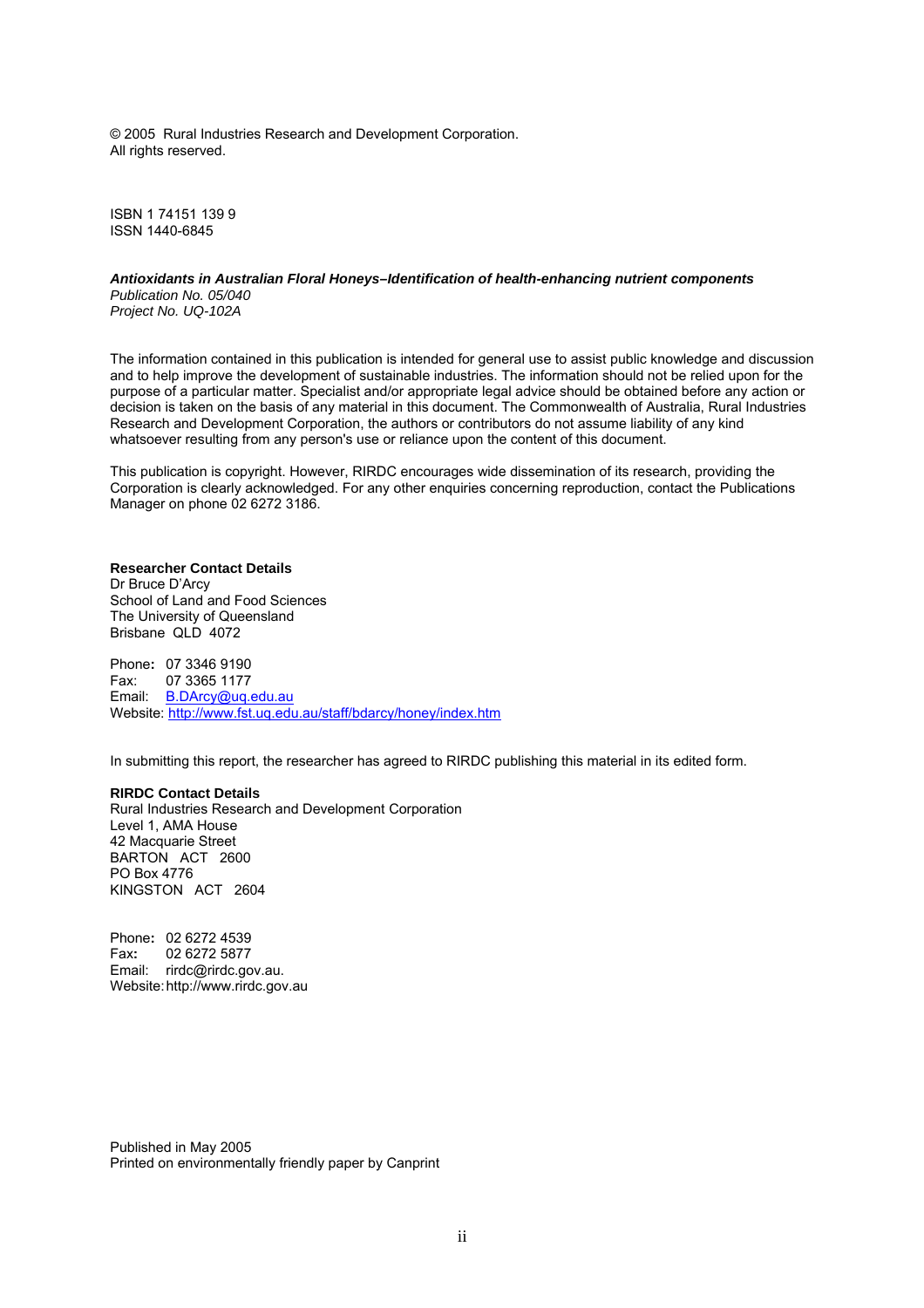© 2005 Rural Industries Research and Development Corporation. All rights reserved.

ISBN 1 74151 139 9 ISSN 1440-6845

#### *Antioxidants in Australian Floral Honeys–Identification of health-enhancing nutrient components Publication No. 05/040*

*Project No. UQ-102A* 

The information contained in this publication is intended for general use to assist public knowledge and discussion and to help improve the development of sustainable industries. The information should not be relied upon for the purpose of a particular matter. Specialist and/or appropriate legal advice should be obtained before any action or decision is taken on the basis of any material in this document. The Commonwealth of Australia, Rural Industries Research and Development Corporation, the authors or contributors do not assume liability of any kind whatsoever resulting from any person's use or reliance upon the content of this document.

This publication is copyright. However, RIRDC encourages wide dissemination of its research, providing the Corporation is clearly acknowledged. For any other enquiries concerning reproduction, contact the Publications Manager on phone 02 6272 3186.

#### **Researcher Contact Details**

Dr Bruce D'Arcy School of Land and Food Sciences The University of Queensland Brisbane QLD 4072

Phone**:** 07 3346 9190 Fax: 07 3365 1177 Email: B.DArcy@uq.edu.au Website: http://www.fst.uq.edu.au/staff/bdarcy/honey/index.htm

In submitting this report, the researcher has agreed to RIRDC publishing this material in its edited form.

#### **RIRDC Contact Details**

Rural Industries Research and Development Corporation Level 1, AMA House 42 Macquarie Street BARTON ACT 2600 PO Box 4776 KINGSTON ACT 2604

Phone**:** 02 6272 4539 Fax**:** 02 6272 5877 Email: rirdc@rirdc.gov.au. Website: http://www.rirdc.gov.au

Published in May 2005 Printed on environmentally friendly paper by Canprint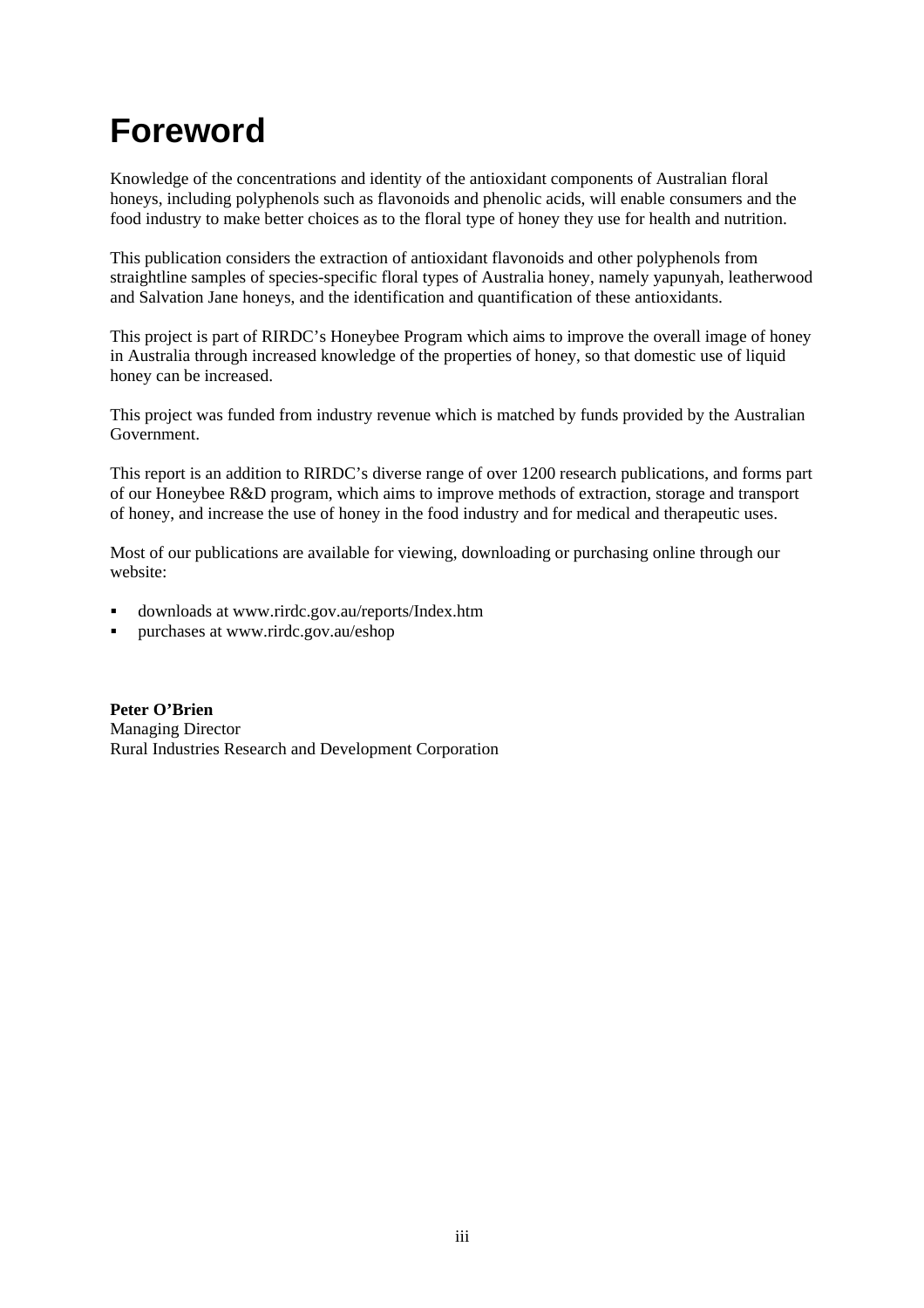## **Foreword**

Knowledge of the concentrations and identity of the antioxidant components of Australian floral honeys, including polyphenols such as flavonoids and phenolic acids, will enable consumers and the food industry to make better choices as to the floral type of honey they use for health and nutrition.

This publication considers the extraction of antioxidant flavonoids and other polyphenols from straightline samples of species-specific floral types of Australia honey, namely yapunyah, leatherwood and Salvation Jane honeys, and the identification and quantification of these antioxidants.

This project is part of RIRDC's Honeybee Program which aims to improve the overall image of honey in Australia through increased knowledge of the properties of honey, so that domestic use of liquid honey can be increased.

This project was funded from industry revenue which is matched by funds provided by the Australian Government.

This report is an addition to RIRDC's diverse range of over 1200 research publications, and forms part of our Honeybee R&D program, which aims to improve methods of extraction, storage and transport of honey, and increase the use of honey in the food industry and for medical and therapeutic uses.

Most of our publications are available for viewing, downloading or purchasing online through our website:

- downloads at www.rirdc.gov.au/reports/Index.htm
- purchases at www.rirdc.gov.au/eshop

**Peter O'Brien**  Managing Director Rural Industries Research and Development Corporation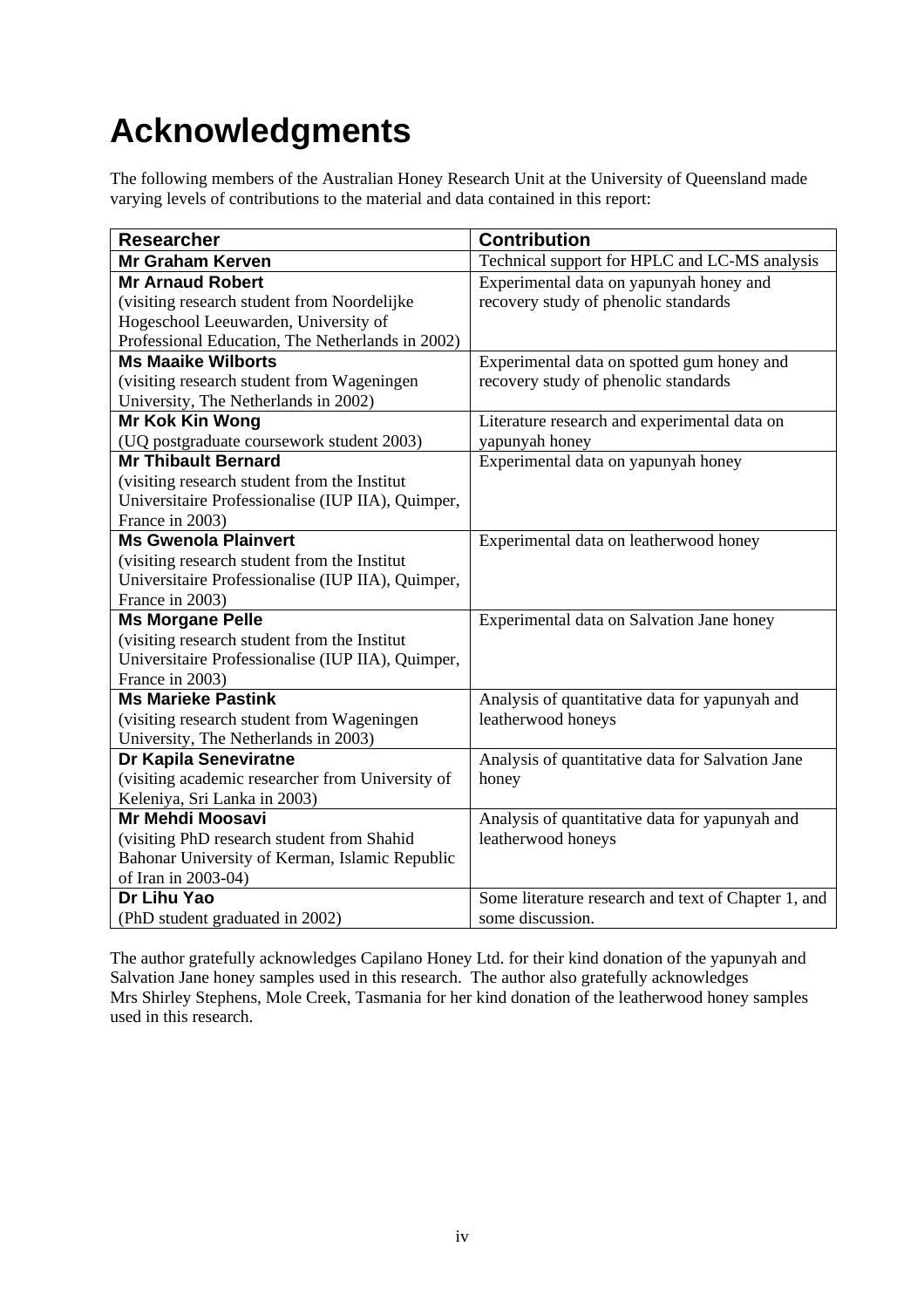## **Acknowledgments**

The following members of the Australian Honey Research Unit at the University of Queensland made varying levels of contributions to the material and data contained in this report:

| <b>Researcher</b>                                 | <b>Contribution</b>                                 |
|---------------------------------------------------|-----------------------------------------------------|
| <b>Mr Graham Kerven</b>                           | Technical support for HPLC and LC-MS analysis       |
| <b>Mr Arnaud Robert</b>                           | Experimental data on yapunyah honey and             |
| (visiting research student from Noordelijke       | recovery study of phenolic standards                |
| Hogeschool Leeuwarden, University of              |                                                     |
| Professional Education, The Netherlands in 2002)  |                                                     |
| <b>Ms Maaike Wilborts</b>                         | Experimental data on spotted gum honey and          |
| (visiting research student from Wageningen        | recovery study of phenolic standards                |
| University, The Netherlands in 2002)              |                                                     |
| Mr Kok Kin Wong                                   | Literature research and experimental data on        |
| (UQ postgraduate coursework student 2003)         | yapunyah honey                                      |
| <b>Mr Thibault Bernard</b>                        | Experimental data on yapunyah honey                 |
| (visiting research student from the Institut      |                                                     |
| Universitaire Professionalise (IUP IIA), Quimper, |                                                     |
| France in 2003)                                   |                                                     |
| <b>Ms Gwenola Plainvert</b>                       | Experimental data on leatherwood honey              |
| (visiting research student from the Institut      |                                                     |
| Universitaire Professionalise (IUP IIA), Quimper, |                                                     |
| France in 2003)                                   |                                                     |
| <b>Ms Morgane Pelle</b>                           | Experimental data on Salvation Jane honey           |
| (visiting research student from the Institut      |                                                     |
| Universitaire Professionalise (IUP IIA), Quimper, |                                                     |
| France in 2003)                                   |                                                     |
| <b>Ms Marieke Pastink</b>                         | Analysis of quantitative data for yapunyah and      |
| (visiting research student from Wageningen        | leatherwood honeys                                  |
| University, The Netherlands in 2003)              |                                                     |
| Dr Kapila Seneviratne                             | Analysis of quantitative data for Salvation Jane    |
| (visiting academic researcher from University of  | honey                                               |
| Keleniya, Sri Lanka in 2003)                      |                                                     |
| <b>Mr Mehdi Moosavi</b>                           | Analysis of quantitative data for yapunyah and      |
| (visiting PhD research student from Shahid        | leatherwood honeys                                  |
| Bahonar University of Kerman, Islamic Republic    |                                                     |
| of Iran in 2003-04)                               |                                                     |
| Dr Lihu Yao                                       | Some literature research and text of Chapter 1, and |
| (PhD student graduated in 2002)                   | some discussion.                                    |

The author gratefully acknowledges Capilano Honey Ltd. for their kind donation of the yapunyah and Salvation Jane honey samples used in this research. The author also gratefully acknowledges Mrs Shirley Stephens, Mole Creek, Tasmania for her kind donation of the leatherwood honey samples used in this research.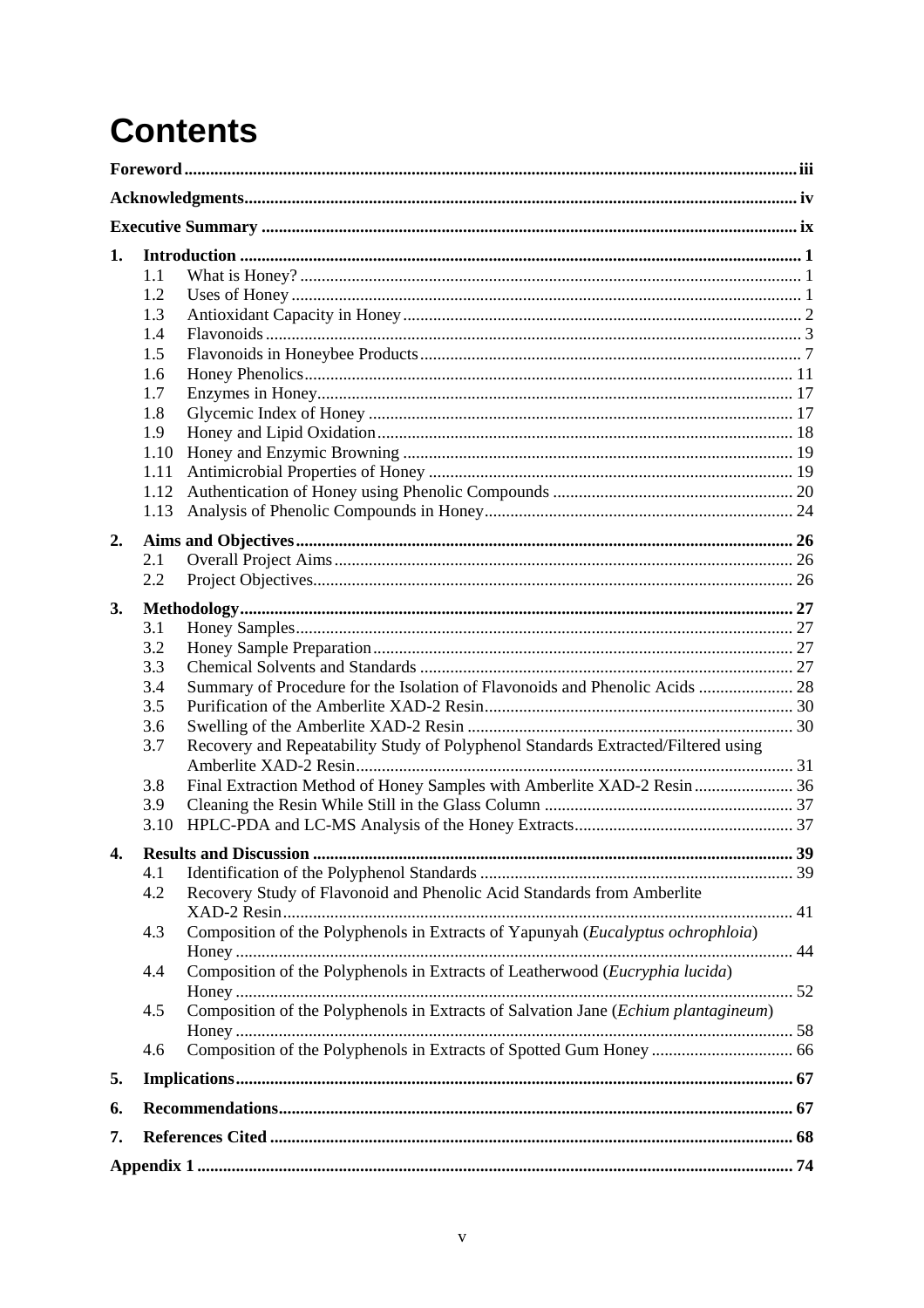# **Contents**

| 1.                    | 1.1<br>1.2<br>1.3<br>1.4<br>1.5<br>1.6<br>1.7<br>1.8<br>1.9<br>1.10<br>1.11<br>1.12<br>1.13 |                                                                                    |     |
|-----------------------|---------------------------------------------------------------------------------------------|------------------------------------------------------------------------------------|-----|
| 2.                    |                                                                                             |                                                                                    |     |
|                       | 2.1                                                                                         |                                                                                    |     |
|                       | 2.2                                                                                         |                                                                                    |     |
| 3.                    |                                                                                             |                                                                                    |     |
|                       | 3.1                                                                                         |                                                                                    |     |
|                       | 3.2                                                                                         |                                                                                    |     |
|                       | 3.3                                                                                         |                                                                                    |     |
|                       | 3.4                                                                                         | Summary of Procedure for the Isolation of Flavonoids and Phenolic Acids  28        |     |
|                       | 3.5                                                                                         |                                                                                    |     |
|                       | 3.6                                                                                         |                                                                                    |     |
|                       | 3.7                                                                                         | Recovery and Repeatability Study of Polyphenol Standards Extracted/Filtered using  |     |
|                       | 3.8                                                                                         | Final Extraction Method of Honey Samples with Amberlite XAD-2 Resin  36            |     |
|                       | 3.9                                                                                         |                                                                                    |     |
|                       | 3.10                                                                                        |                                                                                    |     |
| $\boldsymbol{\Delta}$ |                                                                                             | <b>Results and Discussion</b>                                                      | .39 |
|                       | 4.1                                                                                         |                                                                                    |     |
|                       | 4.2                                                                                         | Recovery Study of Flavonoid and Phenolic Acid Standards from Amberlite             |     |
|                       | 4.3                                                                                         | Composition of the Polyphenols in Extracts of Yapunyah (Eucalyptus ochrophloia)    |     |
|                       | 4.4                                                                                         | Composition of the Polyphenols in Extracts of Leatherwood (Eucryphia lucida)       |     |
|                       | 4.5                                                                                         | Composition of the Polyphenols in Extracts of Salvation Jane (Echium plantagineum) |     |
|                       | 4.6                                                                                         |                                                                                    |     |
| 5.                    |                                                                                             |                                                                                    |     |
| 6.                    |                                                                                             |                                                                                    |     |
| 7.                    |                                                                                             |                                                                                    |     |
|                       |                                                                                             |                                                                                    |     |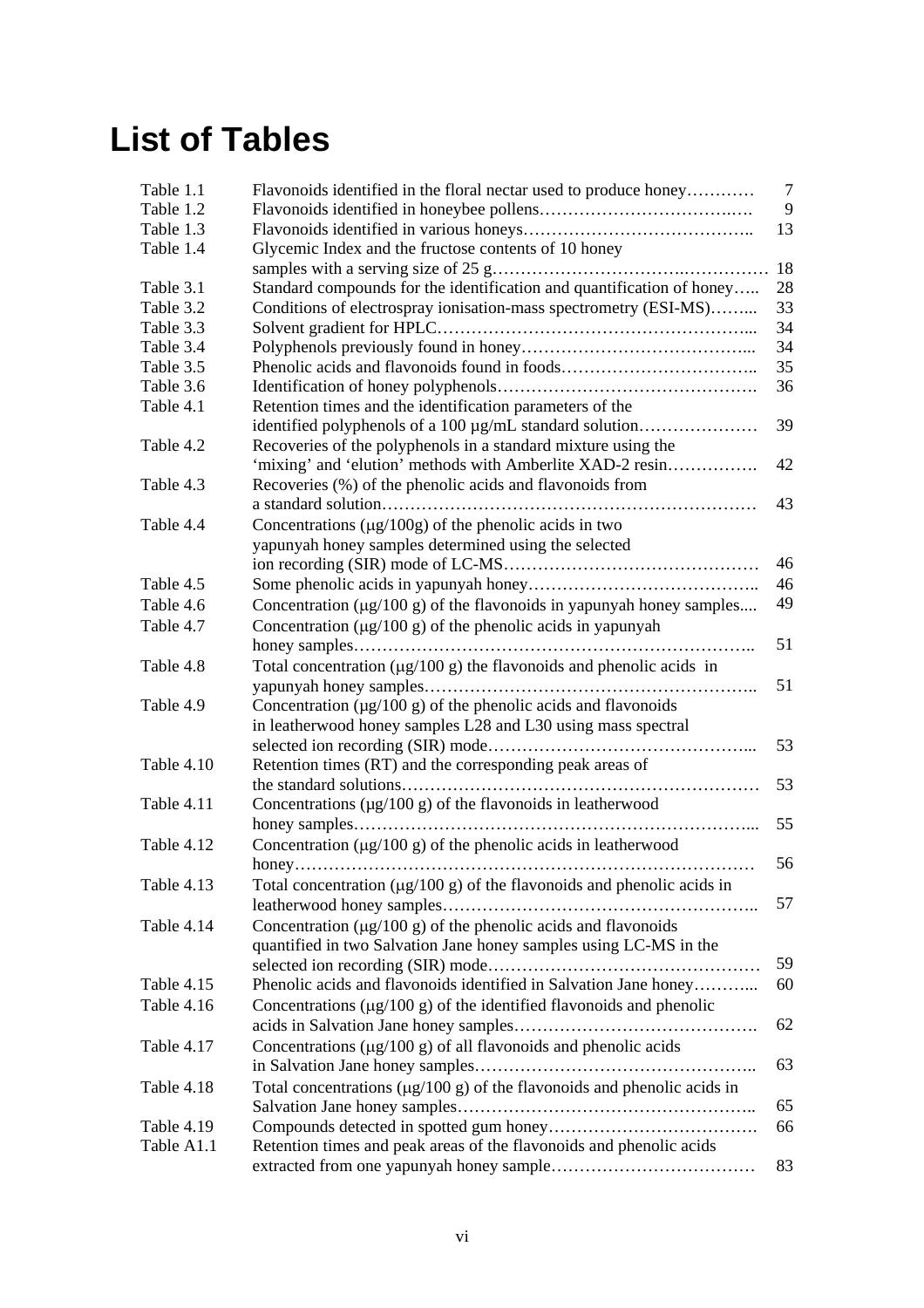## **List of Tables**

| Table 1.1  | Flavonoids identified in the floral nectar used to produce honey             | 7  |
|------------|------------------------------------------------------------------------------|----|
| Table 1.2  |                                                                              | 9  |
| Table 1.3  |                                                                              | 13 |
| Table 1.4  | Glycemic Index and the fructose contents of 10 honey                         |    |
|            |                                                                              | 18 |
| Table 3.1  | Standard compounds for the identification and quantification of honey        | 28 |
| Table 3.2  | Conditions of electrospray ionisation-mass spectrometry (ESI-MS)             | 33 |
| Table 3.3  |                                                                              | 34 |
| Table 3.4  |                                                                              | 34 |
| Table 3.5  |                                                                              | 35 |
| Table 3.6  |                                                                              | 36 |
| Table 4.1  | Retention times and the identification parameters of the                     |    |
|            | identified polyphenols of a 100 µg/mL standard solution                      | 39 |
| Table 4.2  | Recoveries of the polyphenols in a standard mixture using the                |    |
|            | 'mixing' and 'elution' methods with Amberlite XAD-2 resin                    | 42 |
| Table 4.3  | Recoveries (%) of the phenolic acids and flavonoids from                     |    |
|            |                                                                              | 43 |
| Table 4.4  | Concentrations $(\mu g/100g)$ of the phenolic acids in two                   |    |
|            | yapunyah honey samples determined using the selected                         |    |
|            |                                                                              | 46 |
| Table 4.5  |                                                                              | 46 |
| Table 4.6  | Concentration $(\mu g/100 g)$ of the flavonoids in yapunyah honey samples    | 49 |
| Table 4.7  | Concentration $(\mu g/100 g)$ of the phenolic acids in yapunyah              |    |
|            |                                                                              | 51 |
| Table 4.8  | Total concentration ( $\mu$ g/100 g) the flavonoids and phenolic acids in    |    |
|            |                                                                              | 51 |
| Table 4.9  | Concentration $(\mu g/100 \text{ g})$ of the phenolic acids and flavonoids   |    |
|            | in leatherwood honey samples L28 and L30 using mass spectral                 |    |
|            |                                                                              | 53 |
| Table 4.10 | Retention times (RT) and the corresponding peak areas of                     |    |
|            |                                                                              | 53 |
| Table 4.11 | Concentrations $(\mu g/100 g)$ of the flavonoids in leatherwood              |    |
|            |                                                                              | 55 |
| Table 4.12 | Concentration $(\mu g/100 g)$ of the phenolic acids in leatherwood           |    |
|            |                                                                              | 56 |
| Table 4.13 | Total concentration ( $\mu$ g/100 g) of the flavonoids and phenolic acids in |    |
|            |                                                                              | 57 |
| Table 4.14 | Concentration $(\mu g/100 \text{ g})$ of the phenolic acids and flavonoids   |    |
|            | quantified in two Salvation Jane honey samples using LC-MS in the            |    |
|            |                                                                              | 59 |
| Table 4.15 | Phenolic acids and flavonoids identified in Salvation Jane honey             | 60 |
| Table 4.16 | Concentrations $(\mu g/100 g)$ of the identified flavonoids and phenolic     |    |
|            |                                                                              | 62 |
| Table 4.17 | Concentrations $(\mu g/100 g)$ of all flavonoids and phenolic acids          | 63 |
|            |                                                                              |    |
| Table 4.18 | Total concentrations $(\mu g/100 g)$ of the flavonoids and phenolic acids in |    |
|            |                                                                              | 65 |
| Table 4.19 |                                                                              | 66 |
| Table A1.1 | Retention times and peak areas of the flavonoids and phenolic acids          |    |
|            |                                                                              | 83 |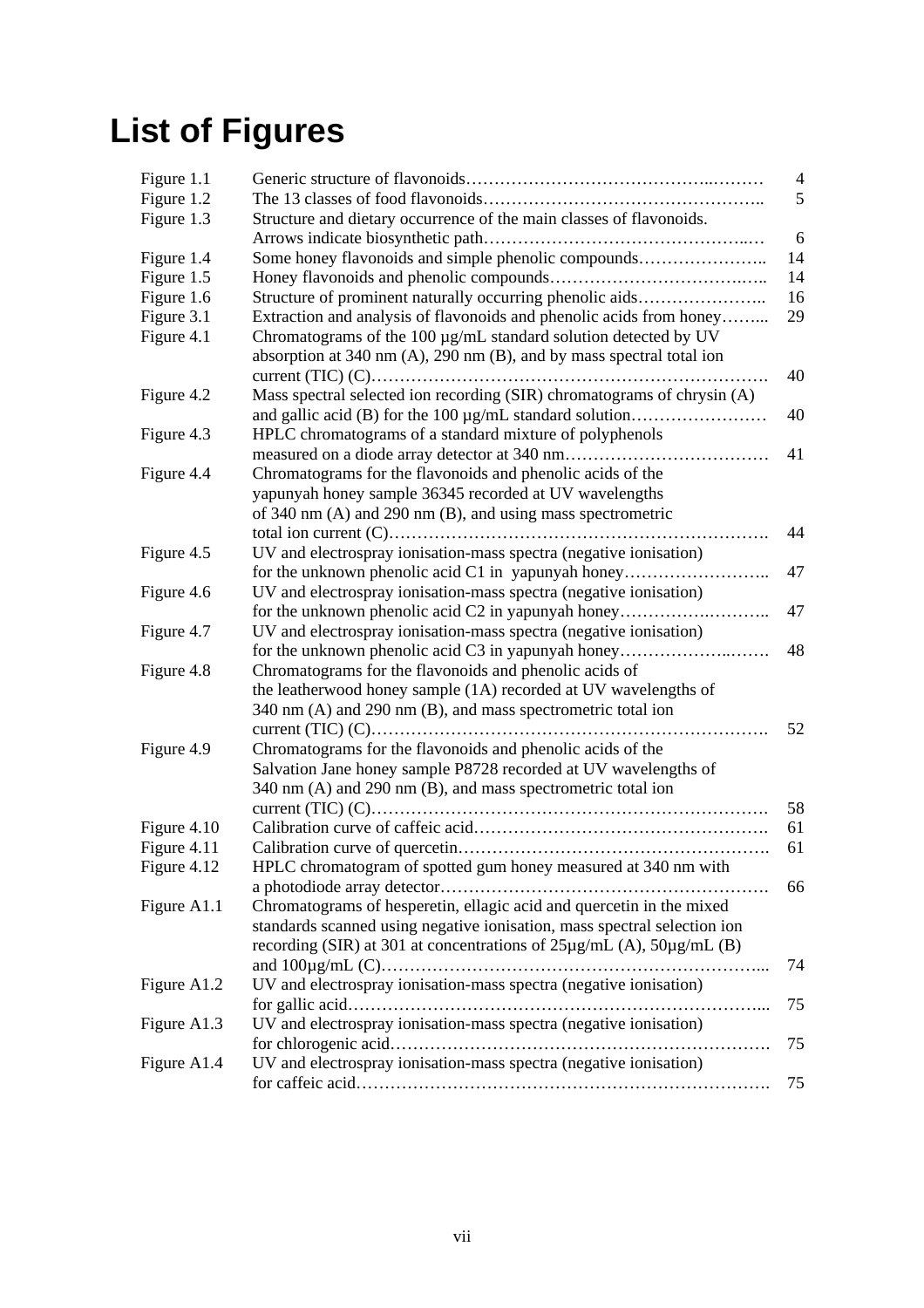# **List of Figures**

| Figure 1.1  |                                                                                | $\overline{4}$ |
|-------------|--------------------------------------------------------------------------------|----------------|
| Figure 1.2  |                                                                                | 5              |
| Figure 1.3  | Structure and dietary occurrence of the main classes of flavonoids.            |                |
|             |                                                                                | 6              |
| Figure 1.4  | Some honey flavonoids and simple phenolic compounds                            | 14             |
| Figure 1.5  |                                                                                | 14             |
| Figure 1.6  | Structure of prominent naturally occurring phenolic aids                       | 16             |
| Figure 3.1  | Extraction and analysis of flavonoids and phenolic acids from honey            | 29             |
| Figure 4.1  | Chromatograms of the 100 µg/mL standard solution detected by UV                |                |
|             | absorption at 340 nm $(A)$ , 290 nm $(B)$ , and by mass spectral total ion     |                |
|             |                                                                                | 40             |
| Figure 4.2  | Mass spectral selected ion recording (SIR) chromatograms of chrysin (A)        |                |
|             |                                                                                | 40             |
| Figure 4.3  | HPLC chromatograms of a standard mixture of polyphenols                        |                |
|             |                                                                                | 41             |
| Figure 4.4  | Chromatograms for the flavonoids and phenolic acids of the                     |                |
|             | yapunyah honey sample 36345 recorded at UV wavelengths                         |                |
|             | of 340 nm (A) and 290 nm (B), and using mass spectrometric                     |                |
|             |                                                                                | 44             |
| Figure 4.5  | UV and electrospray ionisation-mass spectra (negative ionisation)              |                |
|             | for the unknown phenolic acid C1 in yapunyah honey                             | 47             |
| Figure 4.6  | UV and electrospray ionisation-mass spectra (negative ionisation)              |                |
|             | for the unknown phenolic acid C2 in yapunyah honey                             | 47             |
| Figure 4.7  | UV and electrospray ionisation-mass spectra (negative ionisation)              |                |
|             | for the unknown phenolic acid C3 in yapunyah honey                             | 48             |
| Figure 4.8  | Chromatograms for the flavonoids and phenolic acids of                         |                |
|             | the leatherwood honey sample (1A) recorded at UV wavelengths of                |                |
|             | 340 nm (A) and 290 nm (B), and mass spectrometric total ion                    |                |
|             |                                                                                | 52             |
| Figure 4.9  | Chromatograms for the flavonoids and phenolic acids of the                     |                |
|             | Salvation Jane honey sample P8728 recorded at UV wavelengths of                |                |
|             | 340 nm (A) and 290 nm (B), and mass spectrometric total ion                    |                |
|             |                                                                                | 58             |
| Figure 4.10 |                                                                                | 61             |
| Figure 4.11 |                                                                                | 61             |
| Figure 4.12 | HPLC chromatogram of spotted gum honey measured at 340 nm with                 |                |
|             |                                                                                | 66             |
| Figure A1.1 | Chromatograms of hesperetin, ellagic acid and quercetin in the mixed           |                |
|             | standards scanned using negative ionisation, mass spectral selection ion       |                |
|             | recording (SIR) at 301 at concentrations of $25\mu g/mL$ (A), $50\mu g/mL$ (B) |                |
|             |                                                                                | 74             |
| Figure A1.2 | UV and electrospray ionisation-mass spectra (negative ionisation)              |                |
|             |                                                                                | 75             |
| Figure A1.3 | UV and electrospray ionisation-mass spectra (negative ionisation)              |                |
|             |                                                                                | 75             |
| Figure A1.4 | UV and electrospray ionisation-mass spectra (negative ionisation)              |                |
|             |                                                                                | 75             |
|             |                                                                                |                |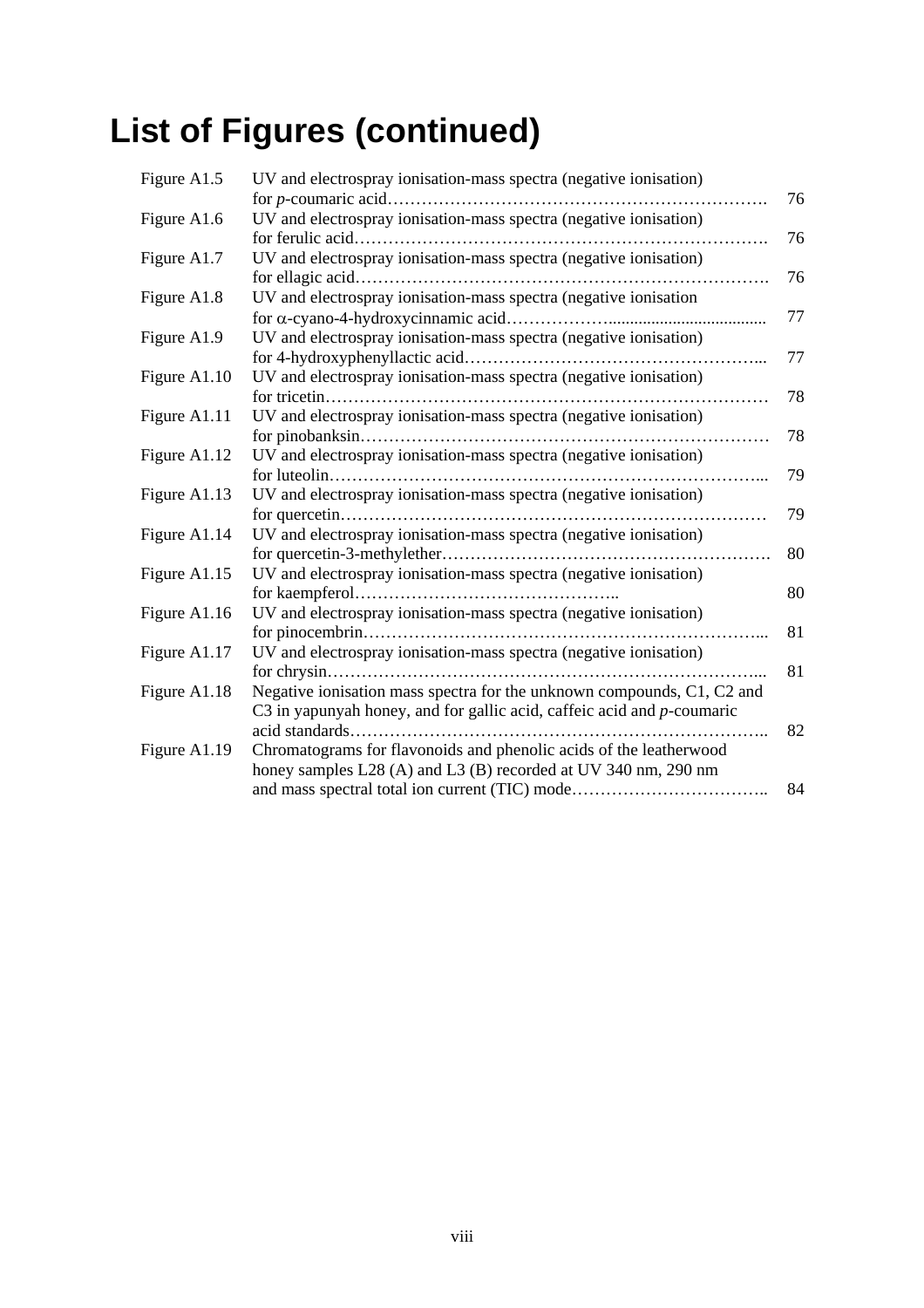# **List of Figures (continued)**

| Figure A1.5  | UV and electrospray ionisation-mass spectra (negative ionisation)      |    |
|--------------|------------------------------------------------------------------------|----|
|              |                                                                        | 76 |
| Figure A1.6  | UV and electrospray ionisation-mass spectra (negative ionisation)      |    |
|              |                                                                        | 76 |
| Figure A1.7  | UV and electrospray ionisation-mass spectra (negative ionisation)      |    |
|              |                                                                        | 76 |
| Figure A1.8  | UV and electrospray ionisation-mass spectra (negative ionisation       |    |
|              |                                                                        | 77 |
| Figure A1.9  | UV and electrospray ionisation-mass spectra (negative ionisation)      |    |
|              |                                                                        | 77 |
| Figure A1.10 | UV and electrospray ionisation-mass spectra (negative ionisation)      |    |
|              |                                                                        | 78 |
| Figure A1.11 | UV and electrospray ionisation-mass spectra (negative ionisation)      |    |
|              |                                                                        | 78 |
| Figure A1.12 | UV and electrospray ionisation-mass spectra (negative ionisation)      |    |
|              |                                                                        | 79 |
| Figure A1.13 | UV and electrospray ionisation-mass spectra (negative ionisation)      |    |
|              |                                                                        | 79 |
| Figure A1.14 | UV and electrospray ionisation-mass spectra (negative ionisation)      |    |
|              |                                                                        | 80 |
| Figure A1.15 | UV and electrospray ionisation-mass spectra (negative ionisation)      |    |
|              |                                                                        | 80 |
| Figure A1.16 | UV and electrospray ionisation-mass spectra (negative ionisation)      |    |
|              |                                                                        | 81 |
| Figure A1.17 | UV and electrospray ionisation-mass spectra (negative ionisation)      |    |
|              |                                                                        | 81 |
| Figure A1.18 | Negative ionisation mass spectra for the unknown compounds, C1, C2 and |    |
|              | C3 in yapunyah honey, and for gallic acid, caffeic acid and p-coumaric |    |
|              | acid standards                                                         | 82 |
| Figure A1.19 | Chromatograms for flavonoids and phenolic acids of the leatherwood     |    |
|              | honey samples L28 (A) and L3 (B) recorded at UV 340 nm, 290 nm         |    |
|              | and mass spectral total ion current (TIC) mode                         | 84 |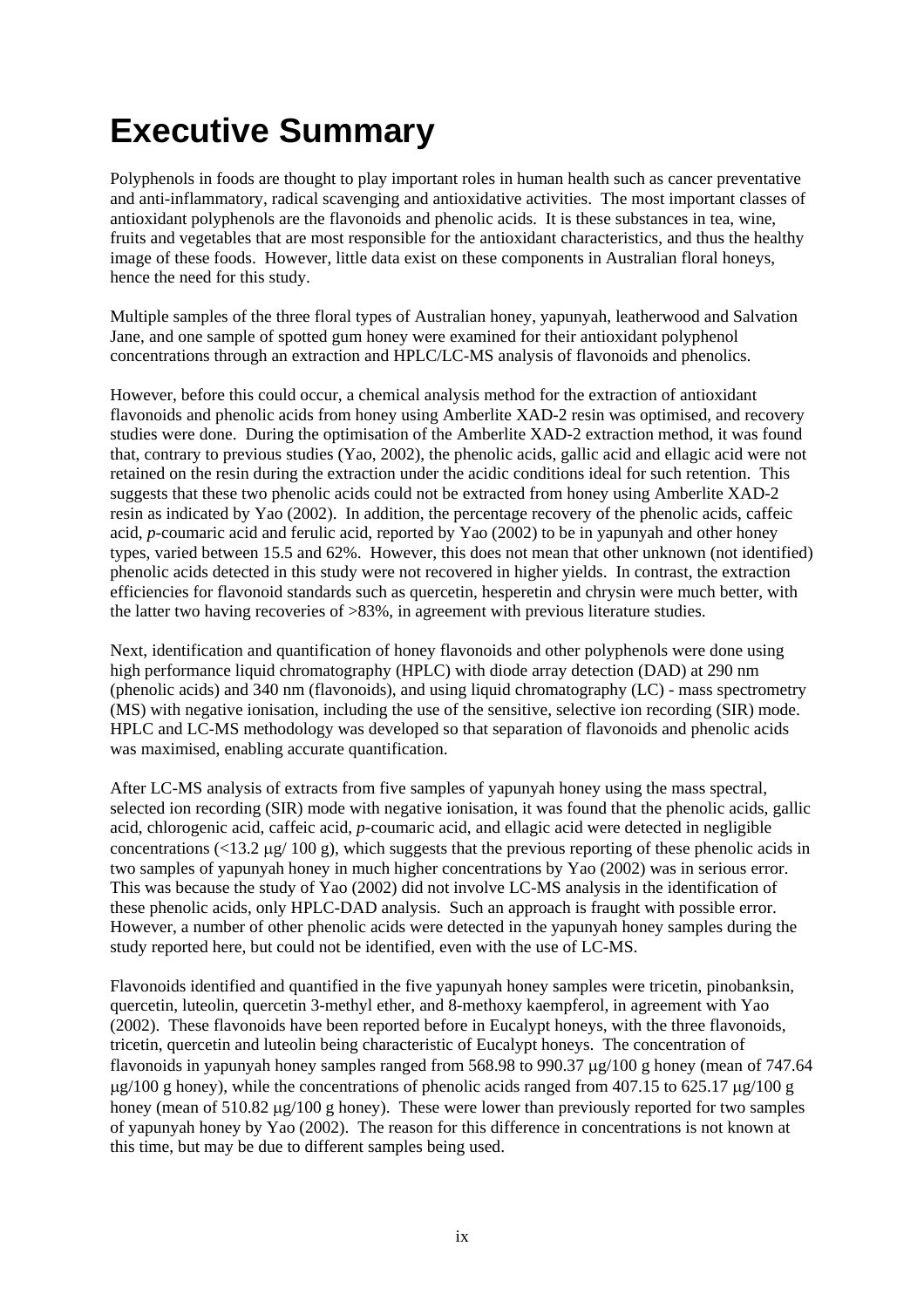## **Executive Summary**

Polyphenols in foods are thought to play important roles in human health such as cancer preventative and anti-inflammatory, radical scavenging and antioxidative activities. The most important classes of antioxidant polyphenols are the flavonoids and phenolic acids. It is these substances in tea, wine, fruits and vegetables that are most responsible for the antioxidant characteristics, and thus the healthy image of these foods. However, little data exist on these components in Australian floral honeys, hence the need for this study.

Multiple samples of the three floral types of Australian honey, yapunyah, leatherwood and Salvation Jane, and one sample of spotted gum honey were examined for their antioxidant polyphenol concentrations through an extraction and HPLC/LC-MS analysis of flavonoids and phenolics.

However, before this could occur, a chemical analysis method for the extraction of antioxidant flavonoids and phenolic acids from honey using Amberlite XAD-2 resin was optimised, and recovery studies were done. During the optimisation of the Amberlite XAD-2 extraction method, it was found that, contrary to previous studies (Yao, 2002), the phenolic acids, gallic acid and ellagic acid were not retained on the resin during the extraction under the acidic conditions ideal for such retention. This suggests that these two phenolic acids could not be extracted from honey using Amberlite XAD-2 resin as indicated by Yao (2002). In addition, the percentage recovery of the phenolic acids, caffeic acid, *p*-coumaric acid and ferulic acid, reported by Yao (2002) to be in yapunyah and other honey types, varied between 15.5 and 62%. However, this does not mean that other unknown (not identified) phenolic acids detected in this study were not recovered in higher yields. In contrast, the extraction efficiencies for flavonoid standards such as quercetin, hesperetin and chrysin were much better, with the latter two having recoveries of >83%, in agreement with previous literature studies.

Next, identification and quantification of honey flavonoids and other polyphenols were done using high performance liquid chromatography (HPLC) with diode array detection (DAD) at 290 nm (phenolic acids) and 340 nm (flavonoids), and using liquid chromatography (LC) - mass spectrometry (MS) with negative ionisation, including the use of the sensitive, selective ion recording (SIR) mode. HPLC and LC-MS methodology was developed so that separation of flavonoids and phenolic acids was maximised, enabling accurate quantification.

After LC-MS analysis of extracts from five samples of yapunyah honey using the mass spectral, selected ion recording (SIR) mode with negative ionisation, it was found that the phenolic acids, gallic acid, chlorogenic acid, caffeic acid, *p*-coumaric acid, and ellagic acid were detected in negligible concentrations ( $\langle 13.2 \text{ µg}/ 100 \text{ g}$ ), which suggests that the previous reporting of these phenolic acids in two samples of yapunyah honey in much higher concentrations by Yao (2002) was in serious error. This was because the study of Yao (2002) did not involve LC-MS analysis in the identification of these phenolic acids, only HPLC-DAD analysis. Such an approach is fraught with possible error. However, a number of other phenolic acids were detected in the yapunyah honey samples during the study reported here, but could not be identified, even with the use of LC-MS.

Flavonoids identified and quantified in the five yapunyah honey samples were tricetin, pinobanksin, quercetin, luteolin, quercetin 3-methyl ether, and 8-methoxy kaempferol, in agreement with Yao (2002). These flavonoids have been reported before in Eucalypt honeys, with the three flavonoids, tricetin, quercetin and luteolin being characteristic of Eucalypt honeys. The concentration of flavonoids in yapunyah honey samples ranged from 568.98 to 990.37 µg/100 g honey (mean of 747.64  $\mu$ g/100 g honey), while the concentrations of phenolic acids ranged from 407.15 to 625.17  $\mu$ g/100 g honey (mean of 510.82  $\mu$ g/100 g honey). These were lower than previously reported for two samples of yapunyah honey by Yao (2002). The reason for this difference in concentrations is not known at this time, but may be due to different samples being used.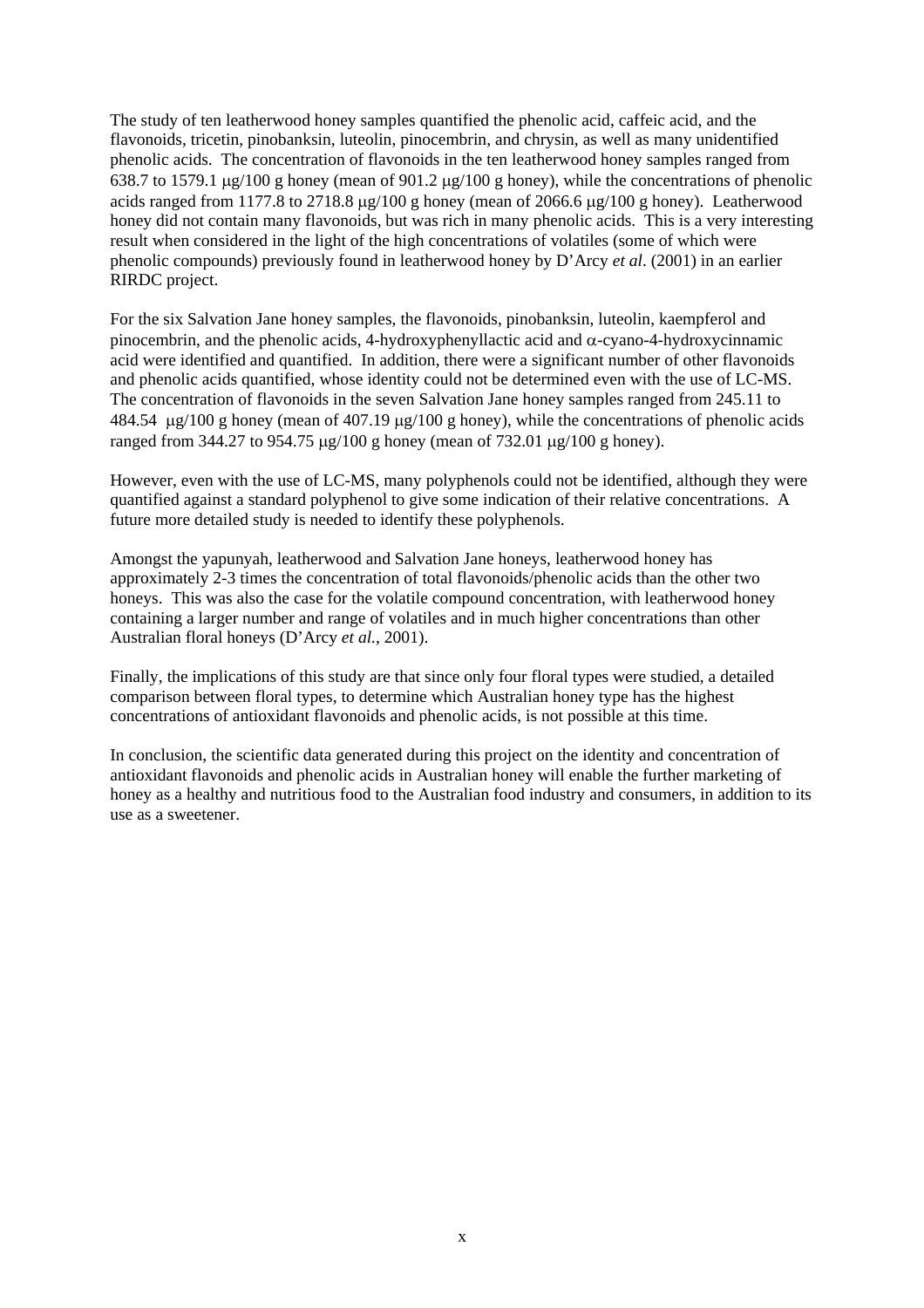The study of ten leatherwood honey samples quantified the phenolic acid, caffeic acid, and the flavonoids, tricetin, pinobanksin, luteolin, pinocembrin, and chrysin, as well as many unidentified phenolic acids. The concentration of flavonoids in the ten leatherwood honey samples ranged from 638.7 to 1579.1 µg/100 g honey (mean of 901.2 µg/100 g honey), while the concentrations of phenolic acids ranged from 1177.8 to 2718.8 µg/100 g honey (mean of 2066.6 µg/100 g honey). Leatherwood honey did not contain many flavonoids, but was rich in many phenolic acids. This is a very interesting result when considered in the light of the high concentrations of volatiles (some of which were phenolic compounds) previously found in leatherwood honey by D'Arcy *et al*. (2001) in an earlier RIRDC project.

For the six Salvation Jane honey samples, the flavonoids, pinobanksin, luteolin, kaempferol and pinocembrin, and the phenolic acids, 4-hydroxyphenyllactic acid and α-cyano-4-hydroxycinnamic acid were identified and quantified. In addition, there were a significant number of other flavonoids and phenolic acids quantified, whose identity could not be determined even with the use of LC-MS. The concentration of flavonoids in the seven Salvation Jane honey samples ranged from 245.11 to 484.54 µg/100 g honey (mean of 407.19 µg/100 g honey), while the concentrations of phenolic acids ranged from 344.27 to 954.75 µg/100 g honey (mean of 732.01 µg/100 g honey).

However, even with the use of LC-MS, many polyphenols could not be identified, although they were quantified against a standard polyphenol to give some indication of their relative concentrations. A future more detailed study is needed to identify these polyphenols.

Amongst the yapunyah, leatherwood and Salvation Jane honeys, leatherwood honey has approximately 2-3 times the concentration of total flavonoids/phenolic acids than the other two honeys. This was also the case for the volatile compound concentration, with leatherwood honey containing a larger number and range of volatiles and in much higher concentrations than other Australian floral honeys (D'Arcy *et al.*, 2001).

Finally, the implications of this study are that since only four floral types were studied, a detailed comparison between floral types, to determine which Australian honey type has the highest concentrations of antioxidant flavonoids and phenolic acids, is not possible at this time.

In conclusion, the scientific data generated during this project on the identity and concentration of antioxidant flavonoids and phenolic acids in Australian honey will enable the further marketing of honey as a healthy and nutritious food to the Australian food industry and consumers, in addition to its use as a sweetener.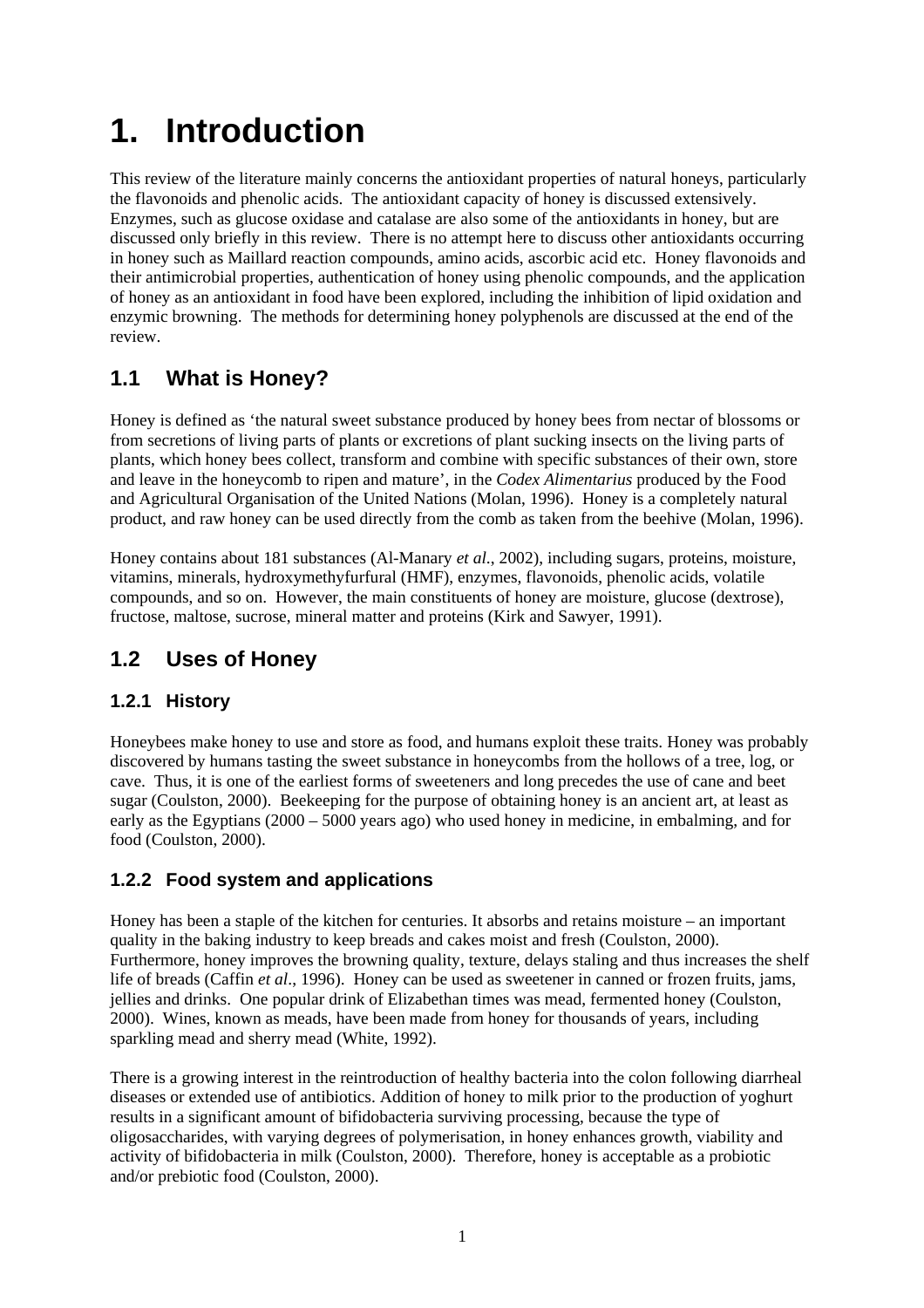# **1. Introduction**

This review of the literature mainly concerns the antioxidant properties of natural honeys, particularly the flavonoids and phenolic acids. The antioxidant capacity of honey is discussed extensively. Enzymes, such as glucose oxidase and catalase are also some of the antioxidants in honey, but are discussed only briefly in this review. There is no attempt here to discuss other antioxidants occurring in honey such as Maillard reaction compounds, amino acids, ascorbic acid etc. Honey flavonoids and their antimicrobial properties, authentication of honey using phenolic compounds, and the application of honey as an antioxidant in food have been explored, including the inhibition of lipid oxidation and enzymic browning. The methods for determining honey polyphenols are discussed at the end of the review.

## **1.1 What is Honey?**

Honey is defined as 'the natural sweet substance produced by honey bees from nectar of blossoms or from secretions of living parts of plants or excretions of plant sucking insects on the living parts of plants, which honey bees collect, transform and combine with specific substances of their own, store and leave in the honeycomb to ripen and mature', in the *Codex Alimentarius* produced by the Food and Agricultural Organisation of the United Nations (Molan, 1996). Honey is a completely natural product, and raw honey can be used directly from the comb as taken from the beehive (Molan, 1996).

Honey contains about 181 substances (Al-Manary *et al*., 2002), including sugars, proteins, moisture, vitamins, minerals, hydroxymethyfurfural (HMF), enzymes, flavonoids, phenolic acids, volatile compounds, and so on. However, the main constituents of honey are moisture, glucose (dextrose), fructose, maltose, sucrose, mineral matter and proteins (Kirk and Sawyer, 1991).

### **1.2 Uses of Honey**

#### **1.2.1 History**

Honeybees make honey to use and store as food, and humans exploit these traits. Honey was probably discovered by humans tasting the sweet substance in honeycombs from the hollows of a tree, log, or cave. Thus, it is one of the earliest forms of sweeteners and long precedes the use of cane and beet sugar (Coulston, 2000). Beekeeping for the purpose of obtaining honey is an ancient art, at least as early as the Egyptians (2000 – 5000 years ago) who used honey in medicine, in embalming, and for food (Coulston, 2000).

#### **1.2.2 Food system and applications**

Honey has been a staple of the kitchen for centuries. It absorbs and retains moisture – an important quality in the baking industry to keep breads and cakes moist and fresh (Coulston, 2000). Furthermore, honey improves the browning quality, texture, delays staling and thus increases the shelf life of breads (Caffin *et al*., 1996). Honey can be used as sweetener in canned or frozen fruits, jams, jellies and drinks. One popular drink of Elizabethan times was mead, fermented honey (Coulston, 2000). Wines, known as meads, have been made from honey for thousands of years, including sparkling mead and sherry mead (White, 1992).

There is a growing interest in the reintroduction of healthy bacteria into the colon following diarrheal diseases or extended use of antibiotics. Addition of honey to milk prior to the production of yoghurt results in a significant amount of bifidobacteria surviving processing, because the type of oligosaccharides, with varying degrees of polymerisation, in honey enhances growth, viability and activity of bifidobacteria in milk (Coulston, 2000). Therefore, honey is acceptable as a probiotic and/or prebiotic food (Coulston, 2000).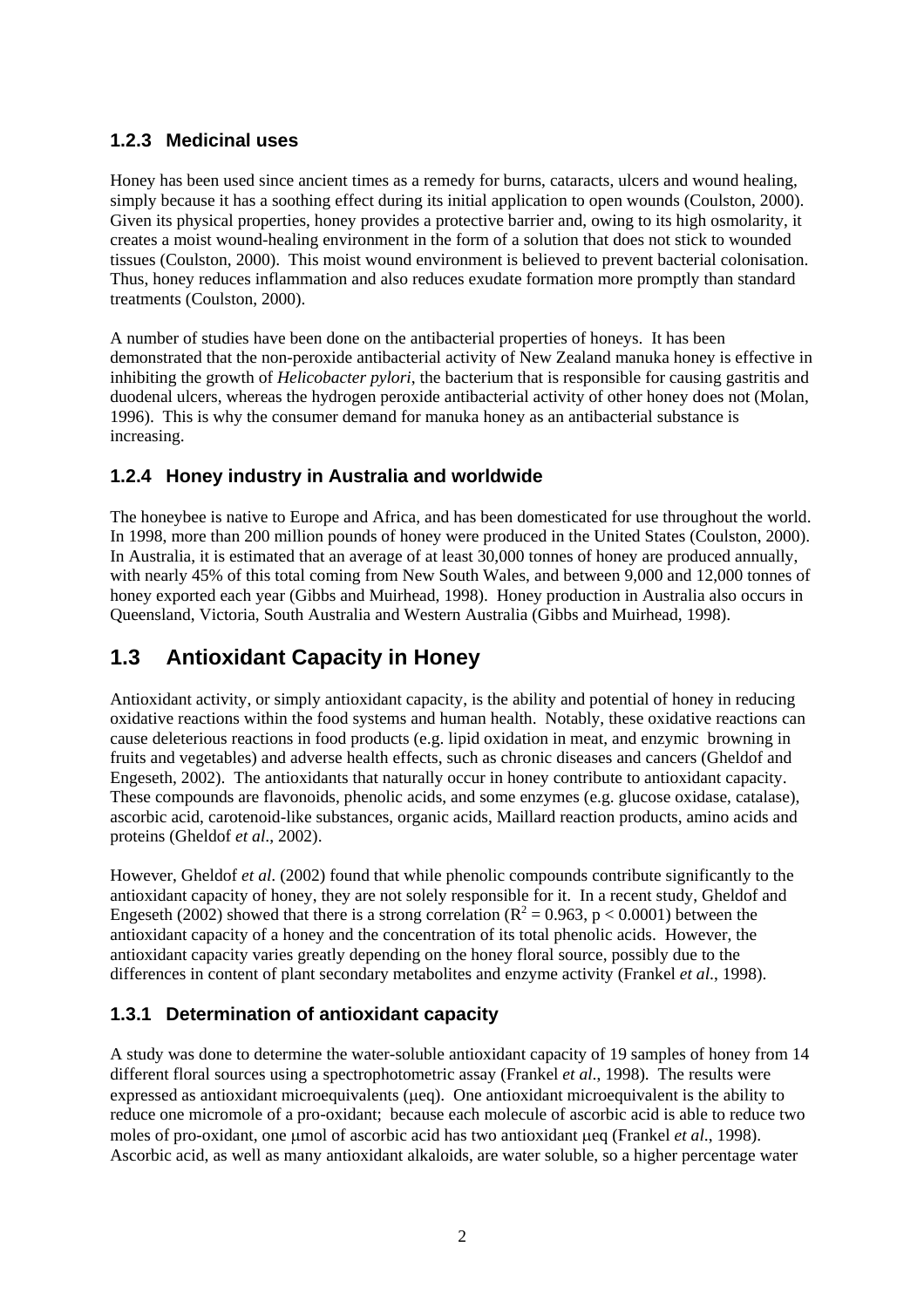#### **1.2.3 Medicinal uses**

Honey has been used since ancient times as a remedy for burns, cataracts, ulcers and wound healing, simply because it has a soothing effect during its initial application to open wounds (Coulston, 2000). Given its physical properties, honey provides a protective barrier and, owing to its high osmolarity, it creates a moist wound-healing environment in the form of a solution that does not stick to wounded tissues (Coulston, 2000). This moist wound environment is believed to prevent bacterial colonisation. Thus, honey reduces inflammation and also reduces exudate formation more promptly than standard treatments (Coulston, 2000).

A number of studies have been done on the antibacterial properties of honeys. It has been demonstrated that the non-peroxide antibacterial activity of New Zealand manuka honey is effective in inhibiting the growth of *Helicobacter pylori*, the bacterium that is responsible for causing gastritis and duodenal ulcers, whereas the hydrogen peroxide antibacterial activity of other honey does not (Molan, 1996). This is why the consumer demand for manuka honey as an antibacterial substance is increasing.

#### **1.2.4 Honey industry in Australia and worldwide**

The honeybee is native to Europe and Africa, and has been domesticated for use throughout the world. In 1998, more than 200 million pounds of honey were produced in the United States (Coulston, 2000). In Australia, it is estimated that an average of at least 30,000 tonnes of honey are produced annually, with nearly 45% of this total coming from New South Wales, and between 9,000 and 12,000 tonnes of honey exported each year (Gibbs and Muirhead, 1998). Honey production in Australia also occurs in Queensland, Victoria, South Australia and Western Australia (Gibbs and Muirhead, 1998).

### **1.3 Antioxidant Capacity in Honey**

Antioxidant activity, or simply antioxidant capacity, is the ability and potential of honey in reducing oxidative reactions within the food systems and human health. Notably, these oxidative reactions can cause deleterious reactions in food products (e.g. lipid oxidation in meat, and enzymic browning in fruits and vegetables) and adverse health effects, such as chronic diseases and cancers (Gheldof and Engeseth, 2002). The antioxidants that naturally occur in honey contribute to antioxidant capacity. These compounds are flavonoids, phenolic acids, and some enzymes (e.g. glucose oxidase, catalase), ascorbic acid, carotenoid-like substances, organic acids, Maillard reaction products, amino acids and proteins (Gheldof *et al*., 2002).

However, Gheldof *et al*. (2002) found that while phenolic compounds contribute significantly to the antioxidant capacity of honey, they are not solely responsible for it. In a recent study, Gheldof and Engeseth (2002) showed that there is a strong correlation ( $R^2 = 0.963$ , p < 0.0001) between the antioxidant capacity of a honey and the concentration of its total phenolic acids. However, the antioxidant capacity varies greatly depending on the honey floral source, possibly due to the differences in content of plant secondary metabolites and enzyme activity (Frankel *et al*., 1998).

#### **1.3.1 Determination of antioxidant capacity**

A study was done to determine the water-soluble antioxidant capacity of 19 samples of honey from 14 different floral sources using a spectrophotometric assay (Frankel *et al*., 1998). The results were expressed as antioxidant microequivalents (µeq). One antioxidant microequivalent is the ability to reduce one micromole of a pro-oxidant; because each molecule of ascorbic acid is able to reduce two moles of pro-oxidant, one µmol of ascorbic acid has two antioxidant µeq (Frankel *et al*., 1998). Ascorbic acid, as well as many antioxidant alkaloids, are water soluble, so a higher percentage water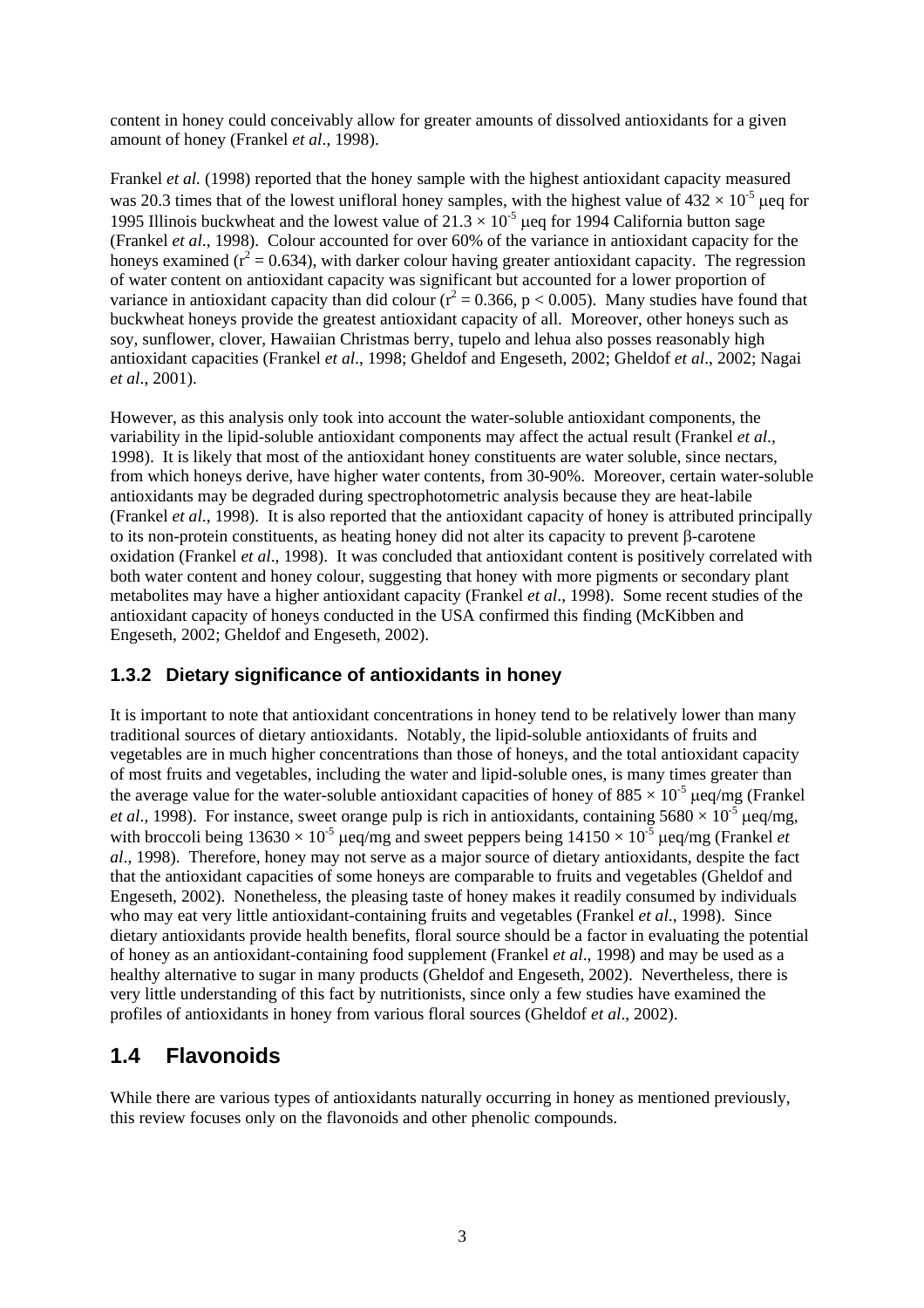content in honey could conceivably allow for greater amounts of dissolved antioxidants for a given amount of honey (Frankel *et al*., 1998).

Frankel *et al.* (1998) reported that the honey sample with the highest antioxidant capacity measured was 20.3 times that of the lowest unifloral honey samples, with the highest value of  $432 \times 10^{-5}$  µeq for 1995 Illinois buckwheat and the lowest value of  $21.3 \times 10^{-5}$  µeq for 1994 California button sage (Frankel *et al*., 1998). Colour accounted for over 60% of the variance in antioxidant capacity for the honeys examined ( $r^2$  = 0.634), with darker colour having greater antioxidant capacity. The regression of water content on antioxidant capacity was significant but accounted for a lower proportion of variance in antioxidant capacity than did colour ( $r^2 = 0.366$ , p < 0.005). Many studies have found that buckwheat honeys provide the greatest antioxidant capacity of all. Moreover, other honeys such as soy, sunflower, clover, Hawaiian Christmas berry, tupelo and lehua also posses reasonably high antioxidant capacities (Frankel *et al*., 1998; Gheldof and Engeseth, 2002; Gheldof *et al*., 2002; Nagai *et al*., 2001).

However, as this analysis only took into account the water-soluble antioxidant components, the variability in the lipid-soluble antioxidant components may affect the actual result (Frankel *et al*., 1998). It is likely that most of the antioxidant honey constituents are water soluble, since nectars, from which honeys derive, have higher water contents, from 30-90%. Moreover, certain water-soluble antioxidants may be degraded during spectrophotometric analysis because they are heat-labile (Frankel *et al*., 1998). It is also reported that the antioxidant capacity of honey is attributed principally to its non-protein constituents, as heating honey did not alter its capacity to prevent β-carotene oxidation (Frankel *et al*., 1998). It was concluded that antioxidant content is positively correlated with both water content and honey colour, suggesting that honey with more pigments or secondary plant metabolites may have a higher antioxidant capacity (Frankel *et al*., 1998). Some recent studies of the antioxidant capacity of honeys conducted in the USA confirmed this finding (McKibben and Engeseth, 2002; Gheldof and Engeseth, 2002).

#### **1.3.2 Dietary significance of antioxidants in honey**

It is important to note that antioxidant concentrations in honey tend to be relatively lower than many traditional sources of dietary antioxidants. Notably, the lipid-soluble antioxidants of fruits and vegetables are in much higher concentrations than those of honeys, and the total antioxidant capacity of most fruits and vegetables, including the water and lipid-soluble ones, is many times greater than the average value for the water-soluble antioxidant capacities of honey of  $885 \times 10^{-5}$  µeq/mg (Frankel *et al.*, 1998). For instance, sweet orange pulp is rich in antioxidants, containing  $5680 \times 10^{-5}$  µeq/mg, with broccoli being  $13630 \times 10^{-5}$  µeq/mg and sweet peppers being  $14150 \times 10^{-5}$  µeq/mg (Frankel *et al*., 1998). Therefore, honey may not serve as a major source of dietary antioxidants, despite the fact that the antioxidant capacities of some honeys are comparable to fruits and vegetables (Gheldof and Engeseth, 2002). Nonetheless, the pleasing taste of honey makes it readily consumed by individuals who may eat very little antioxidant-containing fruits and vegetables (Frankel *et al*., 1998). Since dietary antioxidants provide health benefits, floral source should be a factor in evaluating the potential of honey as an antioxidant-containing food supplement (Frankel *et al*., 1998) and may be used as a healthy alternative to sugar in many products (Gheldof and Engeseth, 2002). Nevertheless, there is very little understanding of this fact by nutritionists, since only a few studies have examined the profiles of antioxidants in honey from various floral sources (Gheldof *et al*., 2002).

### **1.4 Flavonoids**

While there are various types of antioxidants naturally occurring in honey as mentioned previously, this review focuses only on the flavonoids and other phenolic compounds.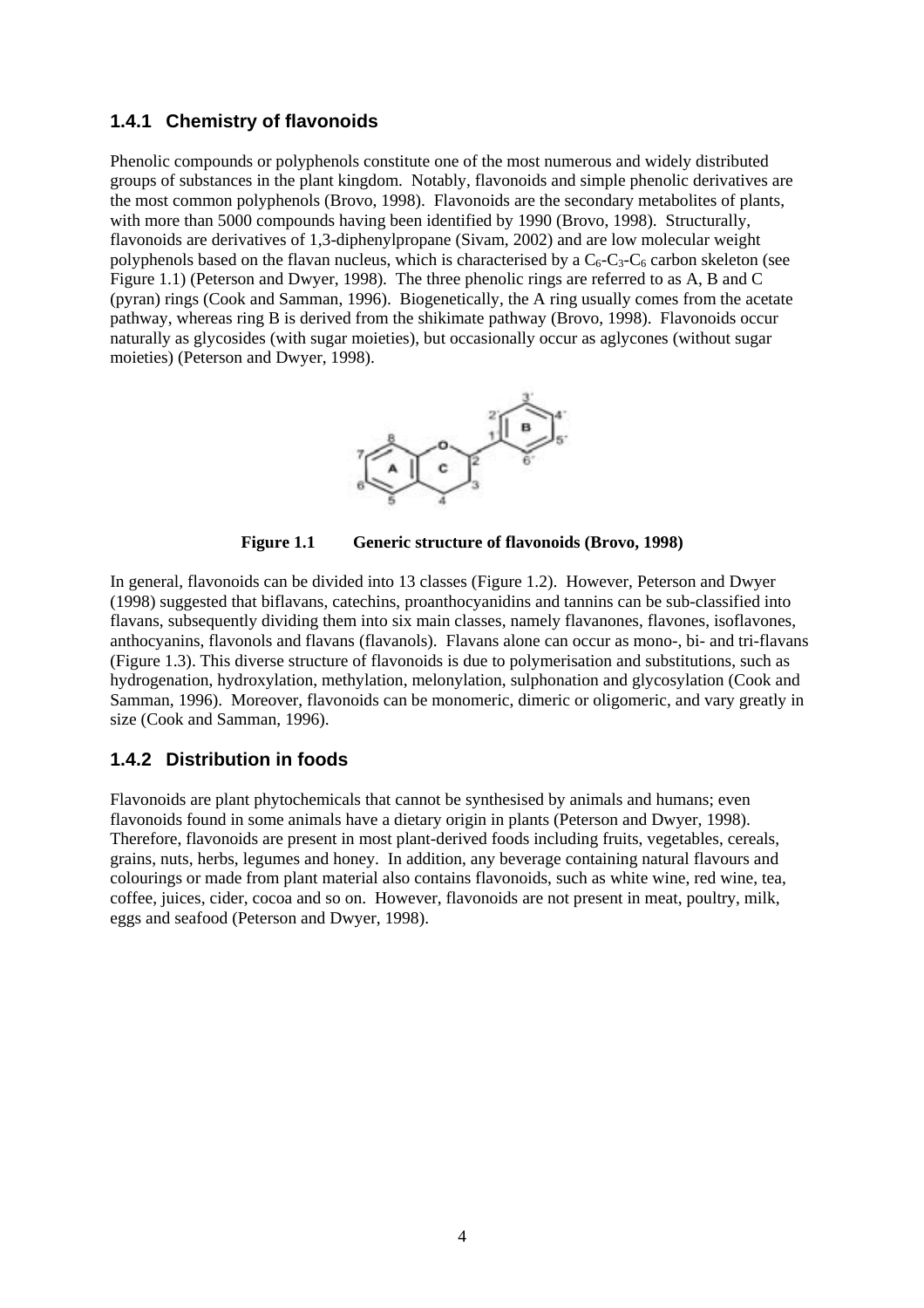#### **1.4.1 Chemistry of flavonoids**

Phenolic compounds or polyphenols constitute one of the most numerous and widely distributed groups of substances in the plant kingdom. Notably, flavonoids and simple phenolic derivatives are the most common polyphenols (Brovo, 1998). Flavonoids are the secondary metabolites of plants, with more than 5000 compounds having been identified by 1990 (Brovo, 1998). Structurally, flavonoids are derivatives of 1,3-diphenylpropane (Sivam, 2002) and are low molecular weight polyphenols based on the flavan nucleus, which is characterised by a  $C_6$ - $C_3$ - $C_6$  carbon skeleton (see Figure 1.1) (Peterson and Dwyer, 1998). The three phenolic rings are referred to as A, B and C (pyran) rings (Cook and Samman, 1996). Biogenetically, the A ring usually comes from the acetate pathway, whereas ring B is derived from the shikimate pathway (Brovo, 1998). Flavonoids occur naturally as glycosides (with sugar moieties), but occasionally occur as aglycones (without sugar moieties) (Peterson and Dwyer, 1998).



**Figure 1.1 Generic structure of flavonoids (Brovo, 1998)** 

In general, flavonoids can be divided into 13 classes (Figure 1.2). However, Peterson and Dwyer (1998) suggested that biflavans, catechins, proanthocyanidins and tannins can be sub-classified into flavans, subsequently dividing them into six main classes, namely flavanones, flavones, isoflavones, anthocyanins, flavonols and flavans (flavanols). Flavans alone can occur as mono-, bi- and tri-flavans (Figure 1.3). This diverse structure of flavonoids is due to polymerisation and substitutions, such as hydrogenation, hydroxylation, methylation, melonylation, sulphonation and glycosylation (Cook and Samman, 1996). Moreover, flavonoids can be monomeric, dimeric or oligomeric, and vary greatly in size (Cook and Samman, 1996).

#### **1.4.2 Distribution in foods**

Flavonoids are plant phytochemicals that cannot be synthesised by animals and humans; even flavonoids found in some animals have a dietary origin in plants (Peterson and Dwyer, 1998). Therefore, flavonoids are present in most plant-derived foods including fruits, vegetables, cereals, grains, nuts, herbs, legumes and honey. In addition, any beverage containing natural flavours and colourings or made from plant material also contains flavonoids, such as white wine, red wine, tea, coffee, juices, cider, cocoa and so on. However, flavonoids are not present in meat, poultry, milk, eggs and seafood (Peterson and Dwyer, 1998).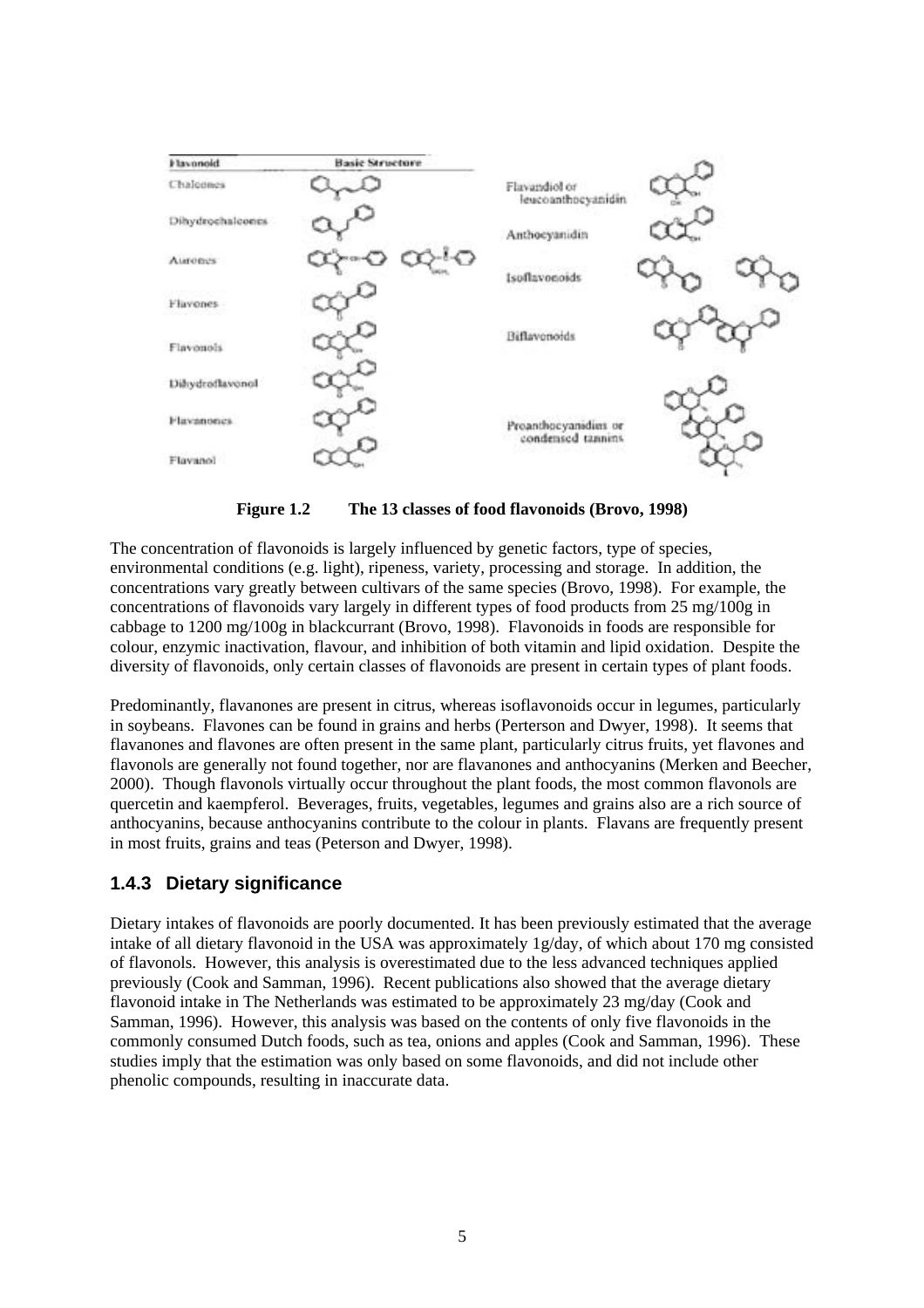

**Figure 1.2 The 13 classes of food flavonoids (Brovo, 1998)** 

The concentration of flavonoids is largely influenced by genetic factors, type of species, environmental conditions (e.g. light), ripeness, variety, processing and storage. In addition, the concentrations vary greatly between cultivars of the same species (Brovo, 1998). For example, the concentrations of flavonoids vary largely in different types of food products from 25 mg/100g in cabbage to 1200 mg/100g in blackcurrant (Brovo, 1998). Flavonoids in foods are responsible for colour, enzymic inactivation, flavour, and inhibition of both vitamin and lipid oxidation. Despite the diversity of flavonoids, only certain classes of flavonoids are present in certain types of plant foods.

Predominantly, flavanones are present in citrus, whereas isoflavonoids occur in legumes, particularly in soybeans. Flavones can be found in grains and herbs (Perterson and Dwyer, 1998). It seems that flavanones and flavones are often present in the same plant, particularly citrus fruits, yet flavones and flavonols are generally not found together, nor are flavanones and anthocyanins (Merken and Beecher, 2000). Though flavonols virtually occur throughout the plant foods, the most common flavonols are quercetin and kaempferol. Beverages, fruits, vegetables, legumes and grains also are a rich source of anthocyanins, because anthocyanins contribute to the colour in plants. Flavans are frequently present in most fruits, grains and teas (Peterson and Dwyer, 1998).

#### **1.4.3 Dietary significance**

Dietary intakes of flavonoids are poorly documented. It has been previously estimated that the average intake of all dietary flavonoid in the USA was approximately 1g/day, of which about 170 mg consisted of flavonols. However, this analysis is overestimated due to the less advanced techniques applied previously (Cook and Samman, 1996). Recent publications also showed that the average dietary flavonoid intake in The Netherlands was estimated to be approximately 23 mg/day (Cook and Samman, 1996). However, this analysis was based on the contents of only five flavonoids in the commonly consumed Dutch foods, such as tea, onions and apples (Cook and Samman, 1996). These studies imply that the estimation was only based on some flavonoids, and did not include other phenolic compounds, resulting in inaccurate data.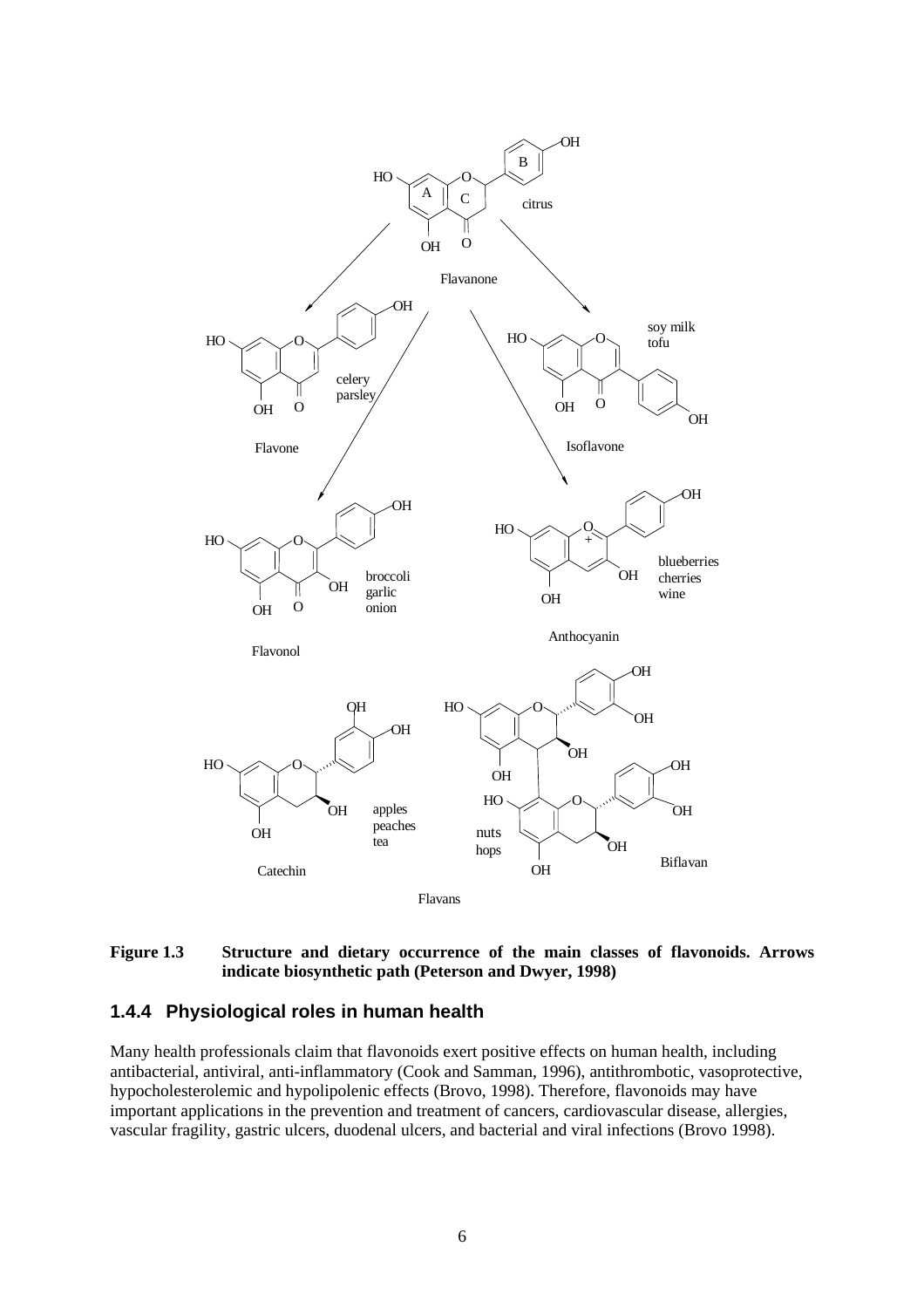

#### **Figure 1.3 Structure and dietary occurrence of the main classes of flavonoids. Arrows indicate biosynthetic path (Peterson and Dwyer, 1998)**

#### **1.4.4 Physiological roles in human health**

Many health professionals claim that flavonoids exert positive effects on human health, including antibacterial, antiviral, anti-inflammatory (Cook and Samman, 1996), antithrombotic, vasoprotective, hypocholesterolemic and hypolipolenic effects (Brovo, 1998). Therefore, flavonoids may have important applications in the prevention and treatment of cancers, cardiovascular disease, allergies, vascular fragility, gastric ulcers, duodenal ulcers, and bacterial and viral infections (Brovo 1998).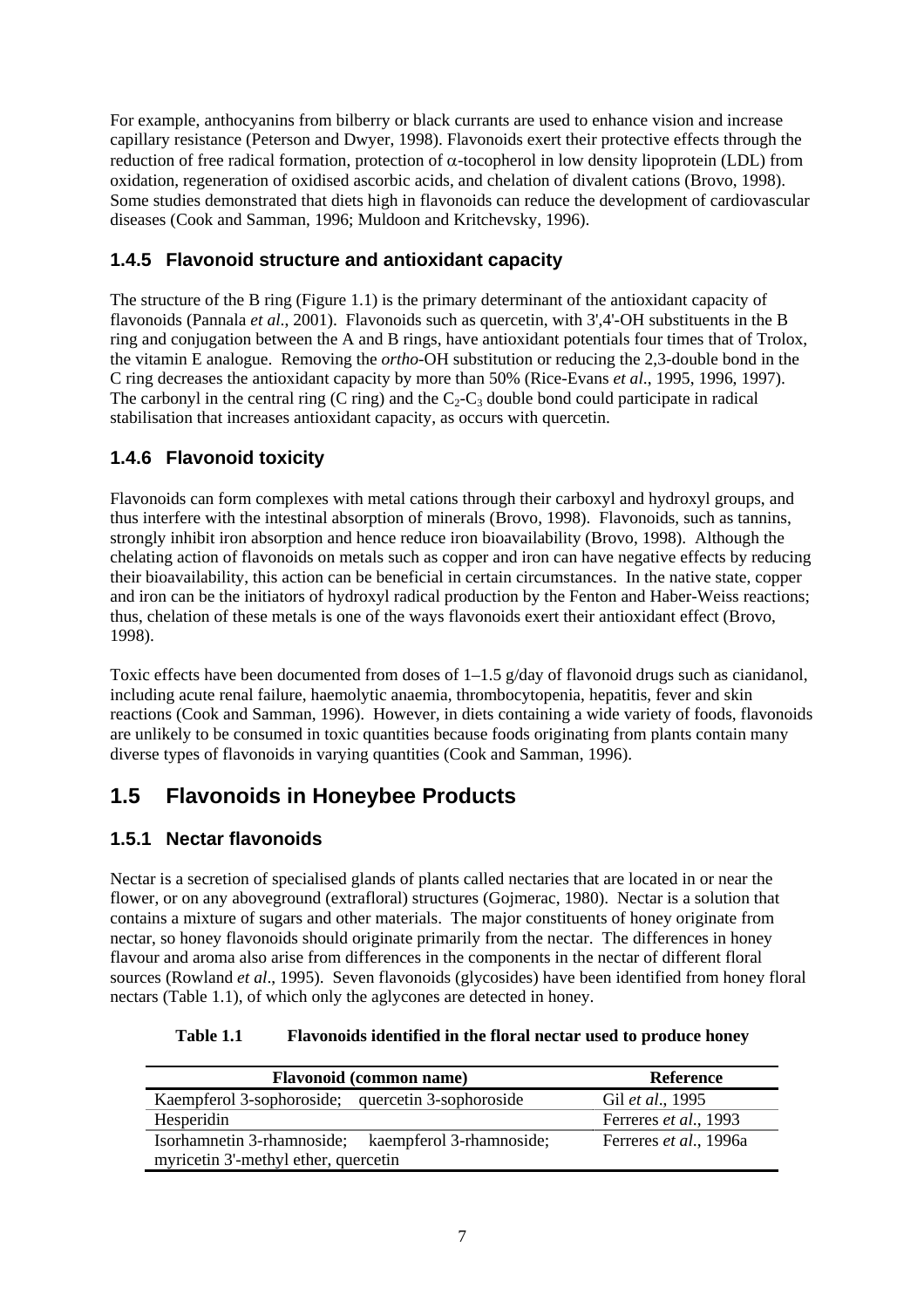For example, anthocyanins from bilberry or black currants are used to enhance vision and increase capillary resistance (Peterson and Dwyer, 1998). Flavonoids exert their protective effects through the reduction of free radical formation, protection of α-tocopherol in low density lipoprotein (LDL) from oxidation, regeneration of oxidised ascorbic acids, and chelation of divalent cations (Brovo, 1998). Some studies demonstrated that diets high in flavonoids can reduce the development of cardiovascular diseases (Cook and Samman, 1996; Muldoon and Kritchevsky, 1996).

### **1.4.5 Flavonoid structure and antioxidant capacity**

The structure of the B ring (Figure 1.1) is the primary determinant of the antioxidant capacity of flavonoids (Pannala *et al*., 2001). Flavonoids such as quercetin, with 3',4'-OH substituents in the B ring and conjugation between the A and B rings, have antioxidant potentials four times that of Trolox, the vitamin E analogue. Removing the *ortho*-OH substitution or reducing the 2,3-double bond in the C ring decreases the antioxidant capacity by more than 50% (Rice-Evans *et al*., 1995, 1996, 1997). The carbonyl in the central ring (C ring) and the  $C_2-C_3$  double bond could participate in radical stabilisation that increases antioxidant capacity, as occurs with quercetin.

### **1.4.6 Flavonoid toxicity**

Flavonoids can form complexes with metal cations through their carboxyl and hydroxyl groups, and thus interfere with the intestinal absorption of minerals (Brovo, 1998). Flavonoids, such as tannins, strongly inhibit iron absorption and hence reduce iron bioavailability (Brovo, 1998). Although the chelating action of flavonoids on metals such as copper and iron can have negative effects by reducing their bioavailability, this action can be beneficial in certain circumstances. In the native state, copper and iron can be the initiators of hydroxyl radical production by the Fenton and Haber-Weiss reactions; thus, chelation of these metals is one of the ways flavonoids exert their antioxidant effect (Brovo, 1998).

Toxic effects have been documented from doses of  $1-1.5$  g/day of flavonoid drugs such as cianidanol, including acute renal failure, haemolytic anaemia, thrombocytopenia, hepatitis, fever and skin reactions (Cook and Samman, 1996). However, in diets containing a wide variety of foods, flavonoids are unlikely to be consumed in toxic quantities because foods originating from plants contain many diverse types of flavonoids in varying quantities (Cook and Samman, 1996).

## **1.5 Flavonoids in Honeybee Products**

### **1.5.1 Nectar flavonoids**

Nectar is a secretion of specialised glands of plants called nectaries that are located in or near the flower, or on any aboveground (extrafloral) structures (Gojmerac, 1980). Nectar is a solution that contains a mixture of sugars and other materials. The major constituents of honey originate from nectar, so honey flavonoids should originate primarily from the nectar. The differences in honey flavour and aroma also arise from differences in the components in the nectar of different floral sources (Rowland *et al*., 1995). Seven flavonoids (glycosides) have been identified from honey floral nectars (Table 1.1), of which only the aglycones are detected in honey.

| <b>Flavonoid (common name)</b>                      | Reference              |  |  |  |
|-----------------------------------------------------|------------------------|--|--|--|
| Kaempferol 3-sophoroside; quercetin 3-sophoroside   | Gil et al., 1995       |  |  |  |
| Hesperidin                                          | Ferreres et al., 1993  |  |  |  |
| Isorhamnetin 3-rhamnoside; kaempferol 3-rhamnoside; | Ferreres et al., 1996a |  |  |  |
| myricetin 3'-methyl ether, quercetin                |                        |  |  |  |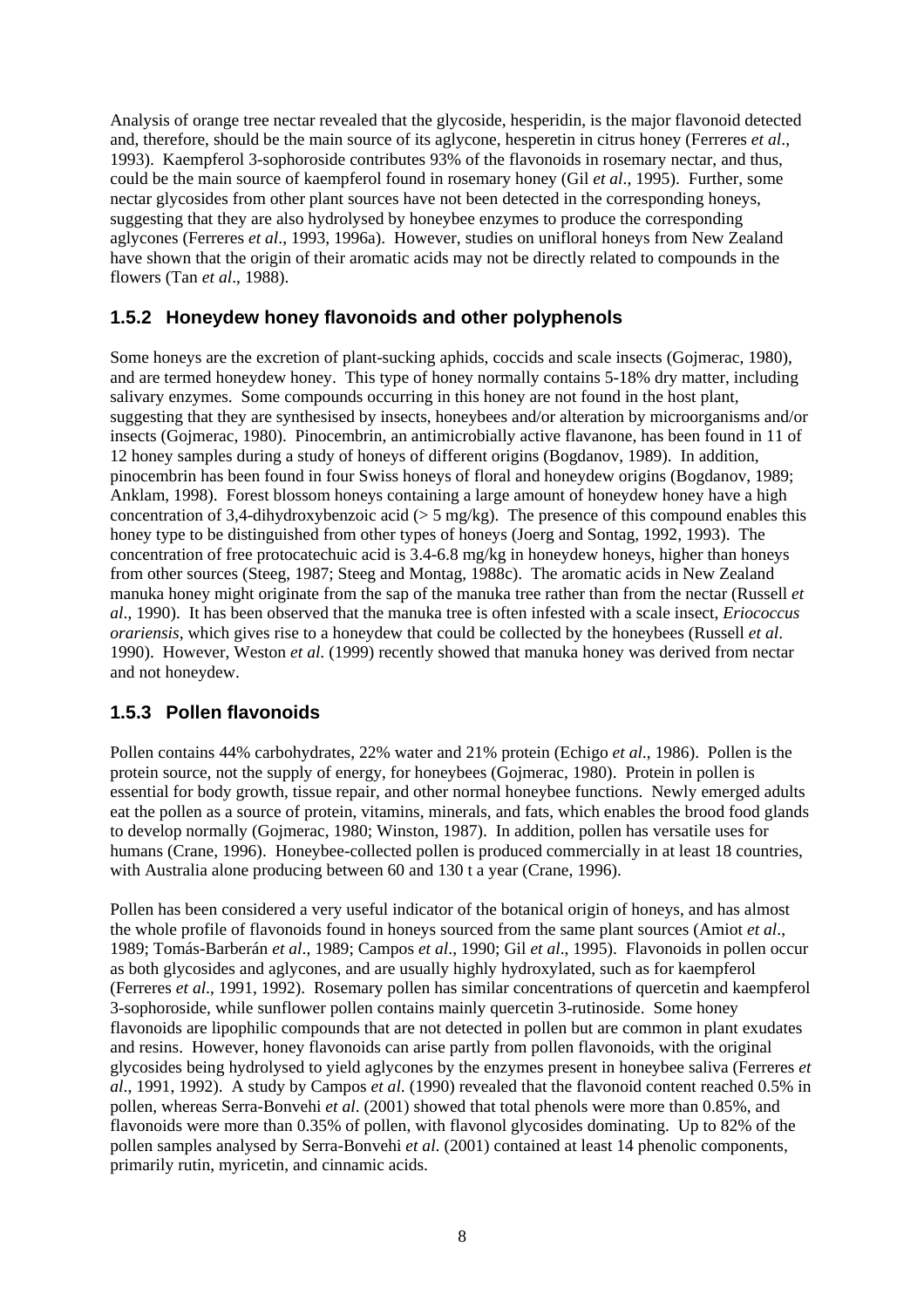Analysis of orange tree nectar revealed that the glycoside, hesperidin, is the major flavonoid detected and, therefore, should be the main source of its aglycone, hesperetin in citrus honey (Ferreres *et al*., 1993). Kaempferol 3-sophoroside contributes 93% of the flavonoids in rosemary nectar, and thus, could be the main source of kaempferol found in rosemary honey (Gil *et al*., 1995). Further, some nectar glycosides from other plant sources have not been detected in the corresponding honeys, suggesting that they are also hydrolysed by honeybee enzymes to produce the corresponding aglycones (Ferreres *et al*., 1993, 1996a). However, studies on unifloral honeys from New Zealand have shown that the origin of their aromatic acids may not be directly related to compounds in the flowers (Tan *et al*., 1988).

#### **1.5.2 Honeydew honey flavonoids and other polyphenols**

Some honeys are the excretion of plant-sucking aphids, coccids and scale insects (Gojmerac, 1980), and are termed honeydew honey. This type of honey normally contains 5-18% dry matter, including salivary enzymes. Some compounds occurring in this honey are not found in the host plant, suggesting that they are synthesised by insects, honeybees and/or alteration by microorganisms and/or insects (Gojmerac, 1980). Pinocembrin, an antimicrobially active flavanone, has been found in 11 of 12 honey samples during a study of honeys of different origins (Bogdanov, 1989). In addition, pinocembrin has been found in four Swiss honeys of floral and honeydew origins (Bogdanov, 1989; Anklam, 1998). Forest blossom honeys containing a large amount of honeydew honey have a high concentration of 3,4-dihydroxybenzoic acid ( $> 5$  mg/kg). The presence of this compound enables this honey type to be distinguished from other types of honeys (Joerg and Sontag, 1992, 1993). The concentration of free protocatechuic acid is 3.4-6.8 mg/kg in honeydew honeys, higher than honeys from other sources (Steeg, 1987; Steeg and Montag, 1988c). The aromatic acids in New Zealand manuka honey might originate from the sap of the manuka tree rather than from the nectar (Russell *et al*., 1990). It has been observed that the manuka tree is often infested with a scale insect, *Eriococcus orariensis*, which gives rise to a honeydew that could be collected by the honeybees (Russell *et al*. 1990). However, Weston *et al*. (1999) recently showed that manuka honey was derived from nectar and not honeydew.

#### **1.5.3 Pollen flavonoids**

Pollen contains 44% carbohydrates, 22% water and 21% protein (Echigo *et al*., 1986). Pollen is the protein source, not the supply of energy, for honeybees (Gojmerac, 1980). Protein in pollen is essential for body growth, tissue repair, and other normal honeybee functions. Newly emerged adults eat the pollen as a source of protein, vitamins, minerals, and fats, which enables the brood food glands to develop normally (Gojmerac, 1980; Winston, 1987). In addition, pollen has versatile uses for humans (Crane, 1996). Honeybee-collected pollen is produced commercially in at least 18 countries, with Australia alone producing between 60 and 130 t a year (Crane, 1996).

Pollen has been considered a very useful indicator of the botanical origin of honeys, and has almost the whole profile of flavonoids found in honeys sourced from the same plant sources (Amiot *et al*., 1989; Tomás-Barberán *et al*., 1989; Campos *et al*., 1990; Gil *et al*., 1995). Flavonoids in pollen occur as both glycosides and aglycones, and are usually highly hydroxylated, such as for kaempferol (Ferreres *et al*., 1991, 1992). Rosemary pollen has similar concentrations of quercetin and kaempferol 3-sophoroside, while sunflower pollen contains mainly quercetin 3-rutinoside. Some honey flavonoids are lipophilic compounds that are not detected in pollen but are common in plant exudates and resins. However, honey flavonoids can arise partly from pollen flavonoids, with the original glycosides being hydrolysed to yield aglycones by the enzymes present in honeybee saliva (Ferreres *et al*., 1991, 1992). A study by Campos *et al*. (1990) revealed that the flavonoid content reached 0.5% in pollen, whereas Serra-Bonvehi *et al*. (2001) showed that total phenols were more than 0.85%, and flavonoids were more than 0.35% of pollen, with flavonol glycosides dominating. Up to 82% of the pollen samples analysed by Serra-Bonvehi *et al*. (2001) contained at least 14 phenolic components, primarily rutin, myricetin, and cinnamic acids.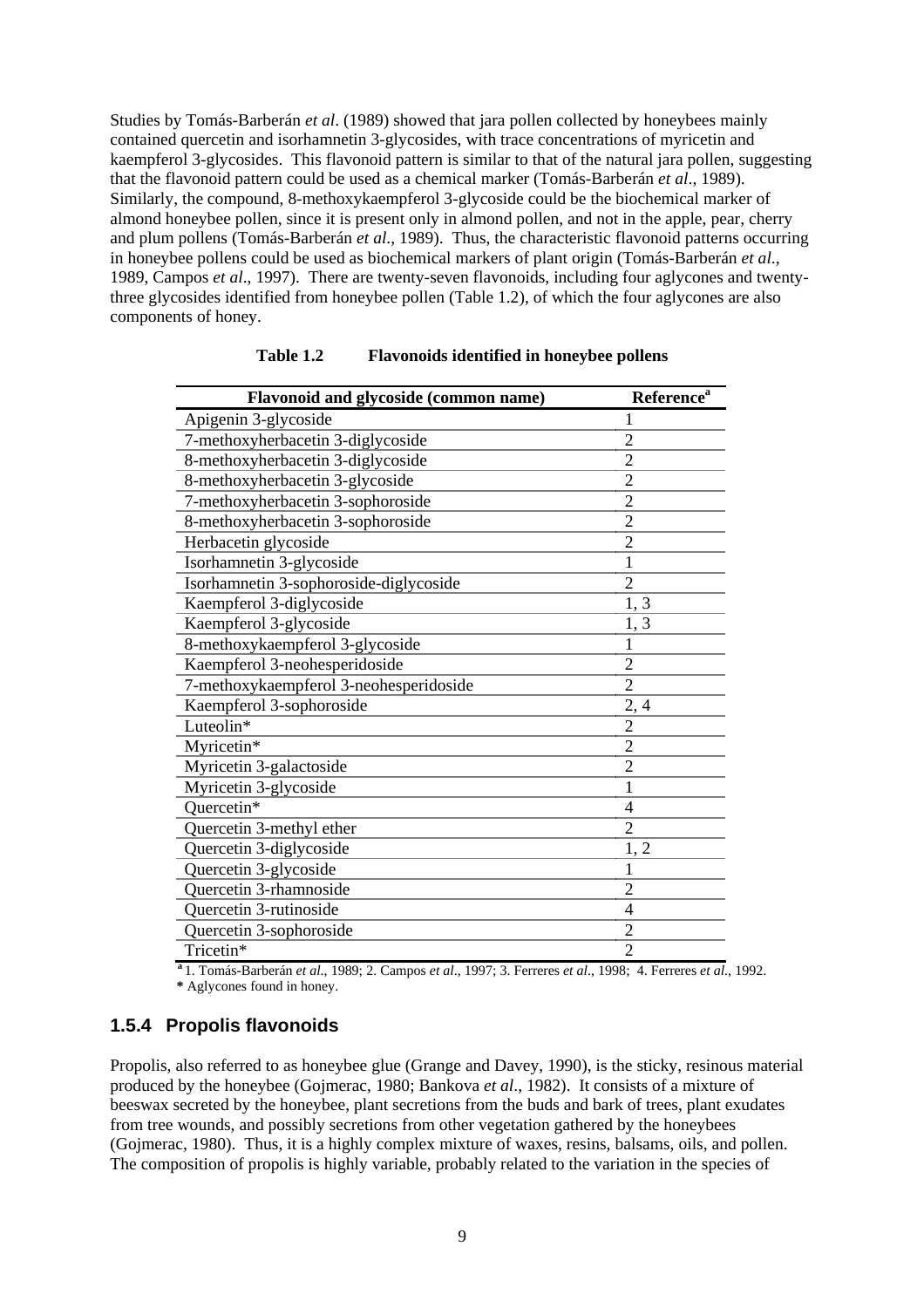Studies by Tomás-Barberán *et al*. (1989) showed that jara pollen collected by honeybees mainly contained quercetin and isorhamnetin 3-glycosides, with trace concentrations of myricetin and kaempferol 3-glycosides. This flavonoid pattern is similar to that of the natural jara pollen, suggesting that the flavonoid pattern could be used as a chemical marker (Tomás-Barberán *et al*., 1989). Similarly, the compound, 8-methoxykaempferol 3-glycoside could be the biochemical marker of almond honeybee pollen, since it is present only in almond pollen, and not in the apple, pear, cherry and plum pollens (Tomás-Barberán *et al*., 1989). Thus, the characteristic flavonoid patterns occurring in honeybee pollens could be used as biochemical markers of plant origin (Tomás-Barberán *et al*., 1989, Campos *et al*., 1997). There are twenty-seven flavonoids, including four aglycones and twentythree glycosides identified from honeybee pollen (Table 1.2), of which the four aglycones are also components of honey.

| Flavonoid and glycoside (common name)  | <b>Reference</b> <sup>a</sup> |
|----------------------------------------|-------------------------------|
| Apigenin 3-glycoside                   | 1                             |
| 7-methoxyherbacetin 3-diglycoside      | $\overline{2}$                |
| 8-methoxyherbacetin 3-diglycoside      | $\overline{2}$                |
| 8-methoxyherbacetin 3-glycoside        | $\overline{2}$                |
| 7-methoxyherbacetin 3-sophoroside      | $\overline{2}$                |
| 8-methoxyherbacetin 3-sophoroside      | $\overline{2}$                |
| Herbacetin glycoside                   | $\overline{2}$                |
| Isorhamnetin 3-glycoside               | 1                             |
| Isorhamnetin 3-sophoroside-diglycoside | $\overline{2}$                |
| Kaempferol 3-diglycoside               | 1, 3                          |
| Kaempferol 3-glycoside                 | 1, 3                          |
| 8-methoxykaempferol 3-glycoside        | 1                             |
| Kaempferol 3-neohesperidoside          | $\overline{2}$                |
| 7-methoxykaempferol 3-neohesperidoside | $\overline{2}$                |
| Kaempferol 3-sophoroside               | 2,4                           |
| Luteolin*                              | $\overline{c}$                |
| Myricetin*                             | $\overline{2}$                |
| Myricetin 3-galactoside                | $\overline{2}$                |
| Myricetin 3-glycoside                  | 1                             |
| Ouercetin*                             | 4                             |
| Quercetin 3-methyl ether               | $\overline{2}$                |
| Quercetin 3-diglycoside                | 1, 2                          |
| Quercetin 3-glycoside                  | 1                             |
| Quercetin 3-rhamnoside                 | $\overline{2}$                |
| Quercetin 3-rutinoside                 | $\overline{4}$                |
| Quercetin 3-sophoroside                | $\overline{2}$                |
| Tricetin*                              | $\overline{2}$                |

**Table 1.2 Flavonoids identified in honeybee pollens** 

**<sup>a</sup>** 1. Tomás-Barberán *et al*., 1989; 2. Campos *et al*., 1997; 3. Ferreres *et al*., 1998; 4. Ferreres *et al*., 1992. **\*** Aglycones found in honey.

#### **1.5.4 Propolis flavonoids**

Propolis, also referred to as honeybee glue (Grange and Davey, 1990), is the sticky, resinous material produced by the honeybee (Gojmerac, 1980; Bankova *et al*., 1982). It consists of a mixture of beeswax secreted by the honeybee, plant secretions from the buds and bark of trees, plant exudates from tree wounds, and possibly secretions from other vegetation gathered by the honeybees (Gojmerac, 1980). Thus, it is a highly complex mixture of waxes, resins, balsams, oils, and pollen. The composition of propolis is highly variable, probably related to the variation in the species of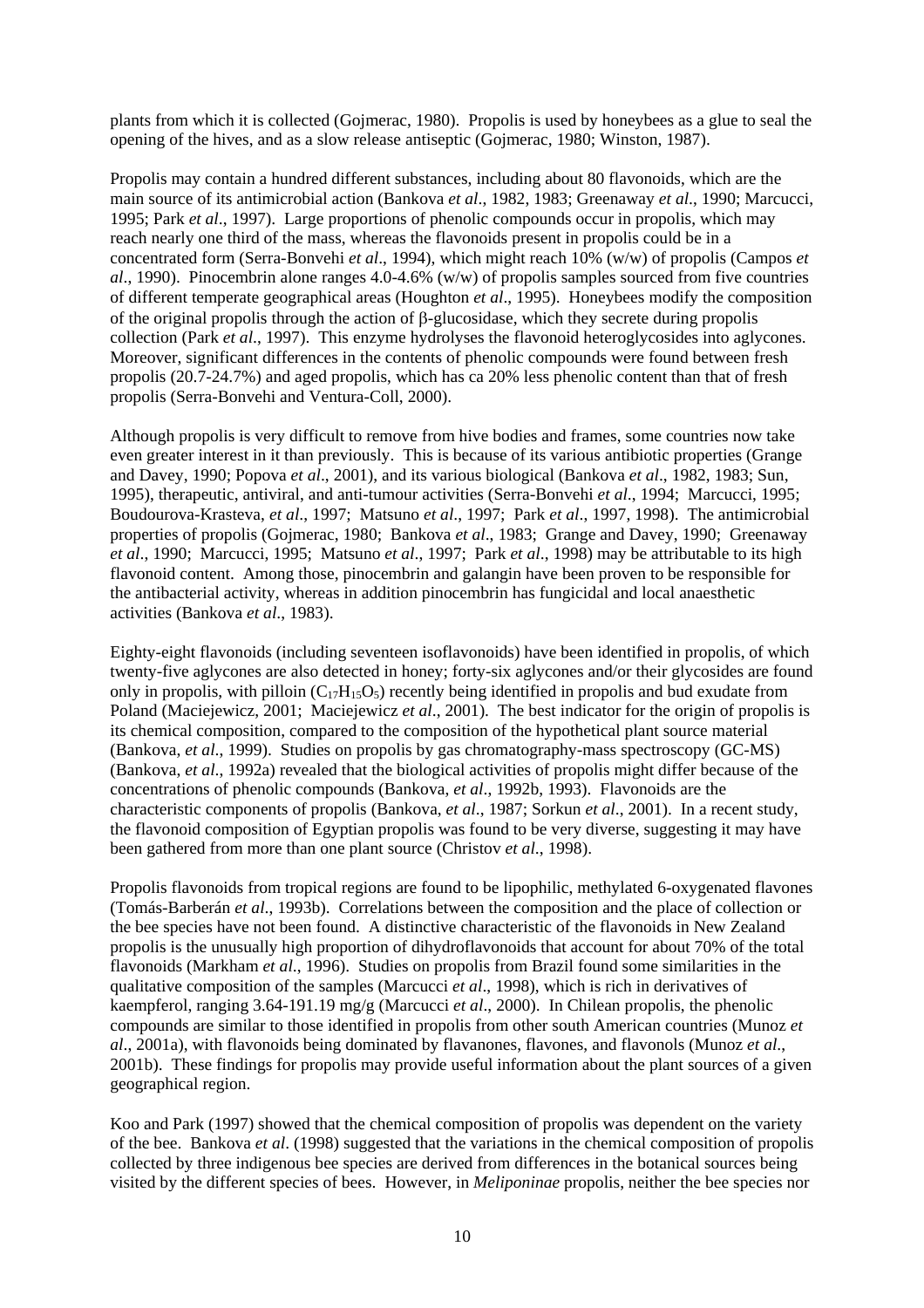plants from which it is collected (Gojmerac, 1980). Propolis is used by honeybees as a glue to seal the opening of the hives, and as a slow release antiseptic (Gojmerac, 1980; Winston, 1987).

Propolis may contain a hundred different substances, including about 80 flavonoids, which are the main source of its antimicrobial action (Bankova *et al*., 1982, 1983; Greenaway *et al*., 1990; Marcucci, 1995; Park *et al*., 1997). Large proportions of phenolic compounds occur in propolis, which may reach nearly one third of the mass, whereas the flavonoids present in propolis could be in a concentrated form (Serra-Bonvehi *et al*., 1994), which might reach 10% (w/w) of propolis (Campos *et al*., 1990). Pinocembrin alone ranges 4.0-4.6% (w/w) of propolis samples sourced from five countries of different temperate geographical areas (Houghton *et al*., 1995). Honeybees modify the composition of the original propolis through the action of β-glucosidase, which they secrete during propolis collection (Park *et al*., 1997). This enzyme hydrolyses the flavonoid heteroglycosides into aglycones. Moreover, significant differences in the contents of phenolic compounds were found between fresh propolis (20.7-24.7%) and aged propolis, which has ca 20% less phenolic content than that of fresh propolis (Serra-Bonvehi and Ventura-Coll, 2000).

Although propolis is very difficult to remove from hive bodies and frames, some countries now take even greater interest in it than previously. This is because of its various antibiotic properties (Grange and Davey, 1990; Popova *et al*., 2001), and its various biological (Bankova *et al*., 1982, 1983; Sun, 1995), therapeutic, antiviral, and anti-tumour activities (Serra-Bonvehi *et al*., 1994; Marcucci, 1995; Boudourova-Krasteva, *et al*., 1997; Matsuno *et al*., 1997; Park *et al*., 1997, 1998). The antimicrobial properties of propolis (Gojmerac, 1980; Bankova *et al*., 1983; Grange and Davey, 1990; Greenaway *et al*., 1990; Marcucci, 1995; Matsuno *et al*., 1997; Park *et al*., 1998) may be attributable to its high flavonoid content. Among those, pinocembrin and galangin have been proven to be responsible for the antibacterial activity, whereas in addition pinocembrin has fungicidal and local anaesthetic activities (Bankova *et al*., 1983).

Eighty-eight flavonoids (including seventeen isoflavonoids) have been identified in propolis, of which twenty-five aglycones are also detected in honey; forty-six aglycones and/or their glycosides are found only in propolis, with pilloin  $(C_{17}H_{15}O_5)$  recently being identified in propolis and bud exudate from Poland (Maciejewicz, 2001; Maciejewicz *et al*., 2001). The best indicator for the origin of propolis is its chemical composition, compared to the composition of the hypothetical plant source material (Bankova, *et al*., 1999). Studies on propolis by gas chromatography-mass spectroscopy (GC-MS) (Bankova, *et al*., 1992a) revealed that the biological activities of propolis might differ because of the concentrations of phenolic compounds (Bankova, *et al*., 1992b, 1993). Flavonoids are the characteristic components of propolis (Bankova, *et al*., 1987; Sorkun *et al*., 2001). In a recent study, the flavonoid composition of Egyptian propolis was found to be very diverse, suggesting it may have been gathered from more than one plant source (Christov *et al*., 1998).

Propolis flavonoids from tropical regions are found to be lipophilic, methylated 6-oxygenated flavones (Tomás-Barberán *et al*., 1993b). Correlations between the composition and the place of collection or the bee species have not been found. A distinctive characteristic of the flavonoids in New Zealand propolis is the unusually high proportion of dihydroflavonoids that account for about 70% of the total flavonoids (Markham *et al*., 1996). Studies on propolis from Brazil found some similarities in the qualitative composition of the samples (Marcucci *et al*., 1998), which is rich in derivatives of kaempferol, ranging 3.64-191.19 mg/g (Marcucci *et al*., 2000). In Chilean propolis, the phenolic compounds are similar to those identified in propolis from other south American countries (Munoz *et al*., 2001a), with flavonoids being dominated by flavanones, flavones, and flavonols (Munoz *et al*., 2001b). These findings for propolis may provide useful information about the plant sources of a given geographical region.

Koo and Park (1997) showed that the chemical composition of propolis was dependent on the variety of the bee. Bankova *et al*. (1998) suggested that the variations in the chemical composition of propolis collected by three indigenous bee species are derived from differences in the botanical sources being visited by the different species of bees. However, in *Meliponinae* propolis, neither the bee species nor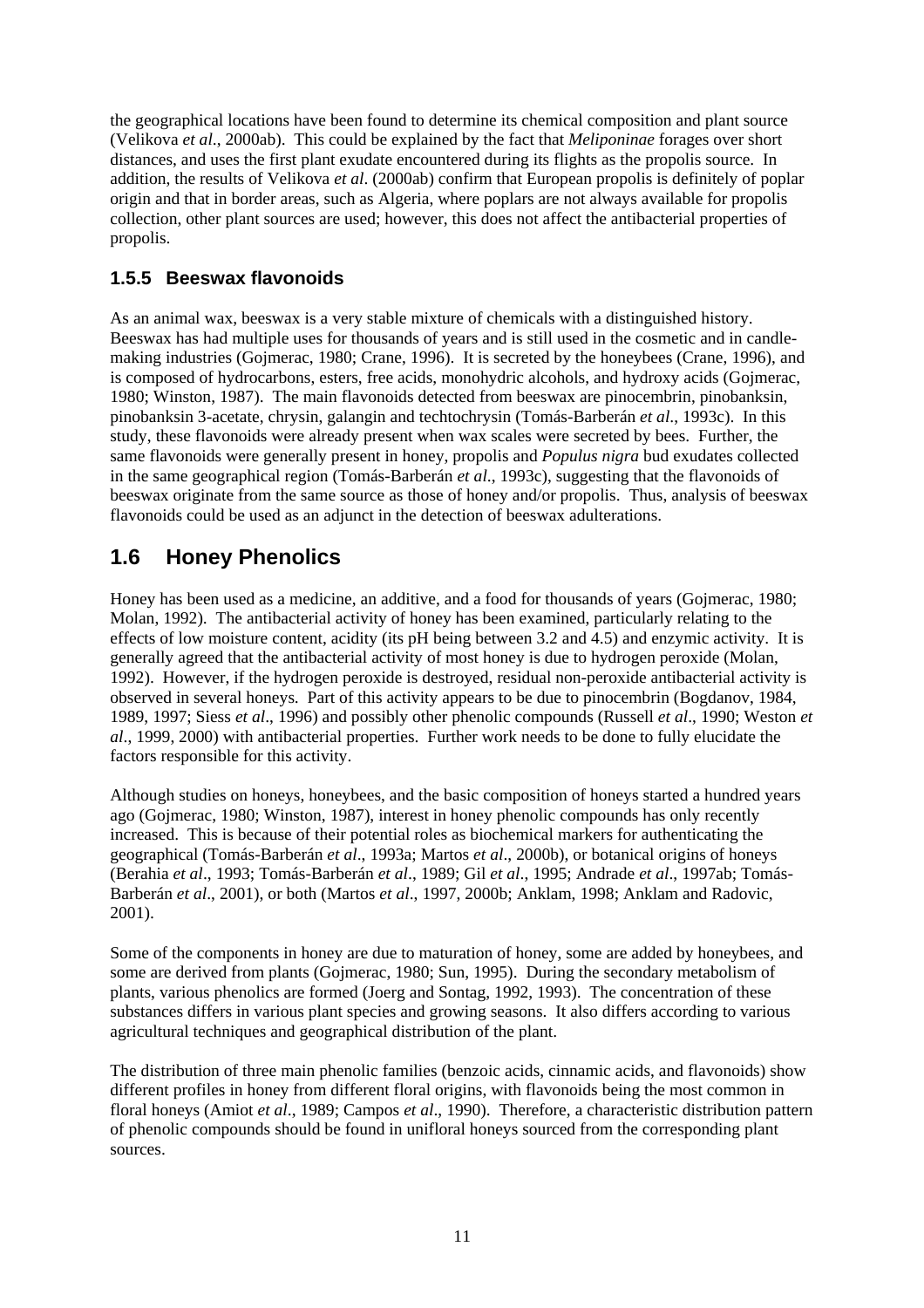the geographical locations have been found to determine its chemical composition and plant source (Velikova *et al*., 2000ab). This could be explained by the fact that *Meliponinae* forages over short distances, and uses the first plant exudate encountered during its flights as the propolis source. In addition, the results of Velikova *et al*. (2000ab) confirm that European propolis is definitely of poplar origin and that in border areas, such as Algeria, where poplars are not always available for propolis collection, other plant sources are used; however, this does not affect the antibacterial properties of propolis.

#### **1.5.5 Beeswax flavonoids**

As an animal wax, beeswax is a very stable mixture of chemicals with a distinguished history. Beeswax has had multiple uses for thousands of years and is still used in the cosmetic and in candlemaking industries (Gojmerac, 1980; Crane, 1996). It is secreted by the honeybees (Crane, 1996), and is composed of hydrocarbons, esters, free acids, monohydric alcohols, and hydroxy acids (Gojmerac, 1980; Winston, 1987). The main flavonoids detected from beeswax are pinocembrin, pinobanksin, pinobanksin 3-acetate, chrysin, galangin and techtochrysin (Tomás-Barberán *et al*., 1993c). In this study, these flavonoids were already present when wax scales were secreted by bees. Further, the same flavonoids were generally present in honey, propolis and *Populus nigra* bud exudates collected in the same geographical region (Tomás-Barberán *et al*., 1993c), suggesting that the flavonoids of beeswax originate from the same source as those of honey and/or propolis. Thus, analysis of beeswax flavonoids could be used as an adjunct in the detection of beeswax adulterations.

### **1.6 Honey Phenolics**

Honey has been used as a medicine, an additive, and a food for thousands of years (Gojmerac, 1980; Molan, 1992). The antibacterial activity of honey has been examined, particularly relating to the effects of low moisture content, acidity (its pH being between 3.2 and 4.5) and enzymic activity. It is generally agreed that the antibacterial activity of most honey is due to hydrogen peroxide (Molan, 1992). However, if the hydrogen peroxide is destroyed, residual non-peroxide antibacterial activity is observed in several honeys. Part of this activity appears to be due to pinocembrin (Bogdanov, 1984, 1989, 1997; Siess *et al*., 1996) and possibly other phenolic compounds (Russell *et al*., 1990; Weston *et al*., 1999, 2000) with antibacterial properties. Further work needs to be done to fully elucidate the factors responsible for this activity.

Although studies on honeys, honeybees, and the basic composition of honeys started a hundred years ago (Gojmerac, 1980; Winston, 1987), interest in honey phenolic compounds has only recently increased. This is because of their potential roles as biochemical markers for authenticating the geographical (Tomás-Barberán *et al*., 1993a; Martos *et al*., 2000b), or botanical origins of honeys (Berahia *et al*., 1993; Tomás-Barberán *et al*., 1989; Gil *et al*., 1995; Andrade *et al*., 1997ab; Tomás-Barberán *et al*., 2001), or both (Martos *et al*., 1997, 2000b; Anklam, 1998; Anklam and Radovic, 2001).

Some of the components in honey are due to maturation of honey, some are added by honeybees, and some are derived from plants (Gojmerac, 1980; Sun, 1995). During the secondary metabolism of plants, various phenolics are formed (Joerg and Sontag, 1992, 1993). The concentration of these substances differs in various plant species and growing seasons. It also differs according to various agricultural techniques and geographical distribution of the plant.

The distribution of three main phenolic families (benzoic acids, cinnamic acids, and flavonoids) show different profiles in honey from different floral origins, with flavonoids being the most common in floral honeys (Amiot *et al*., 1989; Campos *et al*., 1990). Therefore, a characteristic distribution pattern of phenolic compounds should be found in unifloral honeys sourced from the corresponding plant sources.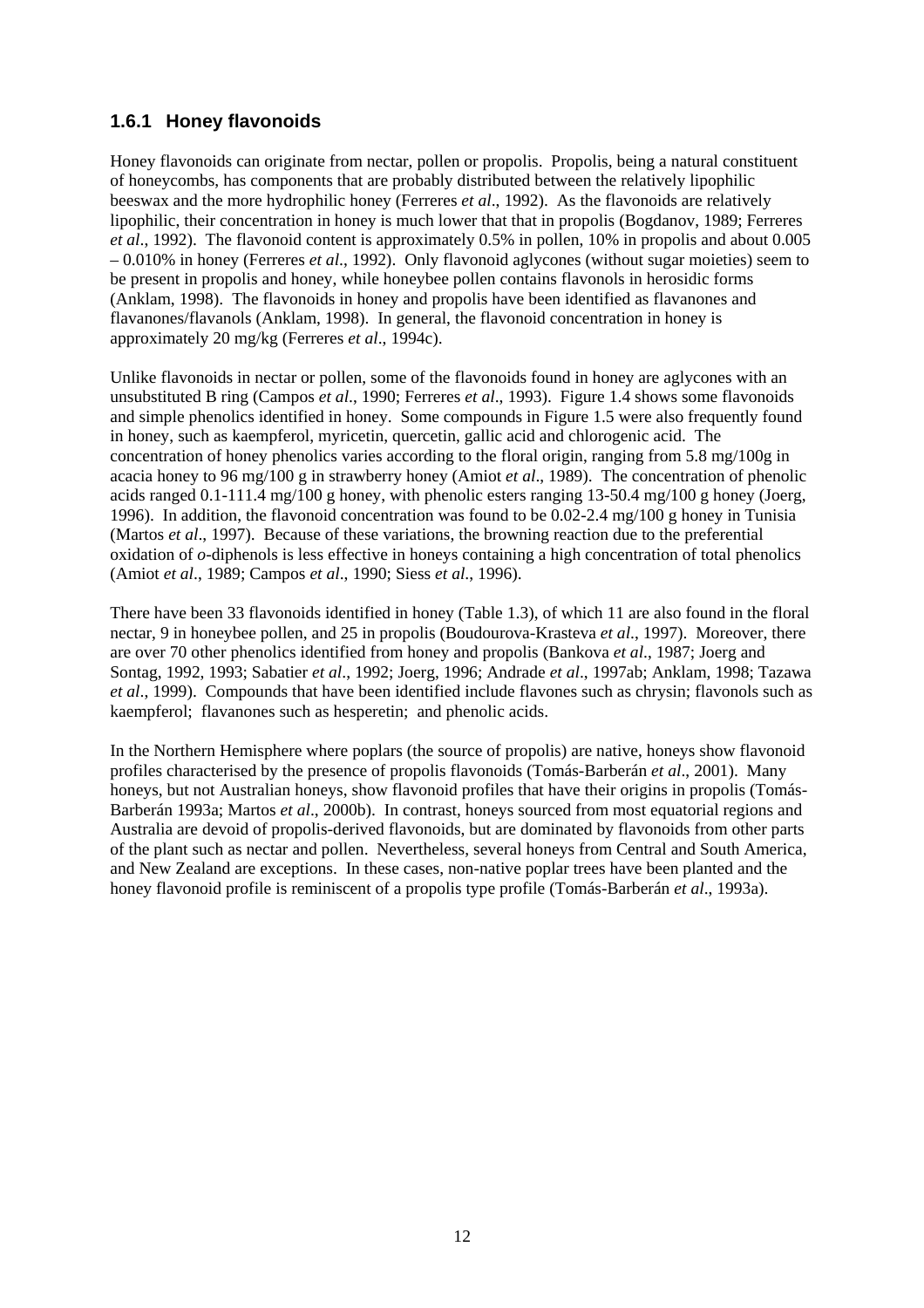#### **1.6.1 Honey flavonoids**

Honey flavonoids can originate from nectar, pollen or propolis. Propolis, being a natural constituent of honeycombs, has components that are probably distributed between the relatively lipophilic beeswax and the more hydrophilic honey (Ferreres *et al*., 1992). As the flavonoids are relatively lipophilic, their concentration in honey is much lower that that in propolis (Bogdanov, 1989; Ferreres *et al*., 1992). The flavonoid content is approximately 0.5% in pollen, 10% in propolis and about 0.005 – 0.010% in honey (Ferreres *et al*., 1992). Only flavonoid aglycones (without sugar moieties) seem to be present in propolis and honey, while honeybee pollen contains flavonols in herosidic forms (Anklam, 1998). The flavonoids in honey and propolis have been identified as flavanones and flavanones/flavanols (Anklam, 1998). In general, the flavonoid concentration in honey is approximately 20 mg/kg (Ferreres *et al*., 1994c).

Unlike flavonoids in nectar or pollen, some of the flavonoids found in honey are aglycones with an unsubstituted B ring (Campos *et al*., 1990; Ferreres *et al*., 1993). Figure 1.4 shows some flavonoids and simple phenolics identified in honey. Some compounds in Figure 1.5 were also frequently found in honey, such as kaempferol, myricetin, quercetin, gallic acid and chlorogenic acid. The concentration of honey phenolics varies according to the floral origin, ranging from 5.8 mg/100g in acacia honey to 96 mg/100 g in strawberry honey (Amiot *et al*., 1989). The concentration of phenolic acids ranged 0.1-111.4 mg/100 g honey, with phenolic esters ranging 13-50.4 mg/100 g honey (Joerg, 1996). In addition, the flavonoid concentration was found to be 0.02-2.4 mg/100 g honey in Tunisia (Martos *et al*., 1997). Because of these variations, the browning reaction due to the preferential oxidation of *o*-diphenols is less effective in honeys containing a high concentration of total phenolics (Amiot *et al*., 1989; Campos *et al*., 1990; Siess *et al*., 1996).

There have been 33 flavonoids identified in honey (Table 1.3), of which 11 are also found in the floral nectar, 9 in honeybee pollen, and 25 in propolis (Boudourova-Krasteva *et al*., 1997). Moreover, there are over 70 other phenolics identified from honey and propolis (Bankova *et al*., 1987; Joerg and Sontag, 1992, 1993; Sabatier *et al*., 1992; Joerg, 1996; Andrade *et al*., 1997ab; Anklam, 1998; Tazawa *et al*., 1999). Compounds that have been identified include flavones such as chrysin; flavonols such as kaempferol; flavanones such as hesperetin; and phenolic acids.

In the Northern Hemisphere where poplars (the source of propolis) are native, honeys show flavonoid profiles characterised by the presence of propolis flavonoids (Tomás-Barberán *et al*., 2001). Many honeys, but not Australian honeys, show flavonoid profiles that have their origins in propolis (Tomás-Barberán 1993a; Martos *et al*., 2000b). In contrast, honeys sourced from most equatorial regions and Australia are devoid of propolis-derived flavonoids, but are dominated by flavonoids from other parts of the plant such as nectar and pollen. Nevertheless, several honeys from Central and South America, and New Zealand are exceptions. In these cases, non-native poplar trees have been planted and the honey flavonoid profile is reminiscent of a propolis type profile (Tomás-Barberán *et al*., 1993a).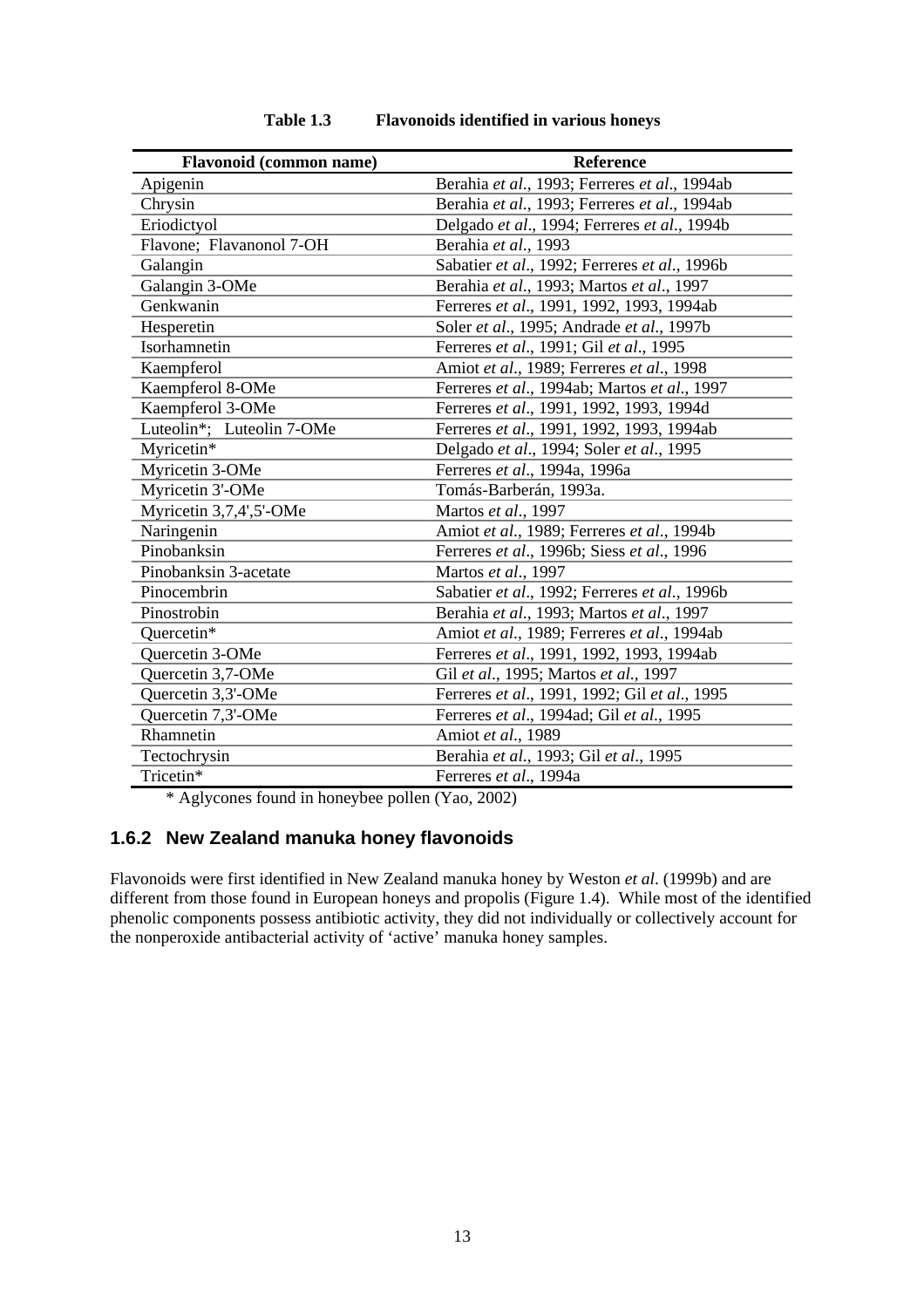| <b>Flavonoid</b> (common name) | <b>Reference</b>                              |
|--------------------------------|-----------------------------------------------|
| Apigenin                       | Berahia et al., 1993; Ferreres et al., 1994ab |
| Chrysin                        | Berahia et al., 1993; Ferreres et al., 1994ab |
| Eriodictyol                    | Delgado et al., 1994; Ferreres et al., 1994b  |
| Flavone; Flavanonol 7-OH       | Berahia et al., 1993                          |
| Galangin                       | Sabatier et al., 1992; Ferreres et al., 1996b |
| Galangin 3-OMe                 | Berahia et al., 1993; Martos et al., 1997     |
| Genkwanin                      | Ferreres et al., 1991, 1992, 1993, 1994ab     |
| Hesperetin                     | Soler et al., 1995; Andrade et al., 1997b     |
| Isorhamnetin                   | Ferreres et al., 1991; Gil et al., 1995       |
| Kaempferol                     | Amiot et al., 1989; Ferreres et al., 1998     |
| Kaempferol 8-OMe               | Ferreres et al., 1994ab; Martos et al., 1997  |
| Kaempferol 3-OMe               | Ferreres et al., 1991, 1992, 1993, 1994d      |
| Luteolin*; Luteolin 7-OMe      | Ferreres et al., 1991, 1992, 1993, 1994ab     |
| Myricetin*                     | Delgado et al., 1994; Soler et al., 1995      |
| Myricetin 3-OMe                | Ferreres et al., 1994a, 1996a                 |
| Myricetin 3'-OMe               | Tomás-Barberán, 1993a.                        |
| Myricetin 3,7,4',5'-OMe        | Martos et al., 1997                           |
| Naringenin                     | Amiot et al., 1989; Ferreres et al., 1994b    |
| Pinobanksin                    | Ferreres et al., 1996b; Siess et al., 1996    |
| Pinobanksin 3-acetate          | Martos et al., 1997                           |
| Pinocembrin                    | Sabatier et al., 1992; Ferreres et al., 1996b |
| Pinostrobin                    | Berahia et al., 1993; Martos et al., 1997     |
| Quercetin*                     | Amiot et al., 1989; Ferreres et al., 1994ab   |
| <b>Ouercetin 3-OMe</b>         | Ferreres et al., 1991, 1992, 1993, 1994ab     |
| Quercetin 3,7-OMe              | Gil et al., 1995; Martos et al., 1997         |
| Quercetin 3,3'-OMe             | Ferreres et al., 1991, 1992; Gil et al., 1995 |
| Quercetin 7,3'-OMe             | Ferreres et al., 1994ad; Gil et al., 1995     |
| Rhamnetin                      | Amiot et al., 1989                            |
| Tectochrysin                   | Berahia et al., 1993; Gil et al., 1995        |
| Tricetin*                      | Ferreres et al., 1994a                        |

**Table 1.3 Flavonoids identified in various honeys** 

\* Aglycones found in honeybee pollen (Yao, 2002)

#### **1.6.2 New Zealand manuka honey flavonoids**

Flavonoids were first identified in New Zealand manuka honey by Weston *et al*. (1999b) and are different from those found in European honeys and propolis (Figure 1.4). While most of the identified phenolic components possess antibiotic activity, they did not individually or collectively account for the nonperoxide antibacterial activity of 'active' manuka honey samples.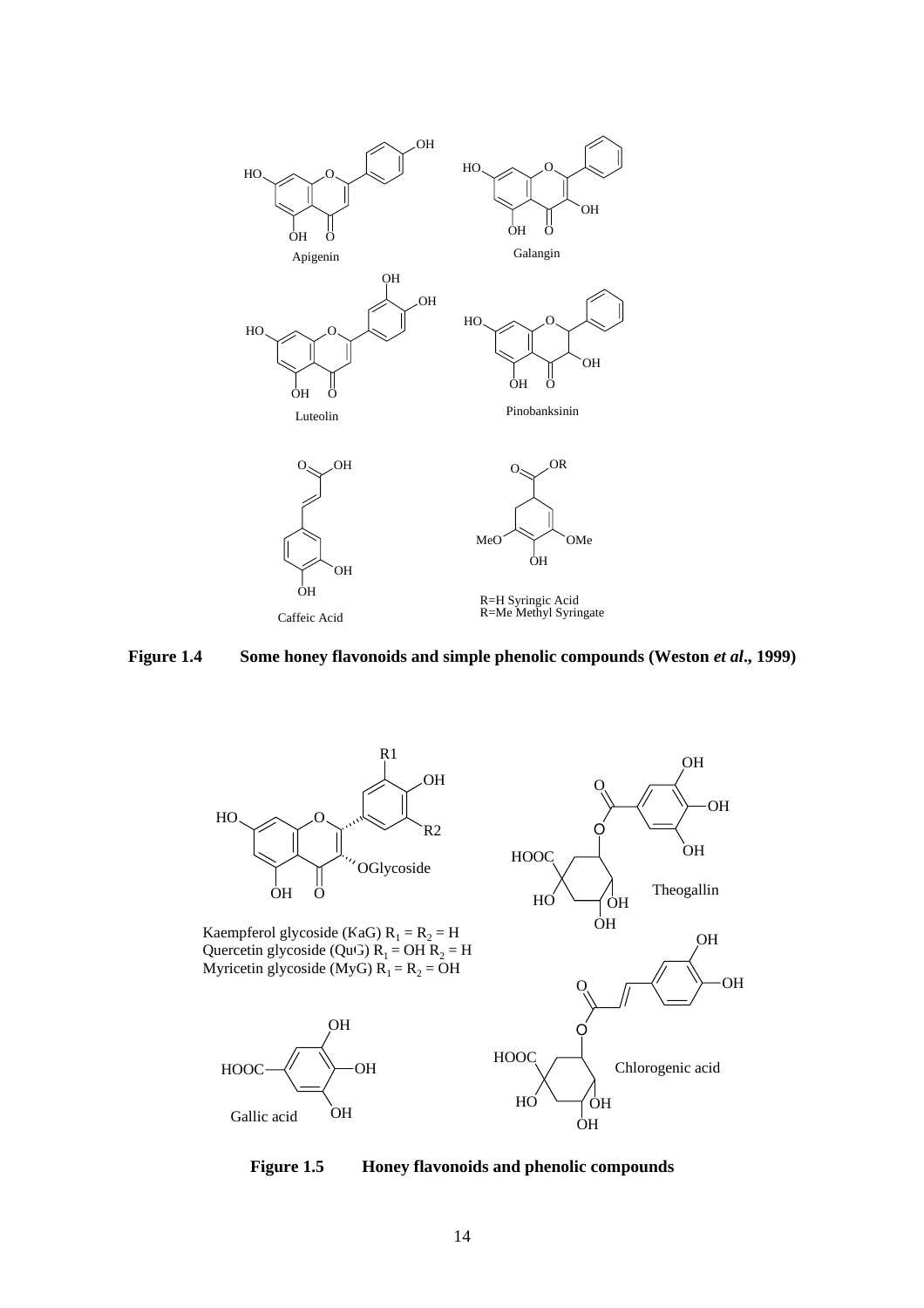





Kaempferol glycoside (KaG)  $R_1 = R_2 = H$ Quercetin glycoside (QuG)  $R_1 = OH R_2 = H$ Myricetin glycoside (MyG)  $R_1 = R_2 = OH$ 





**Figure 1.5 Honey flavonoids and phenolic compounds**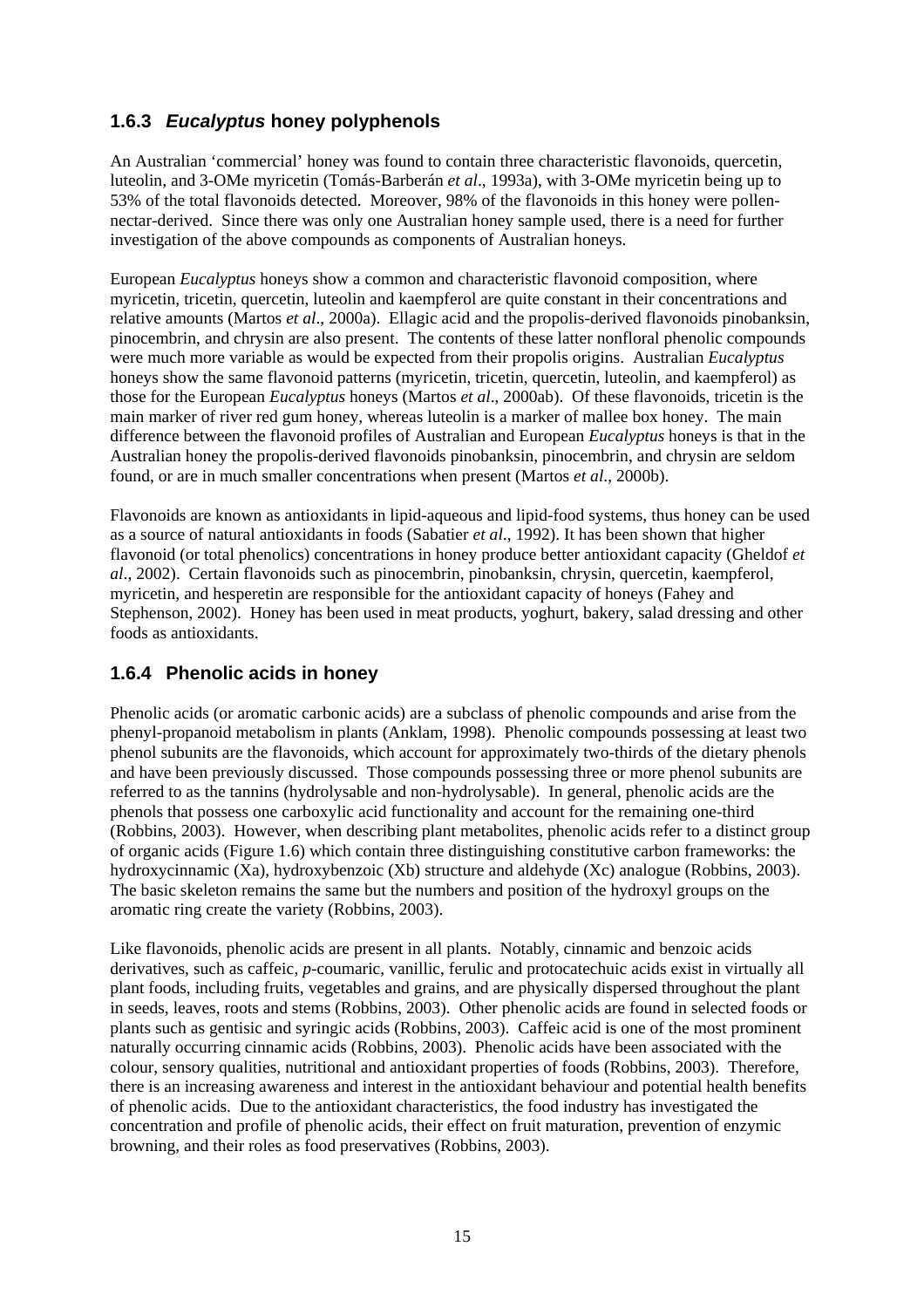### **1.6.3** *Eucalyptus* **honey polyphenols**

An Australian 'commercial' honey was found to contain three characteristic flavonoids, quercetin, luteolin, and 3-OMe myricetin (Tomás-Barberán *et al*., 1993a), with 3-OMe myricetin being up to 53% of the total flavonoids detected. Moreover, 98% of the flavonoids in this honey were pollennectar-derived. Since there was only one Australian honey sample used, there is a need for further investigation of the above compounds as components of Australian honeys.

European *Eucalyptus* honeys show a common and characteristic flavonoid composition, where myricetin, tricetin, quercetin, luteolin and kaempferol are quite constant in their concentrations and relative amounts (Martos *et al*., 2000a). Ellagic acid and the propolis-derived flavonoids pinobanksin, pinocembrin, and chrysin are also present. The contents of these latter nonfloral phenolic compounds were much more variable as would be expected from their propolis origins. Australian *Eucalyptus* honeys show the same flavonoid patterns (myricetin, tricetin, quercetin, luteolin, and kaempferol) as those for the European *Eucalyptus* honeys (Martos *et al*., 2000ab). Of these flavonoids, tricetin is the main marker of river red gum honey, whereas luteolin is a marker of mallee box honey. The main difference between the flavonoid profiles of Australian and European *Eucalyptus* honeys is that in the Australian honey the propolis-derived flavonoids pinobanksin, pinocembrin, and chrysin are seldom found, or are in much smaller concentrations when present (Martos *et al*., 2000b).

Flavonoids are known as antioxidants in lipid-aqueous and lipid-food systems, thus honey can be used as a source of natural antioxidants in foods (Sabatier *et al*., 1992). It has been shown that higher flavonoid (or total phenolics) concentrations in honey produce better antioxidant capacity (Gheldof *et al*., 2002). Certain flavonoids such as pinocembrin, pinobanksin, chrysin, quercetin, kaempferol, myricetin, and hesperetin are responsible for the antioxidant capacity of honeys (Fahey and Stephenson, 2002). Honey has been used in meat products, yoghurt, bakery, salad dressing and other foods as antioxidants.

#### **1.6.4 Phenolic acids in honey**

Phenolic acids (or aromatic carbonic acids) are a subclass of phenolic compounds and arise from the phenyl-propanoid metabolism in plants (Anklam, 1998). Phenolic compounds possessing at least two phenol subunits are the flavonoids, which account for approximately two-thirds of the dietary phenols and have been previously discussed. Those compounds possessing three or more phenol subunits are referred to as the tannins (hydrolysable and non-hydrolysable). In general, phenolic acids are the phenols that possess one carboxylic acid functionality and account for the remaining one-third (Robbins, 2003). However, when describing plant metabolites, phenolic acids refer to a distinct group of organic acids (Figure 1.6) which contain three distinguishing constitutive carbon frameworks: the hydroxycinnamic (Xa), hydroxybenzoic (Xb) structure and aldehyde (Xc) analogue (Robbins, 2003). The basic skeleton remains the same but the numbers and position of the hydroxyl groups on the aromatic ring create the variety (Robbins, 2003).

Like flavonoids, phenolic acids are present in all plants. Notably, cinnamic and benzoic acids derivatives, such as caffeic, *p*-coumaric, vanillic, ferulic and protocatechuic acids exist in virtually all plant foods, including fruits, vegetables and grains, and are physically dispersed throughout the plant in seeds, leaves, roots and stems (Robbins, 2003). Other phenolic acids are found in selected foods or plants such as gentisic and syringic acids (Robbins, 2003). Caffeic acid is one of the most prominent naturally occurring cinnamic acids (Robbins, 2003). Phenolic acids have been associated with the colour, sensory qualities, nutritional and antioxidant properties of foods (Robbins, 2003). Therefore, there is an increasing awareness and interest in the antioxidant behaviour and potential health benefits of phenolic acids. Due to the antioxidant characteristics, the food industry has investigated the concentration and profile of phenolic acids, their effect on fruit maturation, prevention of enzymic browning, and their roles as food preservatives (Robbins, 2003).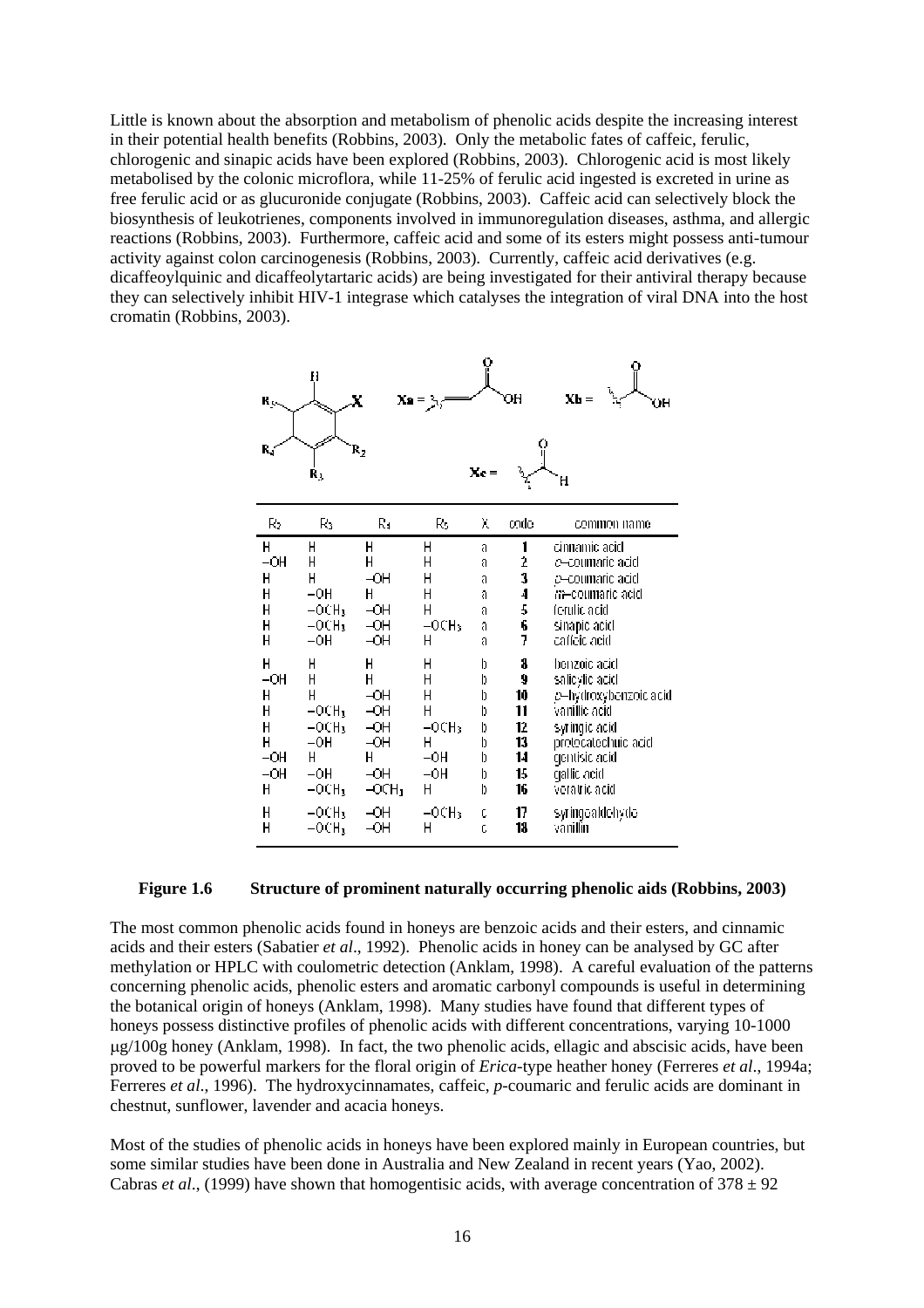Little is known about the absorption and metabolism of phenolic acids despite the increasing interest in their potential health benefits (Robbins, 2003). Only the metabolic fates of caffeic, ferulic, chlorogenic and sinapic acids have been explored (Robbins, 2003). Chlorogenic acid is most likely metabolised by the colonic microflora, while 11-25% of ferulic acid ingested is excreted in urine as free ferulic acid or as glucuronide conjugate (Robbins, 2003). Caffeic acid can selectively block the biosynthesis of leukotrienes, components involved in immunoregulation diseases, asthma, and allergic reactions (Robbins, 2003). Furthermore, caffeic acid and some of its esters might possess anti-tumour activity against colon carcinogenesis (Robbins, 2003). Currently, caffeic acid derivatives (e.g. dicaffeoylquinic and dicaffeolytartaric acids) are being investigated for their antiviral therapy because they can selectively inhibit HIV-1 integrase which catalyses the integration of viral DNA into the host cromatin (Robbins, 2003).



| R2    | R3      | R4    | R5      | χ | code | common name           |
|-------|---------|-------|---------|---|------|-----------------------|
| Η     | Н       | Н     | Н       | a | 1    | cinnamic acid         |
| $-OH$ | Н       | Н     | Н       | a | 2    | a-coumaric acid       |
| Η     | Н       | -OН   | Н       | a | 3    | p-coumaric acid       |
| Н     | –0H     | Н     | Н       | a | 4    | m-coumaric acid       |
| Н     | $-OCH3$ | ⊣ОН   | Н       | a | 5    | ferulic acid          |
| Н     | –0CH3   | юH    | $-OCH3$ | a | 6    | sinapic acid          |
| Н     | -OH     | -OН   | Н       | a | J    | caffeic acid          |
| Н     | Н       | Н     | Н       | b | 8    | benzoic acid          |
| $-OH$ | Н       | Н     | Н       | b | 9    | salicylic acid        |
| Н     | Н       | -OH   | Н       | b | 10   | p-hydroxybenzoic acid |
| Η     | $-OCH3$ | $-OH$ | Н       | b | 11   | vanillic acid         |
| Η     | $-OCH3$ | $-OH$ | $-OCH3$ | b | 12   | syringic acid         |
| Н     | -0H     | -OН   | Н       | b | 13   | protocatechuic acid   |
| $-OH$ | Н       | Н     | -0H     | b | 14   | qentisic acid         |
| $-OH$ | –0H     | ⊣ОН   | -0H     | b | 15   | gallic acid           |
| Н     | $-OCH3$ | -OCH」 | Н       | b | 16   | veratric acid         |
| Η     | –0CH1   | -OН   | $-OCH3$ | c | 17   | syringealdehyde       |
| Н     | –0CH1   | -OН   | Н       | c | 18   | vánillín              |

#### **Figure 1.6 Structure of prominent naturally occurring phenolic aids (Robbins, 2003)**

The most common phenolic acids found in honeys are benzoic acids and their esters, and cinnamic acids and their esters (Sabatier *et al*., 1992). Phenolic acids in honey can be analysed by GC after methylation or HPLC with coulometric detection (Anklam, 1998). A careful evaluation of the patterns concerning phenolic acids, phenolic esters and aromatic carbonyl compounds is useful in determining the botanical origin of honeys (Anklam, 1998). Many studies have found that different types of honeys possess distinctive profiles of phenolic acids with different concentrations, varying 10-1000 µg/100g honey (Anklam, 1998). In fact, the two phenolic acids, ellagic and abscisic acids, have been proved to be powerful markers for the floral origin of *Erica*-type heather honey (Ferreres *et al*., 1994a; Ferreres *et al*., 1996). The hydroxycinnamates, caffeic, *p*-coumaric and ferulic acids are dominant in chestnut, sunflower, lavender and acacia honeys.

Most of the studies of phenolic acids in honeys have been explored mainly in European countries, but some similar studies have been done in Australia and New Zealand in recent years (Yao, 2002). Cabras *et al.*, (1999) have shown that homogentisic acids, with average concentration of  $378 \pm 92$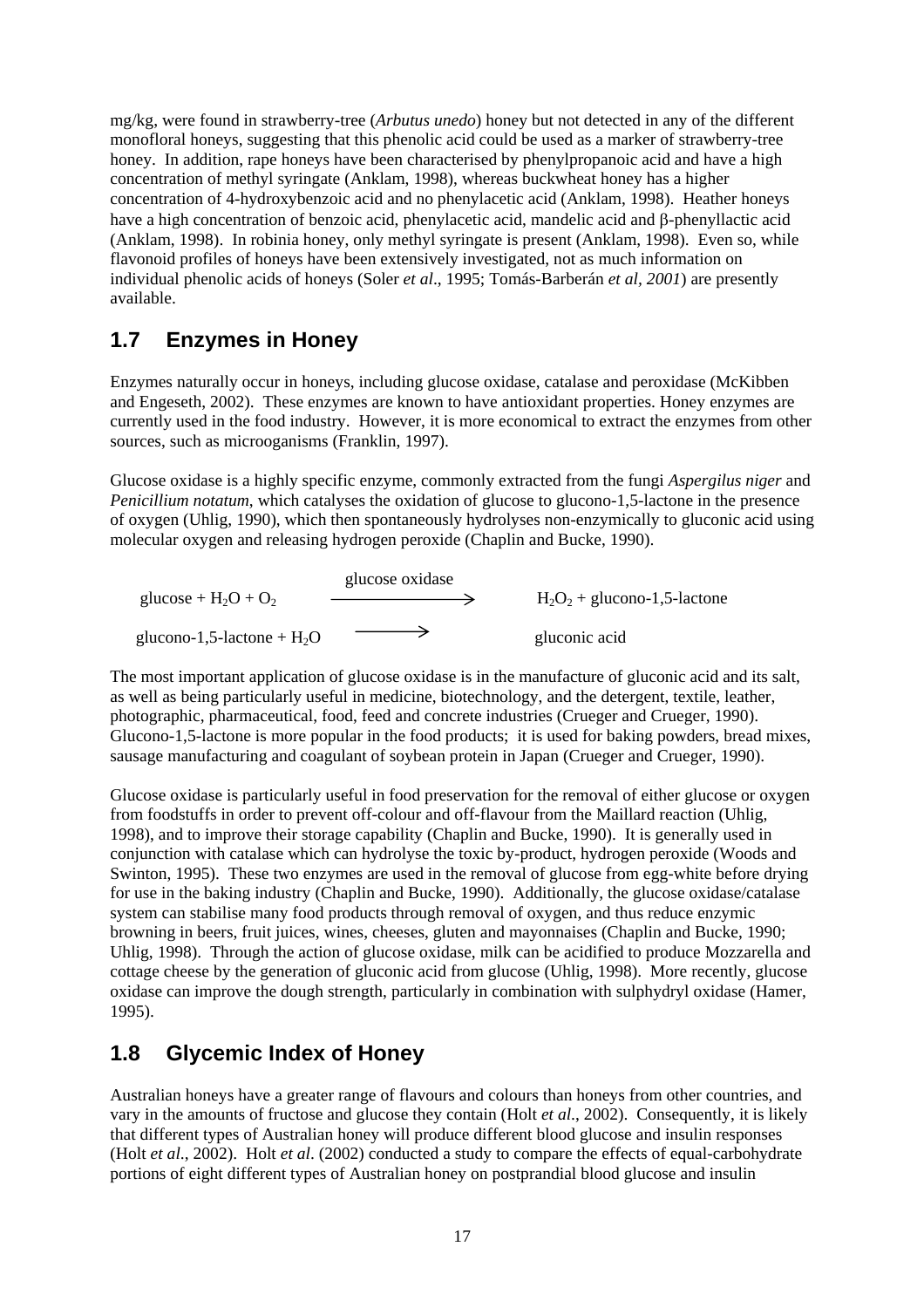mg/kg, were found in strawberry-tree (*Arbutus unedo*) honey but not detected in any of the different monofloral honeys, suggesting that this phenolic acid could be used as a marker of strawberry-tree honey. In addition, rape honeys have been characterised by phenylpropanoic acid and have a high concentration of methyl syringate (Anklam, 1998), whereas buckwheat honey has a higher concentration of 4-hydroxybenzoic acid and no phenylacetic acid (Anklam, 1998). Heather honeys have a high concentration of benzoic acid, phenylacetic acid, mandelic acid and β-phenyllactic acid (Anklam, 1998). In robinia honey, only methyl syringate is present (Anklam, 1998). Even so, while flavonoid profiles of honeys have been extensively investigated, not as much information on individual phenolic acids of honeys (Soler *et al*., 1995; Tomás-Barberán *et al, 2001*) are presently available.

## **1.7 Enzymes in Honey**

Enzymes naturally occur in honeys, including glucose oxidase, catalase and peroxidase (McKibben and Engeseth, 2002). These enzymes are known to have antioxidant properties. Honey enzymes are currently used in the food industry. However, it is more economical to extract the enzymes from other sources, such as microoganisms (Franklin, 1997).

Glucose oxidase is a highly specific enzyme, commonly extracted from the fungi *Aspergilus niger* and *Penicillium notatum*, which catalyses the oxidation of glucose to glucono-1,5-lactone in the presence of oxygen (Uhlig, 1990), which then spontaneously hydrolyses non-enzymically to gluconic acid using molecular oxygen and releasing hydrogen peroxide (Chaplin and Bucke, 1990).

|                              | glucose oxidase |                                |
|------------------------------|-----------------|--------------------------------|
| glucose + $H_2O + O_2$       |                 | $H_2O_2$ + glucono-1,5-lactone |
| glucono-1,5-lactone + $H_2O$ |                 | gluconic acid                  |

The most important application of glucose oxidase is in the manufacture of gluconic acid and its salt, as well as being particularly useful in medicine, biotechnology, and the detergent, textile, leather, photographic, pharmaceutical, food, feed and concrete industries (Crueger and Crueger, 1990). Glucono-1,5-lactone is more popular in the food products; it is used for baking powders, bread mixes, sausage manufacturing and coagulant of soybean protein in Japan (Crueger and Crueger, 1990).

Glucose oxidase is particularly useful in food preservation for the removal of either glucose or oxygen from foodstuffs in order to prevent off-colour and off-flavour from the Maillard reaction (Uhlig, 1998), and to improve their storage capability (Chaplin and Bucke, 1990). It is generally used in conjunction with catalase which can hydrolyse the toxic by-product, hydrogen peroxide (Woods and Swinton, 1995). These two enzymes are used in the removal of glucose from egg-white before drying for use in the baking industry (Chaplin and Bucke, 1990). Additionally, the glucose oxidase/catalase system can stabilise many food products through removal of oxygen, and thus reduce enzymic browning in beers, fruit juices, wines, cheeses, gluten and mayonnaises (Chaplin and Bucke, 1990; Uhlig, 1998). Through the action of glucose oxidase, milk can be acidified to produce Mozzarella and cottage cheese by the generation of gluconic acid from glucose (Uhlig, 1998). More recently, glucose oxidase can improve the dough strength, particularly in combination with sulphydryl oxidase (Hamer, 1995).

## **1.8 Glycemic Index of Honey**

Australian honeys have a greater range of flavours and colours than honeys from other countries, and vary in the amounts of fructose and glucose they contain (Holt *et al*., 2002). Consequently, it is likely that different types of Australian honey will produce different blood glucose and insulin responses (Holt *et al*., 2002). Holt *et al*. (2002) conducted a study to compare the effects of equal-carbohydrate portions of eight different types of Australian honey on postprandial blood glucose and insulin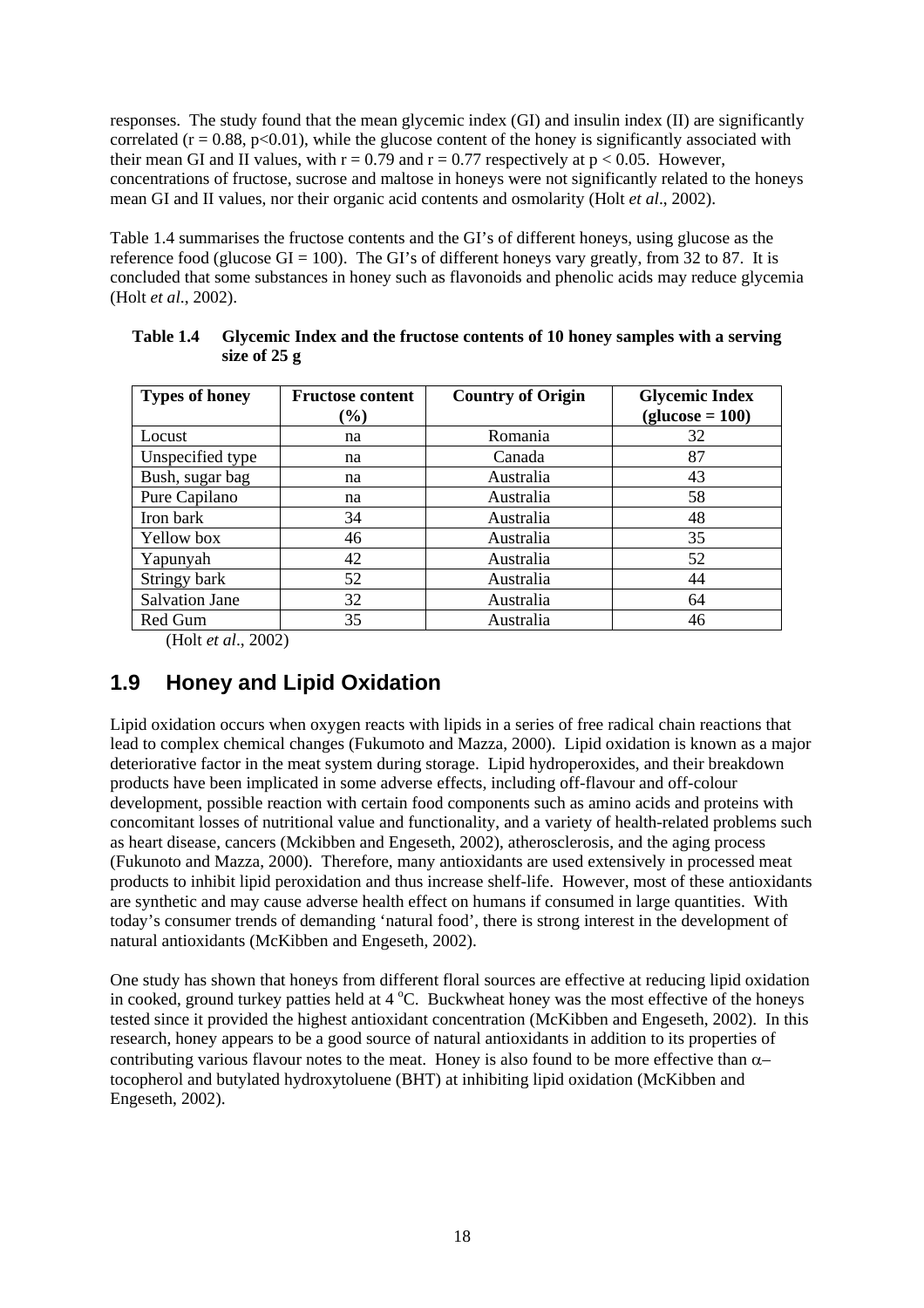responses. The study found that the mean glycemic index (GI) and insulin index (II) are significantly correlated  $(r = 0.88, p < 0.01)$ , while the glucose content of the honey is significantly associated with their mean GI and II values, with  $r = 0.79$  and  $r = 0.77$  respectively at  $p < 0.05$ . However, concentrations of fructose, sucrose and maltose in honeys were not significantly related to the honeys mean GI and II values, nor their organic acid contents and osmolarity (Holt *et al*., 2002).

Table 1.4 summarises the fructose contents and the GI's of different honeys, using glucose as the reference food (glucose  $GI = 100$ ). The GI's of different honeys vary greatly, from 32 to 87. It is concluded that some substances in honey such as flavonoids and phenolic acids may reduce glycemia (Holt *et al*., 2002).

| <b>Types of honey</b> | <b>Fructose content</b> | <b>Country of Origin</b> | <b>Glycemic Index</b> |
|-----------------------|-------------------------|--------------------------|-----------------------|
|                       | $(\%)$                  |                          | $glucose = 100$       |
| Locust                | na                      | Romania                  | 32                    |
| Unspecified type      | na                      | Canada                   | 87                    |
| Bush, sugar bag       | na                      | Australia                | 43                    |
| Pure Capilano         | na                      | Australia                | 58                    |
| Iron bark             | 34                      | Australia                | 48                    |
| Yellow box            | 46                      | Australia                | 35                    |
| Yapunyah              | 42                      | Australia                | 52                    |
| Stringy bark          | 52                      | Australia                | 44                    |
| <b>Salvation Jane</b> | 32                      | Australia                | 64                    |
| Red Gum               | 35                      | Australia                | 46                    |

**Table 1.4 Glycemic Index and the fructose contents of 10 honey samples with a serving size of 25 g** 

(Holt *et al*., 2002)

### **1.9 Honey and Lipid Oxidation**

Lipid oxidation occurs when oxygen reacts with lipids in a series of free radical chain reactions that lead to complex chemical changes (Fukumoto and Mazza, 2000). Lipid oxidation is known as a major deteriorative factor in the meat system during storage. Lipid hydroperoxides, and their breakdown products have been implicated in some adverse effects, including off-flavour and off-colour development, possible reaction with certain food components such as amino acids and proteins with concomitant losses of nutritional value and functionality, and a variety of health-related problems such as heart disease, cancers (Mckibben and Engeseth, 2002), atherosclerosis, and the aging process (Fukunoto and Mazza, 2000). Therefore, many antioxidants are used extensively in processed meat products to inhibit lipid peroxidation and thus increase shelf-life. However, most of these antioxidants are synthetic and may cause adverse health effect on humans if consumed in large quantities. With today's consumer trends of demanding 'natural food', there is strong interest in the development of natural antioxidants (McKibben and Engeseth, 2002).

One study has shown that honeys from different floral sources are effective at reducing lipid oxidation in cooked, ground turkey patties held at  $4^{\circ}$ C. Buckwheat honey was the most effective of the honeys tested since it provided the highest antioxidant concentration (McKibben and Engeseth, 2002). In this research, honey appears to be a good source of natural antioxidants in addition to its properties of contributing various flavour notes to the meat. Honey is also found to be more effective than  $\alpha$ – tocopherol and butylated hydroxytoluene (BHT) at inhibiting lipid oxidation (McKibben and Engeseth, 2002).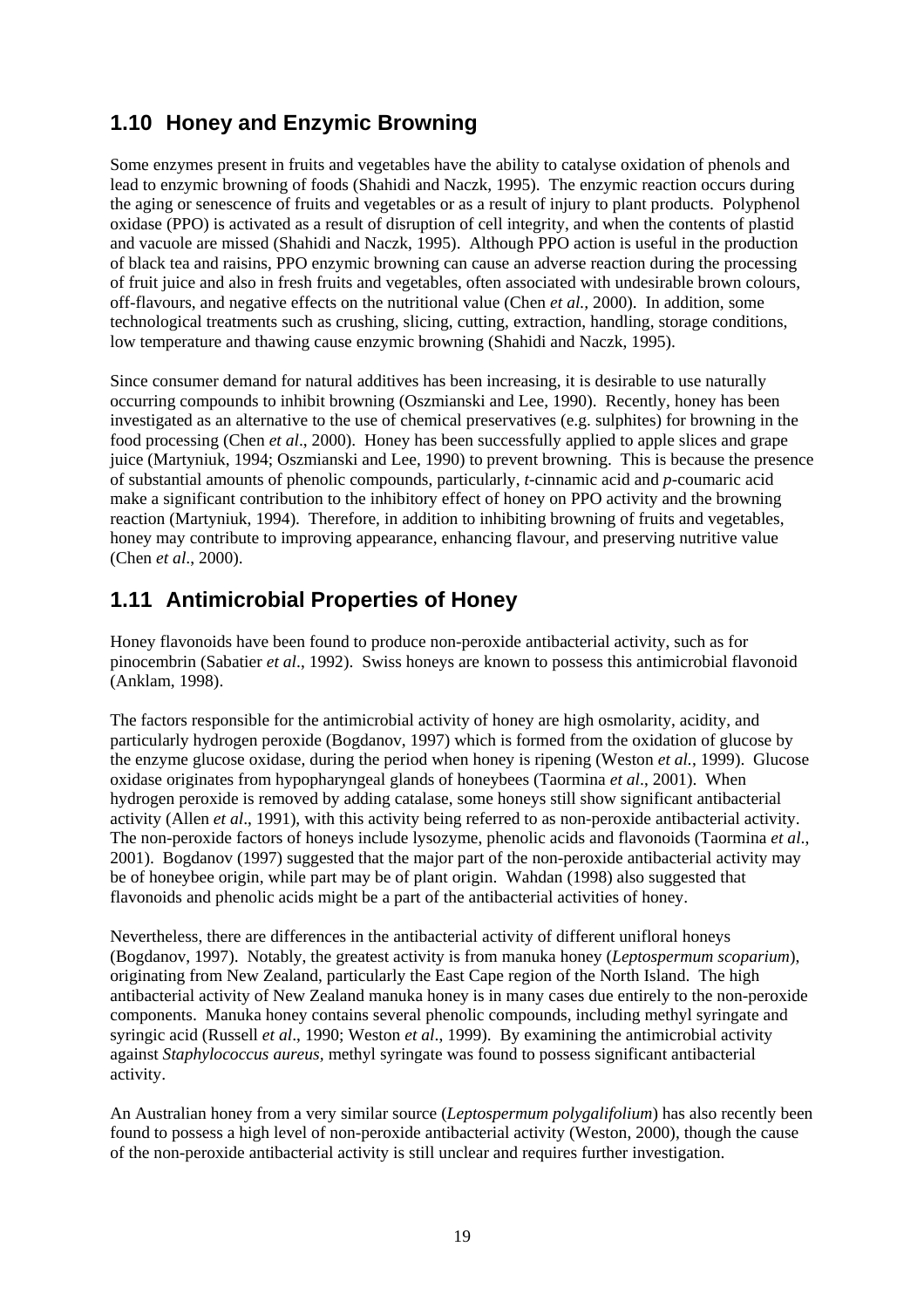## **1.10 Honey and Enzymic Browning**

Some enzymes present in fruits and vegetables have the ability to catalyse oxidation of phenols and lead to enzymic browning of foods (Shahidi and Naczk, 1995). The enzymic reaction occurs during the aging or senescence of fruits and vegetables or as a result of injury to plant products. Polyphenol oxidase (PPO) is activated as a result of disruption of cell integrity, and when the contents of plastid and vacuole are missed (Shahidi and Naczk, 1995). Although PPO action is useful in the production of black tea and raisins, PPO enzymic browning can cause an adverse reaction during the processing of fruit juice and also in fresh fruits and vegetables, often associated with undesirable brown colours, off-flavours, and negative effects on the nutritional value (Chen *et al.,* 2000). In addition, some technological treatments such as crushing, slicing, cutting, extraction, handling, storage conditions, low temperature and thawing cause enzymic browning (Shahidi and Naczk, 1995).

Since consumer demand for natural additives has been increasing, it is desirable to use naturally occurring compounds to inhibit browning (Oszmianski and Lee, 1990). Recently, honey has been investigated as an alternative to the use of chemical preservatives (e.g. sulphites) for browning in the food processing (Chen *et al*., 2000). Honey has been successfully applied to apple slices and grape juice (Martyniuk, 1994; Oszmianski and Lee, 1990) to prevent browning. This is because the presence of substantial amounts of phenolic compounds, particularly, *t*-cinnamic acid and *p*-coumaric acid make a significant contribution to the inhibitory effect of honey on PPO activity and the browning reaction (Martyniuk, 1994). Therefore, in addition to inhibiting browning of fruits and vegetables, honey may contribute to improving appearance, enhancing flavour, and preserving nutritive value (Chen *et al*., 2000).

## **1.11 Antimicrobial Properties of Honey**

Honey flavonoids have been found to produce non-peroxide antibacterial activity, such as for pinocembrin (Sabatier *et al*., 1992). Swiss honeys are known to possess this antimicrobial flavonoid (Anklam, 1998).

The factors responsible for the antimicrobial activity of honey are high osmolarity, acidity, and particularly hydrogen peroxide (Bogdanov, 1997) which is formed from the oxidation of glucose by the enzyme glucose oxidase, during the period when honey is ripening (Weston *et al.*, 1999). Glucose oxidase originates from hypopharyngeal glands of honeybees (Taormina *et al*., 2001). When hydrogen peroxide is removed by adding catalase, some honeys still show significant antibacterial activity (Allen *et al*., 1991), with this activity being referred to as non-peroxide antibacterial activity. The non-peroxide factors of honeys include lysozyme, phenolic acids and flavonoids (Taormina *et al*., 2001). Bogdanov (1997) suggested that the major part of the non-peroxide antibacterial activity may be of honeybee origin, while part may be of plant origin. Wahdan (1998) also suggested that flavonoids and phenolic acids might be a part of the antibacterial activities of honey.

Nevertheless, there are differences in the antibacterial activity of different unifloral honeys (Bogdanov, 1997). Notably, the greatest activity is from manuka honey (*Leptospermum scoparium*), originating from New Zealand, particularly the East Cape region of the North Island. The high antibacterial activity of New Zealand manuka honey is in many cases due entirely to the non-peroxide components. Manuka honey contains several phenolic compounds, including methyl syringate and syringic acid (Russell *et al*., 1990; Weston *et al*., 1999). By examining the antimicrobial activity against *Staphylococcus aureus,* methyl syringate was found to possess significant antibacterial activity.

An Australian honey from a very similar source (*Leptospermum polygalifolium*) has also recently been found to possess a high level of non-peroxide antibacterial activity (Weston, 2000), though the cause of the non-peroxide antibacterial activity is still unclear and requires further investigation.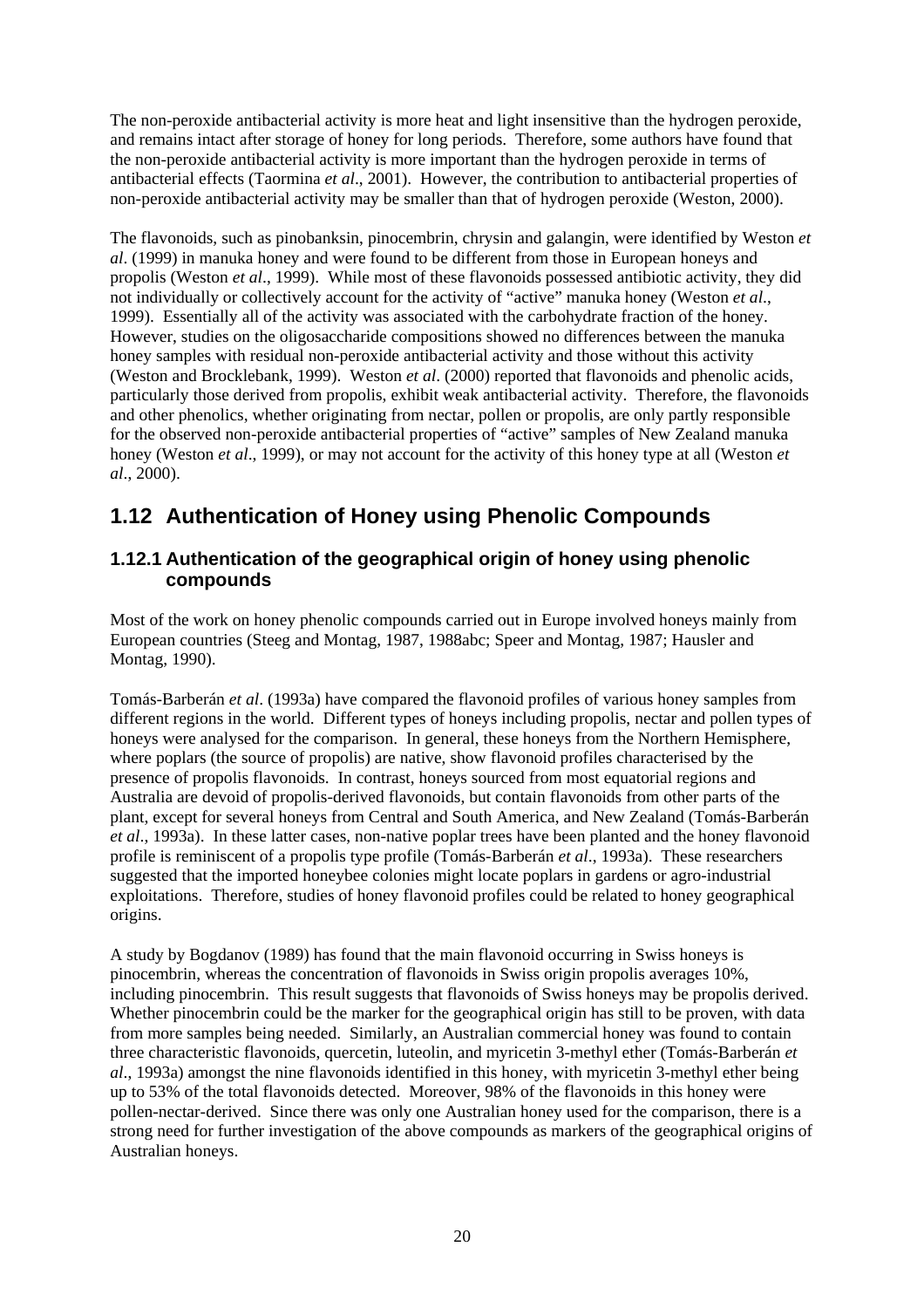The non-peroxide antibacterial activity is more heat and light insensitive than the hydrogen peroxide, and remains intact after storage of honey for long periods. Therefore, some authors have found that the non-peroxide antibacterial activity is more important than the hydrogen peroxide in terms of antibacterial effects (Taormina *et al*., 2001). However, the contribution to antibacterial properties of non-peroxide antibacterial activity may be smaller than that of hydrogen peroxide (Weston, 2000).

The flavonoids, such as pinobanksin, pinocembrin, chrysin and galangin, were identified by Weston *et al*. (1999) in manuka honey and were found to be different from those in European honeys and propolis (Weston *et al*., 1999). While most of these flavonoids possessed antibiotic activity, they did not individually or collectively account for the activity of "active" manuka honey (Weston *et al*., 1999). Essentially all of the activity was associated with the carbohydrate fraction of the honey. However, studies on the oligosaccharide compositions showed no differences between the manuka honey samples with residual non-peroxide antibacterial activity and those without this activity (Weston and Brocklebank, 1999). Weston *et al*. (2000) reported that flavonoids and phenolic acids, particularly those derived from propolis, exhibit weak antibacterial activity. Therefore, the flavonoids and other phenolics, whether originating from nectar, pollen or propolis, are only partly responsible for the observed non-peroxide antibacterial properties of "active" samples of New Zealand manuka honey (Weston *et al*., 1999), or may not account for the activity of this honey type at all (Weston *et al*., 2000).

## **1.12 Authentication of Honey using Phenolic Compounds**

#### **1.12.1 Authentication of the geographical origin of honey using phenolic compounds**

Most of the work on honey phenolic compounds carried out in Europe involved honeys mainly from European countries (Steeg and Montag, 1987, 1988abc; Speer and Montag, 1987; Hausler and Montag, 1990).

Tomás-Barberán *et al*. (1993a) have compared the flavonoid profiles of various honey samples from different regions in the world. Different types of honeys including propolis, nectar and pollen types of honeys were analysed for the comparison. In general, these honeys from the Northern Hemisphere, where poplars (the source of propolis) are native, show flavonoid profiles characterised by the presence of propolis flavonoids. In contrast, honeys sourced from most equatorial regions and Australia are devoid of propolis-derived flavonoids, but contain flavonoids from other parts of the plant, except for several honeys from Central and South America, and New Zealand (Tomás-Barberán *et al*., 1993a). In these latter cases, non-native poplar trees have been planted and the honey flavonoid profile is reminiscent of a propolis type profile (Tomás-Barberán *et al*., 1993a). These researchers suggested that the imported honeybee colonies might locate poplars in gardens or agro-industrial exploitations. Therefore, studies of honey flavonoid profiles could be related to honey geographical origins.

A study by Bogdanov (1989) has found that the main flavonoid occurring in Swiss honeys is pinocembrin, whereas the concentration of flavonoids in Swiss origin propolis averages 10%, including pinocembrin. This result suggests that flavonoids of Swiss honeys may be propolis derived. Whether pinocembrin could be the marker for the geographical origin has still to be proven, with data from more samples being needed. Similarly, an Australian commercial honey was found to contain three characteristic flavonoids, quercetin, luteolin, and myricetin 3-methyl ether (Tomás-Barberán *et al*., 1993a) amongst the nine flavonoids identified in this honey, with myricetin 3-methyl ether being up to 53% of the total flavonoids detected. Moreover, 98% of the flavonoids in this honey were pollen-nectar-derived. Since there was only one Australian honey used for the comparison, there is a strong need for further investigation of the above compounds as markers of the geographical origins of Australian honeys.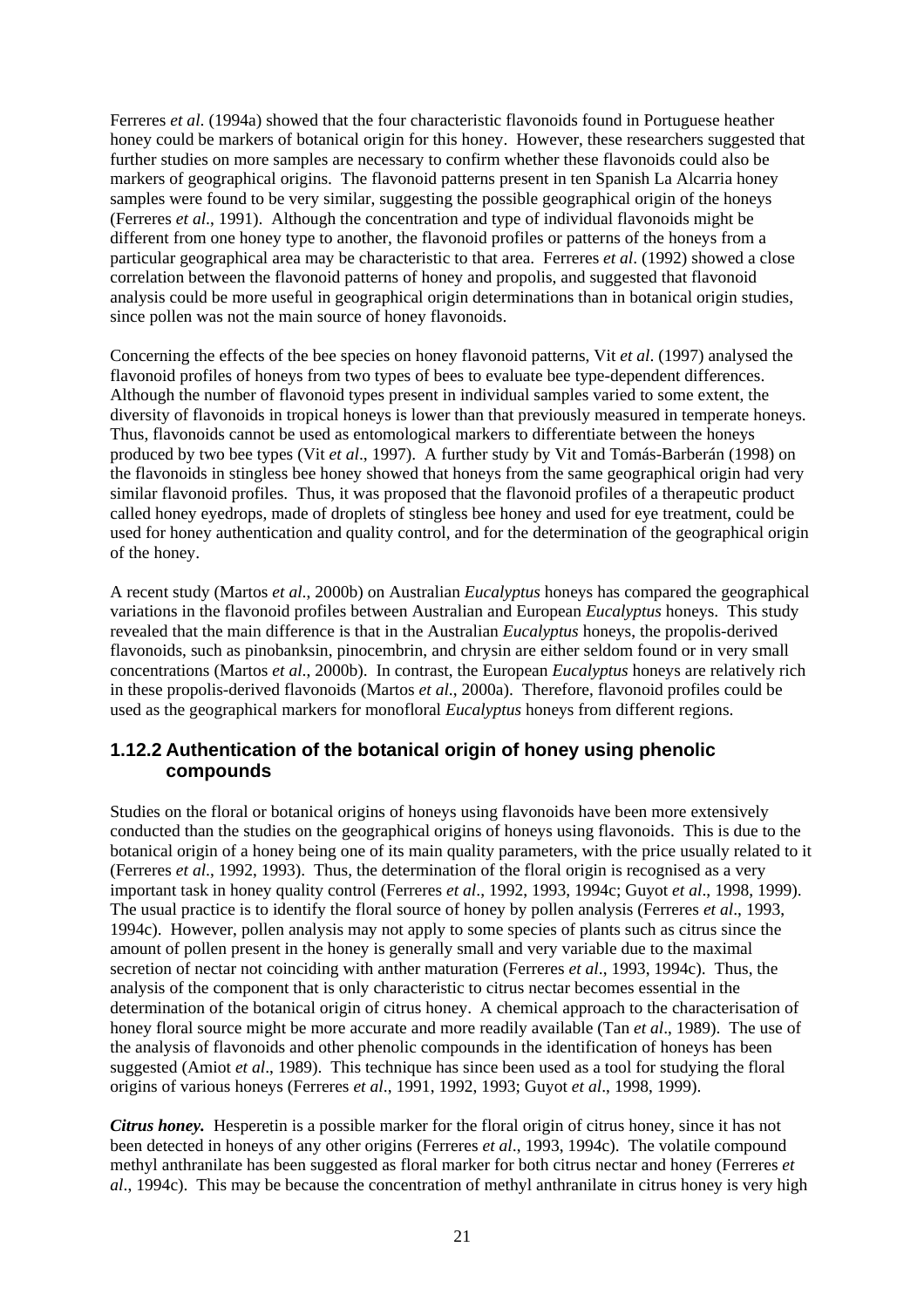Ferreres *et al*. (1994a) showed that the four characteristic flavonoids found in Portuguese heather honey could be markers of botanical origin for this honey. However, these researchers suggested that further studies on more samples are necessary to confirm whether these flavonoids could also be markers of geographical origins. The flavonoid patterns present in ten Spanish La Alcarria honey samples were found to be very similar, suggesting the possible geographical origin of the honeys (Ferreres *et al*., 1991). Although the concentration and type of individual flavonoids might be different from one honey type to another, the flavonoid profiles or patterns of the honeys from a particular geographical area may be characteristic to that area. Ferreres *et al*. (1992) showed a close correlation between the flavonoid patterns of honey and propolis, and suggested that flavonoid analysis could be more useful in geographical origin determinations than in botanical origin studies, since pollen was not the main source of honey flavonoids.

Concerning the effects of the bee species on honey flavonoid patterns, Vit *et al*. (1997) analysed the flavonoid profiles of honeys from two types of bees to evaluate bee type-dependent differences. Although the number of flavonoid types present in individual samples varied to some extent, the diversity of flavonoids in tropical honeys is lower than that previously measured in temperate honeys. Thus, flavonoids cannot be used as entomological markers to differentiate between the honeys produced by two bee types (Vit *et al*., 1997). A further study by Vit and Tomás-Barberán (1998) on the flavonoids in stingless bee honey showed that honeys from the same geographical origin had very similar flavonoid profiles. Thus, it was proposed that the flavonoid profiles of a therapeutic product called honey eyedrops, made of droplets of stingless bee honey and used for eye treatment, could be used for honey authentication and quality control, and for the determination of the geographical origin of the honey.

A recent study (Martos *et al*., 2000b) on Australian *Eucalyptus* honeys has compared the geographical variations in the flavonoid profiles between Australian and European *Eucalyptus* honeys. This study revealed that the main difference is that in the Australian *Eucalyptus* honeys, the propolis-derived flavonoids, such as pinobanksin, pinocembrin, and chrysin are either seldom found or in very small concentrations (Martos *et al*., 2000b). In contrast, the European *Eucalyptus* honeys are relatively rich in these propolis-derived flavonoids (Martos *et al*., 2000a). Therefore, flavonoid profiles could be used as the geographical markers for monofloral *Eucalyptus* honeys from different regions.

#### **1.12.2 Authentication of the botanical origin of honey using phenolic compounds**

Studies on the floral or botanical origins of honeys using flavonoids have been more extensively conducted than the studies on the geographical origins of honeys using flavonoids. This is due to the botanical origin of a honey being one of its main quality parameters, with the price usually related to it (Ferreres *et al*., 1992, 1993). Thus, the determination of the floral origin is recognised as a very important task in honey quality control (Ferreres *et al*., 1992, 1993, 1994c; Guyot *et al*., 1998, 1999). The usual practice is to identify the floral source of honey by pollen analysis (Ferreres *et al*., 1993, 1994c). However, pollen analysis may not apply to some species of plants such as citrus since the amount of pollen present in the honey is generally small and very variable due to the maximal secretion of nectar not coinciding with anther maturation (Ferreres *et al*., 1993, 1994c). Thus, the analysis of the component that is only characteristic to citrus nectar becomes essential in the determination of the botanical origin of citrus honey. A chemical approach to the characterisation of honey floral source might be more accurate and more readily available (Tan *et al*., 1989). The use of the analysis of flavonoids and other phenolic compounds in the identification of honeys has been suggested (Amiot *et al*., 1989). This technique has since been used as a tool for studying the floral origins of various honeys (Ferreres *et al*., 1991, 1992, 1993; Guyot *et al*., 1998, 1999).

*Citrus honey.* Hesperetin is a possible marker for the floral origin of citrus honey, since it has not been detected in honeys of any other origins (Ferreres *et al*., 1993, 1994c). The volatile compound methyl anthranilate has been suggested as floral marker for both citrus nectar and honey (Ferreres *et al*., 1994c). This may be because the concentration of methyl anthranilate in citrus honey is very high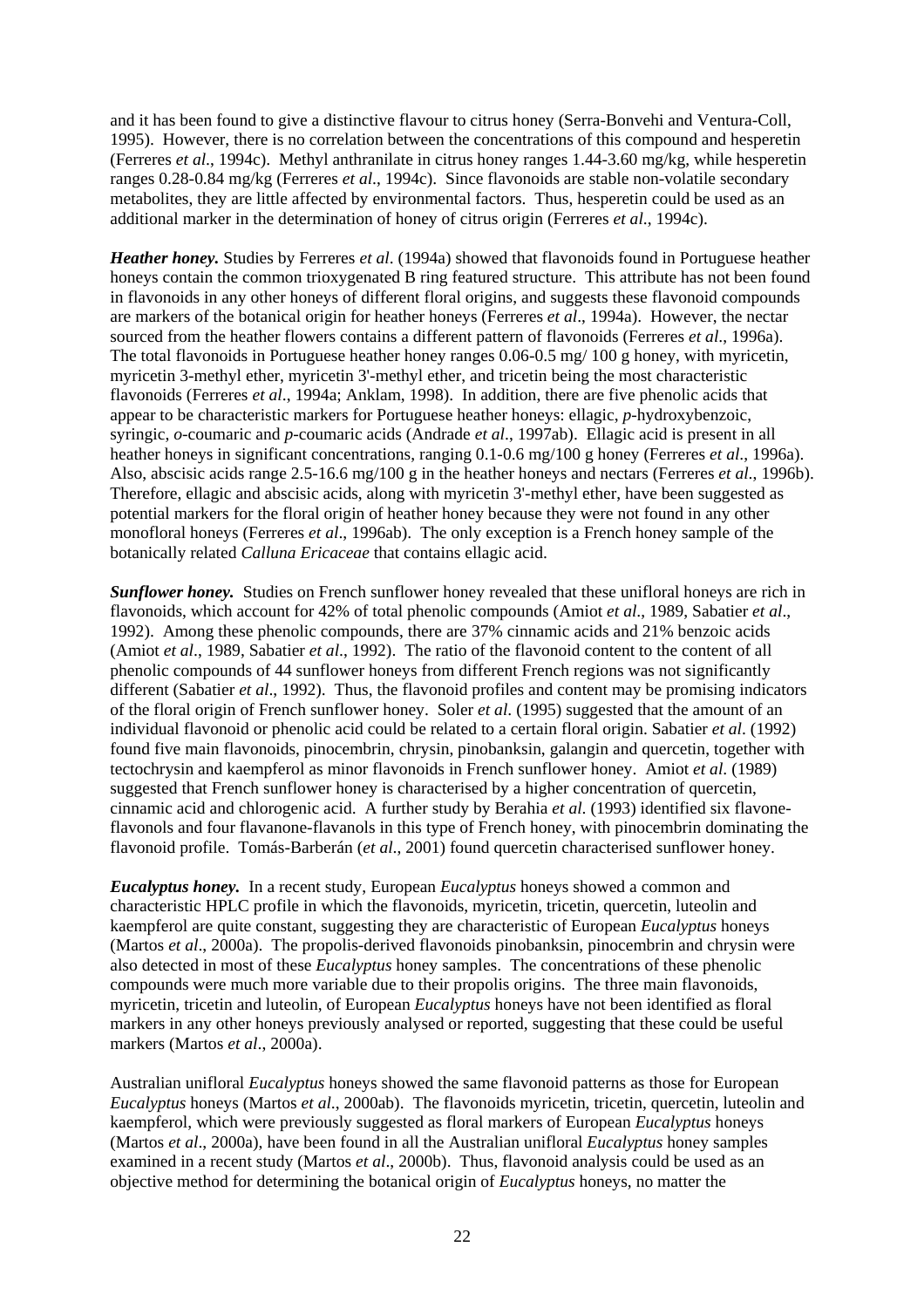and it has been found to give a distinctive flavour to citrus honey (Serra-Bonvehi and Ventura-Coll, 1995). However, there is no correlation between the concentrations of this compound and hesperetin (Ferreres *et al*., 1994c). Methyl anthranilate in citrus honey ranges 1.44-3.60 mg/kg, while hesperetin ranges 0.28-0.84 mg/kg (Ferreres *et al*., 1994c). Since flavonoids are stable non-volatile secondary metabolites, they are little affected by environmental factors. Thus, hesperetin could be used as an additional marker in the determination of honey of citrus origin (Ferreres *et al*., 1994c).

*Heather honey.* Studies by Ferreres *et al*. (1994a) showed that flavonoids found in Portuguese heather honeys contain the common trioxygenated B ring featured structure. This attribute has not been found in flavonoids in any other honeys of different floral origins, and suggests these flavonoid compounds are markers of the botanical origin for heather honeys (Ferreres *et al*., 1994a). However, the nectar sourced from the heather flowers contains a different pattern of flavonoids (Ferreres *et al*., 1996a). The total flavonoids in Portuguese heather honey ranges 0.06-0.5 mg/ 100 g honey, with myricetin, myricetin 3-methyl ether, myricetin 3'-methyl ether, and tricetin being the most characteristic flavonoids (Ferreres *et al*., 1994a; Anklam, 1998). In addition, there are five phenolic acids that appear to be characteristic markers for Portuguese heather honeys: ellagic, *p*-hydroxybenzoic, syringic, *o*-coumaric and *p*-coumaric acids (Andrade *et al*., 1997ab). Ellagic acid is present in all heather honeys in significant concentrations, ranging 0.1-0.6 mg/100 g honey (Ferreres *et al*., 1996a). Also, abscisic acids range 2.5-16.6 mg/100 g in the heather honeys and nectars (Ferreres *et al*., 1996b). Therefore, ellagic and abscisic acids, along with myricetin 3'-methyl ether, have been suggested as potential markers for the floral origin of heather honey because they were not found in any other monofloral honeys (Ferreres *et al*., 1996ab). The only exception is a French honey sample of the botanically related *Calluna Ericaceae* that contains ellagic acid.

**Sunflower honey.** Studies on French sunflower honey revealed that these unifloral honeys are rich in flavonoids, which account for 42% of total phenolic compounds (Amiot *et al*., 1989, Sabatier *et al*., 1992). Among these phenolic compounds, there are 37% cinnamic acids and 21% benzoic acids (Amiot *et al*., 1989, Sabatier *et al*., 1992). The ratio of the flavonoid content to the content of all phenolic compounds of 44 sunflower honeys from different French regions was not significantly different (Sabatier *et al*., 1992). Thus, the flavonoid profiles and content may be promising indicators of the floral origin of French sunflower honey. Soler *et al*. (1995) suggested that the amount of an individual flavonoid or phenolic acid could be related to a certain floral origin. Sabatier *et al*. (1992) found five main flavonoids, pinocembrin, chrysin, pinobanksin, galangin and quercetin, together with tectochrysin and kaempferol as minor flavonoids in French sunflower honey. Amiot *et al*. (1989) suggested that French sunflower honey is characterised by a higher concentration of quercetin, cinnamic acid and chlorogenic acid. A further study by Berahia *et al*. (1993) identified six flavoneflavonols and four flavanone-flavanols in this type of French honey, with pinocembrin dominating the flavonoid profile. Tomás-Barberán (*et al*., 2001) found quercetin characterised sunflower honey.

*Eucalyptus honey.* In a recent study, European *Eucalyptus* honeys showed a common and characteristic HPLC profile in which the flavonoids, myricetin, tricetin, quercetin, luteolin and kaempferol are quite constant, suggesting they are characteristic of European *Eucalyptus* honeys (Martos *et al*., 2000a). The propolis-derived flavonoids pinobanksin, pinocembrin and chrysin were also detected in most of these *Eucalyptus* honey samples. The concentrations of these phenolic compounds were much more variable due to their propolis origins. The three main flavonoids, myricetin, tricetin and luteolin, of European *Eucalyptus* honeys have not been identified as floral markers in any other honeys previously analysed or reported, suggesting that these could be useful markers (Martos *et al*., 2000a).

Australian unifloral *Eucalyptus* honeys showed the same flavonoid patterns as those for European *Eucalyptus* honeys (Martos *et al*., 2000ab). The flavonoids myricetin, tricetin, quercetin, luteolin and kaempferol, which were previously suggested as floral markers of European *Eucalyptus* honeys (Martos *et al*., 2000a), have been found in all the Australian unifloral *Eucalyptus* honey samples examined in a recent study (Martos *et al*., 2000b). Thus, flavonoid analysis could be used as an objective method for determining the botanical origin of *Eucalyptus* honeys, no matter the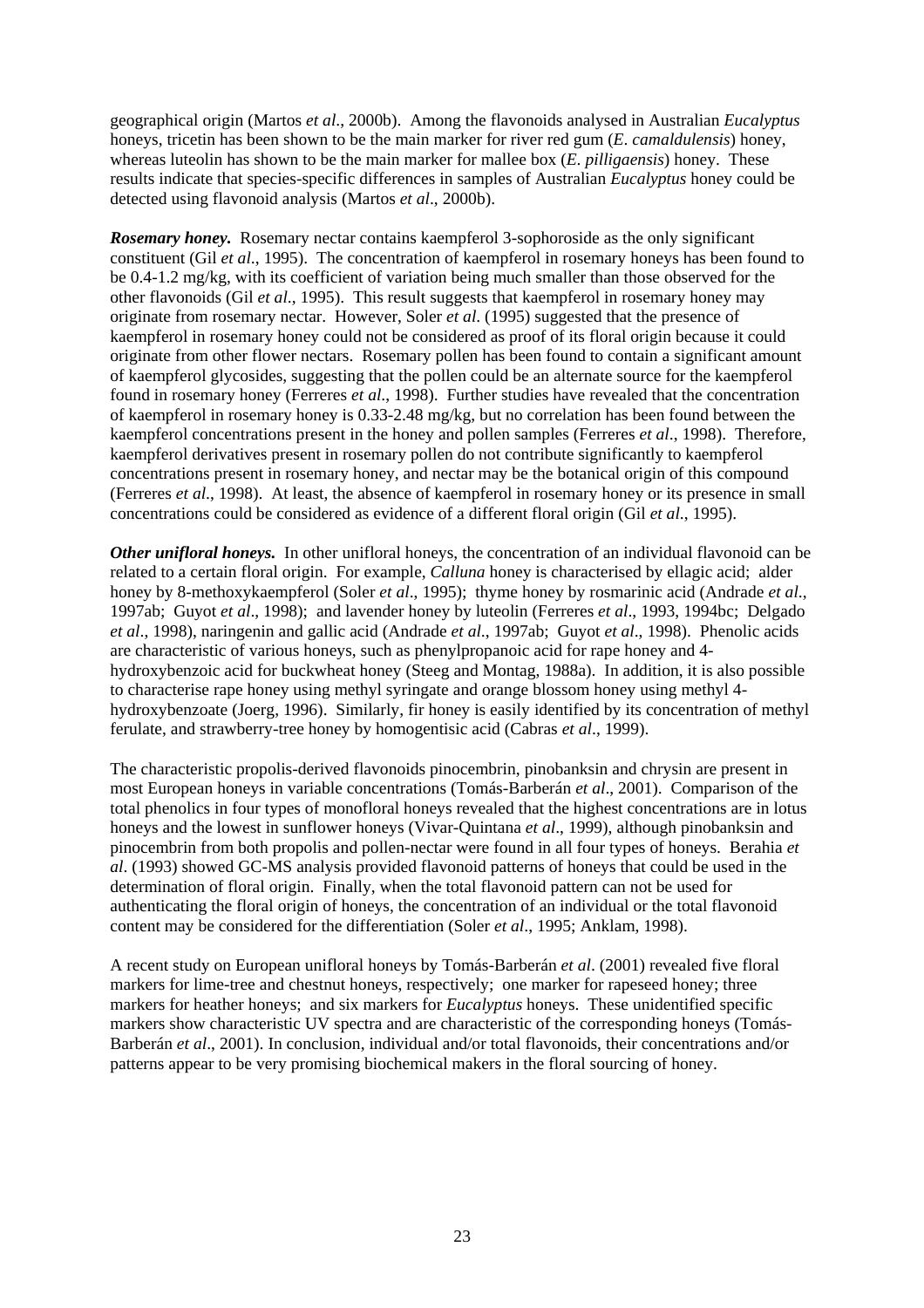geographical origin (Martos *et al*., 2000b). Among the flavonoids analysed in Australian *Eucalyptus* honeys, tricetin has been shown to be the main marker for river red gum (*E*. *camaldulensis*) honey, whereas luteolin has shown to be the main marker for mallee box (*E*. *pilligaensis*) honey. These results indicate that species-specific differences in samples of Australian *Eucalyptus* honey could be detected using flavonoid analysis (Martos *et al*., 2000b).

*Rosemary honey.* Rosemary nectar contains kaempferol 3-sophoroside as the only significant constituent (Gil *et al*., 1995). The concentration of kaempferol in rosemary honeys has been found to be 0.4-1.2 mg/kg, with its coefficient of variation being much smaller than those observed for the other flavonoids (Gil *et al*., 1995). This result suggests that kaempferol in rosemary honey may originate from rosemary nectar. However, Soler *et al*. (1995) suggested that the presence of kaempferol in rosemary honey could not be considered as proof of its floral origin because it could originate from other flower nectars. Rosemary pollen has been found to contain a significant amount of kaempferol glycosides, suggesting that the pollen could be an alternate source for the kaempferol found in rosemary honey (Ferreres *et al*., 1998). Further studies have revealed that the concentration of kaempferol in rosemary honey is 0.33-2.48 mg/kg, but no correlation has been found between the kaempferol concentrations present in the honey and pollen samples (Ferreres *et al*., 1998). Therefore, kaempferol derivatives present in rosemary pollen do not contribute significantly to kaempferol concentrations present in rosemary honey, and nectar may be the botanical origin of this compound (Ferreres *et al*., 1998). At least, the absence of kaempferol in rosemary honey or its presence in small concentrations could be considered as evidence of a different floral origin (Gil *et al*., 1995).

*Other unifloral honeys.* In other unifloral honeys, the concentration of an individual flavonoid can be related to a certain floral origin. For example, *Calluna* honey is characterised by ellagic acid; alder honey by 8-methoxykaempferol (Soler *et al*., 1995); thyme honey by rosmarinic acid (Andrade *et al*., 1997ab; Guyot *et al*., 1998); and lavender honey by luteolin (Ferreres *et al*., 1993, 1994bc; Delgado *et al*., 1998), naringenin and gallic acid (Andrade *et al*., 1997ab; Guyot *et al*., 1998). Phenolic acids are characteristic of various honeys, such as phenylpropanoic acid for rape honey and 4 hydroxybenzoic acid for buckwheat honey (Steeg and Montag, 1988a). In addition, it is also possible to characterise rape honey using methyl syringate and orange blossom honey using methyl 4 hydroxybenzoate (Joerg, 1996). Similarly, fir honey is easily identified by its concentration of methyl ferulate, and strawberry-tree honey by homogentisic acid (Cabras *et al*., 1999).

The characteristic propolis-derived flavonoids pinocembrin, pinobanksin and chrysin are present in most European honeys in variable concentrations (Tomás-Barberán *et al*., 2001). Comparison of the total phenolics in four types of monofloral honeys revealed that the highest concentrations are in lotus honeys and the lowest in sunflower honeys (Vivar-Quintana *et al*., 1999), although pinobanksin and pinocembrin from both propolis and pollen-nectar were found in all four types of honeys. Berahia *et al*. (1993) showed GC-MS analysis provided flavonoid patterns of honeys that could be used in the determination of floral origin. Finally, when the total flavonoid pattern can not be used for authenticating the floral origin of honeys, the concentration of an individual or the total flavonoid content may be considered for the differentiation (Soler *et al*., 1995; Anklam, 1998).

A recent study on European unifloral honeys by Tomás-Barberán *et al*. (2001) revealed five floral markers for lime-tree and chestnut honeys, respectively; one marker for rapeseed honey; three markers for heather honeys; and six markers for *Eucalyptus* honeys. These unidentified specific markers show characteristic UV spectra and are characteristic of the corresponding honeys (Tomás-Barberán *et al*., 2001). In conclusion, individual and/or total flavonoids, their concentrations and/or patterns appear to be very promising biochemical makers in the floral sourcing of honey.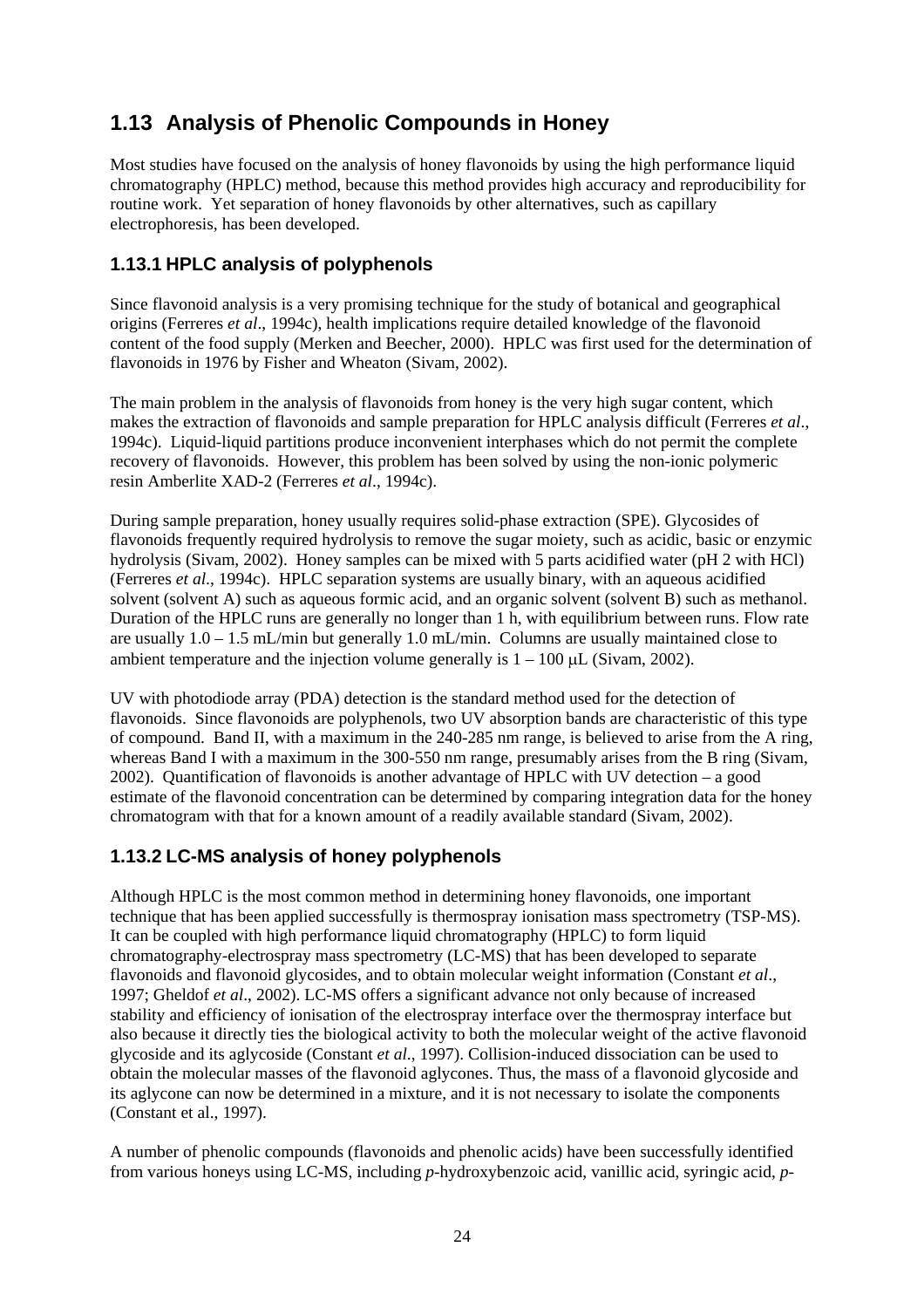## **1.13 Analysis of Phenolic Compounds in Honey**

Most studies have focused on the analysis of honey flavonoids by using the high performance liquid chromatography (HPLC) method, because this method provides high accuracy and reproducibility for routine work. Yet separation of honey flavonoids by other alternatives, such as capillary electrophoresis, has been developed.

### **1.13.1 HPLC analysis of polyphenols**

Since flavonoid analysis is a very promising technique for the study of botanical and geographical origins (Ferreres *et al*., 1994c), health implications require detailed knowledge of the flavonoid content of the food supply (Merken and Beecher, 2000). HPLC was first used for the determination of flavonoids in 1976 by Fisher and Wheaton (Sivam, 2002).

The main problem in the analysis of flavonoids from honey is the very high sugar content, which makes the extraction of flavonoids and sample preparation for HPLC analysis difficult (Ferreres *et al*., 1994c). Liquid-liquid partitions produce inconvenient interphases which do not permit the complete recovery of flavonoids. However, this problem has been solved by using the non-ionic polymeric resin Amberlite XAD-2 (Ferreres *et al*., 1994c).

During sample preparation, honey usually requires solid-phase extraction (SPE). Glycosides of flavonoids frequently required hydrolysis to remove the sugar moiety, such as acidic, basic or enzymic hydrolysis (Sivam, 2002). Honey samples can be mixed with 5 parts acidified water (pH 2 with HCl) (Ferreres *et al*., 1994c). HPLC separation systems are usually binary, with an aqueous acidified solvent (solvent A) such as aqueous formic acid, and an organic solvent (solvent B) such as methanol. Duration of the HPLC runs are generally no longer than 1 h, with equilibrium between runs. Flow rate are usually  $1.0 - 1.5$  mL/min but generally 1.0 mL/min. Columns are usually maintained close to ambient temperature and the injection volume generally is  $1 - 100$  µL (Sivam, 2002).

UV with photodiode array (PDA) detection is the standard method used for the detection of flavonoids. Since flavonoids are polyphenols, two UV absorption bands are characteristic of this type of compound. Band II, with a maximum in the 240-285 nm range, is believed to arise from the A ring, whereas Band I with a maximum in the 300-550 nm range, presumably arises from the B ring (Sivam, 2002). Quantification of flavonoids is another advantage of HPLC with UV detection – a good estimate of the flavonoid concentration can be determined by comparing integration data for the honey chromatogram with that for a known amount of a readily available standard (Sivam, 2002).

#### **1.13.2 LC-MS analysis of honey polyphenols**

Although HPLC is the most common method in determining honey flavonoids, one important technique that has been applied successfully is thermospray ionisation mass spectrometry (TSP-MS). It can be coupled with high performance liquid chromatography (HPLC) to form liquid chromatography-electrospray mass spectrometry (LC-MS) that has been developed to separate flavonoids and flavonoid glycosides, and to obtain molecular weight information (Constant *et al*., 1997; Gheldof *et al*., 2002). LC-MS offers a significant advance not only because of increased stability and efficiency of ionisation of the electrospray interface over the thermospray interface but also because it directly ties the biological activity to both the molecular weight of the active flavonoid glycoside and its aglycoside (Constant *et al*., 1997). Collision-induced dissociation can be used to obtain the molecular masses of the flavonoid aglycones. Thus, the mass of a flavonoid glycoside and its aglycone can now be determined in a mixture, and it is not necessary to isolate the components (Constant et al., 1997).

A number of phenolic compounds (flavonoids and phenolic acids) have been successfully identified from various honeys using LC-MS, including *p*-hydroxybenzoic acid, vanillic acid, syringic acid, *p*-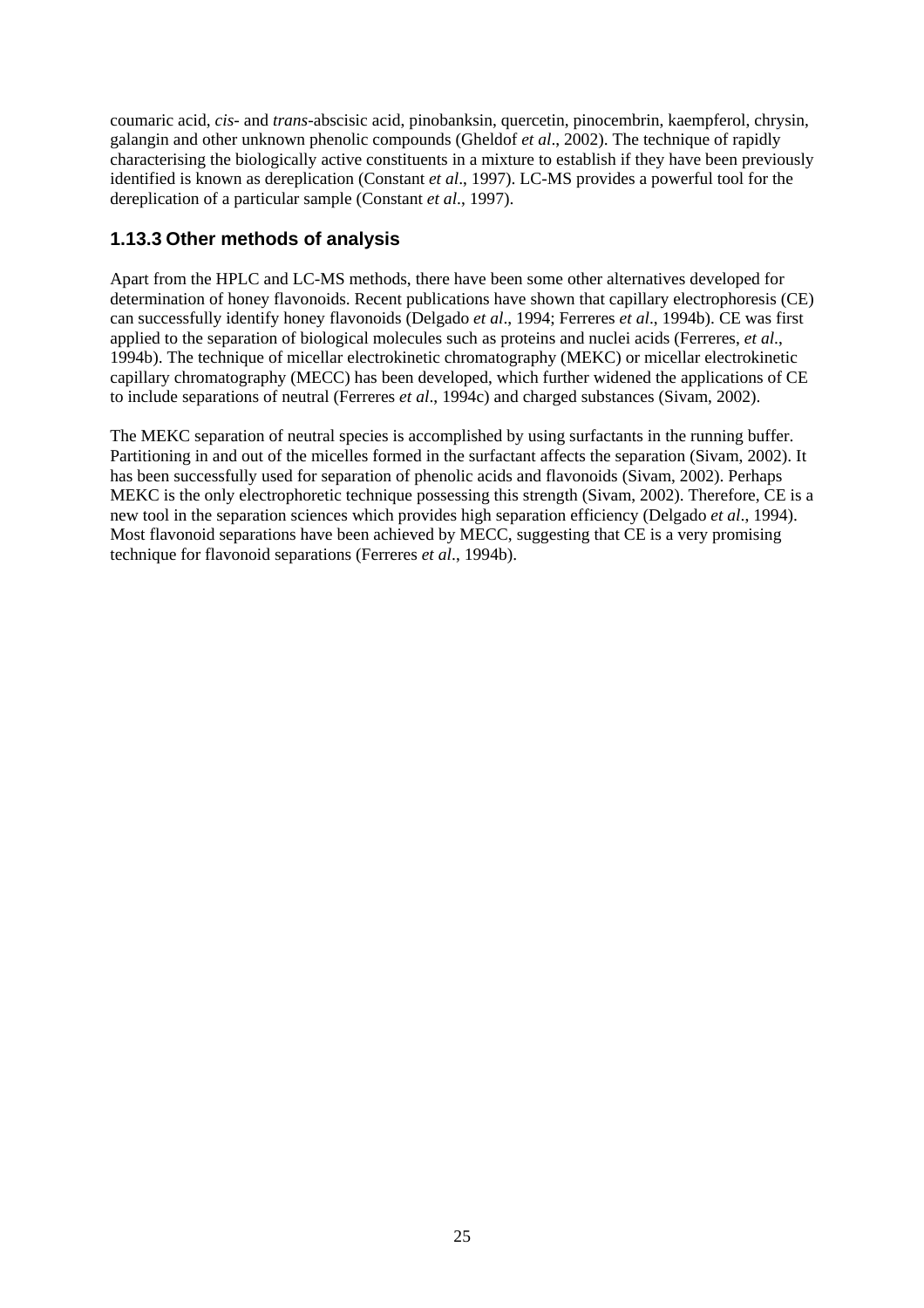coumaric acid, *cis-* and *trans*-abscisic acid, pinobanksin, quercetin, pinocembrin, kaempferol, chrysin, galangin and other unknown phenolic compounds (Gheldof *et al*., 2002). The technique of rapidly characterising the biologically active constituents in a mixture to establish if they have been previously identified is known as dereplication (Constant *et al*., 1997). LC-MS provides a powerful tool for the dereplication of a particular sample (Constant *et al*., 1997).

#### **1.13.3 Other methods of analysis**

Apart from the HPLC and LC-MS methods, there have been some other alternatives developed for determination of honey flavonoids. Recent publications have shown that capillary electrophoresis (CE) can successfully identify honey flavonoids (Delgado *et al*., 1994; Ferreres *et al*., 1994b). CE was first applied to the separation of biological molecules such as proteins and nuclei acids (Ferreres, *et al*., 1994b). The technique of micellar electrokinetic chromatography (MEKC) or micellar electrokinetic capillary chromatography (MECC) has been developed, which further widened the applications of CE to include separations of neutral (Ferreres *et al*., 1994c) and charged substances (Sivam, 2002).

The MEKC separation of neutral species is accomplished by using surfactants in the running buffer. Partitioning in and out of the micelles formed in the surfactant affects the separation (Sivam, 2002). It has been successfully used for separation of phenolic acids and flavonoids (Sivam, 2002). Perhaps MEKC is the only electrophoretic technique possessing this strength (Sivam, 2002). Therefore, CE is a new tool in the separation sciences which provides high separation efficiency (Delgado *et al*., 1994). Most flavonoid separations have been achieved by MECC, suggesting that CE is a very promising technique for flavonoid separations (Ferreres *et al*., 1994b).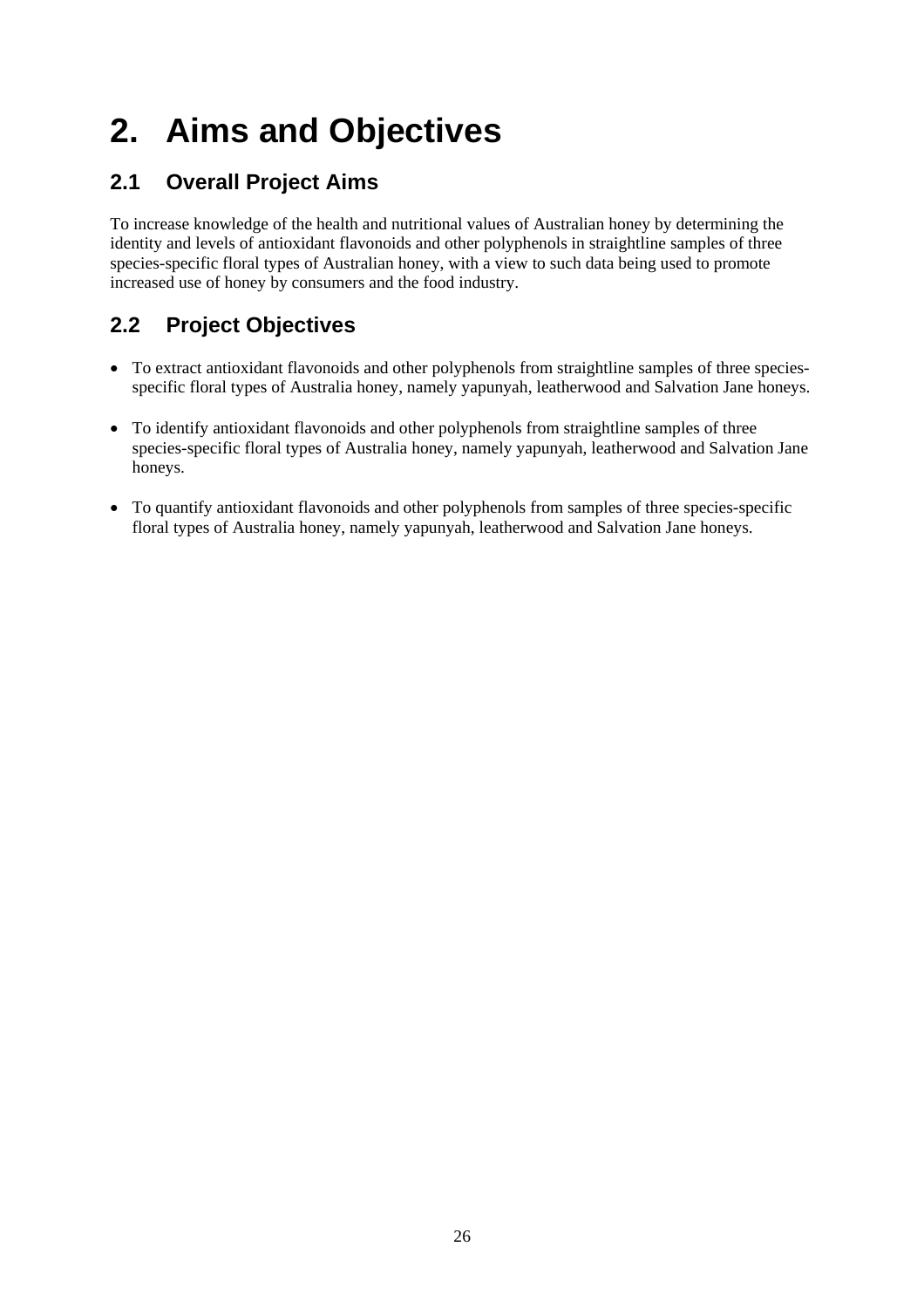# **2. Aims and Objectives**

## **2.1 Overall Project Aims**

To increase knowledge of the health and nutritional values of Australian honey by determining the identity and levels of antioxidant flavonoids and other polyphenols in straightline samples of three species-specific floral types of Australian honey, with a view to such data being used to promote increased use of honey by consumers and the food industry.

## **2.2 Project Objectives**

- To extract antioxidant flavonoids and other polyphenols from straightline samples of three speciesspecific floral types of Australia honey, namely yapunyah, leatherwood and Salvation Jane honeys.
- To identify antioxidant flavonoids and other polyphenols from straightline samples of three species-specific floral types of Australia honey, namely yapunyah, leatherwood and Salvation Jane honeys.
- To quantify antioxidant flavonoids and other polyphenols from samples of three species-specific floral types of Australia honey, namely yapunyah, leatherwood and Salvation Jane honeys.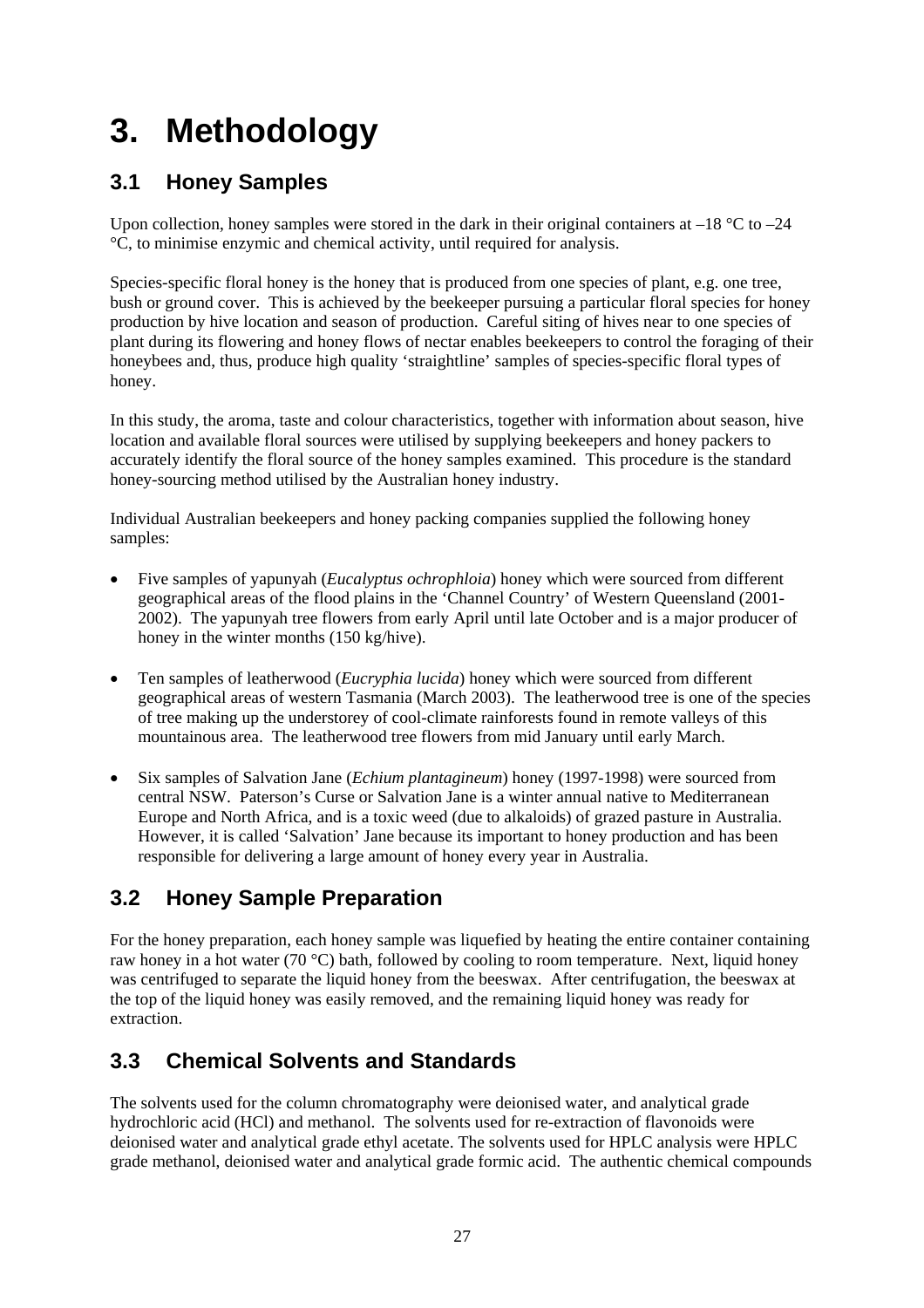# **3. Methodology**

# **3.1 Honey Samples**

Upon collection, honey samples were stored in the dark in their original containers at  $-18$  °C to  $-24$ °C, to minimise enzymic and chemical activity, until required for analysis.

Species-specific floral honey is the honey that is produced from one species of plant, e.g. one tree, bush or ground cover. This is achieved by the beekeeper pursuing a particular floral species for honey production by hive location and season of production. Careful siting of hives near to one species of plant during its flowering and honey flows of nectar enables beekeepers to control the foraging of their honeybees and, thus, produce high quality 'straightline' samples of species-specific floral types of honey.

In this study, the aroma, taste and colour characteristics, together with information about season, hive location and available floral sources were utilised by supplying beekeepers and honey packers to accurately identify the floral source of the honey samples examined. This procedure is the standard honey-sourcing method utilised by the Australian honey industry.

Individual Australian beekeepers and honey packing companies supplied the following honey samples:

- Five samples of yapunyah (*Eucalyptus ochrophloia*) honey which were sourced from different geographical areas of the flood plains in the 'Channel Country' of Western Queensland (2001- 2002). The yapunyah tree flowers from early April until late October and is a major producer of honey in the winter months (150 kg/hive).
- Ten samples of leatherwood (*Eucryphia lucida*) honey which were sourced from different geographical areas of western Tasmania (March 2003). The leatherwood tree is one of the species of tree making up the understorey of cool-climate rainforests found in remote valleys of this mountainous area. The leatherwood tree flowers from mid January until early March.
- Six samples of Salvation Jane (*Echium plantagineum*) honey (1997-1998) were sourced from central NSW. Paterson's Curse or Salvation Jane is a winter annual native to Mediterranean Europe and North Africa, and is a toxic weed (due to alkaloids) of grazed pasture in Australia. However, it is called 'Salvation' Jane because its important to honey production and has been responsible for delivering a large amount of honey every year in Australia.

# **3.2 Honey Sample Preparation**

For the honey preparation, each honey sample was liquefied by heating the entire container containing raw honey in a hot water (70 °C) bath, followed by cooling to room temperature. Next, liquid honey was centrifuged to separate the liquid honey from the beeswax. After centrifugation, the beeswax at the top of the liquid honey was easily removed, and the remaining liquid honey was ready for extraction.

# **3.3 Chemical Solvents and Standards**

The solvents used for the column chromatography were deionised water, and analytical grade hydrochloric acid (HCl) and methanol. The solvents used for re-extraction of flavonoids were deionised water and analytical grade ethyl acetate. The solvents used for HPLC analysis were HPLC grade methanol, deionised water and analytical grade formic acid. The authentic chemical compounds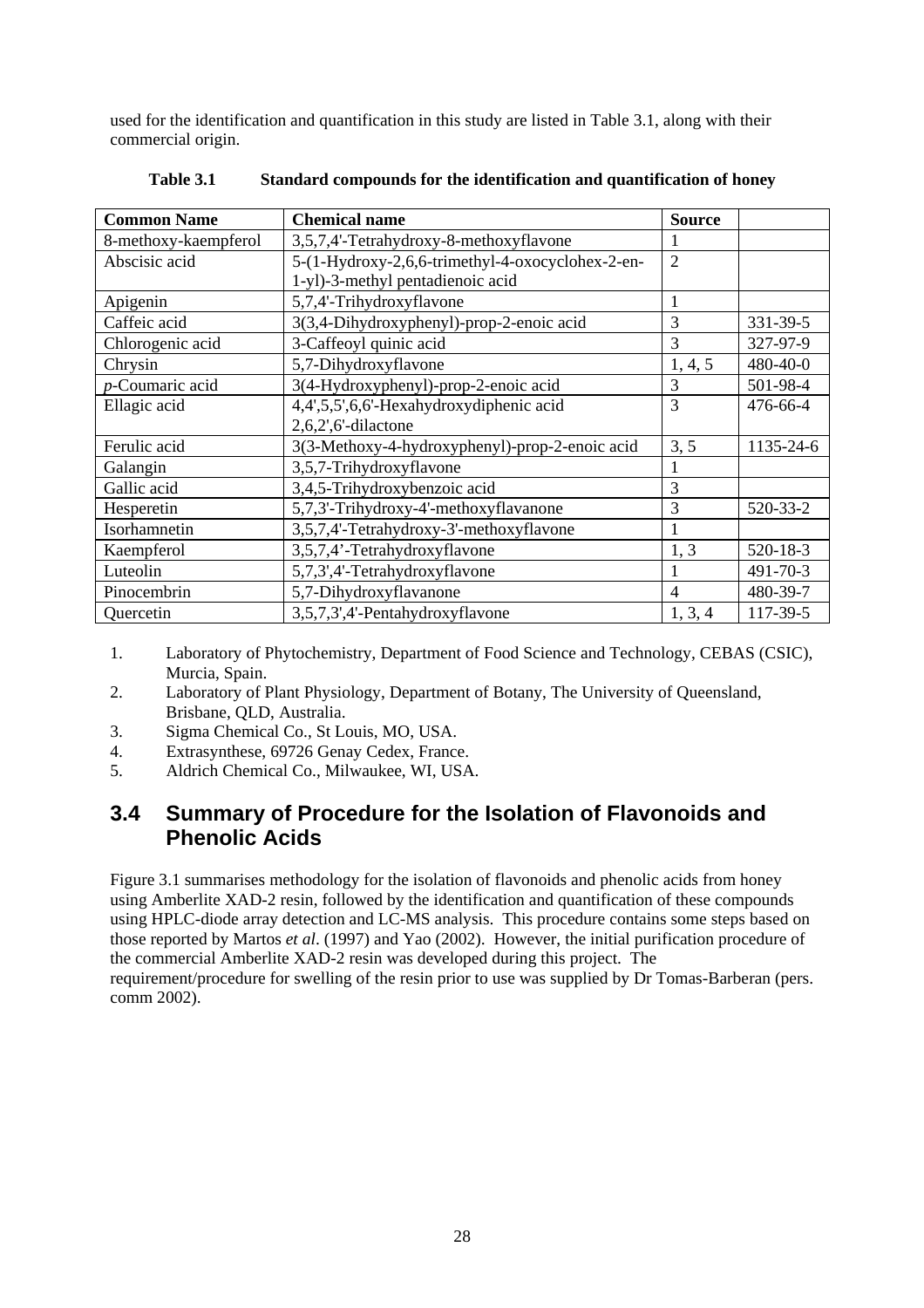used for the identification and quantification in this study are listed in Table 3.1, along with their commercial origin.

| <b>Common Name</b>   | <b>Chemical name</b>                             | <b>Source</b>  |                |
|----------------------|--------------------------------------------------|----------------|----------------|
| 8-methoxy-kaempferol | 3,5,7,4'-Tetrahydroxy-8-methoxyflavone           |                |                |
| Abscisic acid        | 5-(1-Hydroxy-2,6,6-trimethyl-4-oxocyclohex-2-en- | $\overline{2}$ |                |
|                      | 1-yl)-3-methyl pentadienoic acid                 |                |                |
| Apigenin             | 5,7,4'-Trihydroxyflavone                         |                |                |
| Caffeic acid         | 3(3,4-Dihydroxyphenyl)-prop-2-enoic acid         | 3              | 331-39-5       |
| Chlorogenic acid     | 3-Caffeoyl quinic acid                           | 3              | 327-97-9       |
| Chrysin              | 5,7-Dihydroxyflavone                             | 1, 4, 5        | 480-40-0       |
| p-Coumaric acid      | 3(4-Hydroxyphenyl)-prop-2-enoic acid             | 3              | 501-98-4       |
| Ellagic acid         | 4,4',5,5',6,6'-Hexahydroxydiphenic acid          | 3              | 476-66-4       |
|                      | $2,6,2',6'$ -dilactone                           |                |                |
| Ferulic acid         | 3(3-Methoxy-4-hydroxyphenyl)-prop-2-enoic acid   | 3, 5           | 1135-24-6      |
| Galangin             | 3,5,7-Trihydroxyflavone                          |                |                |
| Gallic acid          | 3,4,5-Trihydroxybenzoic acid                     | 3              |                |
| Hesperetin           | 5,7,3'-Trihydroxy-4'-methoxyflavanone            | 3              | 520-33-2       |
| Isorhamnetin         | 3,5,7,4'-Tetrahydroxy-3'-methoxyflavone          |                |                |
| Kaempferol           | 3,5,7,4'-Tetrahydroxyflavone                     | 1, 3           | $520 - 18 - 3$ |
| Luteolin             | 5,7,3',4'-Tetrahydroxyflavone                    |                | 491-70-3       |
| Pinocembrin          | 5,7-Dihydroxyflavanone                           | 4              | 480-39-7       |
| Quercetin            | 3,5,7,3',4'-Pentahydroxyflavone                  | 1, 3, 4        | 117-39-5       |

**Table 3.1 Standard compounds for the identification and quantification of honey** 

- 1. Laboratory of Phytochemistry, Department of Food Science and Technology, CEBAS (CSIC), Murcia, Spain.
- 2. Laboratory of Plant Physiology, Department of Botany, The University of Queensland, Brisbane, QLD, Australia.
- 3. Sigma Chemical Co., St Louis, MO, USA.
- 4. Extrasynthese, 69726 Genay Cedex, France.
- 5. Aldrich Chemical Co., Milwaukee, WI, USA.

### **3.4 Summary of Procedure for the Isolation of Flavonoids and Phenolic Acids**

Figure 3.1 summarises methodology for the isolation of flavonoids and phenolic acids from honey using Amberlite XAD-2 resin, followed by the identification and quantification of these compounds using HPLC-diode array detection and LC-MS analysis. This procedure contains some steps based on those reported by Martos *et al*. (1997) and Yao (2002). However, the initial purification procedure of the commercial Amberlite XAD-2 resin was developed during this project. The requirement/procedure for swelling of the resin prior to use was supplied by Dr Tomas-Barberan (pers. comm 2002).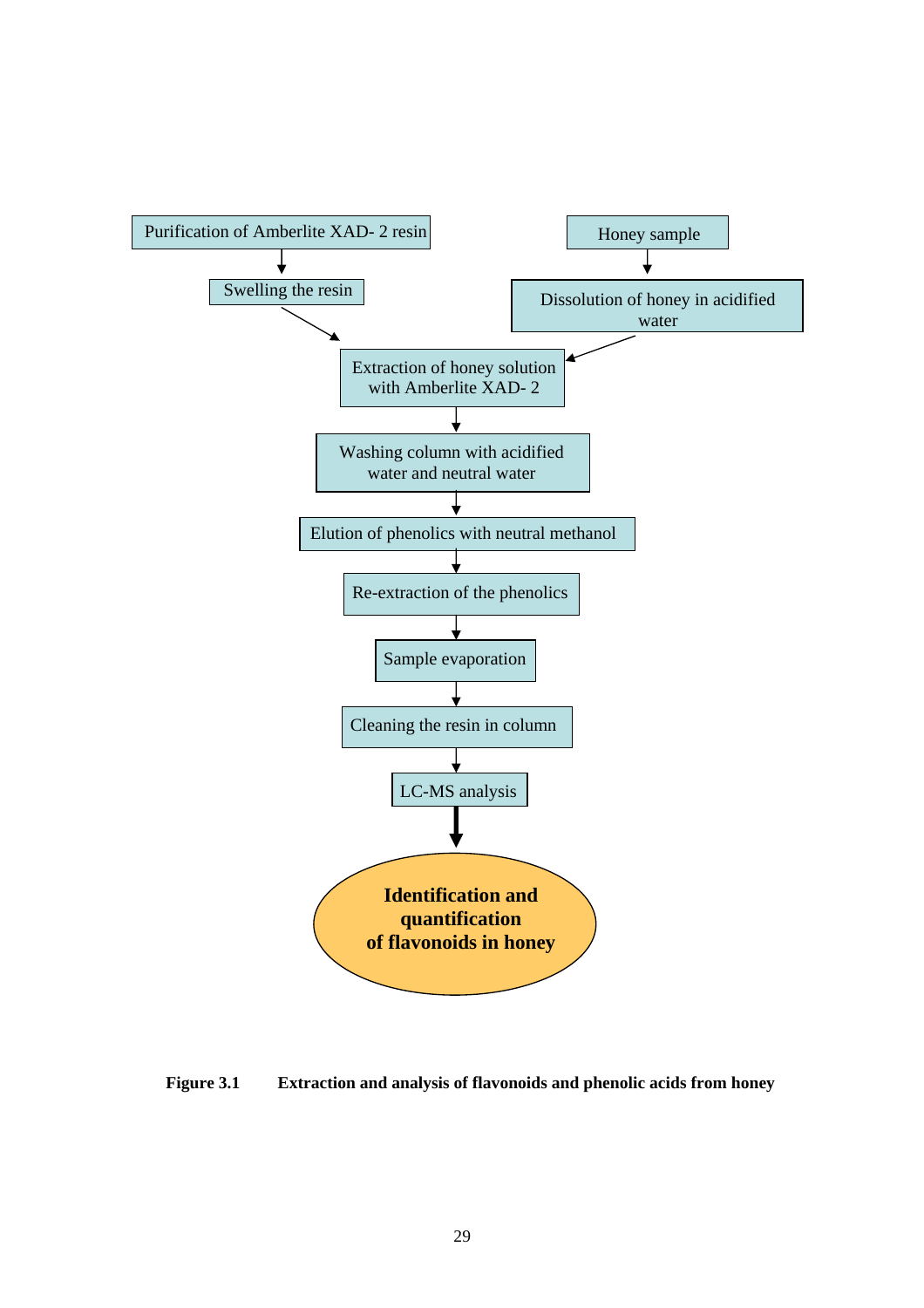

**Figure 3.1 Extraction and analysis of flavonoids and phenolic acids from honey**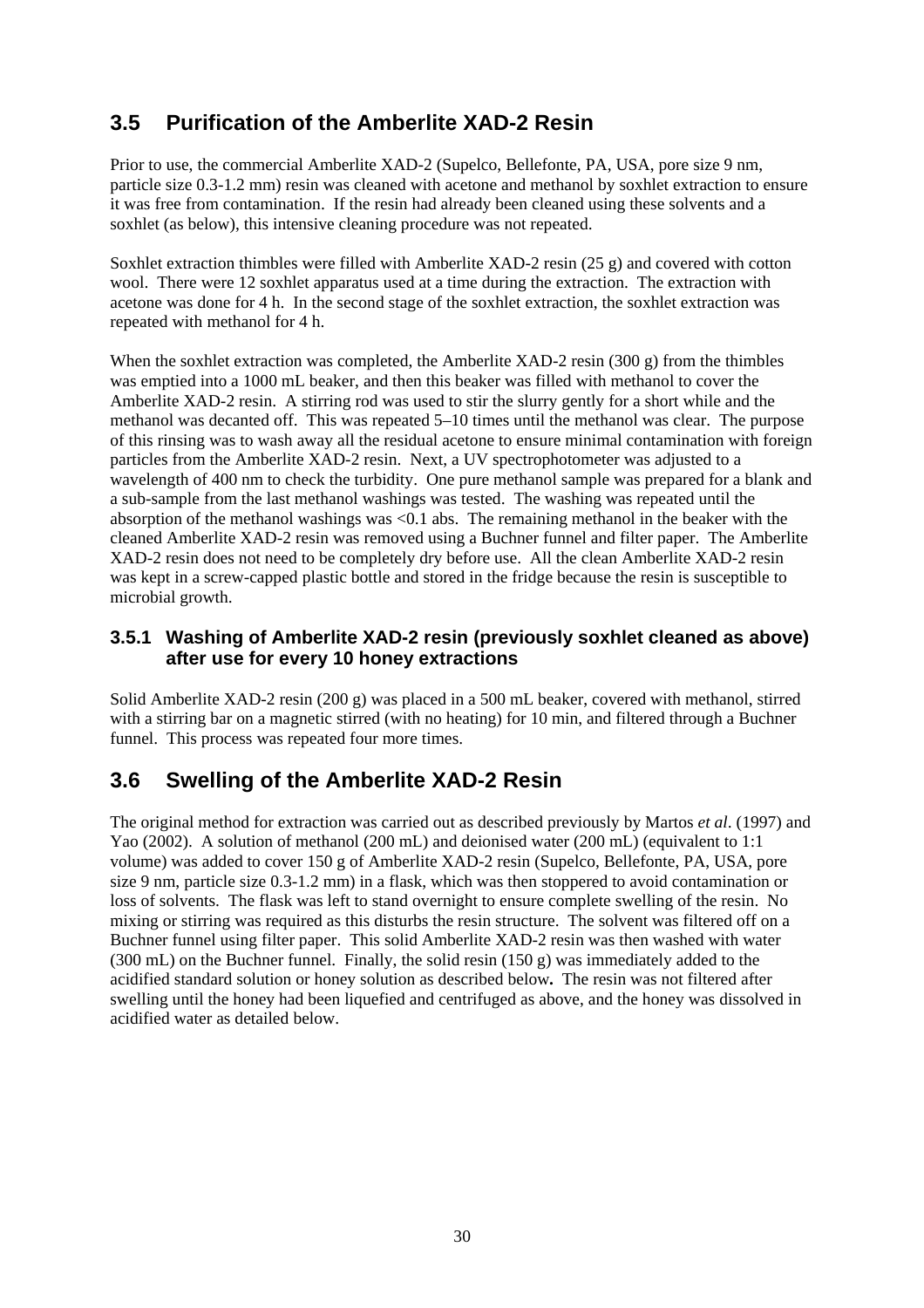# **3.5 Purification of the Amberlite XAD-2 Resin**

Prior to use, the commercial Amberlite XAD-2 (Supelco, Bellefonte, PA, USA, pore size 9 nm, particle size 0.3-1.2 mm) resin was cleaned with acetone and methanol by soxhlet extraction to ensure it was free from contamination. If the resin had already been cleaned using these solvents and a soxhlet (as below), this intensive cleaning procedure was not repeated.

Soxhlet extraction thimbles were filled with Amberlite XAD-2 resin (25 g) and covered with cotton wool. There were 12 soxhlet apparatus used at a time during the extraction. The extraction with acetone was done for 4 h. In the second stage of the soxhlet extraction, the soxhlet extraction was repeated with methanol for 4 h.

When the soxhlet extraction was completed, the Amberlite XAD-2 resin  $(300 \text{ g})$  from the thimbles was emptied into a 1000 mL beaker, and then this beaker was filled with methanol to cover the Amberlite XAD-2 resin. A stirring rod was used to stir the slurry gently for a short while and the methanol was decanted off. This was repeated 5–10 times until the methanol was clear. The purpose of this rinsing was to wash away all the residual acetone to ensure minimal contamination with foreign particles from the Amberlite XAD-2 resin. Next, a UV spectrophotometer was adjusted to a wavelength of 400 nm to check the turbidity. One pure methanol sample was prepared for a blank and a sub-sample from the last methanol washings was tested. The washing was repeated until the absorption of the methanol washings was <0.1 abs. The remaining methanol in the beaker with the cleaned Amberlite XAD-2 resin was removed using a Buchner funnel and filter paper. The Amberlite XAD-2 resin does not need to be completely dry before use. All the clean Amberlite XAD-2 resin was kept in a screw-capped plastic bottle and stored in the fridge because the resin is susceptible to microbial growth.

### **3.5.1 Washing of Amberlite XAD-2 resin (previously soxhlet cleaned as above) after use for every 10 honey extractions**

Solid Amberlite XAD-2 resin (200 g) was placed in a 500 mL beaker, covered with methanol, stirred with a stirring bar on a magnetic stirred (with no heating) for 10 min, and filtered through a Buchner funnel. This process was repeated four more times.

# **3.6 Swelling of the Amberlite XAD-2 Resin**

The original method for extraction was carried out as described previously by Martos *et al*. (1997) and Yao (2002). A solution of methanol (200 mL) and deionised water (200 mL) (equivalent to 1:1 volume) was added to cover 150 g of Amberlite XAD-2 resin (Supelco, Bellefonte, PA, USA, pore size 9 nm, particle size 0.3-1.2 mm) in a flask, which was then stoppered to avoid contamination or loss of solvents. The flask was left to stand overnight to ensure complete swelling of the resin. No mixing or stirring was required as this disturbs the resin structure. The solvent was filtered off on a Buchner funnel using filter paper. This solid Amberlite XAD-2 resin was then washed with water (300 mL) on the Buchner funnel. Finally, the solid resin (150 g) was immediately added to the acidified standard solution or honey solution as described below**.** The resin was not filtered after swelling until the honey had been liquefied and centrifuged as above, and the honey was dissolved in acidified water as detailed below.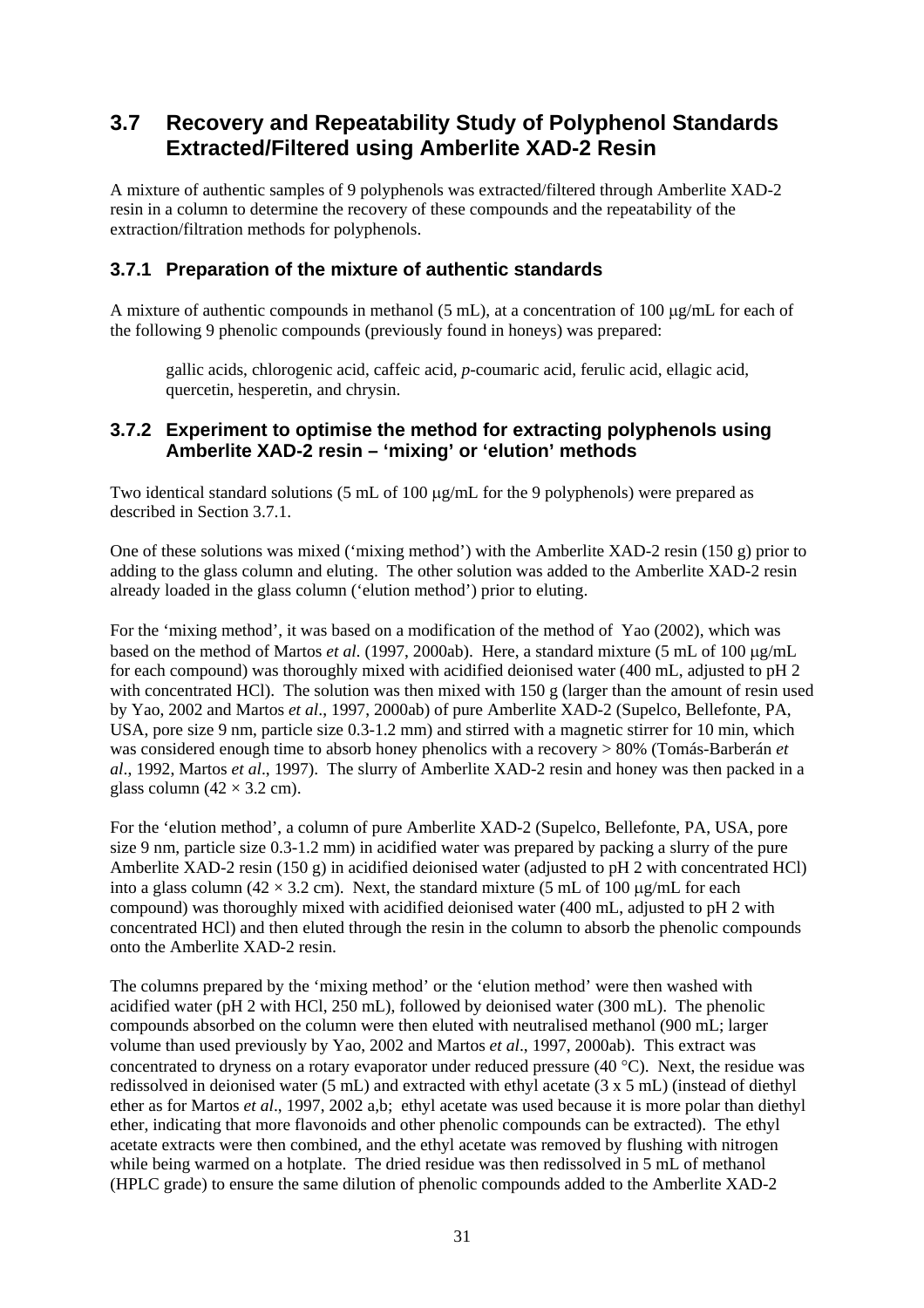# **3.7 Recovery and Repeatability Study of Polyphenol Standards Extracted/Filtered using Amberlite XAD-2 Resin**

A mixture of authentic samples of 9 polyphenols was extracted/filtered through Amberlite XAD-2 resin in a column to determine the recovery of these compounds and the repeatability of the extraction/filtration methods for polyphenols.

### **3.7.1 Preparation of the mixture of authentic standards**

A mixture of authentic compounds in methanol (5 mL), at a concentration of 100 µg/mL for each of the following 9 phenolic compounds (previously found in honeys) was prepared:

 gallic acids, chlorogenic acid, caffeic acid, *p*-coumaric acid, ferulic acid, ellagic acid, quercetin, hesperetin, and chrysin.

### **3.7.2 Experiment to optimise the method for extracting polyphenols using Amberlite XAD-2 resin – 'mixing' or 'elution' methods**

Two identical standard solutions (5 mL of 100  $\mu$ g/mL for the 9 polyphenols) were prepared as described in Section 3.7.1.

One of these solutions was mixed ('mixing method') with the Amberlite XAD-2 resin (150 g) prior to adding to the glass column and eluting. The other solution was added to the Amberlite XAD-2 resin already loaded in the glass column ('elution method') prior to eluting.

For the 'mixing method', it was based on a modification of the method of Yao (2002), which was based on the method of Martos *et al*. (1997, 2000ab). Here, a standard mixture (5 mL of 100 µg/mL for each compound) was thoroughly mixed with acidified deionised water (400 mL, adjusted to pH 2 with concentrated HCl). The solution was then mixed with 150 g (larger than the amount of resin used by Yao, 2002 and Martos *et al*., 1997, 2000ab) of pure Amberlite XAD-2 (Supelco, Bellefonte, PA, USA, pore size 9 nm, particle size 0.3-1.2 mm) and stirred with a magnetic stirrer for 10 min, which was considered enough time to absorb honey phenolics with a recovery > 80% (Tomás-Barberán *et al*., 1992, Martos *et al*., 1997). The slurry of Amberlite XAD-2 resin and honey was then packed in a glass column  $(42 \times 3.2 \text{ cm})$ .

For the 'elution method', a column of pure Amberlite XAD-2 (Supelco, Bellefonte, PA, USA, pore size 9 nm, particle size 0.3-1.2 mm) in acidified water was prepared by packing a slurry of the pure Amberlite XAD-2 resin (150 g) in acidified deionised water (adjusted to pH 2 with concentrated HCl) into a glass column (42  $\times$  3.2 cm). Next, the standard mixture (5 mL of 100 µg/mL for each compound) was thoroughly mixed with acidified deionised water (400 mL, adjusted to pH 2 with concentrated HCl) and then eluted through the resin in the column to absorb the phenolic compounds onto the Amberlite XAD-2 resin.

The columns prepared by the 'mixing method' or the 'elution method' were then washed with acidified water (pH 2 with HCl, 250 mL), followed by deionised water (300 mL). The phenolic compounds absorbed on the column were then eluted with neutralised methanol (900 mL; larger volume than used previously by Yao, 2002 and Martos *et al*., 1997, 2000ab). This extract was concentrated to dryness on a rotary evaporator under reduced pressure (40 °C). Next, the residue was redissolved in deionised water (5 mL) and extracted with ethyl acetate (3 x 5 mL) (instead of diethyl ether as for Martos *et al*., 1997, 2002 a,b; ethyl acetate was used because it is more polar than diethyl ether, indicating that more flavonoids and other phenolic compounds can be extracted). The ethyl acetate extracts were then combined, and the ethyl acetate was removed by flushing with nitrogen while being warmed on a hotplate. The dried residue was then redissolved in 5 mL of methanol (HPLC grade) to ensure the same dilution of phenolic compounds added to the Amberlite XAD-2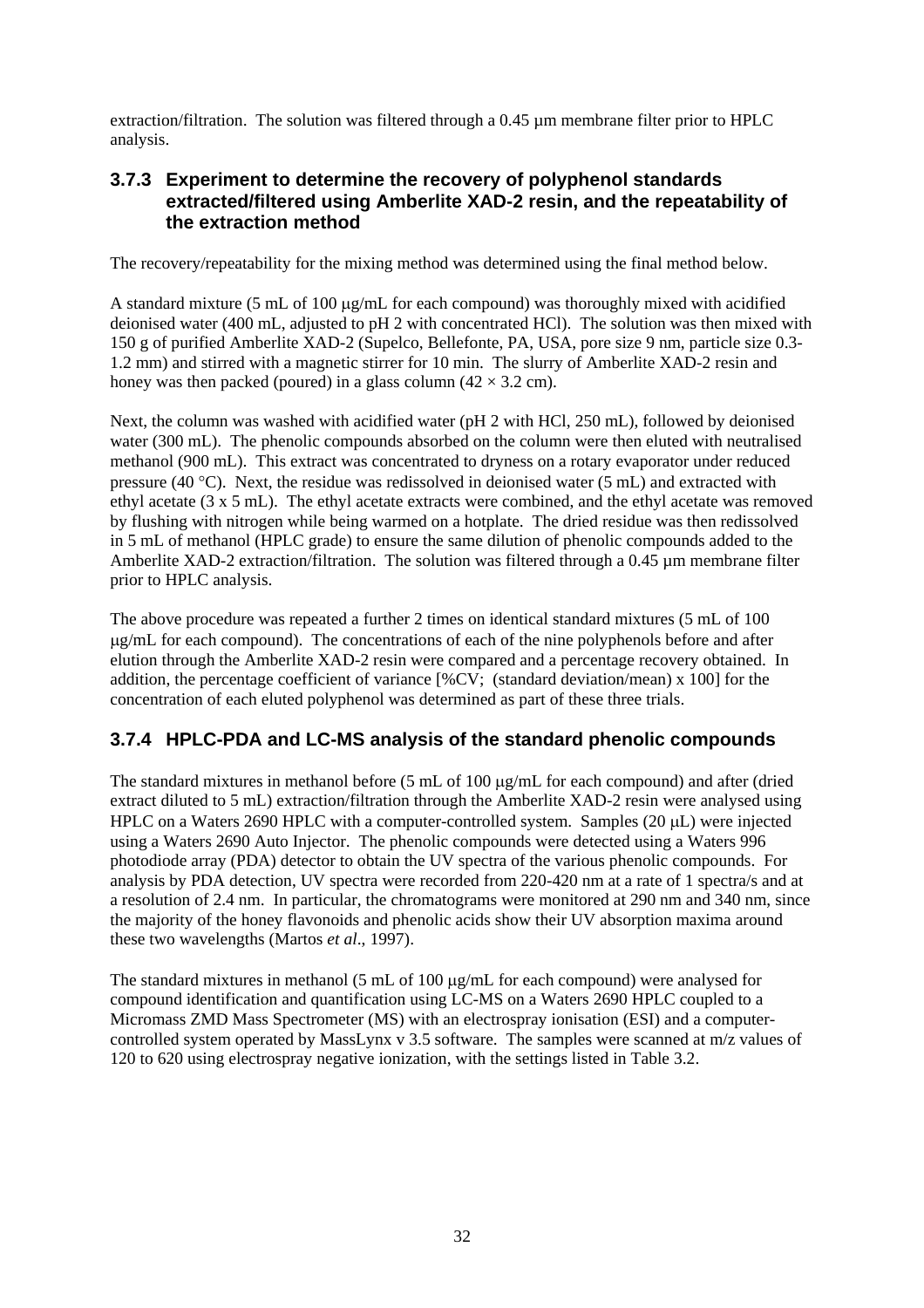extraction/filtration. The solution was filtered through a 0.45 µm membrane filter prior to HPLC analysis.

### **3.7.3 Experiment to determine the recovery of polyphenol standards extracted/filtered using Amberlite XAD-2 resin, and the repeatability of the extraction method**

The recovery/repeatability for the mixing method was determined using the final method below.

A standard mixture (5 mL of 100 µg/mL for each compound) was thoroughly mixed with acidified deionised water (400 mL, adjusted to pH 2 with concentrated HCl). The solution was then mixed with 150 g of purified Amberlite XAD-2 (Supelco, Bellefonte, PA, USA, pore size 9 nm, particle size 0.3- 1.2 mm) and stirred with a magnetic stirrer for 10 min. The slurry of Amberlite XAD-2 resin and honey was then packed (poured) in a glass column  $(42 \times 3.2 \text{ cm})$ .

Next, the column was washed with acidified water (pH 2 with HCl, 250 mL), followed by deionised water (300 mL). The phenolic compounds absorbed on the column were then eluted with neutralised methanol (900 mL). This extract was concentrated to dryness on a rotary evaporator under reduced pressure (40 °C). Next, the residue was redissolved in deionised water (5 mL) and extracted with ethyl acetate (3 x 5 mL). The ethyl acetate extracts were combined, and the ethyl acetate was removed by flushing with nitrogen while being warmed on a hotplate. The dried residue was then redissolved in 5 mL of methanol (HPLC grade) to ensure the same dilution of phenolic compounds added to the Amberlite XAD-2 extraction/filtration. The solution was filtered through a  $0.45 \mu$ m membrane filter prior to HPLC analysis.

The above procedure was repeated a further 2 times on identical standard mixtures (5 mL of 100 µg/mL for each compound). The concentrations of each of the nine polyphenols before and after elution through the Amberlite XAD-2 resin were compared and a percentage recovery obtained. In addition, the percentage coefficient of variance  $[\%CV]$ : (standard deviation/mean) x 1001 for the concentration of each eluted polyphenol was determined as part of these three trials.

### **3.7.4 HPLC-PDA and LC-MS analysis of the standard phenolic compounds**

The standard mixtures in methanol before (5 mL of 100 µg/mL for each compound) and after (dried extract diluted to 5 mL) extraction/filtration through the Amberlite XAD-2 resin were analysed using HPLC on a Waters 2690 HPLC with a computer-controlled system. Samples (20 µL) were injected using a Waters 2690 Auto Injector. The phenolic compounds were detected using a Waters 996 photodiode array (PDA) detector to obtain the UV spectra of the various phenolic compounds. For analysis by PDA detection, UV spectra were recorded from 220-420 nm at a rate of 1 spectra/s and at a resolution of 2.4 nm. In particular, the chromatograms were monitored at 290 nm and 340 nm, since the majority of the honey flavonoids and phenolic acids show their UV absorption maxima around these two wavelengths (Martos *et al*., 1997).

The standard mixtures in methanol (5 mL of 100 µg/mL for each compound) were analysed for compound identification and quantification using LC-MS on a Waters 2690 HPLC coupled to a Micromass ZMD Mass Spectrometer (MS) with an electrospray ionisation (ESI) and a computercontrolled system operated by MassLynx v 3.5 software. The samples were scanned at m/z values of 120 to 620 using electrospray negative ionization, with the settings listed in Table 3.2.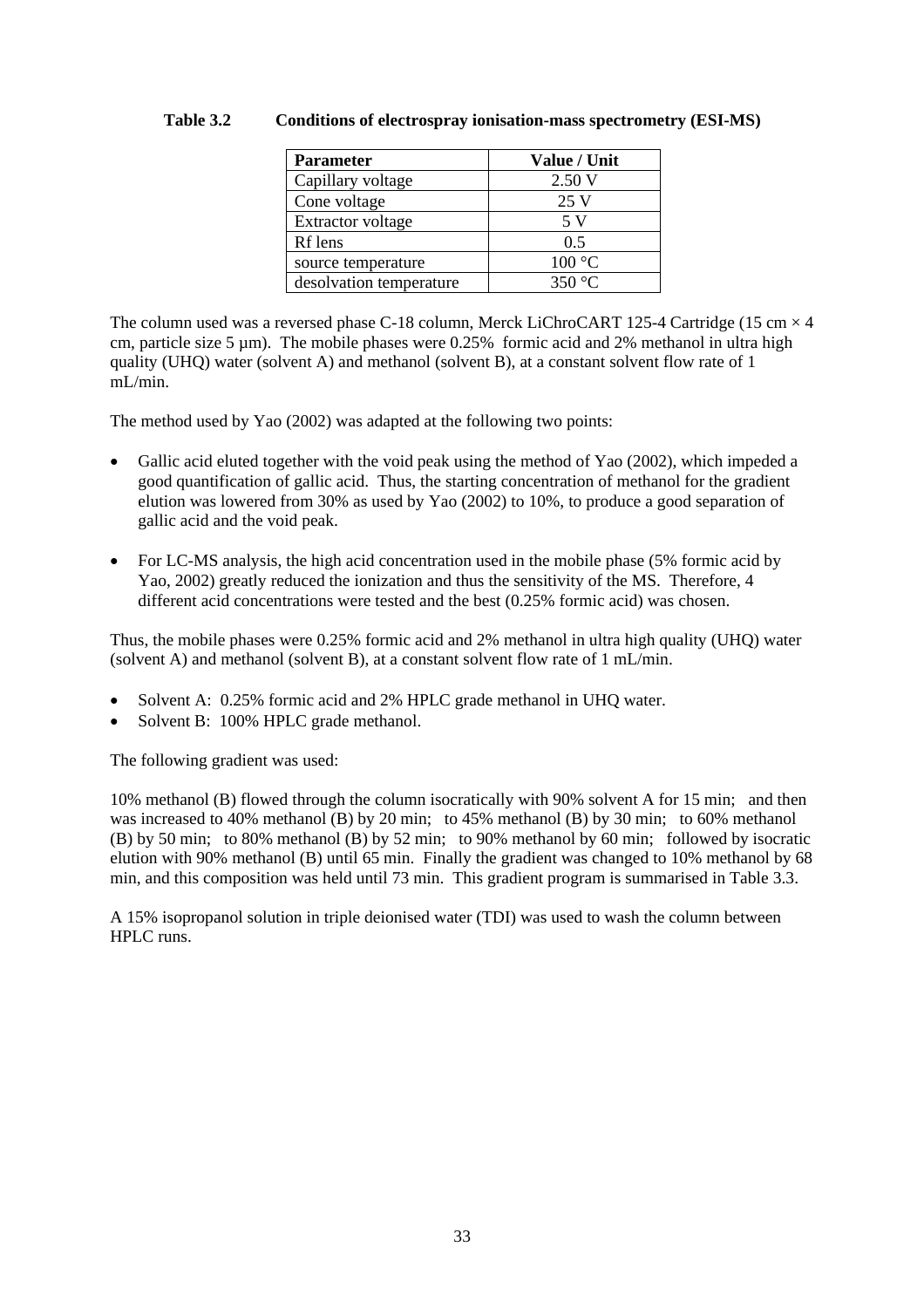#### **Table 3.2 Conditions of electrospray ionisation-mass spectrometry (ESI-MS)**

| <b>Parameter</b>         | Value / Unit |
|--------------------------|--------------|
| Capillary voltage        | 2.50V        |
| Cone voltage             | 25 V         |
| <b>Extractor voltage</b> | 5 V          |
| Rf lens                  | 0.5          |
| source temperature       | 100 °C       |
| desolvation temperature  | 350 °C       |

The column used was a reversed phase C-18 column, Merck LiChroCART 125-4 Cartridge (15 cm  $\times$  4 cm, particle size 5  $\mu$ m). The mobile phases were 0.25% formic acid and 2% methanol in ultra high quality (UHQ) water (solvent A) and methanol (solvent B), at a constant solvent flow rate of 1 mL/min.

The method used by Yao (2002) was adapted at the following two points:

- Gallic acid eluted together with the void peak using the method of Yao (2002), which impeded a good quantification of gallic acid. Thus, the starting concentration of methanol for the gradient elution was lowered from 30% as used by Yao (2002) to 10%, to produce a good separation of gallic acid and the void peak.
- For LC-MS analysis, the high acid concentration used in the mobile phase (5% formic acid by Yao, 2002) greatly reduced the ionization and thus the sensitivity of the MS. Therefore, 4 different acid concentrations were tested and the best (0.25% formic acid) was chosen.

Thus, the mobile phases were 0.25% formic acid and 2% methanol in ultra high quality (UHQ) water (solvent A) and methanol (solvent B), at a constant solvent flow rate of 1 mL/min.

- Solvent A: 0.25% formic acid and 2% HPLC grade methanol in UHQ water.
- Solvent B: 100% HPLC grade methanol.

The following gradient was used:

10% methanol (B) flowed through the column isocratically with 90% solvent A for 15 min; and then was increased to 40% methanol (B) by 20 min; to 45% methanol (B) by 30 min; to 60% methanol (B) by 50 min; to 80% methanol (B) by 52 min; to 90% methanol by 60 min; followed by isocratic elution with 90% methanol (B) until 65 min. Finally the gradient was changed to 10% methanol by 68 min, and this composition was held until 73 min. This gradient program is summarised in Table 3.3.

A 15% isopropanol solution in triple deionised water (TDI) was used to wash the column between HPLC runs.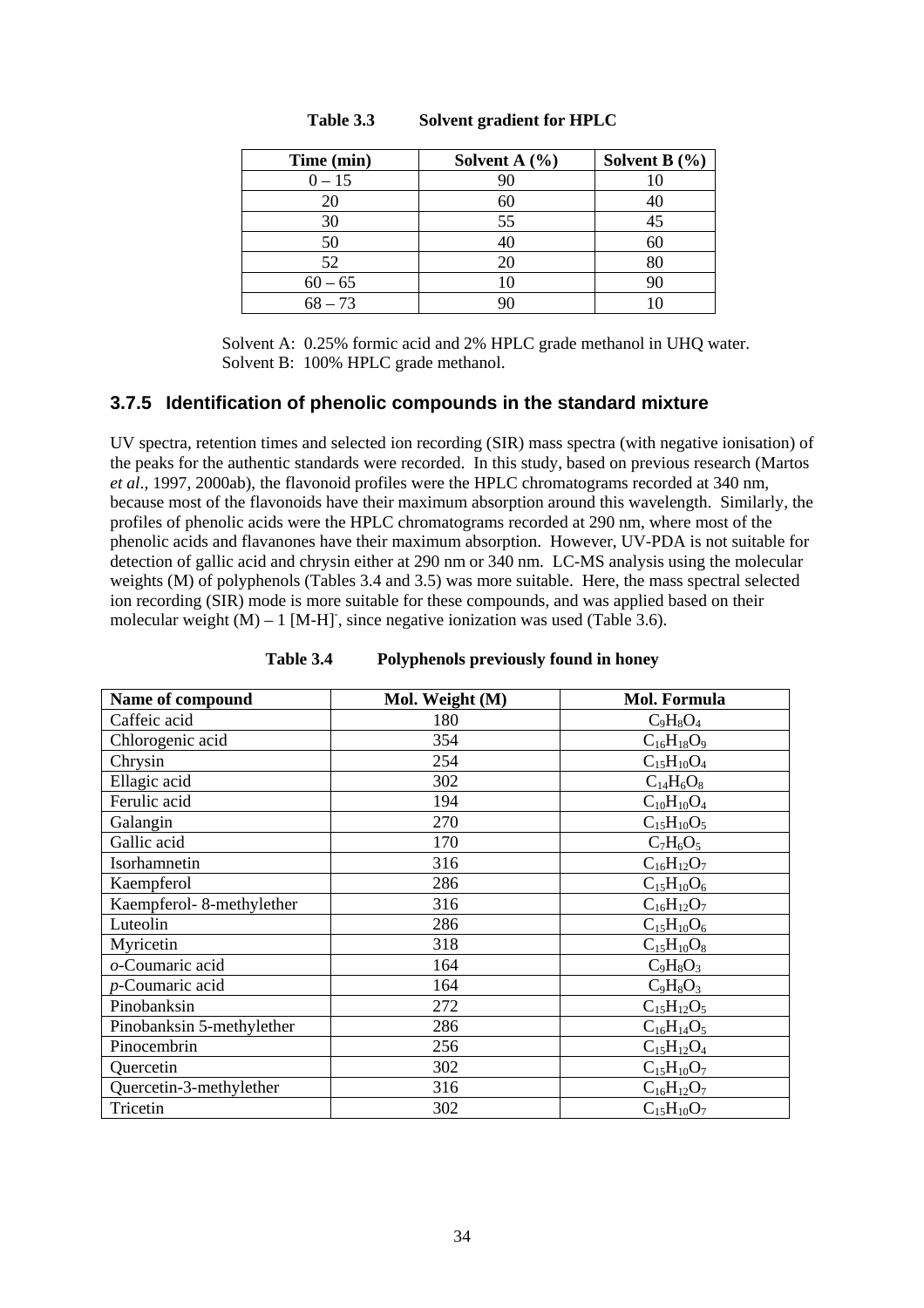| Time (min) | Solvent A $(\% )$ | Solvent B $(\% )$ |
|------------|-------------------|-------------------|
| $0 - 15$   | 90                |                   |
| 20         | 60                |                   |
| 30         | 55                |                   |
| 50         |                   |                   |
| 52         | 20                |                   |
| $60 - 65$  |                   |                   |
| $68 - 73$  |                   |                   |

#### **Table 3.3 Solvent gradient for HPLC**

 Solvent A: 0.25% formic acid and 2% HPLC grade methanol in UHQ water. Solvent B: 100% HPLC grade methanol.

#### **3.7.5 Identification of phenolic compounds in the standard mixture**

UV spectra, retention times and selected ion recording (SIR) mass spectra (with negative ionisation) of the peaks for the authentic standards were recorded. In this study, based on previous research (Martos *et al*., 1997, 2000ab), the flavonoid profiles were the HPLC chromatograms recorded at 340 nm, because most of the flavonoids have their maximum absorption around this wavelength. Similarly, the profiles of phenolic acids were the HPLC chromatograms recorded at 290 nm, where most of the phenolic acids and flavanones have their maximum absorption. However, UV-PDA is not suitable for detection of gallic acid and chrysin either at 290 nm or 340 nm. LC-MS analysis using the molecular weights (M) of polyphenols (Tables 3.4 and 3.5) was more suitable. Here, the mass spectral selected ion recording (SIR) mode is more suitable for these compounds, and was applied based on their molecular weight  $(M) - 1$  [M-H], since negative ionization was used (Table 3.6).

| Name of compound          | Mol. Weight (M) | Mol. Formula      |
|---------------------------|-----------------|-------------------|
| Caffeic acid              | 180             | $C_9H_8O_4$       |
| Chlorogenic acid          | 354             | $C_{16}H_{18}O_9$ |
| Chrysin                   | 254             | $C_{15}H_{10}O_4$ |
| Ellagic acid              | 302             | $C_{14}H_6O_8$    |
| Ferulic acid              | 194             | $C_{10}H_{10}O_4$ |
| Galangin                  | 270             | $C_{15}H_{10}O_5$ |
| Gallic acid               | 170             | $C_7H_6O_5$       |
| Isorhamnetin              | 316             | $C_{16}H_{12}O_7$ |
| Kaempferol                | 286             | $C_{15}H_{10}O_6$ |
| Kaempferol-8-methylether  | 316             | $C_{16}H_{12}O_7$ |
| Luteolin                  | 286             | $C_{15}H_{10}O_6$ |
| Myricetin                 | 318             | $C_{15}H_{10}O_8$ |
| o-Coumaric acid           | 164             | $C_9H_8O_3$       |
| p-Coumaric acid           | 164             | $C_9H_8O_3$       |
| Pinobanksin               | 272             | $C_{15}H_{12}O_5$ |
| Pinobanksin 5-methylether | 286             | $C_{16}H_{14}O_5$ |
| Pinocembrin               | 256             | $C_{15}H_{12}O_4$ |
| Quercetin                 | 302             | $C_{15}H_{10}O_7$ |
| Quercetin-3-methylether   | 316             | $C_{16}H_{12}O_7$ |
| Tricetin                  | 302             | $C_{15}H_{10}O_7$ |

| <b>Table 3.4</b> | Polyphenols previously found in honey |  |  |  |
|------------------|---------------------------------------|--|--|--|
|------------------|---------------------------------------|--|--|--|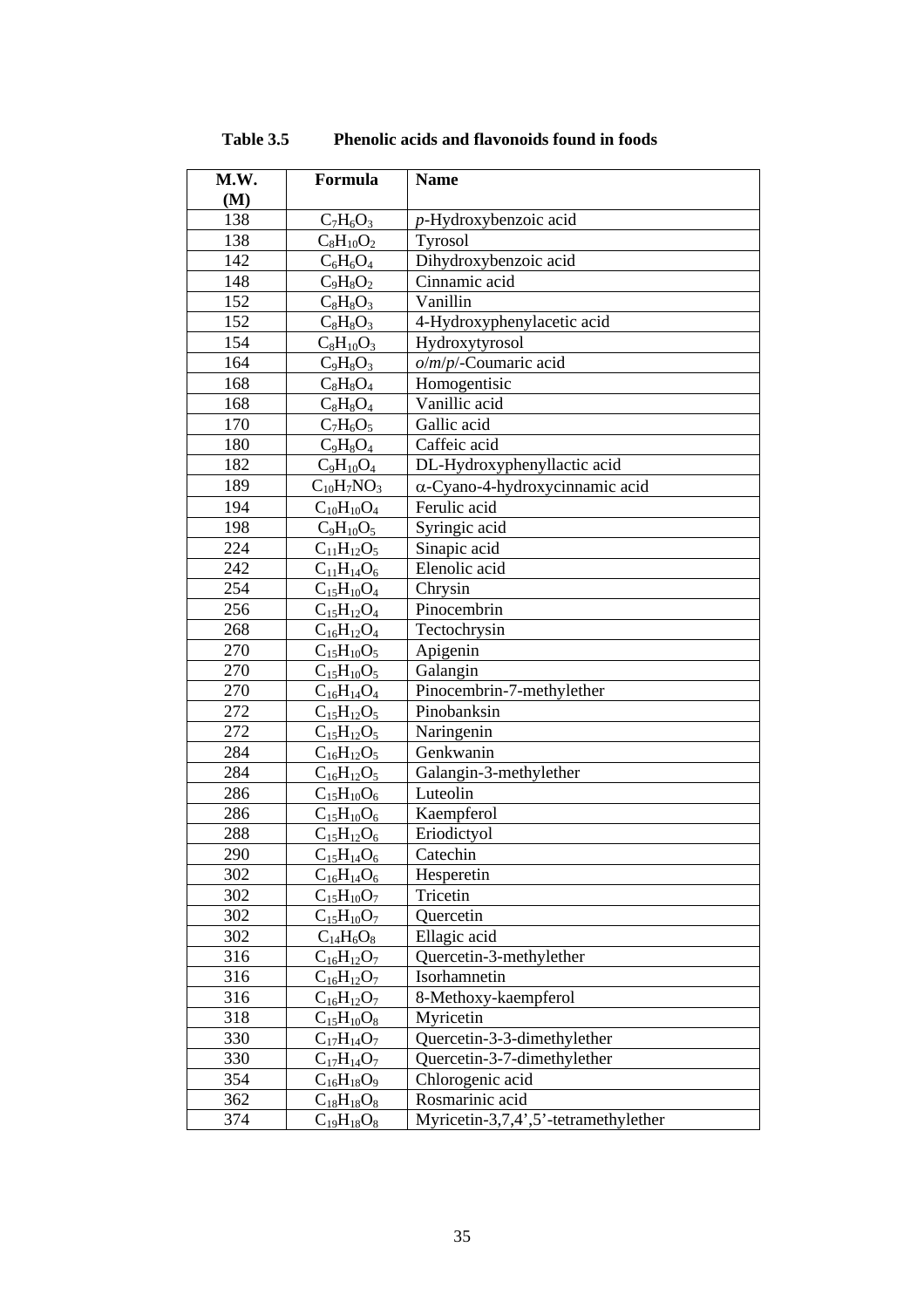| M.W. | Formula           | <b>Name</b>                            |
|------|-------------------|----------------------------------------|
| (M)  |                   |                                        |
| 138  | $C_7H_6O_3$       | $p$ -Hydroxybenzoic acid               |
| 138  | $C_8H_{10}O_2$    | Tyrosol                                |
| 142  | $C_6H_6O_4$       | Dihydroxybenzoic acid                  |
| 148  | $C_9H_8O_2$       | Cinnamic acid                          |
| 152  | $C_8H_8O_3$       | Vanillin                               |
| 152  | $C_8H_8O_3$       | 4-Hydroxyphenylacetic acid             |
| 154  | $C_8H_{10}O_3$    | Hydroxytyrosol                         |
| 164  | $C_9H_8O_3$       | $o/m/p$ /-Coumaric acid                |
| 168  | $C_8H_8O_4$       | Homogentisic                           |
| 168  | $C_8H_8O_4$       | Vanillic acid                          |
| 170  | $C_7H_6O_5$       | Gallic acid                            |
| 180  | $C_9H_8O_4$       | Caffeic acid                           |
| 182  | $C_9H_{10}O_4$    | DL-Hydroxyphenyllactic acid            |
| 189  | $C_{10}H_7NO_3$   | $\alpha$ -Cyano-4-hydroxycinnamic acid |
| 194  | $C_{10}H_{10}O_4$ | Ferulic acid                           |
| 198  | $C_9H_{10}O_5$    | Syringic acid                          |
| 224  | $C_{11}H_{12}O_5$ | Sinapic acid                           |
| 242  | $C_{11}H_{14}O_6$ | Elenolic acid                          |
| 254  | $C_{15}H_{10}O_4$ | Chrysin                                |
| 256  | $C_{15}H_{12}O_4$ | Pinocembrin                            |
| 268  | $C_{16}H_{12}O_4$ | Tectochrysin                           |
| 270  | $C_{15}H_{10}O_5$ | Apigenin                               |
| 270  | $C_{15}H_{10}O_5$ | Galangin                               |
| 270  | $C_{16}H_{14}O_4$ | Pinocembrin-7-methylether              |
| 272  | $C_{15}H_{12}O_5$ | Pinobanksin                            |
| 272  | $C_{15}H_{12}O_5$ | Naringenin                             |
| 284  | $C_{16}H_{12}O_5$ | Genkwanin                              |
| 284  | $C_{16}H_{12}O_5$ | Galangin-3-methylether                 |
| 286  | $C_{15}H_{10}O_6$ | Luteolin                               |
| 286  | $C_{15}H_{10}O_6$ | Kaempferol                             |
| 288  | $C_{15}H_{12}O_6$ | Eriodictyol                            |
| 290  | $C_{15}H_{14}O_6$ | Catechin                               |
| 302  | $C_{16}H_{14}O_6$ | Hesperetin                             |
| 302  | $C_{15}H_{10}O_7$ | Tricetin                               |
| 302  | $C_{15}H_{10}O_7$ | Quercetin                              |
| 302  | $C_{14}H_6O_8$    | Ellagic acid                           |
| 316  | $C_{16}H_{12}O_7$ | Quercetin-3-methylether                |
| 316  | $C_{16}H_{12}O_7$ | Isorhamnetin                           |
| 316  | $C_{16}H_{12}O_7$ | 8-Methoxy-kaempferol                   |
| 318  | $C_{15}H_{10}O_8$ | Myricetin                              |
| 330  | $C_{17}H_{14}O_7$ | Quercetin-3-3-dimethylether            |
| 330  | $C_{17}H_{14}O_7$ | Quercetin-3-7-dimethylether            |
| 354  | $C_{16}H_{18}O_9$ | Chlorogenic acid                       |
| 362  | $C_{18}H_{18}O_8$ | Rosmarinic acid                        |
| 374  | $C_{19}H_{18}O_8$ | Myricetin-3,7,4',5'-tetramethylether   |

**Table 3.5 Phenolic acids and flavonoids found in foods**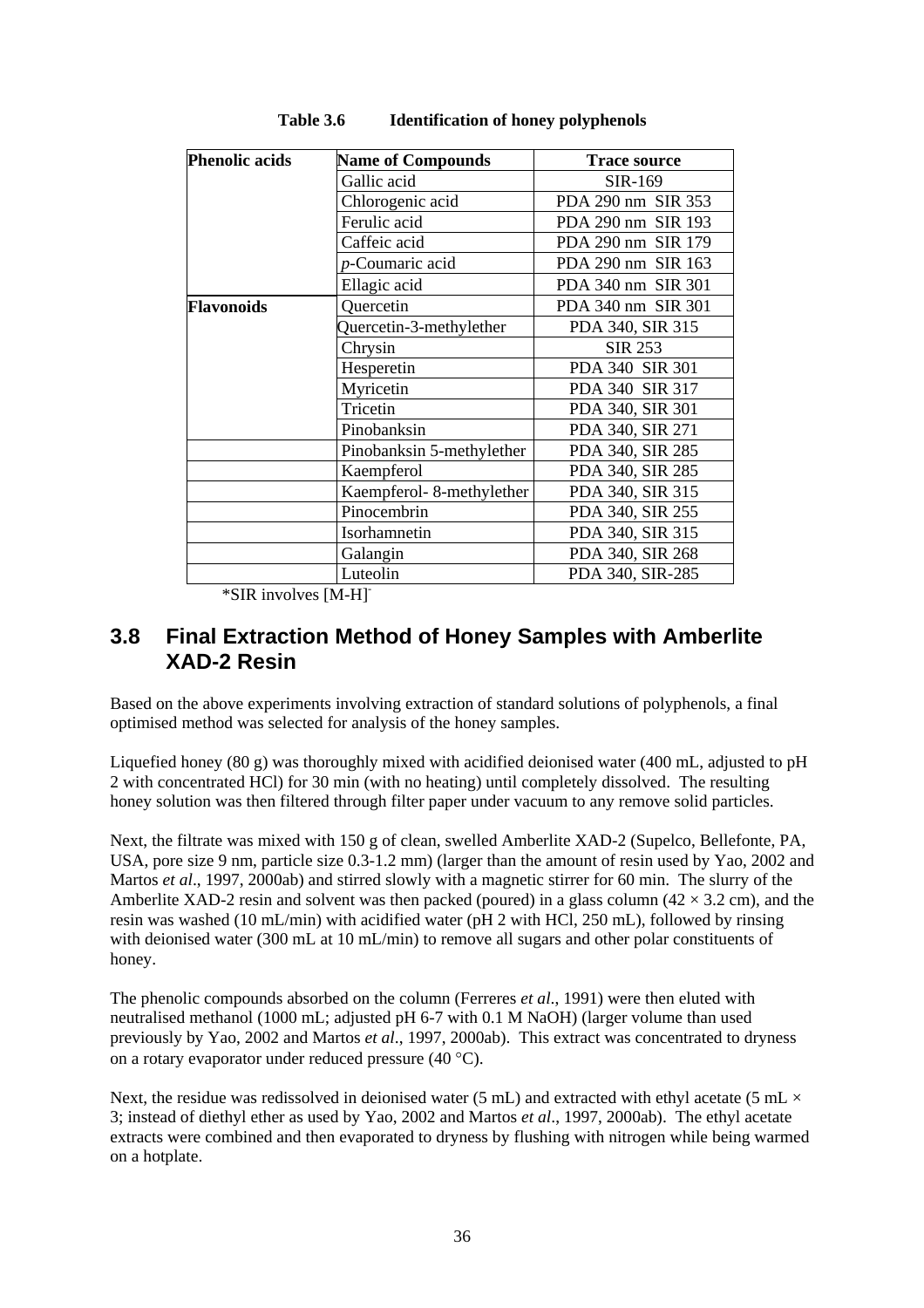| <b>Phenolic acids</b> | <b>Name of Compounds</b>  | <b>Trace source</b> |
|-----------------------|---------------------------|---------------------|
|                       | Gallic acid               | SIR-169             |
|                       | Chlorogenic acid          | PDA 290 nm SIR 353  |
|                       | Ferulic acid              | PDA 290 nm SIR 193  |
|                       | Caffeic acid              | PDA 290 nm SIR 179  |
|                       | p-Coumaric acid           | PDA 290 nm SIR 163  |
|                       | Ellagic acid              | PDA 340 nm SIR 301  |
| <b>Flavonoids</b>     | Quercetin                 | PDA 340 nm SIR 301  |
|                       | Quercetin-3-methylether   | PDA 340, SIR 315    |
|                       | Chrysin                   | <b>SIR 253</b>      |
|                       | Hesperetin                | PDA 340 SIR 301     |
|                       | Myricetin                 | PDA 340 SIR 317     |
|                       | Tricetin                  | PDA 340, SIR 301    |
|                       | Pinobanksin               | PDA 340, SIR 271    |
|                       | Pinobanksin 5-methylether | PDA 340, SIR 285    |
|                       | Kaempferol                | PDA 340, SIR 285    |
|                       | Kaempferol-8-methylether  | PDA 340, SIR 315    |
|                       | Pinocembrin               | PDA 340, SIR 255    |
|                       | Isorhamnetin              | PDA 340, SIR 315    |
|                       | Galangin                  | PDA 340, SIR 268    |
|                       | Luteolin                  | PDA 340, SIR-285    |

**Table 3.6 Identification of honey polyphenols** 

\*SIR involves [M-H]-

## **3.8 Final Extraction Method of Honey Samples with Amberlite XAD-2 Resin**

Based on the above experiments involving extraction of standard solutions of polyphenols, a final optimised method was selected for analysis of the honey samples.

Liquefied honey (80 g) was thoroughly mixed with acidified deionised water (400 mL, adjusted to pH 2 with concentrated HCl) for 30 min (with no heating) until completely dissolved. The resulting honey solution was then filtered through filter paper under vacuum to any remove solid particles.

Next, the filtrate was mixed with 150 g of clean, swelled Amberlite XAD-2 (Supelco, Bellefonte, PA, USA, pore size 9 nm, particle size 0.3-1.2 mm) (larger than the amount of resin used by Yao, 2002 and Martos *et al*., 1997, 2000ab) and stirred slowly with a magnetic stirrer for 60 min. The slurry of the Amberlite XAD-2 resin and solvent was then packed (poured) in a glass column  $(42 \times 3.2 \text{ cm})$ , and the resin was washed (10 mL/min) with acidified water (pH 2 with HCl, 250 mL), followed by rinsing with deionised water (300 mL at 10 mL/min) to remove all sugars and other polar constituents of honey.

The phenolic compounds absorbed on the column (Ferreres *et al*., 1991) were then eluted with neutralised methanol (1000 mL; adjusted pH 6-7 with 0.1 M NaOH) (larger volume than used previously by Yao, 2002 and Martos *et al*., 1997, 2000ab). This extract was concentrated to dryness on a rotary evaporator under reduced pressure (40 °C).

Next, the residue was redissolved in deionised water (5 mL) and extracted with ethyl acetate (5 mL  $\times$ 3; instead of diethyl ether as used by Yao, 2002 and Martos *et al*., 1997, 2000ab). The ethyl acetate extracts were combined and then evaporated to dryness by flushing with nitrogen while being warmed on a hotplate.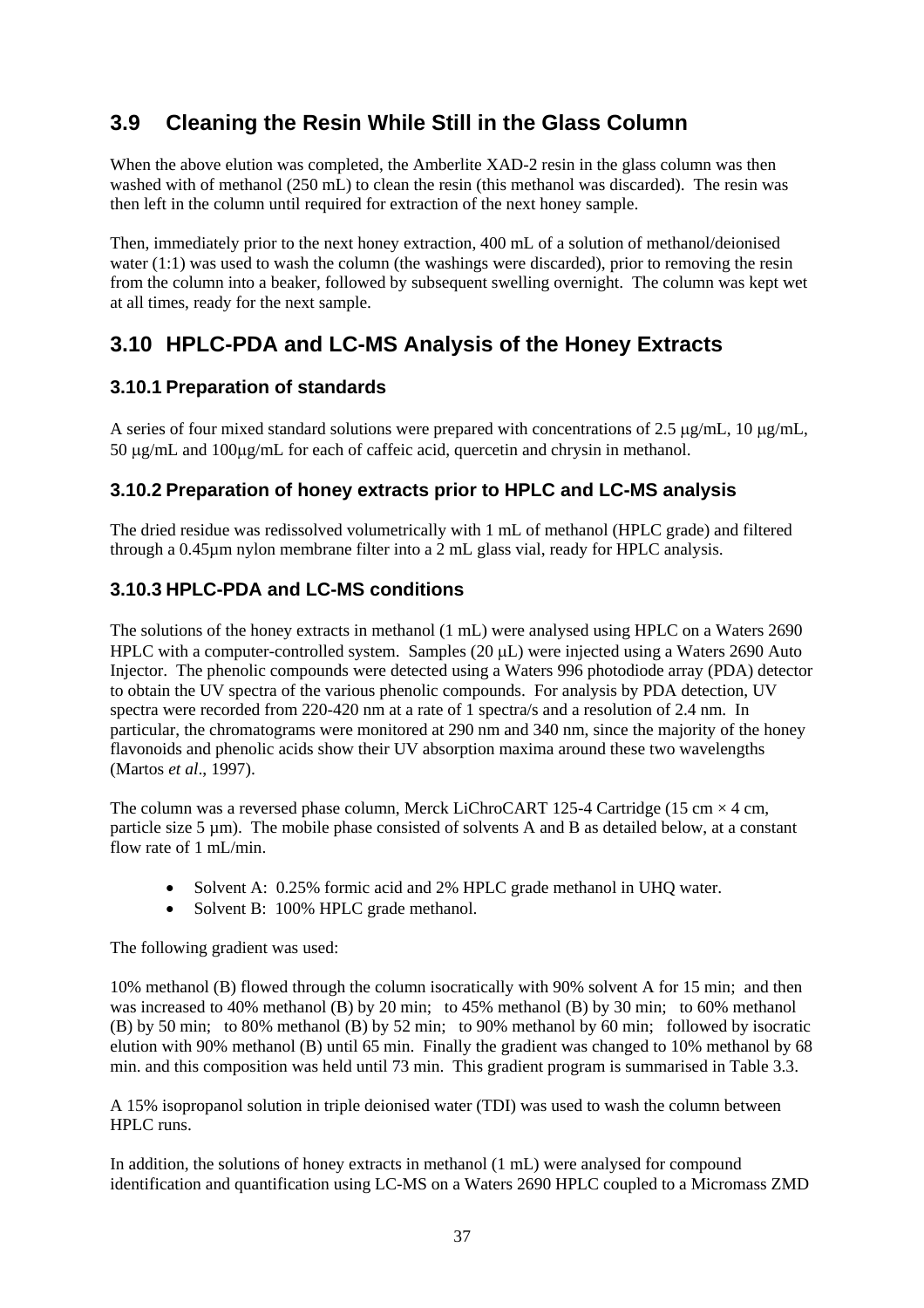# **3.9 Cleaning the Resin While Still in the Glass Column**

When the above elution was completed, the Amberlite XAD-2 resin in the glass column was then washed with of methanol (250 mL) to clean the resin (this methanol was discarded). The resin was then left in the column until required for extraction of the next honey sample.

Then, immediately prior to the next honey extraction, 400 mL of a solution of methanol/deionised water (1:1) was used to wash the column (the washings were discarded), prior to removing the resin from the column into a beaker, followed by subsequent swelling overnight. The column was kept wet at all times, ready for the next sample.

# **3.10 HPLC-PDA and LC-MS Analysis of the Honey Extracts**

### **3.10.1 Preparation of standards**

A series of four mixed standard solutions were prepared with concentrations of 2.5  $\mu$ g/mL, 10  $\mu$ g/mL, 50 µg/mL and 100µg/mL for each of caffeic acid, quercetin and chrysin in methanol.

### **3.10.2 Preparation of honey extracts prior to HPLC and LC-MS analysis**

The dried residue was redissolved volumetrically with 1 mL of methanol (HPLC grade) and filtered through a 0.45µm nylon membrane filter into a 2 mL glass vial, ready for HPLC analysis.

### **3.10.3 HPLC-PDA and LC-MS conditions**

The solutions of the honey extracts in methanol (1 mL) were analysed using HPLC on a Waters 2690 HPLC with a computer-controlled system. Samples (20 µL) were injected using a Waters 2690 Auto Injector. The phenolic compounds were detected using a Waters 996 photodiode array (PDA) detector to obtain the UV spectra of the various phenolic compounds. For analysis by PDA detection, UV spectra were recorded from 220-420 nm at a rate of 1 spectra/s and a resolution of 2.4 nm. In particular, the chromatograms were monitored at 290 nm and 340 nm, since the majority of the honey flavonoids and phenolic acids show their UV absorption maxima around these two wavelengths (Martos *et al*., 1997).

The column was a reversed phase column, Merck LiChroCART 125-4 Cartridge (15 cm  $\times$  4 cm, particle size 5 µm). The mobile phase consisted of solvents A and B as detailed below, at a constant flow rate of 1 mL/min.

- Solvent A: 0.25% formic acid and 2% HPLC grade methanol in UHQ water.
- Solvent B: 100% HPLC grade methanol.

The following gradient was used:

10% methanol (B) flowed through the column isocratically with 90% solvent A for 15 min; and then was increased to 40% methanol (B) by 20 min; to 45% methanol (B) by 30 min; to 60% methanol (B) by 50 min; to 80% methanol (B) by 52 min; to 90% methanol by 60 min; followed by isocratic elution with 90% methanol (B) until 65 min. Finally the gradient was changed to 10% methanol by 68 min. and this composition was held until 73 min. This gradient program is summarised in Table 3.3.

A 15% isopropanol solution in triple deionised water (TDI) was used to wash the column between HPLC runs.

In addition, the solutions of honey extracts in methanol (1 mL) were analysed for compound identification and quantification using LC-MS on a Waters 2690 HPLC coupled to a Micromass ZMD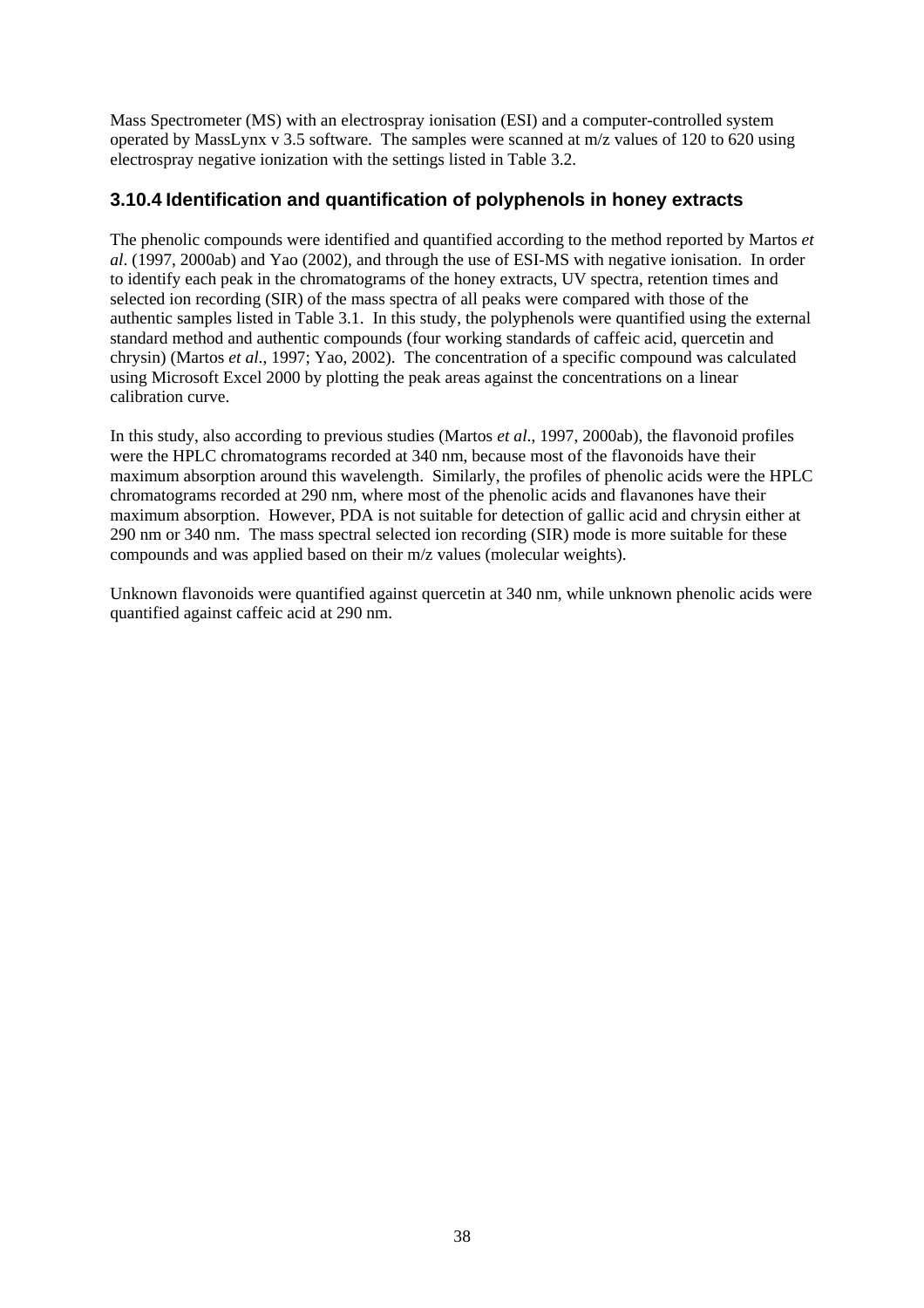Mass Spectrometer (MS) with an electrospray ionisation (ESI) and a computer-controlled system operated by MassLynx v 3.5 software. The samples were scanned at m/z values of 120 to 620 using electrospray negative ionization with the settings listed in Table 3.2.

### **3.10.4 Identification and quantification of polyphenols in honey extracts**

The phenolic compounds were identified and quantified according to the method reported by Martos *et al*. (1997, 2000ab) and Yao (2002), and through the use of ESI-MS with negative ionisation. In order to identify each peak in the chromatograms of the honey extracts, UV spectra, retention times and selected ion recording (SIR) of the mass spectra of all peaks were compared with those of the authentic samples listed in Table 3.1. In this study, the polyphenols were quantified using the external standard method and authentic compounds (four working standards of caffeic acid, quercetin and chrysin) (Martos *et al*., 1997; Yao, 2002). The concentration of a specific compound was calculated using Microsoft Excel 2000 by plotting the peak areas against the concentrations on a linear calibration curve.

In this study, also according to previous studies (Martos *et al*., 1997, 2000ab), the flavonoid profiles were the HPLC chromatograms recorded at 340 nm, because most of the flavonoids have their maximum absorption around this wavelength. Similarly, the profiles of phenolic acids were the HPLC chromatograms recorded at 290 nm, where most of the phenolic acids and flavanones have their maximum absorption. However, PDA is not suitable for detection of gallic acid and chrysin either at 290 nm or 340 nm. The mass spectral selected ion recording (SIR) mode is more suitable for these compounds and was applied based on their m/z values (molecular weights).

Unknown flavonoids were quantified against quercetin at 340 nm, while unknown phenolic acids were quantified against caffeic acid at 290 nm.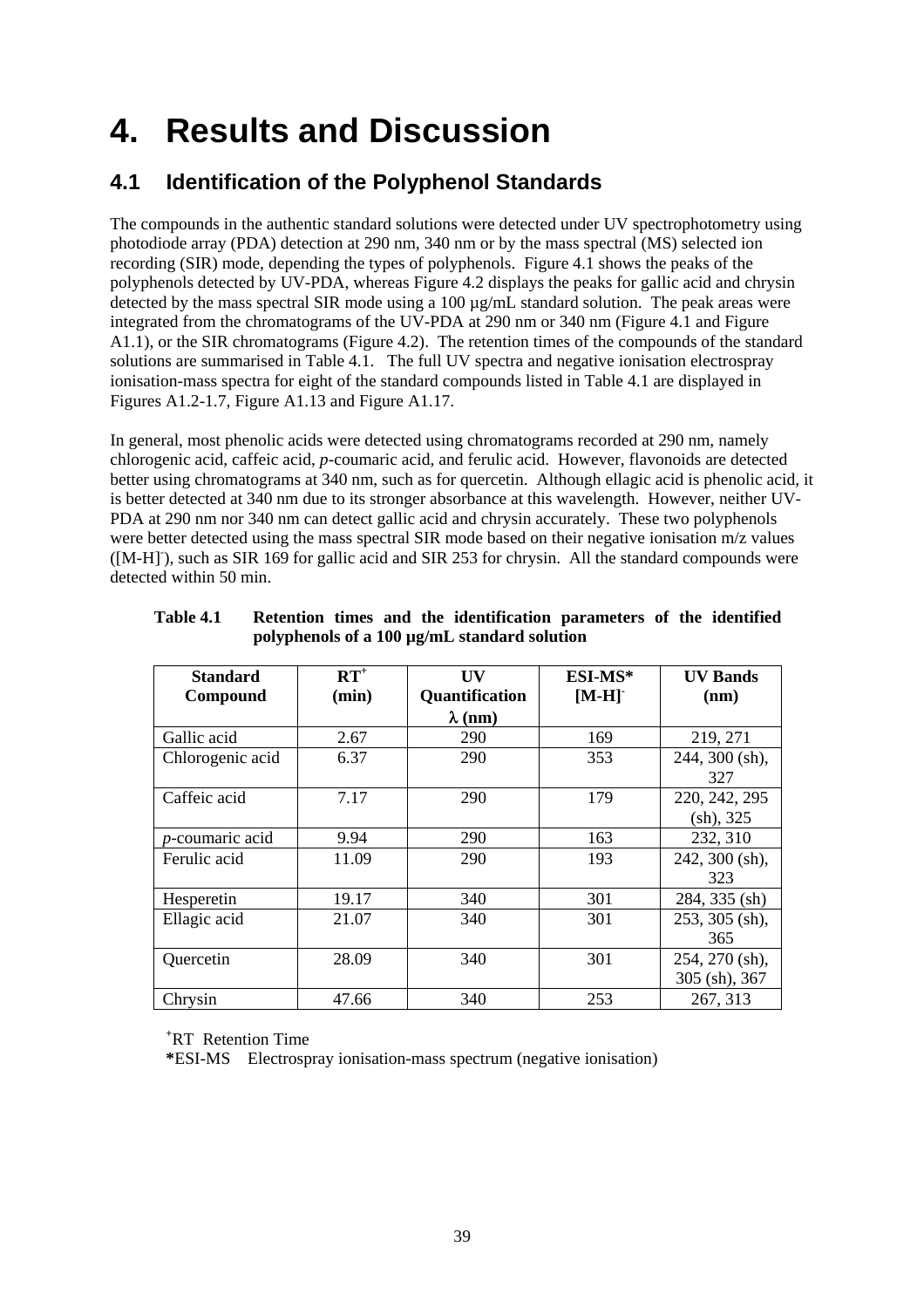# **4. Results and Discussion**

# **4.1 Identification of the Polyphenol Standards**

The compounds in the authentic standard solutions were detected under UV spectrophotometry using photodiode array (PDA) detection at 290 nm, 340 nm or by the mass spectral (MS) selected ion recording (SIR) mode, depending the types of polyphenols. Figure 4.1 shows the peaks of the polyphenols detected by UV-PDA, whereas Figure 4.2 displays the peaks for gallic acid and chrysin detected by the mass spectral SIR mode using a 100 µg/mL standard solution. The peak areas were integrated from the chromatograms of the UV-PDA at 290 nm or 340 nm (Figure 4.1 and Figure A1.1), or the SIR chromatograms (Figure 4.2). The retention times of the compounds of the standard solutions are summarised in Table 4.1. The full UV spectra and negative ionisation electrospray ionisation-mass spectra for eight of the standard compounds listed in Table 4.1 are displayed in Figures A1.2-1.7, Figure A1.13 and Figure A1.17.

In general, most phenolic acids were detected using chromatograms recorded at 290 nm, namely chlorogenic acid, caffeic acid, *p*-coumaric acid, and ferulic acid. However, flavonoids are detected better using chromatograms at 340 nm, such as for quercetin. Although ellagic acid is phenolic acid, it is better detected at 340 nm due to its stronger absorbance at this wavelength. However, neither UV-PDA at 290 nm nor 340 nm can detect gallic acid and chrysin accurately. These two polyphenols were better detected using the mass spectral SIR mode based on their negative ionisation m/z values ([M-H]), such as SIR 169 for gallic acid and SIR 253 for chrysin. All the standard compounds were detected within 50 min.

| <b>Standard</b>         | $\mathbf{RT}^+$ | $\mathbf{I}$ $\mathbf{V}$ | ESI-MS* | <b>UV Bands</b>  |
|-------------------------|-----------------|---------------------------|---------|------------------|
| Compound                | (min)           | Quantification            | $[M-H]$ | (nm)             |
|                         |                 | $\lambda$ (nm)            |         |                  |
| Gallic acid             | 2.67            | 290                       | 169     | 219, 271         |
| Chlorogenic acid        | 6.37            | 290                       | 353     | 244, 300 (sh),   |
|                         |                 |                           |         | 327              |
| Caffeic acid            | 7.17            | 290                       | 179     | 220, 242, 295    |
|                         |                 |                           |         | (sh), 325        |
| <i>p</i> -coumaric acid | 9.94            | 290                       | 163     | 232, 310         |
| Ferulic acid            | 11.09           | 290                       | 193     | $242, 300$ (sh), |
|                         |                 |                           |         | 323              |
| Hesperetin              | 19.17           | 340                       | 301     | 284, 335 (sh)    |
| Ellagic acid            | 21.07           | 340                       | 301     | 253, 305 (sh),   |
|                         |                 |                           |         | 365              |
| Quercetin               | 28.09           | 340                       | 301     | 254, 270 (sh),   |
|                         |                 |                           |         | 305 (sh), 367    |
| Chrysin                 | 47.66           | 340                       | 253     | 267, 313         |

| Table 4.1 |  |  | Retention times and the identification parameters of the identified |  |  |
|-----------|--|--|---------------------------------------------------------------------|--|--|
|           |  |  | polyphenols of a 100 µg/mL standard solution                        |  |  |

**+** RT Retention Time

**\***ESI-MS Electrospray ionisation-mass spectrum (negative ionisation)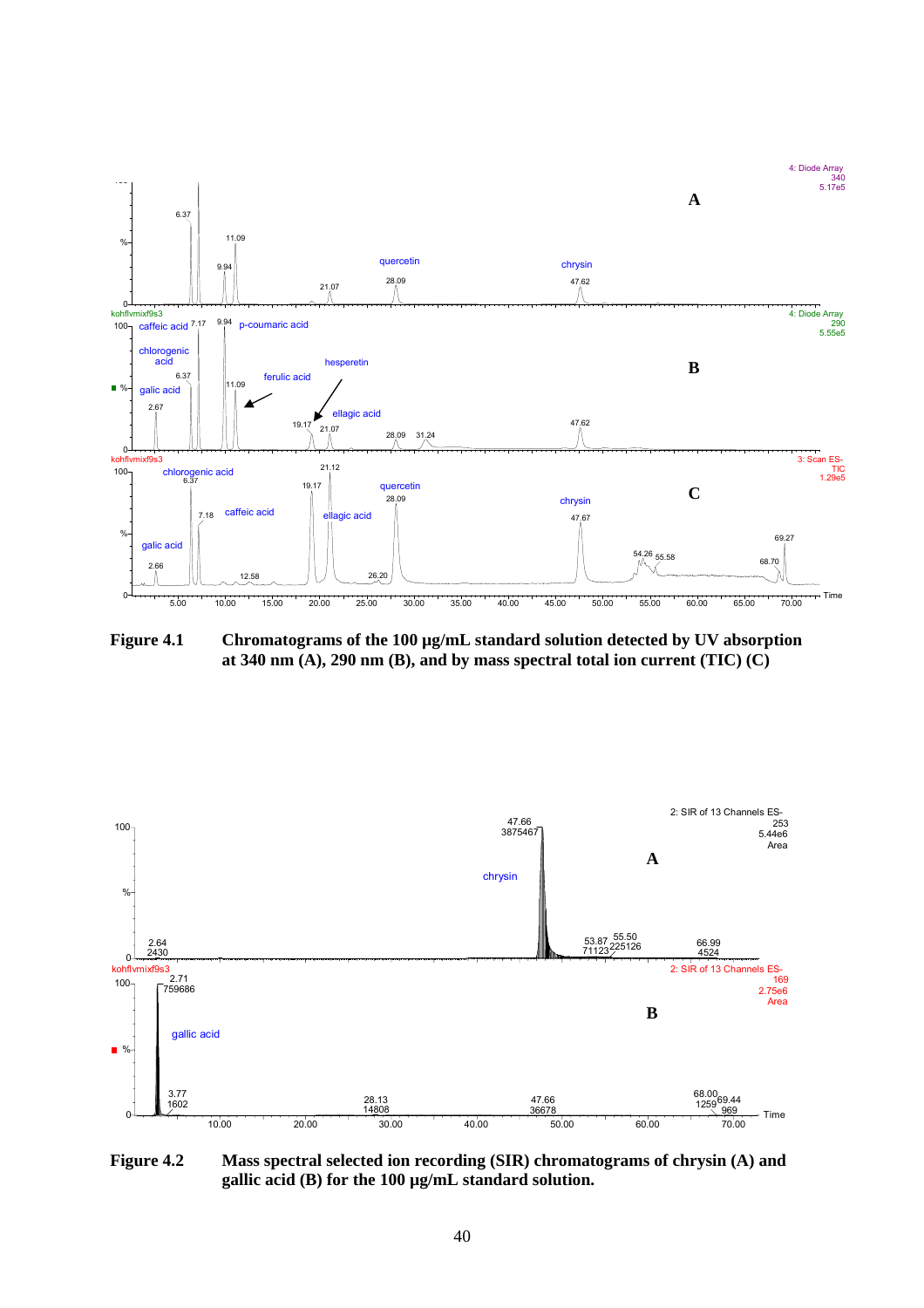

Figure 4.1 Chromatograms of the 100 µg/mL standard solution detected by UV absorption **at 340 nm (A), 290 nm (B), and by mass spectral total ion current (TIC) (C)** 



**Figure 4.2 Mass spectral selected ion recording (SIR) chromatograms of chrysin (A) and gallic acid (B) for the 100 µg/mL standard solution.**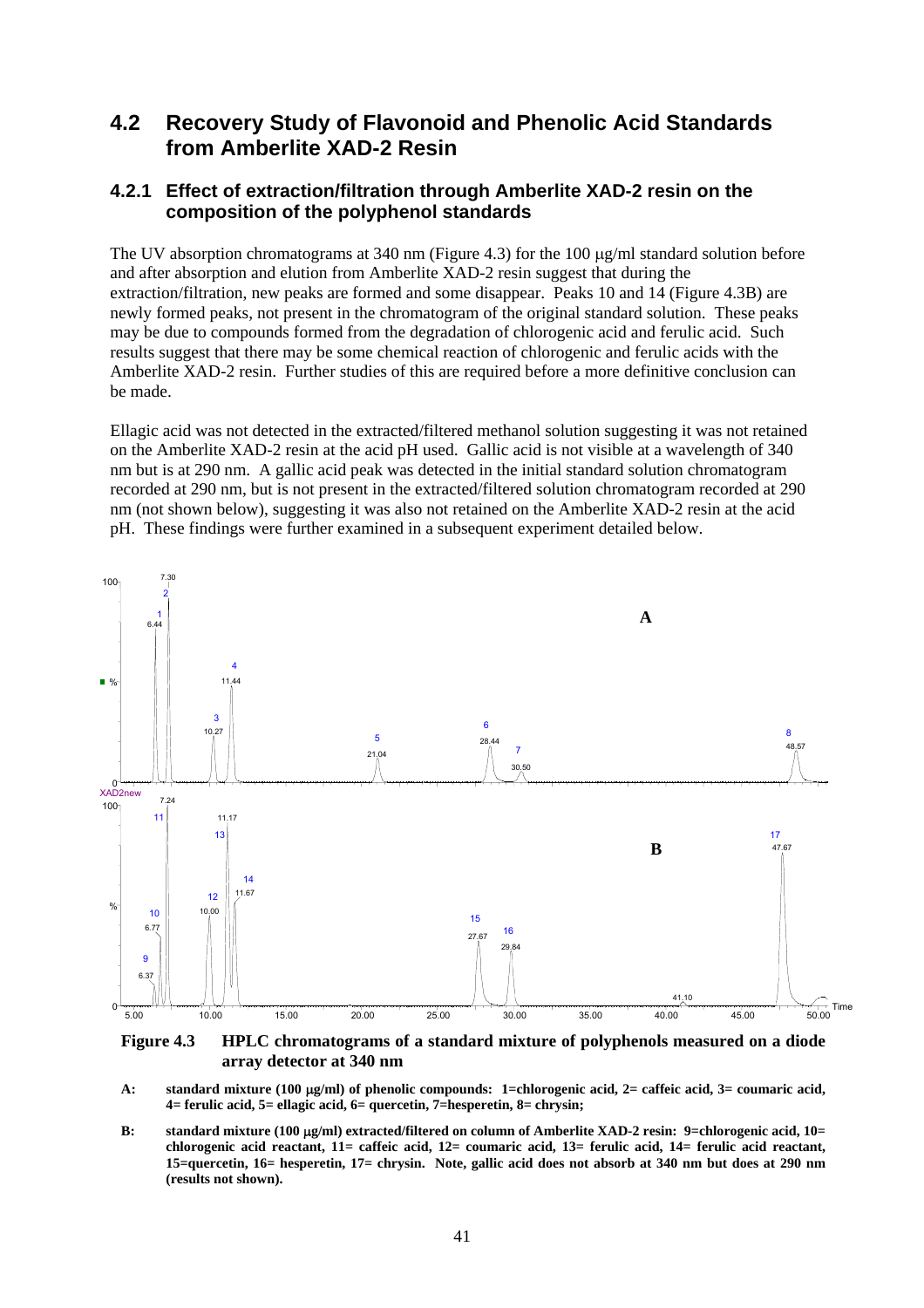### **4.2 Recovery Study of Flavonoid and Phenolic Acid Standards from Amberlite XAD-2 Resin**

### **4.2.1 Effect of extraction/filtration through Amberlite XAD-2 resin on the composition of the polyphenol standards**

The UV absorption chromatograms at 340 nm (Figure 4.3) for the 100 µg/ml standard solution before and after absorption and elution from Amberlite XAD-2 resin suggest that during the extraction/filtration, new peaks are formed and some disappear. Peaks 10 and 14 (Figure 4.3B) are newly formed peaks, not present in the chromatogram of the original standard solution. These peaks may be due to compounds formed from the degradation of chlorogenic acid and ferulic acid. Such results suggest that there may be some chemical reaction of chlorogenic and ferulic acids with the Amberlite XAD-2 resin. Further studies of this are required before a more definitive conclusion can be made.

Ellagic acid was not detected in the extracted/filtered methanol solution suggesting it was not retained on the Amberlite XAD-2 resin at the acid pH used. Gallic acid is not visible at a wavelength of 340 nm but is at 290 nm. A gallic acid peak was detected in the initial standard solution chromatogram recorded at 290 nm, but is not present in the extracted/filtered solution chromatogram recorded at 290 nm (not shown below), suggesting it was also not retained on the Amberlite XAD-2 resin at the acid pH. These findings were further examined in a subsequent experiment detailed below.



**Figure 4.3 HPLC chromatograms of a standard mixture of polyphenols measured on a diode array detector at 340 nm** 

- **A: standard mixture (100** µ**g/ml) of phenolic compounds: 1=chlorogenic acid, 2= caffeic acid, 3= coumaric acid, 4= ferulic acid, 5= ellagic acid, 6= quercetin, 7=hesperetin, 8= chrysin;**
- **B: standard mixture (100** µ**g/ml) extracted/filtered on column of Amberlite XAD-2 resin: 9=chlorogenic acid, 10= chlorogenic acid reactant, 11= caffeic acid, 12= coumaric acid, 13= ferulic acid, 14= ferulic acid reactant, 15=quercetin, 16= hesperetin, 17= chrysin. Note, gallic acid does not absorb at 340 nm but does at 290 nm (results not shown).**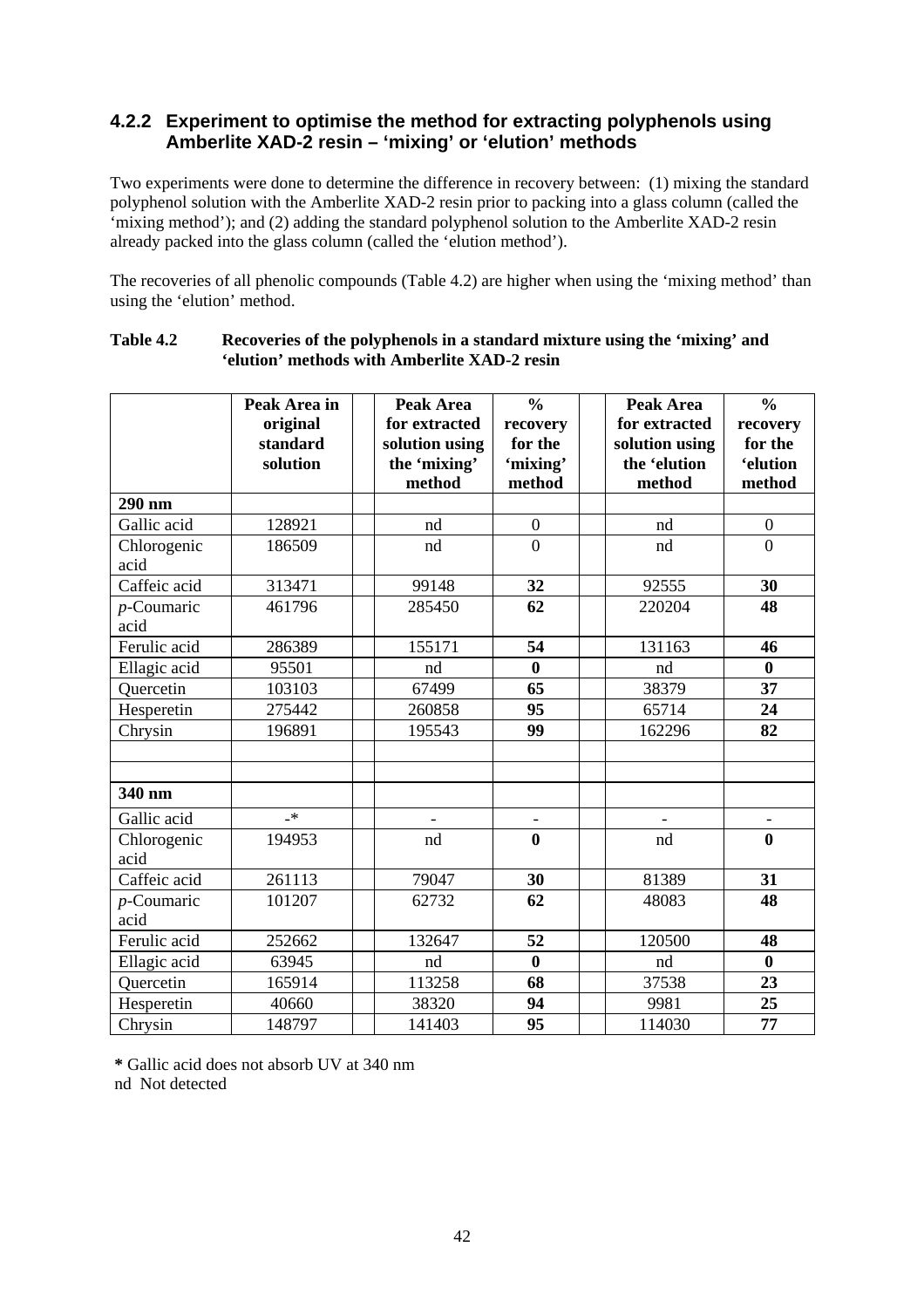### **4.2.2 Experiment to optimise the method for extracting polyphenols using Amberlite XAD-2 resin – 'mixing' or 'elution' methods**

Two experiments were done to determine the difference in recovery between: (1) mixing the standard polyphenol solution with the Amberlite XAD-2 resin prior to packing into a glass column (called the 'mixing method'); and (2) adding the standard polyphenol solution to the Amberlite XAD-2 resin already packed into the glass column (called the 'elution method').

The recoveries of all phenolic compounds (Table 4.2) are higher when using the 'mixing method' than using the 'elution' method.

|                       | Peak Area in<br>original<br>standard<br>solution | Peak Area<br>for extracted<br>solution using<br>the 'mixing'<br>method | $\frac{0}{0}$<br>recovery<br>for the<br>'mixing'<br>method | Peak Area<br>for extracted<br>solution using<br>the 'elution<br>method | $\frac{0}{0}$<br>recovery<br>for the<br><i>'elution</i><br>method |
|-----------------------|--------------------------------------------------|------------------------------------------------------------------------|------------------------------------------------------------|------------------------------------------------------------------------|-------------------------------------------------------------------|
| 290 nm                |                                                  |                                                                        |                                                            |                                                                        |                                                                   |
| Gallic acid           | 128921                                           | nd                                                                     | $\boldsymbol{0}$                                           | nd                                                                     | $\boldsymbol{0}$                                                  |
| Chlorogenic<br>acid   | 186509                                           | nd                                                                     | $\overline{0}$                                             | nd                                                                     | $\overline{0}$                                                    |
| Caffeic acid          | 313471                                           | 99148                                                                  | 32                                                         | 92555                                                                  | 30                                                                |
| $p$ -Coumaric<br>acid | 461796                                           | 285450                                                                 | 62                                                         | 220204                                                                 | 48                                                                |
| Ferulic acid          | 286389                                           | 155171                                                                 | 54                                                         | 131163                                                                 | 46                                                                |
| Ellagic acid          | 95501                                            | nd                                                                     | $\bf{0}$                                                   | nd                                                                     | $\bf{0}$                                                          |
| Quercetin             | 103103                                           | 67499                                                                  | 65                                                         | 38379                                                                  | 37                                                                |
| Hesperetin            | 275442                                           | 260858                                                                 | 95                                                         | 65714                                                                  | 24                                                                |
| Chrysin               | 196891                                           | 195543                                                                 | 99                                                         | 162296                                                                 | 82                                                                |
|                       |                                                  |                                                                        |                                                            |                                                                        |                                                                   |
|                       |                                                  |                                                                        |                                                            |                                                                        |                                                                   |
| 340 nm                |                                                  |                                                                        |                                                            |                                                                        |                                                                   |
| Gallic acid           | $\mathbf{R}$                                     |                                                                        | $\overline{\phantom{a}}$                                   |                                                                        |                                                                   |
| Chlorogenic           | 194953                                           | nd                                                                     | $\bf{0}$                                                   | nd                                                                     | $\bf{0}$                                                          |
| acid                  |                                                  |                                                                        |                                                            |                                                                        |                                                                   |
| Caffeic acid          | 261113                                           | 79047                                                                  | 30                                                         | 81389                                                                  | 31                                                                |
| $p$ -Coumaric         | 101207                                           | 62732                                                                  | 62                                                         | 48083                                                                  | 48                                                                |
| acid                  |                                                  |                                                                        |                                                            |                                                                        |                                                                   |
| Ferulic acid          | 252662                                           | 132647                                                                 | 52                                                         | 120500                                                                 | 48                                                                |
| Ellagic acid          | 63945                                            | nd                                                                     | $\bf{0}$                                                   | nd                                                                     | $\bf{0}$                                                          |
| Quercetin             | 165914                                           | 113258                                                                 | 68                                                         | 37538                                                                  | 23                                                                |
| Hesperetin            | 40660                                            | 38320                                                                  | 94                                                         | 9981                                                                   | 25                                                                |
| Chrysin               | 148797                                           | 141403                                                                 | 95                                                         | 114030                                                                 | 77                                                                |

#### **Table 4.2 Recoveries of the polyphenols in a standard mixture using the 'mixing' and 'elution' methods with Amberlite XAD-2 resin**

 **\*** Gallic acid does not absorb UV at 340 nm nd Not detected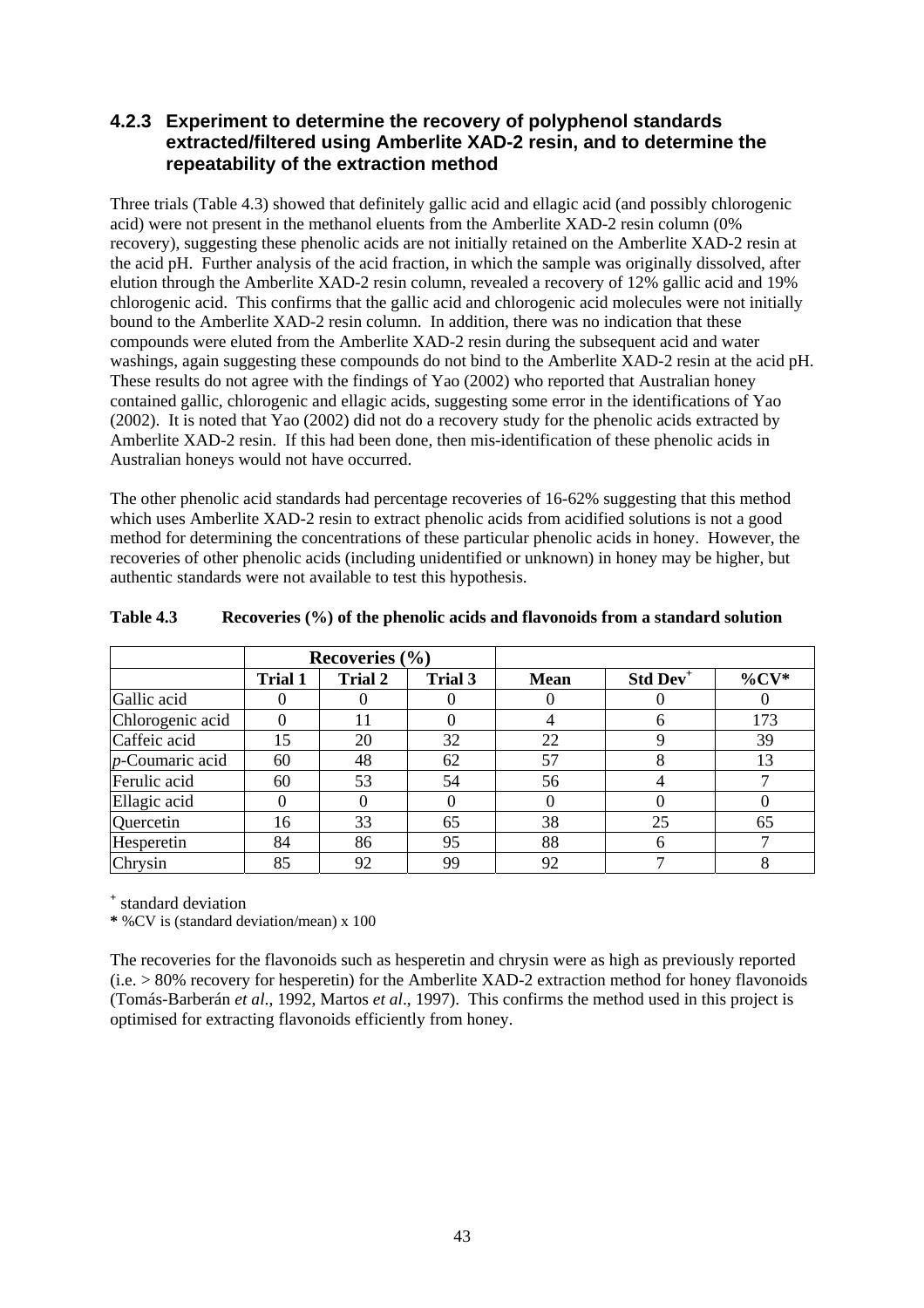### **4.2.3 Experiment to determine the recovery of polyphenol standards extracted/filtered using Amberlite XAD-2 resin, and to determine the repeatability of the extraction method**

Three trials (Table 4.3) showed that definitely gallic acid and ellagic acid (and possibly chlorogenic acid) were not present in the methanol eluents from the Amberlite XAD-2 resin column (0% recovery), suggesting these phenolic acids are not initially retained on the Amberlite XAD-2 resin at the acid pH. Further analysis of the acid fraction, in which the sample was originally dissolved, after elution through the Amberlite XAD-2 resin column, revealed a recovery of 12% gallic acid and 19% chlorogenic acid. This confirms that the gallic acid and chlorogenic acid molecules were not initially bound to the Amberlite XAD-2 resin column. In addition, there was no indication that these compounds were eluted from the Amberlite XAD-2 resin during the subsequent acid and water washings, again suggesting these compounds do not bind to the Amberlite XAD-2 resin at the acid pH. These results do not agree with the findings of Yao (2002) who reported that Australian honey contained gallic, chlorogenic and ellagic acids, suggesting some error in the identifications of Yao (2002). It is noted that Yao (2002) did not do a recovery study for the phenolic acids extracted by Amberlite XAD-2 resin. If this had been done, then mis-identification of these phenolic acids in Australian honeys would not have occurred.

The other phenolic acid standards had percentage recoveries of 16-62% suggesting that this method which uses Amberlite XAD-2 resin to extract phenolic acids from acidified solutions is not a good method for determining the concentrations of these particular phenolic acids in honey. However, the recoveries of other phenolic acids (including unidentified or unknown) in honey may be higher, but authentic standards were not available to test this hypothesis.

|                    |                | Recoveries $(\% )$ |         |             |                      |          |
|--------------------|----------------|--------------------|---------|-------------|----------------------|----------|
|                    | <b>Trial 1</b> | <b>Trial 2</b>     | Trial 3 | <b>Mean</b> | Std Dev <sup>+</sup> | $\%CV^*$ |
| Gallic acid        |                |                    |         |             |                      |          |
| Chlorogenic acid   |                |                    |         |             | h                    | 173      |
| Caffeic acid       | 15             | 20                 | 32      | 22          |                      | 39       |
| $p$ -Coumaric acid | 60             | 48                 | 62      | 57          | 8                    | 13       |
| Ferulic acid       | 60             | 53                 | 54      | 56          |                      |          |
| Ellagic acid       |                |                    |         |             |                      |          |
| Quercetin          | 16             | 33                 | 65      | 38          | 25                   | 65       |
| Hesperetin         | 84             | 86                 | 95      | 88          | 6                    |          |
| Chrysin            | 85             | 92                 | 99      | 92          |                      |          |

#### **Table 4.3 Recoveries (%) of the phenolic acids and flavonoids from a standard solution**

**+** standard deviation

**\*** %CV is (standard deviation/mean) x 100

The recoveries for the flavonoids such as hesperetin and chrysin were as high as previously reported  $(i.e. > 80\%$  recovery for hesperetin) for the Amberlite XAD-2 extraction method for honey flavonoids (Tomás-Barberán *et al*., 1992, Martos *et al*., 1997). This confirms the method used in this project is optimised for extracting flavonoids efficiently from honey.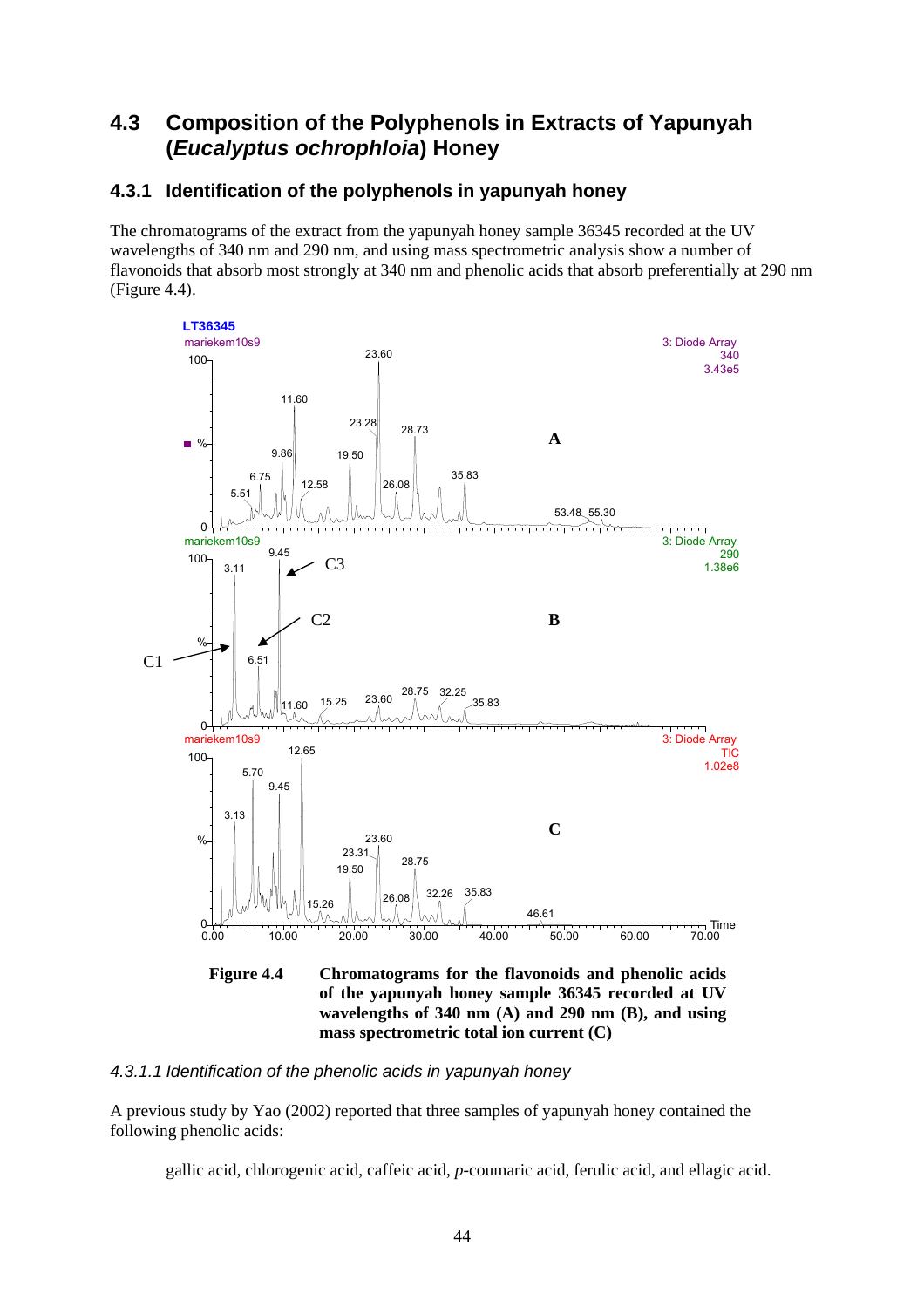# **4.3 Composition of the Polyphenols in Extracts of Yapunyah (***Eucalyptus ochrophloia***) Honey**

### **4.3.1 Identification of the polyphenols in yapunyah honey**

The chromatograms of the extract from the yapunyah honey sample 36345 recorded at the UV wavelengths of 340 nm and 290 nm, and using mass spectrometric analysis show a number of flavonoids that absorb most strongly at 340 nm and phenolic acids that absorb preferentially at 290 nm (Figure 4.4).



#### *4.3.1.1 Identification of the phenolic acids in yapunyah honey*

A previous study by Yao (2002) reported that three samples of yapunyah honey contained the following phenolic acids:

gallic acid, chlorogenic acid, caffeic acid, *p*-coumaric acid, ferulic acid, and ellagic acid.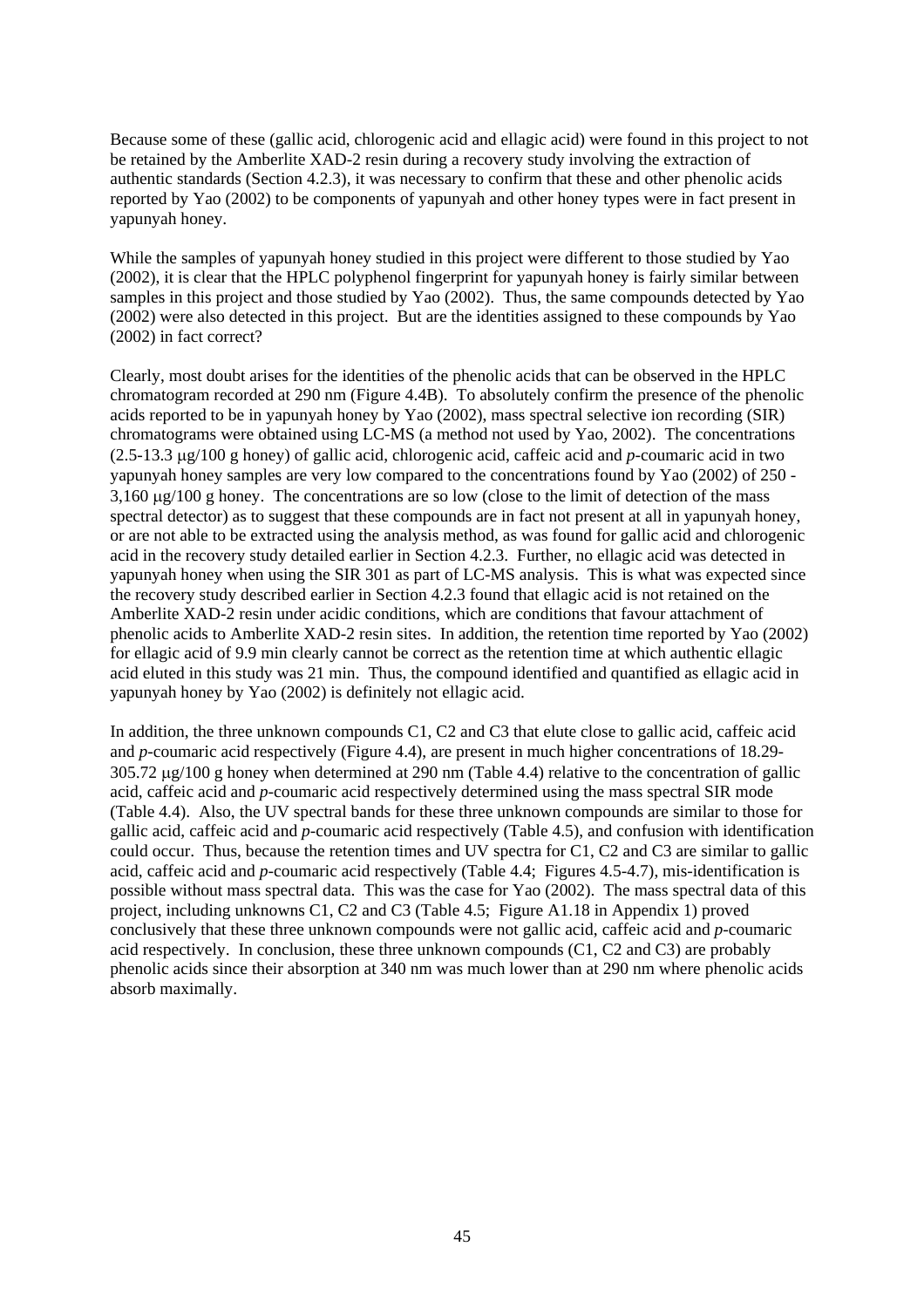Because some of these (gallic acid, chlorogenic acid and ellagic acid) were found in this project to not be retained by the Amberlite XAD-2 resin during a recovery study involving the extraction of authentic standards (Section 4.2.3), it was necessary to confirm that these and other phenolic acids reported by Yao (2002) to be components of yapunyah and other honey types were in fact present in yapunyah honey.

While the samples of yapunyah honey studied in this project were different to those studied by Yao (2002), it is clear that the HPLC polyphenol fingerprint for yapunyah honey is fairly similar between samples in this project and those studied by Yao (2002). Thus, the same compounds detected by Yao (2002) were also detected in this project. But are the identities assigned to these compounds by Yao (2002) in fact correct?

Clearly, most doubt arises for the identities of the phenolic acids that can be observed in the HPLC chromatogram recorded at 290 nm (Figure 4.4B). To absolutely confirm the presence of the phenolic acids reported to be in yapunyah honey by Yao (2002), mass spectral selective ion recording (SIR) chromatograms were obtained using LC-MS (a method not used by Yao, 2002). The concentrations (2.5-13.3 µg/100 g honey) of gallic acid, chlorogenic acid, caffeic acid and *p*-coumaric acid in two yapunyah honey samples are very low compared to the concentrations found by Yao (2002) of 250 -  $3,160 \text{ µg}/100 \text{ g}$  honey. The concentrations are so low (close to the limit of detection of the mass spectral detector) as to suggest that these compounds are in fact not present at all in yapunyah honey, or are not able to be extracted using the analysis method, as was found for gallic acid and chlorogenic acid in the recovery study detailed earlier in Section 4.2.3. Further, no ellagic acid was detected in yapunyah honey when using the SIR 301 as part of LC-MS analysis. This is what was expected since the recovery study described earlier in Section 4.2.3 found that ellagic acid is not retained on the Amberlite XAD-2 resin under acidic conditions, which are conditions that favour attachment of phenolic acids to Amberlite XAD-2 resin sites. In addition, the retention time reported by Yao (2002) for ellagic acid of 9.9 min clearly cannot be correct as the retention time at which authentic ellagic acid eluted in this study was 21 min. Thus, the compound identified and quantified as ellagic acid in yapunyah honey by Yao (2002) is definitely not ellagic acid.

In addition, the three unknown compounds C1, C2 and C3 that elute close to gallic acid, caffeic acid and *p*-coumaric acid respectively (Figure 4.4), are present in much higher concentrations of 18.29- 305.72 µg/100 g honey when determined at 290 nm (Table 4.4) relative to the concentration of gallic acid, caffeic acid and *p*-coumaric acid respectively determined using the mass spectral SIR mode (Table 4.4). Also, the UV spectral bands for these three unknown compounds are similar to those for gallic acid, caffeic acid and *p*-coumaric acid respectively (Table 4.5), and confusion with identification could occur. Thus, because the retention times and UV spectra for C1, C2 and C3 are similar to gallic acid, caffeic acid and *p*-coumaric acid respectively (Table 4.4; Figures 4.5-4.7), mis-identification is possible without mass spectral data. This was the case for Yao (2002). The mass spectral data of this project, including unknowns C1, C2 and C3 (Table 4.5; Figure A1.18 in Appendix 1) proved conclusively that these three unknown compounds were not gallic acid, caffeic acid and *p*-coumaric acid respectively. In conclusion, these three unknown compounds (C1, C2 and C3) are probably phenolic acids since their absorption at 340 nm was much lower than at 290 nm where phenolic acids absorb maximally.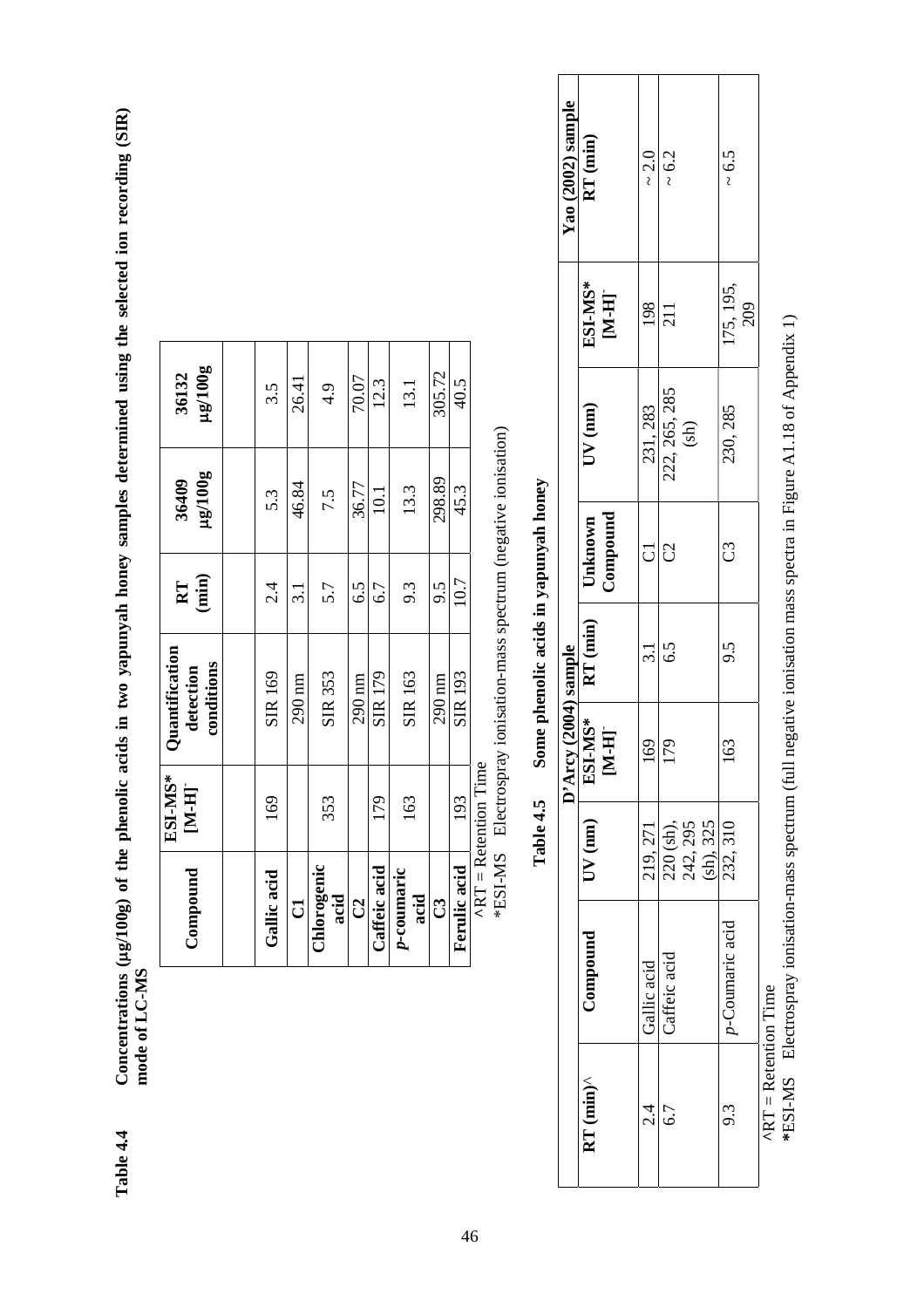**Table 4.4 Concentrations (**µ**g/100g) of the phenolic acids in two yapunyah honey samples determined using the selected ion recording (SIR)**  Concentrations (µg/100g) of the phenolic acids in two yapunyah honey samples determined using the selected ion recording (SIR) mode of LC-MS **mode of LC-MS**  Table 4.4

| Compound            | ESI-MS*<br>$[M-H]$             | <b>Quantification</b><br>conditions<br>detection | $RT$<br>(min) | $\mu$ g $/100$ g<br>36409 | $\mu$ g $100$ g<br>36132 |
|---------------------|--------------------------------|--------------------------------------------------|---------------|---------------------------|--------------------------|
|                     |                                |                                                  |               |                           |                          |
| Gallic acid         | 169                            | SIR 169                                          | $2\dot{4}$    | 53                        | 3.5                      |
| $\overline{C}$      |                                | 290 nm                                           | 3.1           | 46.84                     | 26.41                    |
| Chlorogenic<br>acid | 353                            | <b>SIR 353</b>                                   | 5.7           | 7.5                       | 4.9                      |
| $\mathcal{C}$       |                                | 290 nm                                           | 6.5           | 36.77                     | 70.07                    |
| Caffeic acid        | 179                            | SIR 179                                          | 6.7           | 10.1                      | 12.3                     |
| p-coumaric<br>acid  | 163                            | SIR 163                                          | 9.3           | 13.3                      | 13.1                     |
| පි                  |                                | 290 nm                                           | 9.5           | 298.89                    | 305.72                   |
| Ferulic acid        | 193                            | <b>SIR 193</b>                                   | 10.7          | 45.3                      | 40.5                     |
|                     | $^{\wedge}RT =$ Retention Time |                                                  |               |                           |                          |

\*ESI-MS Electrospray ionisation-mass spectrum (negative ionisation) \*ESI-MS Electrospray ionisation-mass spectrum (negative ionisation)

**Table 4.5 Some phenolic acids in yapunyah honey**  Some phenolic acids in yapunyah honey Table 4.5

|                               |                 |                                    | D'Arcy (2004) sample |                                                                                                 |                     |                       |                  | Yao (2002) sample |
|-------------------------------|-----------------|------------------------------------|----------------------|-------------------------------------------------------------------------------------------------|---------------------|-----------------------|------------------|-------------------|
| $RT (min)^{\wedge}$           | Compound        | $UV$ $(mn)$                        |                      | $\begin{array}{c c} \textbf{EST-MS*} & \textbf{RT (min)} \\ \textbf{[M-H] } & & \\ \end{array}$ | Compound<br>Unknown | $UV$ (nm)             | ESI-MS*<br>[M-H] | $RT$ (min)        |
| 2.4<br>2                      | Gallic acid     | 219, 271                           | 169                  | $\frac{31}{5}$                                                                                  | J                   | 231, 283              | 198              | $\sim$ 2.0        |
| 6.7                           | Caffeic acid    | 220 (sh),<br>242, 295<br>(sh), 325 | 179                  | 6.5                                                                                             | C                   | 222, 265, 285<br>(sh) | 211              | $\sim 6.2$        |
| 9.3                           | p-Coumaric acid | 232, 310                           | 163                  | 9.5                                                                                             | ටී                  | 230, 285              | 175, 195,<br>209 | $\sim 6.5$        |
| $^{\circ}RT =$ Retention Time |                 |                                    |                      |                                                                                                 |                     |                       |                  |                   |

\*ESI-MS Electrospray ionisation-mass spectrum (full negative ionisation mass spectra in Figure A1.18 of Appendix 1) **\***ESI-MS Electrospray ionisation-mass spectrum (full negative ionisation mass spectra in Figure A1.18 of Appendix 1)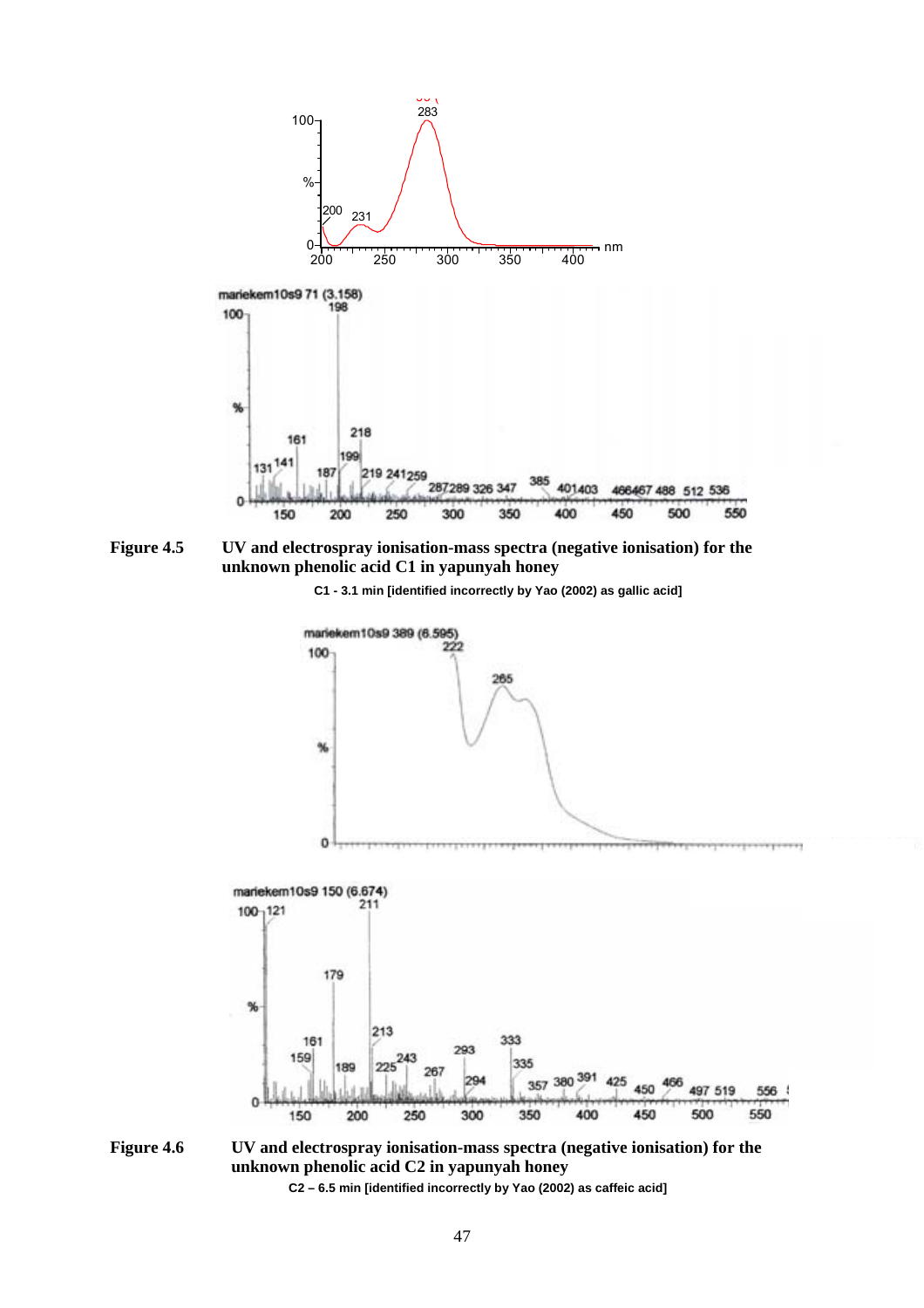

**Figure 4.5 UV and electrospray ionisation-mass spectra (negative ionisation) for the unknown phenolic acid C1 in yapunyah honey** 

 **C1 - 3.1 min [identified incorrectly by Yao (2002) as gallic acid]** 



**Figure 4.6 UV and electrospray ionisation-mass spectra (negative ionisation) for the unknown phenolic acid C2 in yapunyah honey C2 – 6.5 min [identified incorrectly by Yao (2002) as caffeic acid]**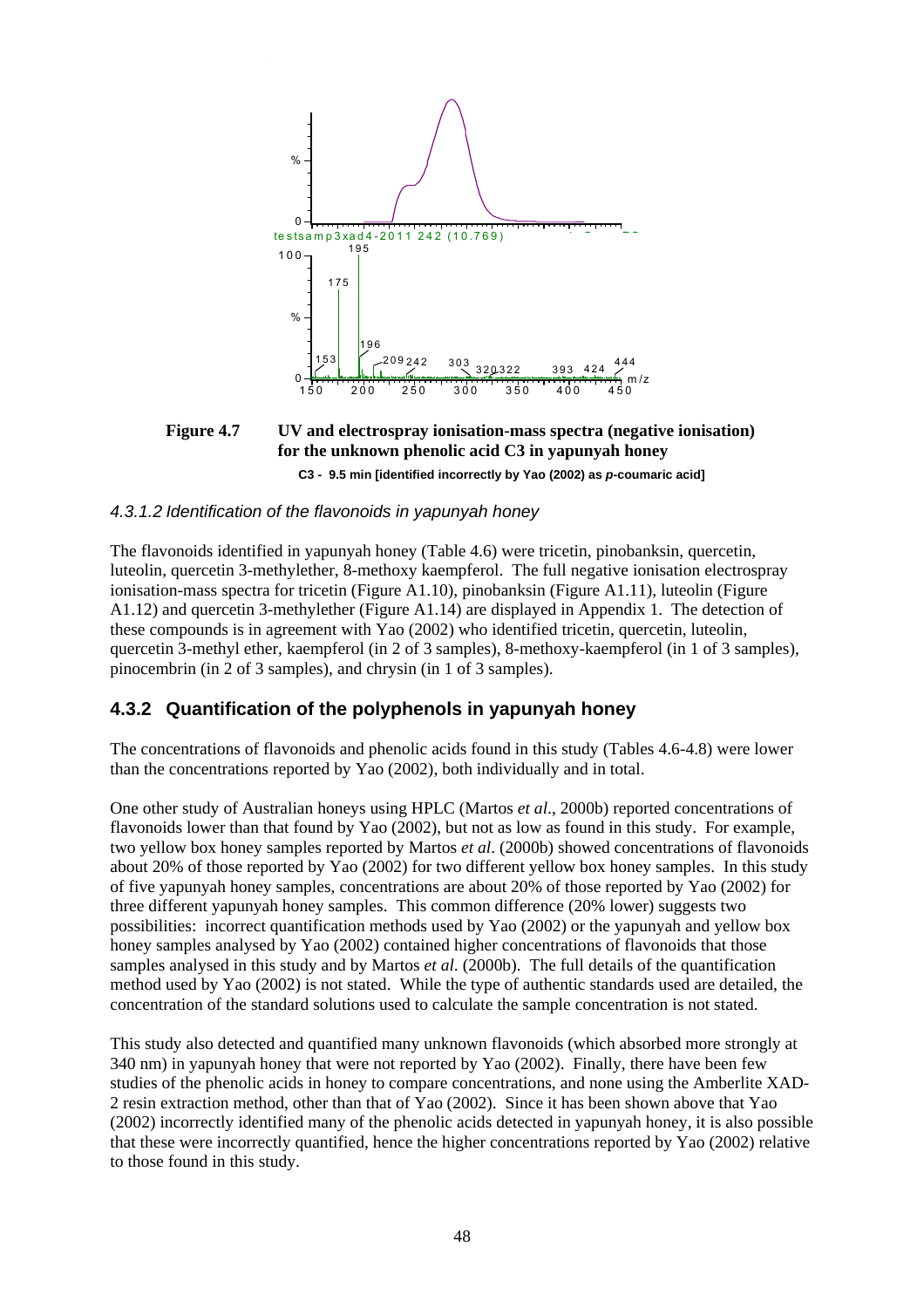

**Figure 4.7 UV and electrospray ionisation-mass spectra (negative ionisation) for the unknown phenolic acid C3 in yapunyah honey C3 - 9.5 min [identified incorrectly by Yao (2002) as** *p***-coumaric acid]** 

#### *4.3.1.2 Identification of the flavonoids in yapunyah honey*

The flavonoids identified in yapunyah honey (Table 4.6) were tricetin, pinobanksin, quercetin, luteolin, quercetin 3-methylether, 8-methoxy kaempferol. The full negative ionisation electrospray ionisation-mass spectra for tricetin (Figure A1.10), pinobanksin (Figure A1.11), luteolin (Figure A1.12) and quercetin 3-methylether (Figure A1.14) are displayed in Appendix 1. The detection of these compounds is in agreement with Yao (2002) who identified tricetin, quercetin, luteolin, quercetin 3-methyl ether, kaempferol (in 2 of 3 samples), 8-methoxy-kaempferol (in 1 of 3 samples), pinocembrin (in 2 of 3 samples), and chrysin (in 1 of 3 samples).

#### **4.3.2 Quantification of the polyphenols in yapunyah honey**

The concentrations of flavonoids and phenolic acids found in this study (Tables 4.6-4.8) were lower than the concentrations reported by Yao (2002), both individually and in total.

One other study of Australian honeys using HPLC (Martos *et al*., 2000b) reported concentrations of flavonoids lower than that found by Yao (2002), but not as low as found in this study. For example, two yellow box honey samples reported by Martos *et al*. (2000b) showed concentrations of flavonoids about 20% of those reported by Yao (2002) for two different yellow box honey samples. In this study of five yapunyah honey samples, concentrations are about 20% of those reported by Yao (2002) for three different yapunyah honey samples. This common difference (20% lower) suggests two possibilities: incorrect quantification methods used by Yao (2002) or the yapunyah and yellow box honey samples analysed by Yao (2002) contained higher concentrations of flavonoids that those samples analysed in this study and by Martos *et al*. (2000b). The full details of the quantification method used by Yao (2002) is not stated. While the type of authentic standards used are detailed, the concentration of the standard solutions used to calculate the sample concentration is not stated.

This study also detected and quantified many unknown flavonoids (which absorbed more strongly at 340 nm) in yapunyah honey that were not reported by Yao (2002). Finally, there have been few studies of the phenolic acids in honey to compare concentrations, and none using the Amberlite XAD-2 resin extraction method, other than that of Yao (2002). Since it has been shown above that Yao (2002) incorrectly identified many of the phenolic acids detected in yapunyah honey, it is also possible that these were incorrectly quantified, hence the higher concentrations reported by Yao (2002) relative to those found in this study.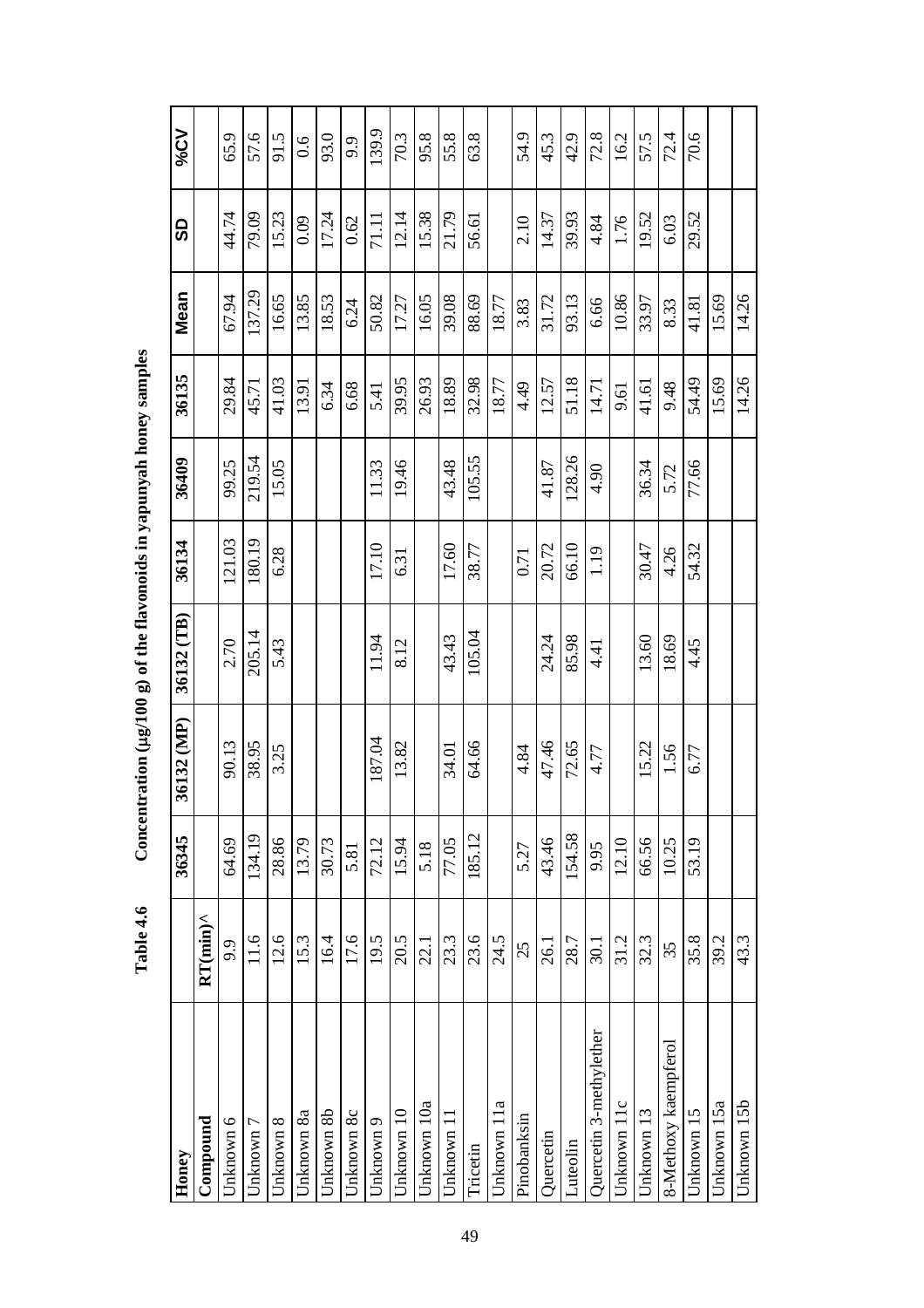| Honey                        |                    | 36345  | 36132 (MP) | 36132 (TB) | 36134  | 36409  | 36135 | Mean   | 9     | V2%   |
|------------------------------|--------------------|--------|------------|------------|--------|--------|-------|--------|-------|-------|
| $\mathop{\mathrm{Componnd}}$ | $RT(min)^{\wedge}$ |        |            |            |        |        |       |        |       |       |
| Unknown 6                    | 9.9                | 64.69  | 90.13      | 2.70       | 121.03 | 99.25  | 29.84 | 67.94  | 44.74 | 65.9  |
| Jnknown 7                    | 11.6               | 134.19 | 38.95      | 205.14     | 80.19  | 219.54 | 45.71 | 137.29 | 79.09 | 57.6  |
| Unknown 8                    | 12.6               | 28.86  | 3.25       | 5.43       | 6.28   | 15.05  | 41.03 | 16.65  | 15.23 | 91.5  |
| Unknown 8a                   | 15.3               | 13.79  |            |            |        |        | 13.91 | 13.85  | 0.09  | 0.6   |
| Unknown 8b                   | 16.4               | 30.73  |            |            |        |        | 6.34  | 18.53  | 17.24 | 93.0  |
| Unknown 8c                   | 17.6               | 5.81   |            |            |        |        | 6.68  | 6.24   | 0.62  | 9.9   |
| Unknown 9                    | 19.5               | 72.12  | 187.04     | 11.94      | 17.10  | 11.33  | 5.41  | 50.82  | 71.11 | 139.9 |
| Unknown 10                   | 20.5               | 15.94  | 13.82      | 8.12       | 6.31   | 19.46  | 39.95 | 17.27  | 12.14 | 70.3  |
| Unknown 10a                  | 22.1               | 5.18   |            |            |        |        | 26.93 | 16.05  | 15.38 | 95.8  |
| Unknown 11                   | 23.3               | 77.05  | 34.01      | 43.43      | 17.60  | 43.48  | 18.89 | 39.08  | 21.79 | 55.8  |
| Tricetin                     | 23.6               | 185.12 | 64.66      | 105.04     | 38.77  | 105.55 | 32.98 | 88.69  | 56.61 | 63.8  |
| Unknown 11a                  | 24.5               |        |            |            |        |        | 18.77 | 18.77  |       |       |
| Pinobanksin                  | 25                 | 5.27   | 4.84       |            | 0.71   |        | 4.49  | 3.83   | 2.10  | 54.9  |
| Quercetin                    | 26.1               | 43.46  | 47.46      | 24.24      | 20.72  | 41.87  | 12.57 | 31.72  | 14.37 | 45.3  |
| Luteolin                     | 28.7               | 154.58 | 72.65      | 85.98      | 66.10  | 128.26 | 51.18 | 93.13  | 39.93 | 42.9  |
| Quercetin 3-methylether      | 30.1               | 9.95   | 4.77       | 4.41       | 1.19   | 4.90   | 14.71 | 6.66   | 4.84  | 72.8  |
| Unknown 11c                  | 31.2               | 12.10  |            |            |        |        | 9.61  | 10.86  | 1.76  | 16.2  |
| Unknown 13                   | 32.3               | 66.56  | 15.22      | 13.60      | 30.47  | 36.34  | 41.61 | 33.97  | 19.52 | 57.5  |
| 8-Methoxy kaempferol         | 35                 | 10.25  | 1.56       | 18.69      | 4.26   | 5.72   | 9.48  | 8.33   | 6.03  | 72.4  |
| Unknown 15                   | 35.8               | 53.19  | 6.77       | 4.45       | 54.32  | 77.66  | 54.49 | 41.81  | 29.52 | 70.6  |
| Jnknown 15a                  | 39.2               |        |            |            |        |        | 15.69 | 15.69  |       |       |
| Unknown 15b                  | 43.3               |        |            |            |        |        | 14.26 | 14.26  |       |       |

Concentration ( $\mu$ g/100 g) of the flavonoids in yapunyah honey samples **Table 4.6 Concentration (**µ**g/100 g) of the flavonoids in yapunyah honey samples**  Table 4.6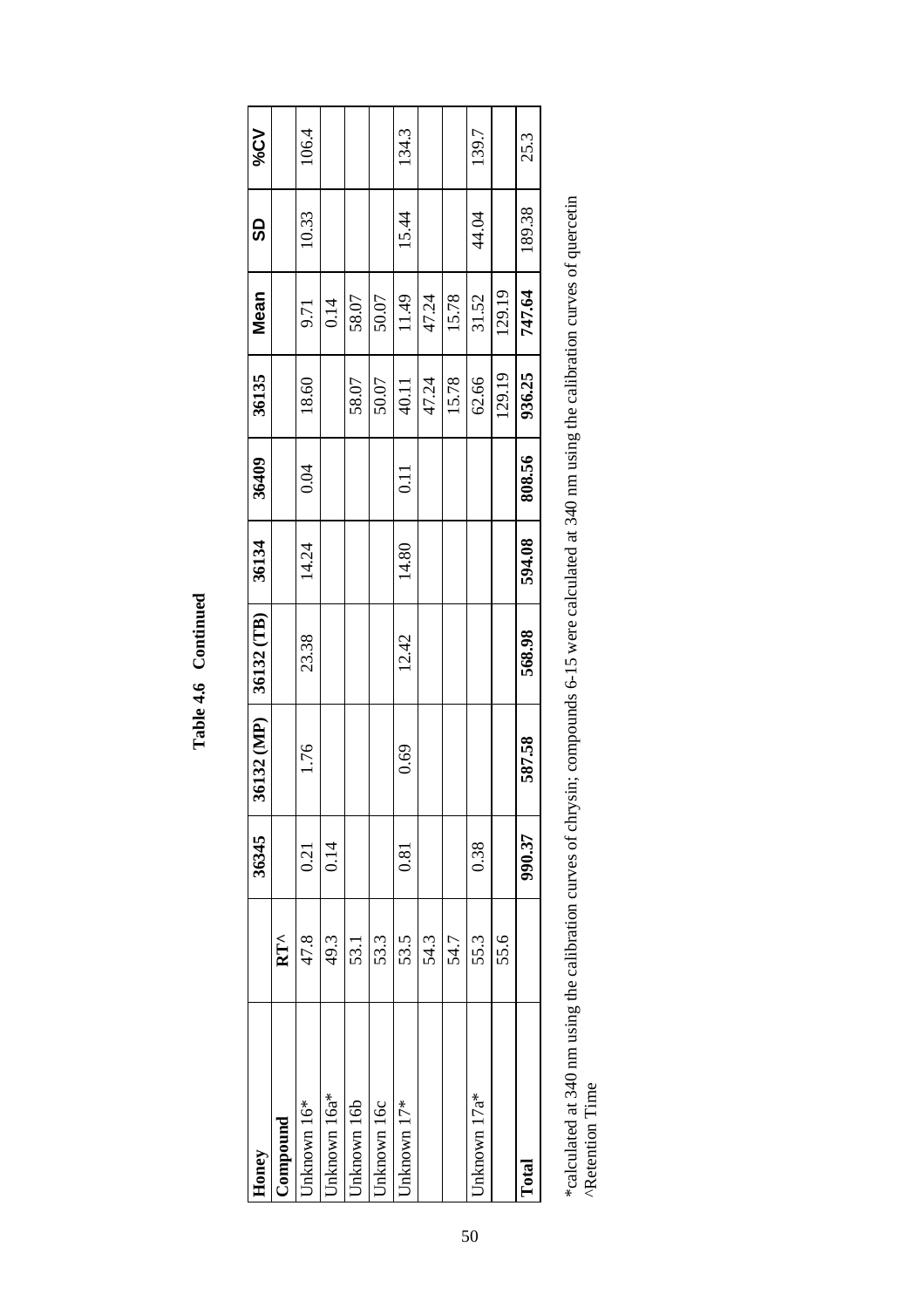| Honey       |               | 36345  | 36132 (MP) | 36132 (TB) | 36134  | 36409  | 36135  | Mean   | <u>ဓ</u> | V2%   |
|-------------|---------------|--------|------------|------------|--------|--------|--------|--------|----------|-------|
| ompound     | $RT^{\wedge}$ |        |            |            |        |        |        |        |          |       |
| nknown 16*  | 47.8          | 0.21   | 1.76       | 23.38      | 14.24  | 0.04   | 18.60  | 9.71   | 10.33    | 106.4 |
| nknown 16a* | 49.3          | 0.14   |            |            |        |        |        | 0.14   |          |       |
| nknown 16b  | 53.1          |        |            |            |        |        | 58.07  | 58.07  |          |       |
| nknown 16c  | 53.3          |        |            |            |        |        | 50.07  | 50.07  |          |       |
| nknown 17*  | 53.5          | 0.81   | 0.69       | 12.42      | 14.80  | 0.11   | 40.11  | 11.49  | 15.44    | 134.3 |
|             | 54.3          |        |            |            |        |        | 47.24  | 47.24  |          |       |
|             | 54.7          |        |            |            |        |        | 15.78  | 15.78  |          |       |
| nknown 17a* | 55.3          | 0.38   |            |            |        |        | 62.66  | 31.52  | 44.04    | 139.7 |
|             | 55.6          |        |            |            |        |        | 129.19 | 129.19 |          |       |
| Total       |               | 990.37 | 587.58     | 568.98     | 594.08 | 808.56 | 936.25 | 747.64 | 189.38   | 25.3  |
|             |               |        |            |            |        |        |        |        |          |       |

**Table 4.6 Continued**  Table 4.6 Continued \*calculated at 340 nm using the calibration curves of chrysin; compounds 6-15 were calculated at 340 nm using the calibration curves of quercetin<br>^Retention Time \*calculated at 340 nm using the calibration curves of chrysin; compounds 6-15 were calculated at 340 nm using the calibration curves of quercetin ^Retention Time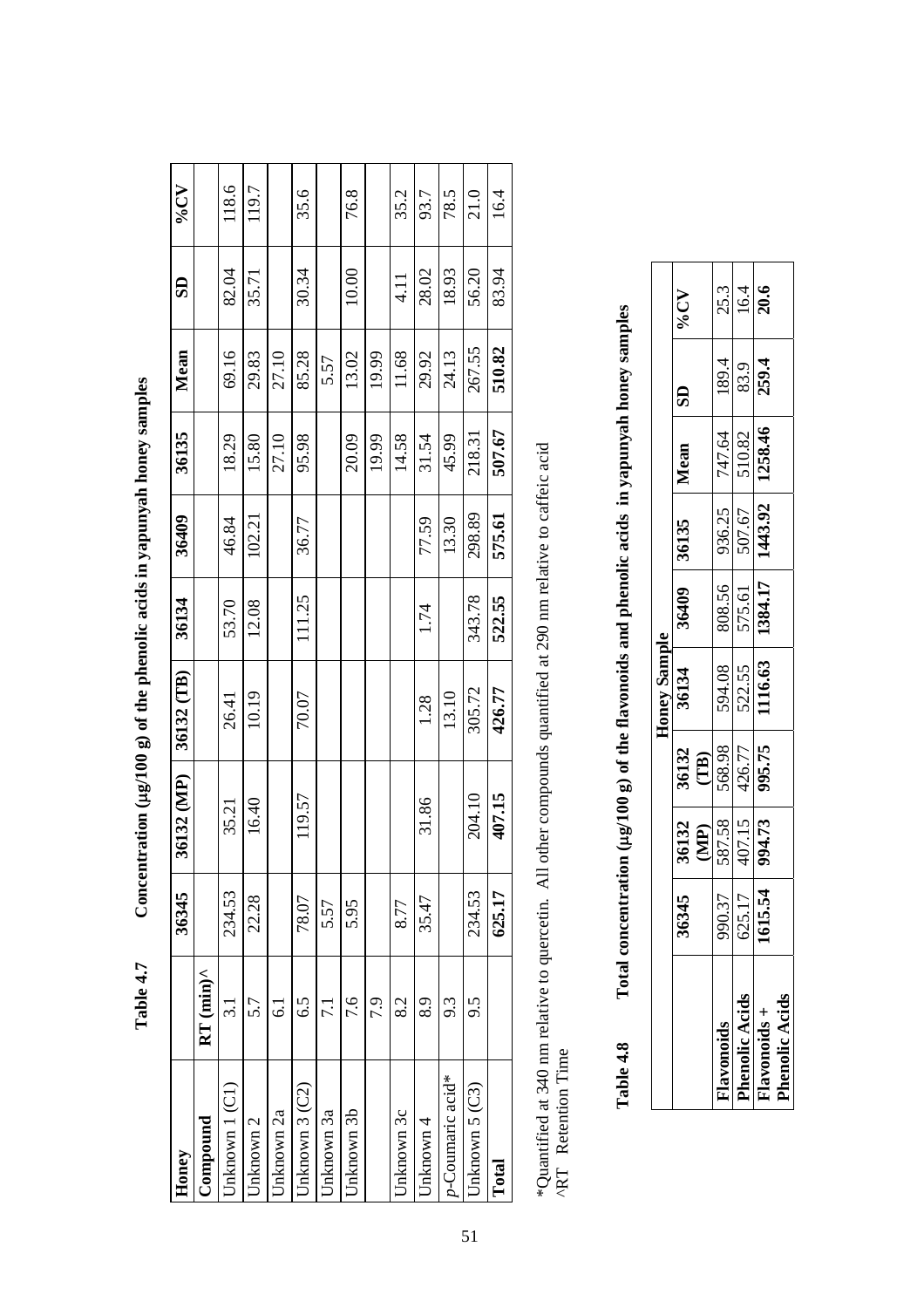Concentration (µg/100 g) of the phenolic acids in yapunyah honey samples  **Table 4.7 Concentration (**µ**g/100 g) of the phenolic acids in yapunyah honey samples**  Table 4.7

| Honey            |                                           | 36345  | 36132 (MP) | 36132 (TB) | 36134  | 36409  | 36135  | Mean   | $\overline{\mathbf{S}}$ | $\Lambda$ <sup>2</sup> % |
|------------------|-------------------------------------------|--------|------------|------------|--------|--------|--------|--------|-------------------------|--------------------------|
| <b>Compound</b>  | $RT$ (min) <sup><math>\wedge</math></sup> |        |            |            |        |        |        |        |                         |                          |
| Jnknown 1 (C1)   | $\frac{1}{3}$                             | 234.53 | 35.21      | 26.41      | 53.70  | 46.84  | 18.29  | 69.16  | 82.04                   | 118.6                    |
| Jnknown 2        | 5.7                                       | 22.28  | 16.40      | 10.19      | 12.08  | 102.21 | 15.80  | 29.83  | 35.71                   | 119.7                    |
| Jnknown 2a       | 5                                         |        |            |            |        |        | 27.10  | 27.10  |                         |                          |
| Jnknown 3 (C2)   | 6.5                                       | 78.07  | 119.57     | 70.07      | 111.25 | 36.77  | 95.98  | 85.28  | 30.34                   | 35.6                     |
| Jnknown 3a       | 7.1                                       | 5.57   |            |            |        |        |        | 5.57   |                         |                          |
| Jnknown 3b       | 7.6                                       | 5.95   |            |            |        |        | 20.09  | 13.02  | 10.00                   | 76.8                     |
|                  | 7.9                                       |        |            |            |        |        | 19.99  | 19.99  |                         |                          |
| Jnknown 3c       | 8.2                                       | 8.77   |            |            |        |        | 14.58  | 11.68  | 4.11                    | 35.2                     |
| Jnknown 4        | 8.9                                       | 35.47  | 31.86      | 1.28       | 1.74   | 77.59  | 31.54  | 29.92  | 28.02                   | 93.7                     |
| p-Coumaric acid* | 9.3                                       |        |            | 13.10      |        | 13.30  | 45.99  | 24.13  | 18.93                   | 78.5                     |
| Jnknown 5 (C3)   | 9.5                                       | 234.53 | 204.10     | 305.72     | 343.78 | 298.89 | 218.31 | 267.55 | 56.20                   | 21.0                     |
| Total            |                                           | 625.17 | 407.15     | 426.77     | 522.55 | 575.61 | 507.67 | 510.82 | 83.94                   | 16.4                     |

\*Quantified at 340 nm relative to quercetin. All other compounds quantified at 290 nm relative to caffeic acid<br>^RT Retention Time \*Quantified at 340 nm relative to quercetin. All other compounds quantified at 290 nm relative to caffeic acid ^RT Retention Time

Total concentration (µg/100 g) of the flavonoids and phenolic acids in yapunyah honey samples **Table 4.8 Total concentration (**µ**g/100 g) of the flavonoids and phenolic acids in yapunyah honey samples**  Table 4.8

|              |         |                                             |                                                    | Honey Sample                       |                         |                                                                                                               |                                    |                      |                     |
|--------------|---------|---------------------------------------------|----------------------------------------------------|------------------------------------|-------------------------|---------------------------------------------------------------------------------------------------------------|------------------------------------|----------------------|---------------------|
|              | 56345   | 36132                                       | 36132<br><u>(TB)</u><br>568.98<br>426.77<br>995.75 | 36134                              | 36409                   | 36135                                                                                                         | I Mean                             | $\frac{1}{1}$        | <b>AD%</b>          |
| avonoid      | 990.37  | $\frac{\text{(MP)}}{\frac{587.58}{407.15}}$ |                                                    |                                    |                         |                                                                                                               |                                    |                      |                     |
| henolic Acid | 625.17  |                                             |                                                    | $\frac{594.08}{522.55}$<br>1116.63 | $\frac{808.56}{575.61}$ | $\begin{array}{ c c c }\n\hline\n & 936.25 \\ \hline\n & 507.67 \\ \hline\n & 1443.92 \\ \hline\n\end{array}$ | $\frac{747.64}{510.82}$<br>1258.46 | $\frac{189.4}{83.9}$ | $\frac{25.3}{16.4}$ |
| avonoids     | 1615.54 |                                             |                                                    |                                    |                         |                                                                                                               |                                    |                      |                     |
| henolic Acid |         |                                             |                                                    |                                    |                         |                                                                                                               |                                    |                      |                     |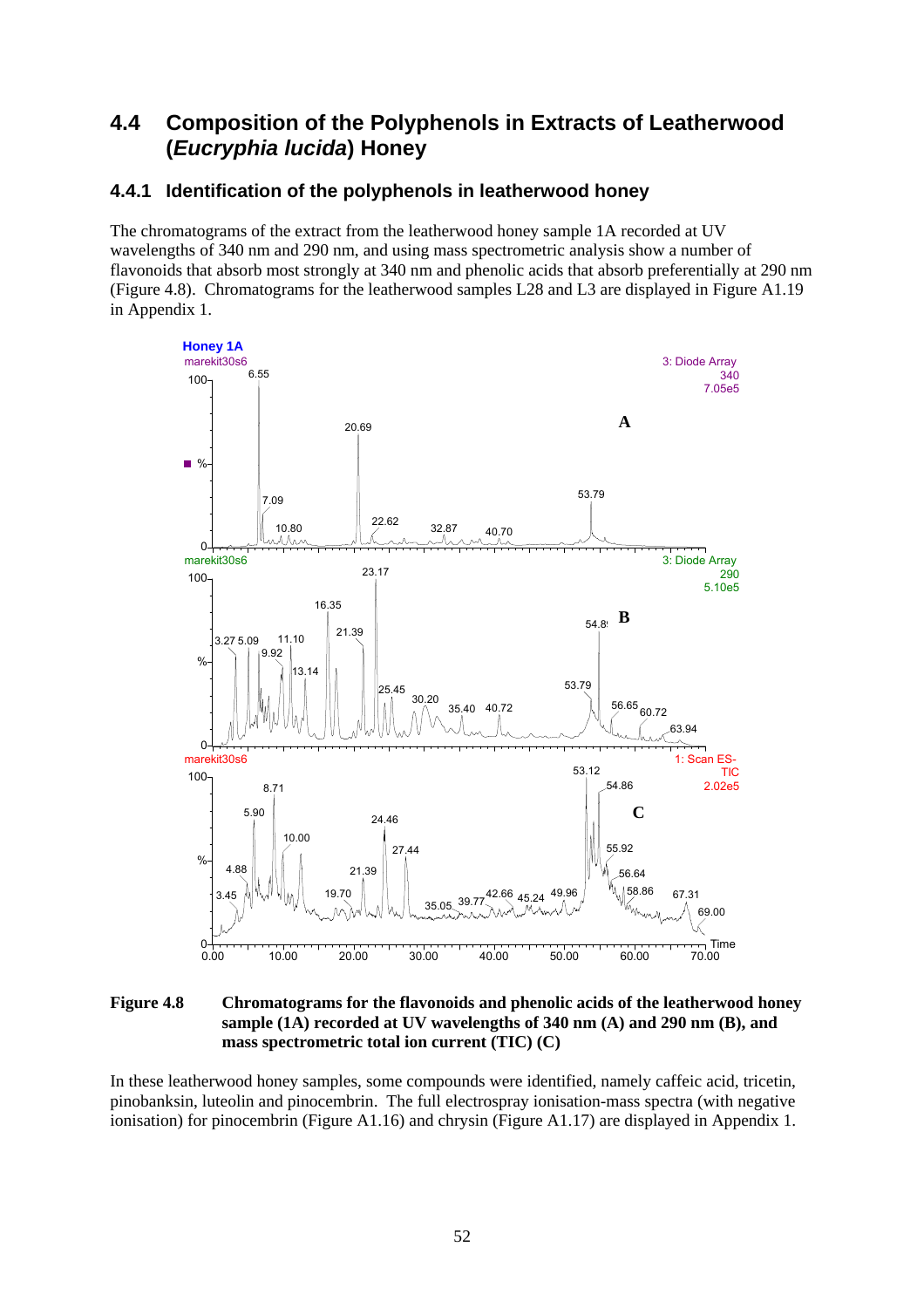# **4.4 Composition of the Polyphenols in Extracts of Leatherwood (***Eucryphia lucida***) Honey**

### **4.4.1 Identification of the polyphenols in leatherwood honey**

The chromatograms of the extract from the leatherwood honey sample 1A recorded at UV wavelengths of 340 nm and 290 nm, and using mass spectrometric analysis show a number of flavonoids that absorb most strongly at 340 nm and phenolic acids that absorb preferentially at 290 nm (Figure 4.8). Chromatograms for the leatherwood samples L28 and L3 are displayed in Figure A1.19 in Appendix 1.



**Figure 4.8 Chromatograms for the flavonoids and phenolic acids of the leatherwood honey sample (1A) recorded at UV wavelengths of 340 nm (A) and 290 nm (B), and mass spectrometric total ion current (TIC) (C)** 

In these leatherwood honey samples, some compounds were identified, namely caffeic acid, tricetin, pinobanksin, luteolin and pinocembrin. The full electrospray ionisation-mass spectra (with negative ionisation) for pinocembrin (Figure A1.16) and chrysin (Figure A1.17) are displayed in Appendix 1.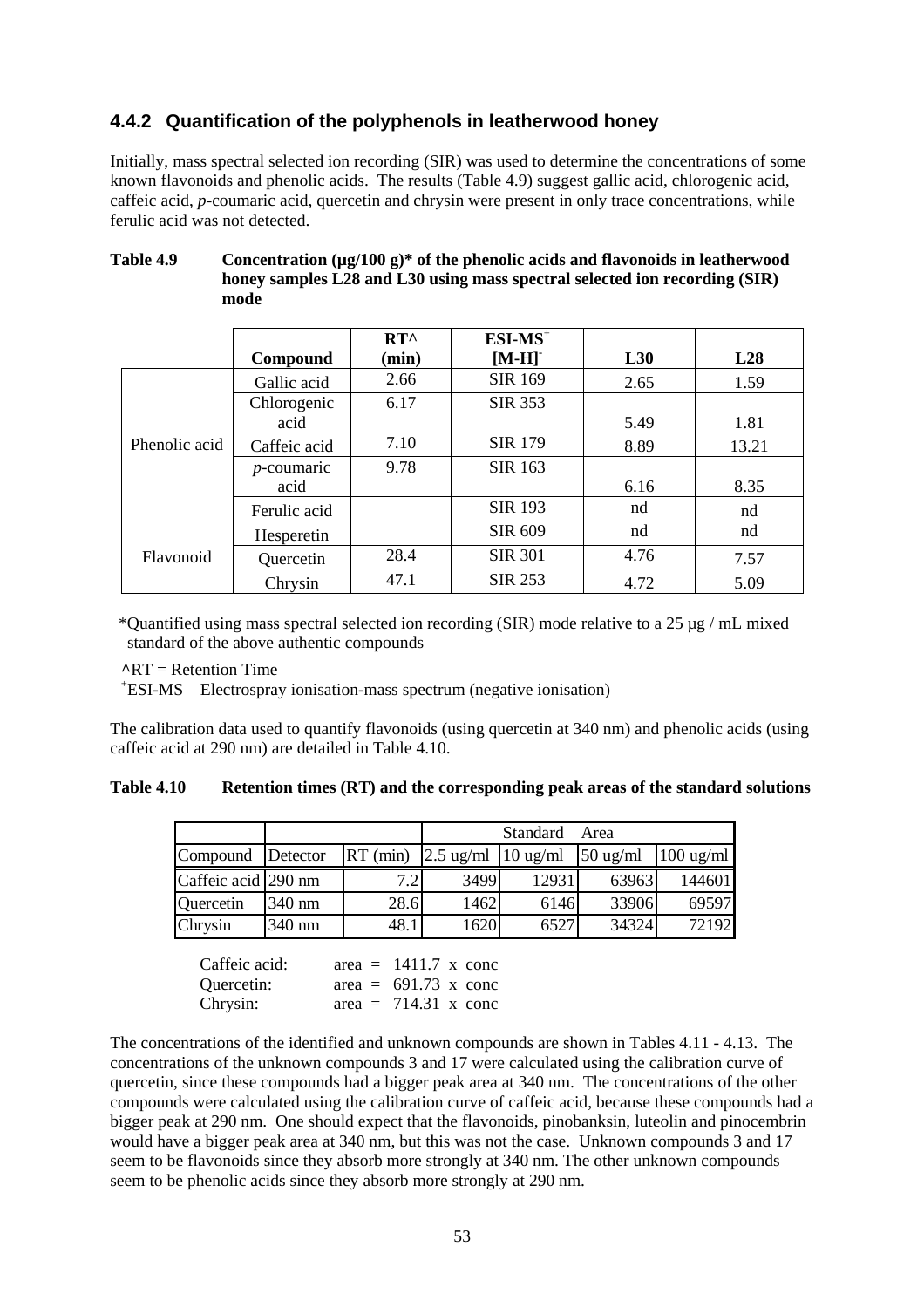### **4.4.2 Quantification of the polyphenols in leatherwood honey**

Initially, mass spectral selected ion recording (SIR) was used to determine the concentrations of some known flavonoids and phenolic acids. The results (Table 4.9) suggest gallic acid, chlorogenic acid, caffeic acid, *p*-coumaric acid, quercetin and chrysin were present in only trace concentrations, while ferulic acid was not detected.

|               |               | $RT^{\wedge}$ | $ESI-MS+$      |      |       |
|---------------|---------------|---------------|----------------|------|-------|
|               | Compound      | (min)         | $[M-H]$        | L30  | L28   |
|               | Gallic acid   | 2.66          | <b>SIR 169</b> | 2.65 | 1.59  |
|               | Chlorogenic   | 6.17          | <b>SIR 353</b> |      |       |
|               | acid          |               |                | 5.49 | 1.81  |
| Phenolic acid | Caffeic acid  | 7.10          | <b>SIR 179</b> | 8.89 | 13.21 |
|               | $p$ -coumaric | 9.78          | SIR 163        |      |       |
|               | acid          |               |                | 6.16 | 8.35  |
|               | Ferulic acid  |               | <b>SIR 193</b> | nd   | nd    |
|               | Hesperetin    |               | <b>SIR 609</b> | nd   | nd    |
| Flavonoid     | Quercetin     | 28.4          | <b>SIR 301</b> | 4.76 | 7.57  |
|               | Chrysin       | 47.1          | <b>SIR 253</b> | 4.72 | 5.09  |

#### Table 4.9 Concentration ( $\mu$ g/100 g)\* of the phenolic acids and flavonoids in leatherwood **honey samples L28 and L30 using mass spectral selected ion recording (SIR) mode**

 \*Quantified using mass spectral selected ion recording (SIR) mode relative to a 25 µg / mL mixed standard of the above authentic compounds

**^**RT = Retention Time

+ ESI-MS Electrospray ionisation-mass spectrum (negative ionisation)

The calibration data used to quantify flavonoids (using quercetin at 340 nm) and phenolic acids (using caffeic acid at 290 nm) are detailed in Table 4.10.

#### **Table 4.10 Retention times (RT) and the corresponding peak areas of the standard solutions**

|                     |          |      |                                                              | Standard | Area               |                     |
|---------------------|----------|------|--------------------------------------------------------------|----------|--------------------|---------------------|
| Compound            | Detector |      | RT (min) $\left  2.5 \text{ ug/ml} \right  10 \text{ ug/ml}$ |          | $50 \text{ ug/ml}$ | $100 \text{ ug/ml}$ |
| Caffeic acid 290 nm |          |      | 3499                                                         | 12931    | 63963              | 144601              |
| Quercetin           | 340 nm   | 28.6 | 1462                                                         | 6146     | 33906              | 69597               |
| Chrysin             | 340 nm   | 48.1 | 1620                                                         | 6527     | 34324              | 72192               |

| Caffeic acid: | area = $1411.7 \times$ conc        |  |
|---------------|------------------------------------|--|
| Quercetin:    | area = $691.73$ x conc             |  |
| Chrysin:      | area = $714.31 \times \text{conc}$ |  |

The concentrations of the identified and unknown compounds are shown in Tables 4.11 - 4.13. The concentrations of the unknown compounds 3 and 17 were calculated using the calibration curve of quercetin, since these compounds had a bigger peak area at 340 nm. The concentrations of the other compounds were calculated using the calibration curve of caffeic acid, because these compounds had a bigger peak at 290 nm. One should expect that the flavonoids, pinobanksin, luteolin and pinocembrin would have a bigger peak area at 340 nm, but this was not the case. Unknown compounds 3 and 17 seem to be flavonoids since they absorb more strongly at 340 nm. The other unknown compounds seem to be phenolic acids since they absorb more strongly at 290 nm.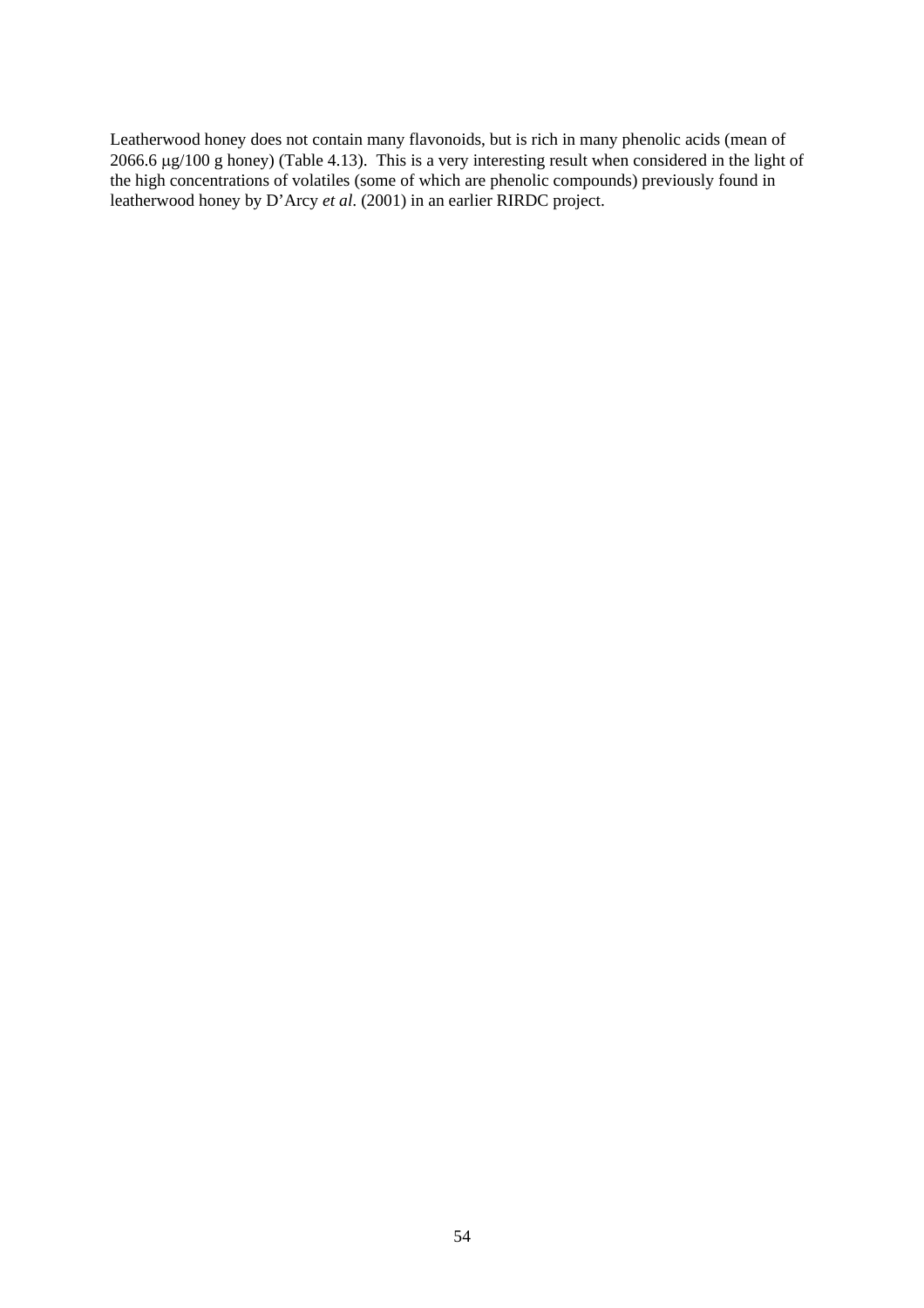Leatherwood honey does not contain many flavonoids, but is rich in many phenolic acids (mean of 2066.6 µg/100 g honey) (Table 4.13). This is a very interesting result when considered in the light of the high concentrations of volatiles (some of which are phenolic compounds) previously found in leatherwood honey by D'Arcy *et al*. (2001) in an earlier RIRDC project.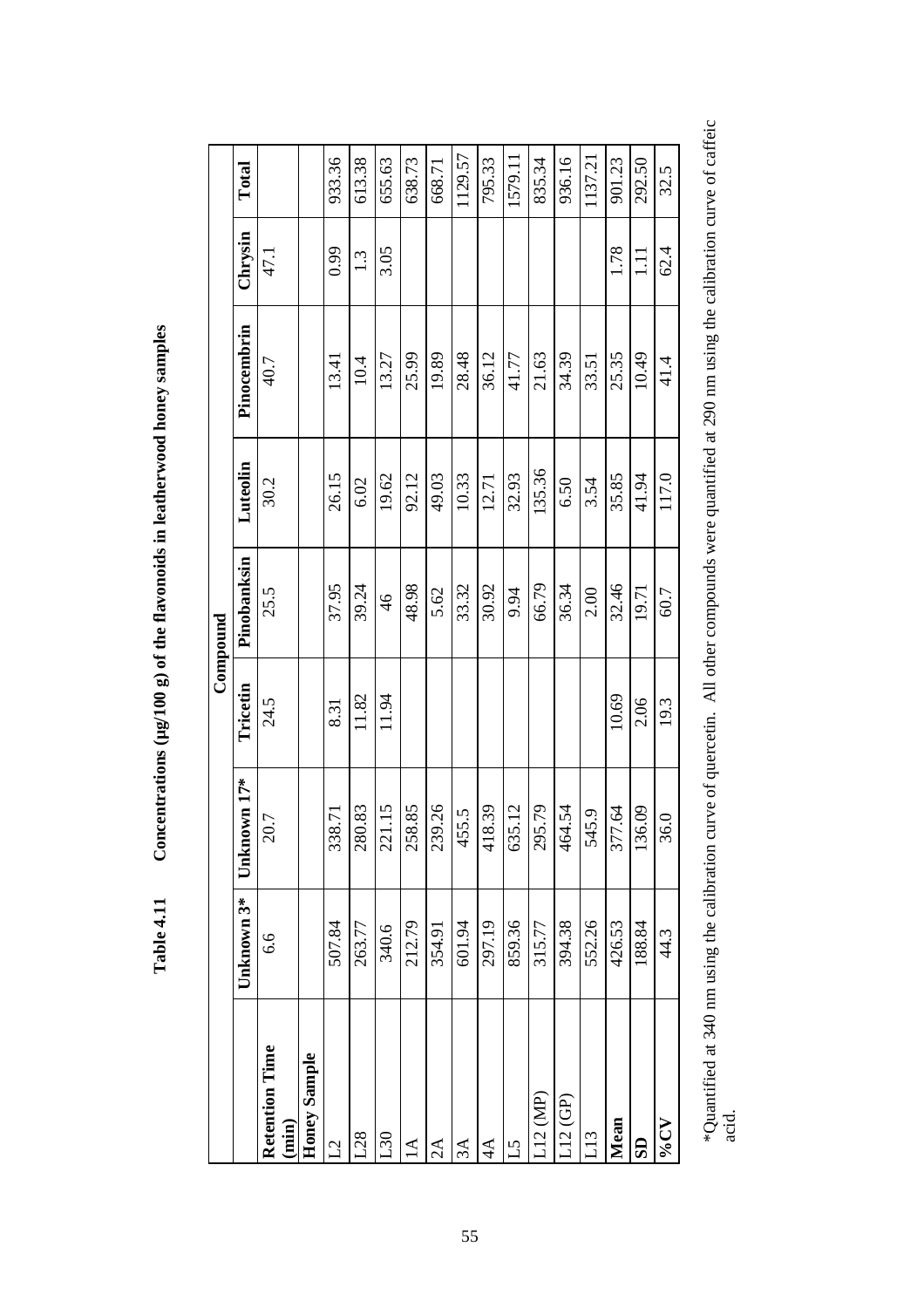|                            |            |                                      |          | Compound      |          |             |                  |         |
|----------------------------|------------|--------------------------------------|----------|---------------|----------|-------------|------------------|---------|
|                            | Unknown 3* | Unknown 17*                          | Tricetin | Pinobanksin   | Luteolin | Pinocembrin | Chrysin          | Total   |
| Retention Time<br>$(\min)$ | 6.6        | 20.7                                 | 24.5     | 25.5          | 30.2     | 40.7        | 47.1             |         |
| Honey Sample               |            |                                      |          |               |          |             |                  |         |
| 7                          | 507.84     | 338.71                               | 8.31     | 37.95         | 26.15    | 13.41       | 0.99             | 933.36  |
| 28                         | 263.77     | 280.83                               | 11.82    | 39.24         | 6.02     | 10.4        | $1.\overline{3}$ | 613.38  |
| 050                        | 340.6      | 221.15                               | 11.94    | $\frac{4}{6}$ | 19.62    | 13.27       | 3.05             | 655.63  |
| $\Delta$                   | 212.79     | 258.85                               |          | 48.98         | 92.12    | 25.99       |                  | 638.73  |
| $2\mathsf{A}$              | 354.91     | 239.26                               |          | 5.62          | 49.03    | 19.89       |                  | 668.71  |
| 3A                         | 601.94     | 55.5<br>4                            |          | 33.32         | 10.33    | 28.48       |                  | 1129.57 |
| $4\Delta$                  | 297.19     | 18.39<br>$\Xi$                       |          | 30.92         | 12.71    | 36.12       |                  | 795.33  |
| م<br>أ                     | 859.36     | 635.12                               |          | 9.94          | 32.93    | 41.77       |                  | 1579.11 |
| .12(MP)                    | 315.77     | 95.79<br>$\mathcal{S}^{\mathcal{O}}$ |          | 66.79         | 135.36   | 21.63       |                  | 835.34  |
| .12(GP)                    | 394.38     | 464.54                               |          | 36.34         | 6.50     | 34.39       |                  | 936.16  |
| 13                         | 552.26     | 545.9                                |          | 2.00          | 3.54     | 33.51       |                  | 1137.21 |
| Mean                       | 426.53     | 377.64                               | 10.69    | 32.46         | 35.85    | 25.35       | 1.78             | 901.23  |
| $\mathbf{5}$               | 188.84     | 136.09                               | 2.06     | 19.71         | 41.94    | 10.49       | $\Xi$            | 292.50  |
| $\Lambda$ <sup>2%</sup>    | 44.3       | 36.0                                 | 19.3     | 60.7          | 117.0    | 41.4        | 62.4             | 32.5    |
|                            |            |                                      |          |               |          |             |                  |         |

Concentrations (µg/100 g) of the flavonoids in leatherwood honey samples **Table 4.11 Concentrations (µg/100 g) of the flavonoids in leatherwood honey samples**  Table 4.11

 \*Quantified at 340 nm using the calibration curve of quercetin. All other compounds were quantified at 290 nm using the calibration curve of caffeic \*Quantified at 340 nm using the calibration curve of quercetin. All other compounds were quantified at 290 nm using the calibration curve of caffeic<br>acid.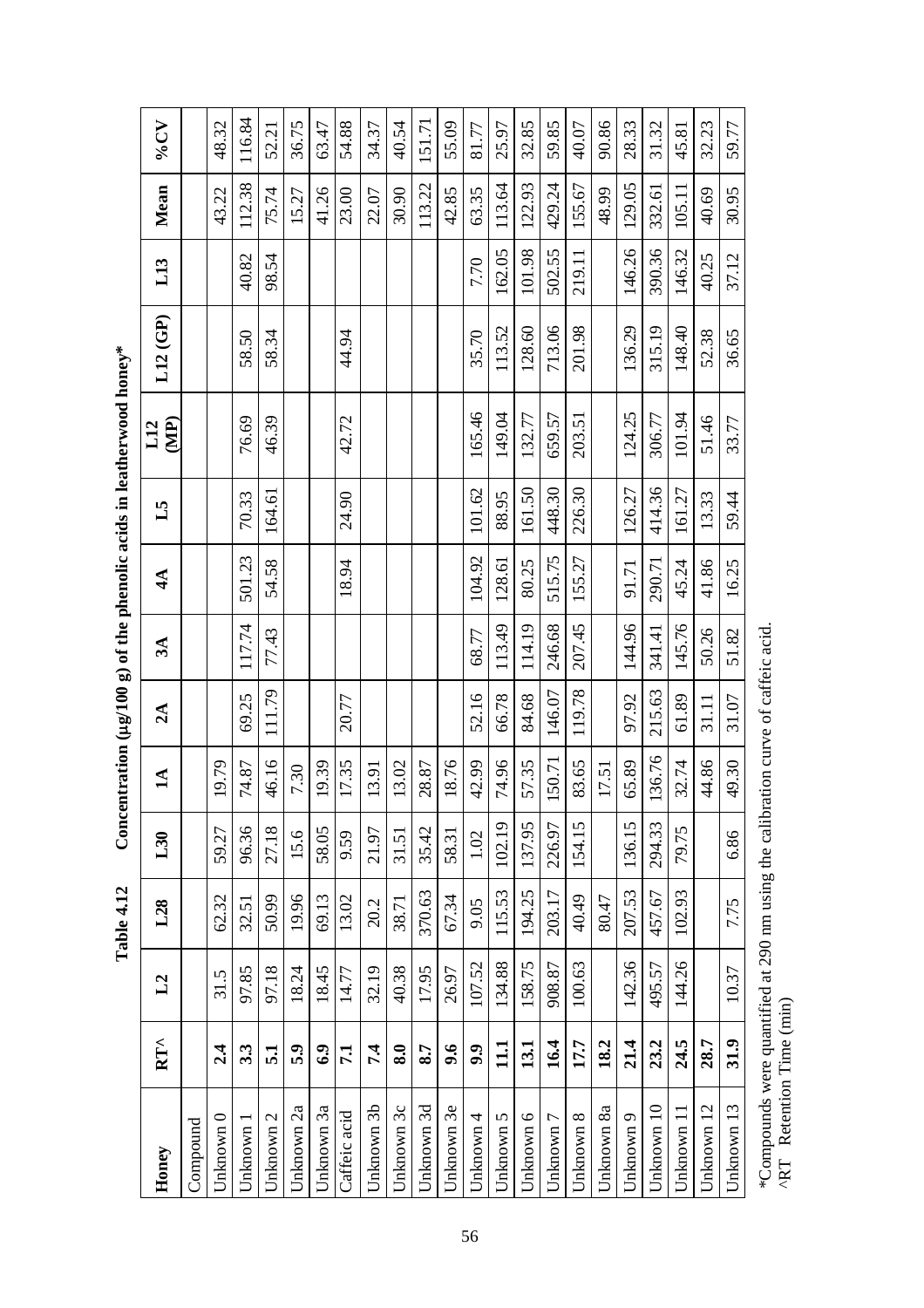| Honey                       | $RT^{\wedge}$             | L2     | L <sub>28</sub> | L30    | $\blacksquare$ | $2\text{Å}$ | $3\AA$ | $4\AA$ | 51     | $\mathbf{E}$<br>L12 | L12(GP) | L13    | Mean   | <b>AD%</b> |
|-----------------------------|---------------------------|--------|-----------------|--------|----------------|-------------|--------|--------|--------|---------------------|---------|--------|--------|------------|
| $\mathop{\mathsf{Compond}}$ |                           |        |                 |        |                |             |        |        |        |                     |         |        |        |            |
| Jnknown 0                   | 2.4                       | 31.5   | 62.32           | 59.27  | 19.79          |             |        |        |        |                     |         |        | 43.22  | 48.32      |
| Jnknown 1                   | 3.3                       | 97.85  | 32.51           | 96.36  | 74.87          | 69.25       | 117.74 | 501.23 | 70.33  | 76.69               | 58.50   | 40.82  | 112.38 | 116.84     |
| Jnknown 2                   | $\overline{51}$           | 97.18  | 50.99           | 27.18  | 46.16          | 111.79      | 77.43  | 54.58  | 164.61 | 46.39               | 58.34   | 98.54  | 75.74  | 52.21      |
| Jnknown 2a                  | 5.9                       | 18.24  | 19.96           | 15.6   | 7.30           |             |        |        |        |                     |         |        | 15.27  | 36.75      |
| Jnknown 3a                  | 6.9                       | 18.45  | 69.13           | 58.05  | 19.39          |             |        |        |        |                     |         |        | 41.26  | 63.47      |
| Caffeic acid                | 7.1                       | 14.77  | 13.02           | 9.59   | 17.35          | 20.77       |        | 18.94  | 24.90  | 42.72               | 44.94   |        | 23.00  | 54.88      |
| Jnknown 3b                  | 7.4                       | 32.19  | 20.2            | 21.97  | 13.91          |             |        |        |        |                     |         |        | 22.07  | 34.37      |
| Jnknown 3c                  | $\overline{\mathbf{8.0}}$ | 40.38  | 38.71           | 31.51  | 13.02          |             |        |        |        |                     |         |        | 30.90  | 40.54      |
| Jnknown 3d                  | 8.7                       | 17.95  | 370.63          | 35.42  | 28.87          |             |        |        |        |                     |         |        | 113.22 | 151.71     |
| Jnknown 3e                  | 9.6                       | 26.97  | 67.34           | 58.31  | 18.76          |             |        |        |        |                     |         |        | 42.85  | 55.09      |
| Jnknown 4                   | 9.9                       | 107.52 | 9.05            | 1.02   | 42.99          | 52.16       | 68.77  | 104.92 | 101.62 | 165.46              | 35.70   | 7.70   | 63.35  | 81.77      |
| Jnknown 5                   | 111                       | 134.88 | 115.53          | 102.19 | 74.96          | 66.78       | 113.49 | 128.61 | 88.95  | 149.04              | 113.52  | 162.05 | 113.64 | 25.97      |
| Jnknown 6                   | 13.1                      | 158.75 | 194.25          | 137.95 | 57.35          | 84.68       | 114.19 | 80.25  | 161.50 | 132.77              | 128.60  | 101.98 | 122.93 | 32.85      |
| Jnknown 7                   | 16.4                      | 908.87 | 203.17          | 226.97 | 150.71         | 146.07      | 246.68 | 515.75 | 448.30 | 659.57              | 713.06  | 502.55 | 429.24 | 59.85      |
| Jnknown 8                   | 17.7                      | 100.63 | 40.49           | 154.15 | 83.65          | 119.78      | 207.45 | 155.27 | 226.30 | 203.51              | 201.98  | 219.11 | 155.67 | 40.07      |
| Jnknown 8a                  | 18.2                      |        | 80.47           |        | 17.51          |             |        |        |        |                     |         |        | 48.99  | 90.86      |
| Jnknown 9                   | 21.4                      | 142.36 | 207.53          | 136.15 | 65.89          | 97.92       | 144.96 | 91.71  | 126.27 | 124.25              | 136.29  | 146.26 | 129.05 | 28.33      |
| Jnknown 10                  | 23.2                      | 495.57 | 457.67          | 294.33 | 136.76         | 215.63      | 341.41 | 290.71 | 414.36 | 306.77              | 315.19  | 390.36 | 332.61 | 31.32      |
| Jnknown 11                  | 24.5                      | 144.26 | 102.93          | 79.75  | 32.74          | 61.89       | 145.76 | 45.24  | 161.27 | 101.94              | 148.40  | 146.32 | 105.11 | 45.81      |
| Jnknown 12                  | 28.7                      |        |                 |        | 44.86          | 31.11       | 50.26  | 41.86  | 13.33  | 51.46               | 52.38   | 40.25  | 40.69  | 32.23      |
| Unknown 13                  | 31.9                      | 10.37  | 7.75            | 6.86   | 49.30          | 31.07       | 51.82  | 16.25  | 59.44  | 33.77               | 36.65   | 37.12  | 30.95  | 59.77      |

Concentration ( $\mu$ g/100 g) of the phenolic acids in leatherwood honey\* **Table 4.12 Concentration (**µ**g/100 g) of the phenolic acids in leatherwood honey\***  Table 4.12

 \*Compounds were quantified at 290 nm using the calibration curve of caffeic acid.  $*$ Compounds were quantified at 290 nm using the calibration curve of caffeic acid.<br>^RT Retention Time (min) ^RT Retention Time (min)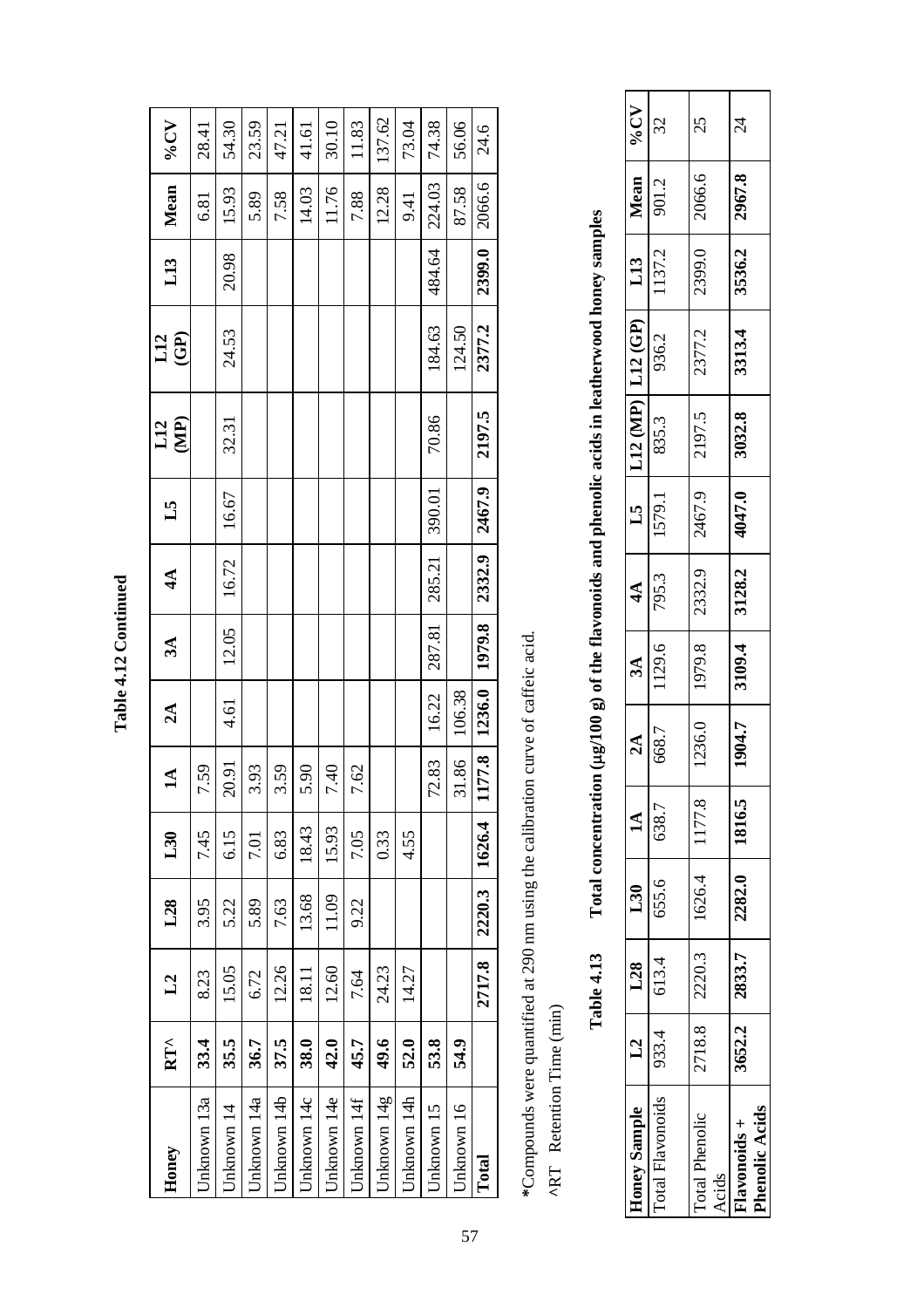| ŗ             |
|---------------|
| $\frac{1}{2}$ |
| г<br>٦        |
| ٦             |
|               |

| Honey       | $RT^{\wedge}$ | L2     | L28    | L30    | 14                      | $2\text{Å}$ | 3A     | $4\AA$                                   | 51     | $L12$<br>(MP) | $\mathbf{G}$<br>L12 | L13    | Mean   | $\Lambda$ <sup>2%</sup> |
|-------------|---------------|--------|--------|--------|-------------------------|-------------|--------|------------------------------------------|--------|---------------|---------------------|--------|--------|-------------------------|
| Jnknown 13a | 33.4          | 8.23   | 3.95   | 7.45   | 7.59                    |             |        |                                          |        |               |                     |        | 6.81   | 28.41                   |
| Jnknown 14  | 35.5          | 15.05  | 5.22   | 6.15   | 20.91                   | 4.61        | 12.05  | 16.72                                    | 16.67  | 32.31         | 24.53               | 20.98  | 15.93  | 54.30                   |
| Jnknown 14a | 36.7          | 6.72   | 5.89   | 7.01   | 3.93                    |             |        |                                          |        |               |                     |        | 5.89   | 23.59                   |
| Jnknown 14b | 37.5          | 12.26  | 7.63   | 6.83   | 3.59                    |             |        |                                          |        |               |                     |        | 7.58   | 47.21                   |
| Jnknown 14c | 38.0          | 18.11  | 13.68  | 18.43  | 5.90                    |             |        |                                          |        |               |                     |        | 14.03  | 41.61                   |
| Jnknown 14e | 42.0          | 12.60  | 11.09  | 15.93  | 7.40                    |             |        |                                          |        |               |                     |        | 11.76  | 30.10                   |
| Jnknown 14f | 45.7          | 7.64   | 9.22   | 7.05   | 7.62                    |             |        |                                          |        |               |                     |        | 7.88   | 11.83                   |
| Jnknown 14g | 49.6          | 24.23  |        | 0.33   |                         |             |        |                                          |        |               |                     |        | 12.28  | 137.62                  |
| Jnknown 14h | 52.0          | 14.27  |        | 4.55   |                         |             |        |                                          |        |               |                     |        | 9.41   | 73.04                   |
| Jnknown 15  | 53.8          |        |        |        | 72.83                   | 16.22       | 287.81 | 285.21                                   | 390.01 | 70.86         | 184.63              | 484.64 | 224.03 | 74.38                   |
| Jnknown 16  | 54.9          |        |        |        | 31.86                   | 106.38      |        |                                          |        |               | 124.50              |        | 87.58  | 56.06                   |
| Total       |               | 2717.8 | 2220.3 | 1626.4 | 177.8<br>$\blacksquare$ |             |        | $\mid$ 1236.0   1979.8   2332.9   2467.9 |        | 2197.5        | 2377.2              | 2399.0 | 2066.6 | 24.6                    |
|             |               |        |        |        |                         |             |        |                                          |        |               |                     |        |        |                         |

\*Compounds were quantified at 290 nm using the calibration curve of caffeic acid. **\***Compounds were quantified at 290 nm using the calibration curve of caffeic acid.

^RT Retention Time (min) **^**RT Retention Time (min)

Total concentration (µg/100 g) of the flavonoids and phenolic acids in leatherwood honey samples **Table 4.13 Total concentration (**µ**g/100 g) of the flavonoids and phenolic acids in leatherwood honey samples**  Table 4.13

| Toney Sample   1.28   1.30           |                              |                                   | $\mathbf{\hat{A}}$ | $\mathbf{\hat{A}}$ | $3\AA$ | $\overline{44}$ |        | L5   L12 (MP) $\left $ L12 (GP) |        | L13    | $\sqrt{\frac{Mean}{2}}$ | $\Lambda$ <sup>2</sup> % |
|--------------------------------------|------------------------------|-----------------------------------|--------------------|--------------------|--------|-----------------|--------|---------------------------------|--------|--------|-------------------------|--------------------------|
|                                      | cotal Flavonoids 933.4 613.4 | 655.6 638.7                       |                    | 668.7              | 1129.6 | $795.3$   .     | 1579.1 | 835.3                           | 936.2  | 1137.2 | 901.2                   | 32                       |
| <b>Total Phenolic</b>                |                              | 2718.8   2220.3   1626.4   1177.8 |                    | 1236.0             | 1979.8 | 2332.9          | 2467.9 | 2197.5                          | 2377.2 |        | 2399.0 2066.6           | 25                       |
| <b>Phenolic Acids</b><br>lavonoids + |                              | $3652.2$ 2833.7 2282.0 1816.5     |                    | 1904.7             | 3109.4 | 3128.2          | 4047.0 | 3032.8                          | 3313.4 |        | 3536.2 2967.8           | $\mathcal{Z}$            |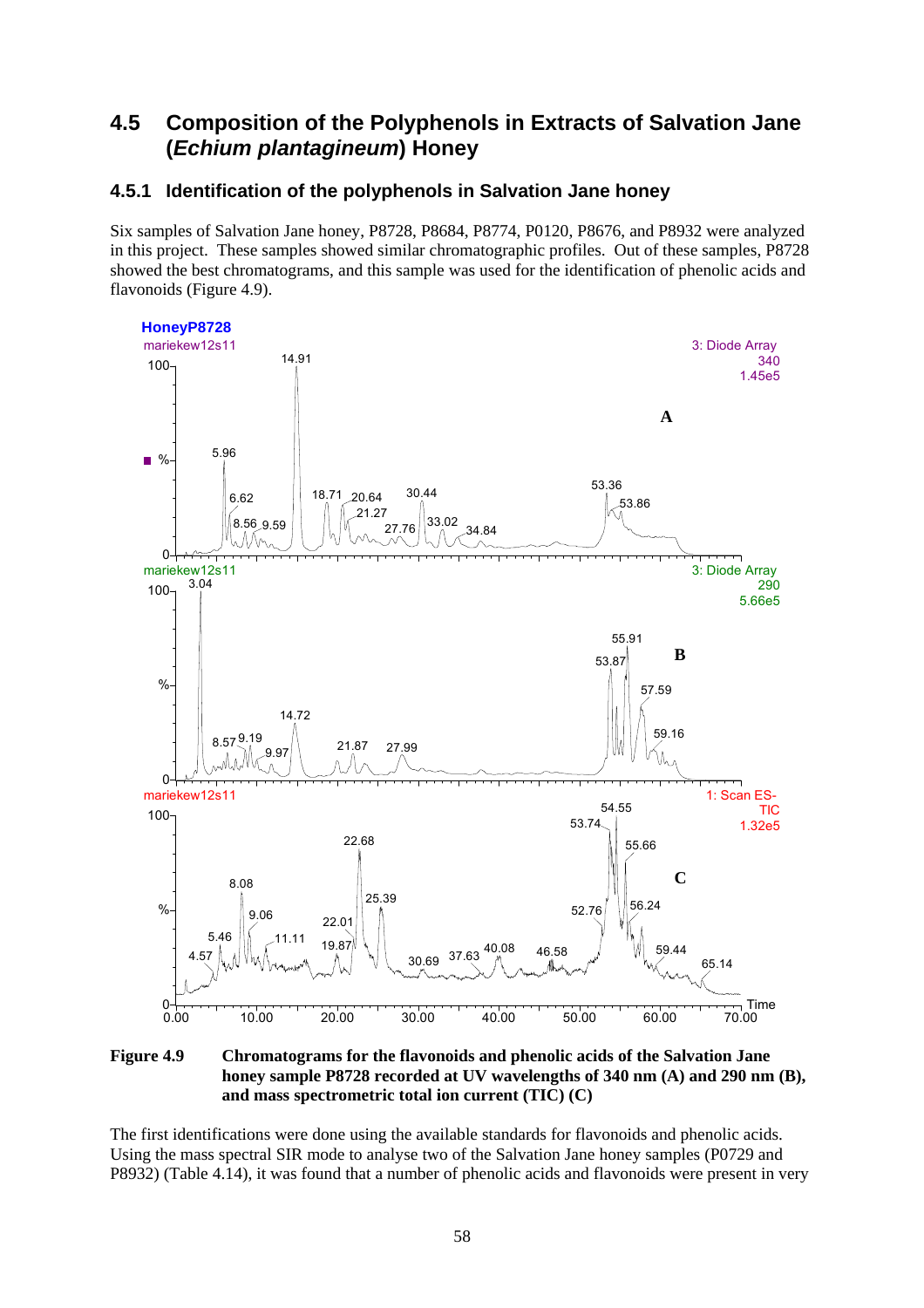## **4.5 Composition of the Polyphenols in Extracts of Salvation Jane (***Echium plantagineum***) Honey**

### **4.5.1 Identification of the polyphenols in Salvation Jane honey**

Six samples of Salvation Jane honey, P8728, P8684, P8774, P0120, P8676, and P8932 were analyzed in this project. These samples showed similar chromatographic profiles. Out of these samples, P8728 showed the best chromatograms, and this sample was used for the identification of phenolic acids and flavonoids (Figure 4.9).



**Figure 4.9 Chromatograms for the flavonoids and phenolic acids of the Salvation Jane honey sample P8728 recorded at UV wavelengths of 340 nm (A) and 290 nm (B), and mass spectrometric total ion current (TIC) (C)** 

The first identifications were done using the available standards for flavonoids and phenolic acids. Using the mass spectral SIR mode to analyse two of the Salvation Jane honey samples (P0729 and P8932) (Table 4.14), it was found that a number of phenolic acids and flavonoids were present in very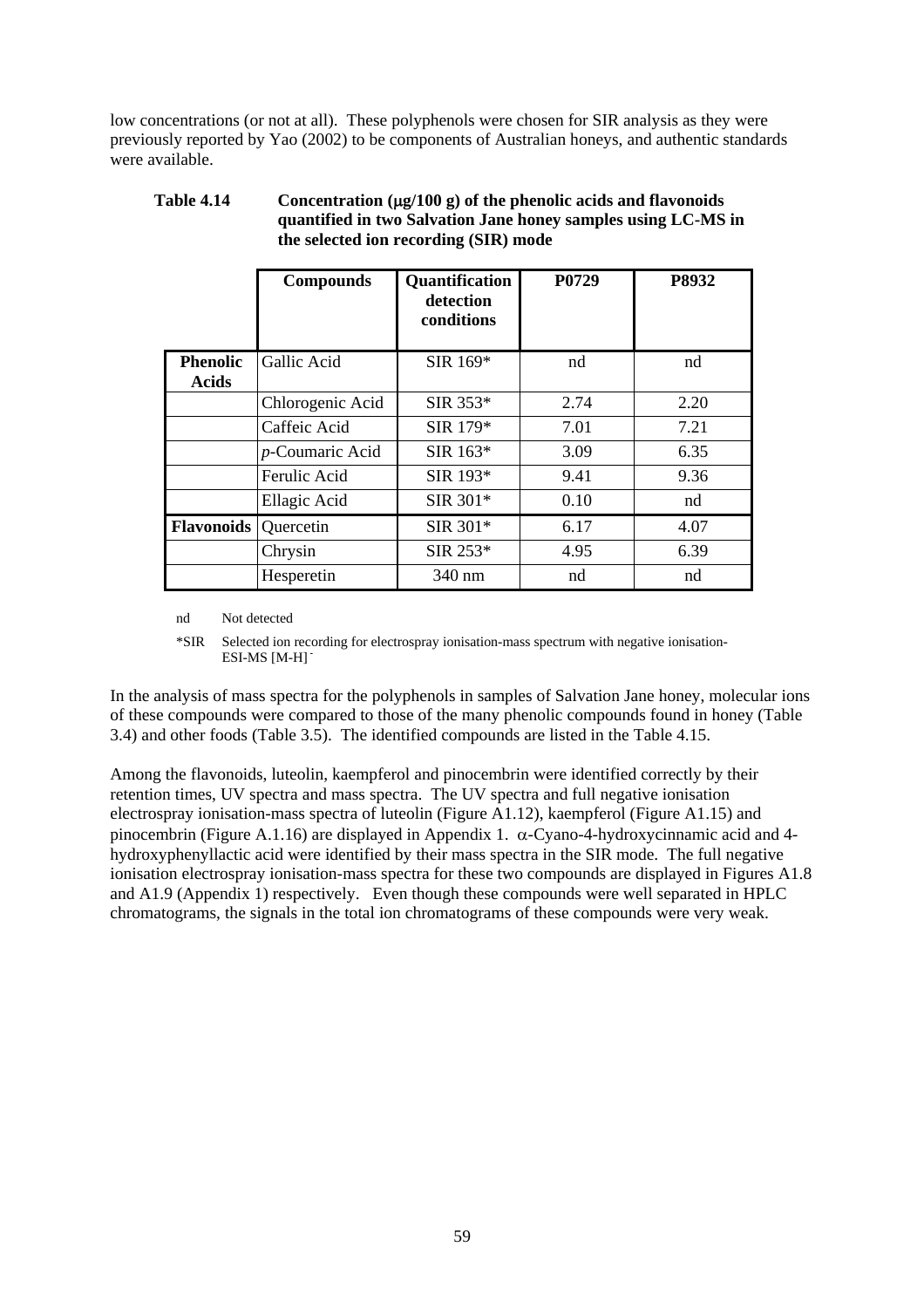low concentrations (or not at all). These polyphenols were chosen for SIR analysis as they were previously reported by Yao (2002) to be components of Australian honeys, and authentic standards were available.

| <b>Table 4.14</b> | Concentration $(\mu g/100 g)$ of the phenolic acids and flavonoids |
|-------------------|--------------------------------------------------------------------|
|                   | quantified in two Salvation Jane honey samples using LC-MS in      |
|                   | the selected ion recording (SIR) mode                              |

|                             | <b>Compounds</b> | <b>Quantification</b><br>detection<br>conditions | P0729 | P8932 |
|-----------------------------|------------------|--------------------------------------------------|-------|-------|
| <b>Phenolic</b><br>Acids    | Gallic Acid      | SIR 169*                                         | nd    | nd    |
|                             | Chlorogenic Acid | $SIR$ 353*                                       | 2.74  | 2.20  |
|                             | Caffeic Acid     | SIR 179*                                         | 7.01  | 7.21  |
|                             | p-Coumaric Acid  | $SIR$ 163*                                       | 3.09  | 6.35  |
|                             | Ferulic Acid     | SIR 193*                                         | 9.41  | 9.36  |
|                             | Ellagic Acid     | SIR 301*                                         | 0.10  | nd    |
| <b>Flavonoids</b> Quercetin |                  | SIR 301*                                         | 6.17  | 4.07  |
|                             | Chrysin          | $SIR$ 253*                                       | 4.95  | 6.39  |
|                             | Hesperetin       | 340 nm                                           | nd    | nd    |

nd Not detected

\*SIR Selected ion recording for electrospray ionisation-mass spectrum with negative ionisation-ESI-MS [M-H] **-**

In the analysis of mass spectra for the polyphenols in samples of Salvation Jane honey, molecular ions of these compounds were compared to those of the many phenolic compounds found in honey (Table 3.4) and other foods (Table 3.5). The identified compounds are listed in the Table 4.15.

Among the flavonoids, luteolin, kaempferol and pinocembrin were identified correctly by their retention times, UV spectra and mass spectra. The UV spectra and full negative ionisation electrospray ionisation-mass spectra of luteolin (Figure A1.12), kaempferol (Figure A1.15) and pinocembrin (Figure A.1.16) are displayed in Appendix 1.  $\alpha$ -Cyano-4-hydroxycinnamic acid and 4hydroxyphenyllactic acid were identified by their mass spectra in the SIR mode. The full negative ionisation electrospray ionisation-mass spectra for these two compounds are displayed in Figures A1.8 and A1.9 (Appendix 1) respectively. Even though these compounds were well separated in HPLC chromatograms, the signals in the total ion chromatograms of these compounds were very weak.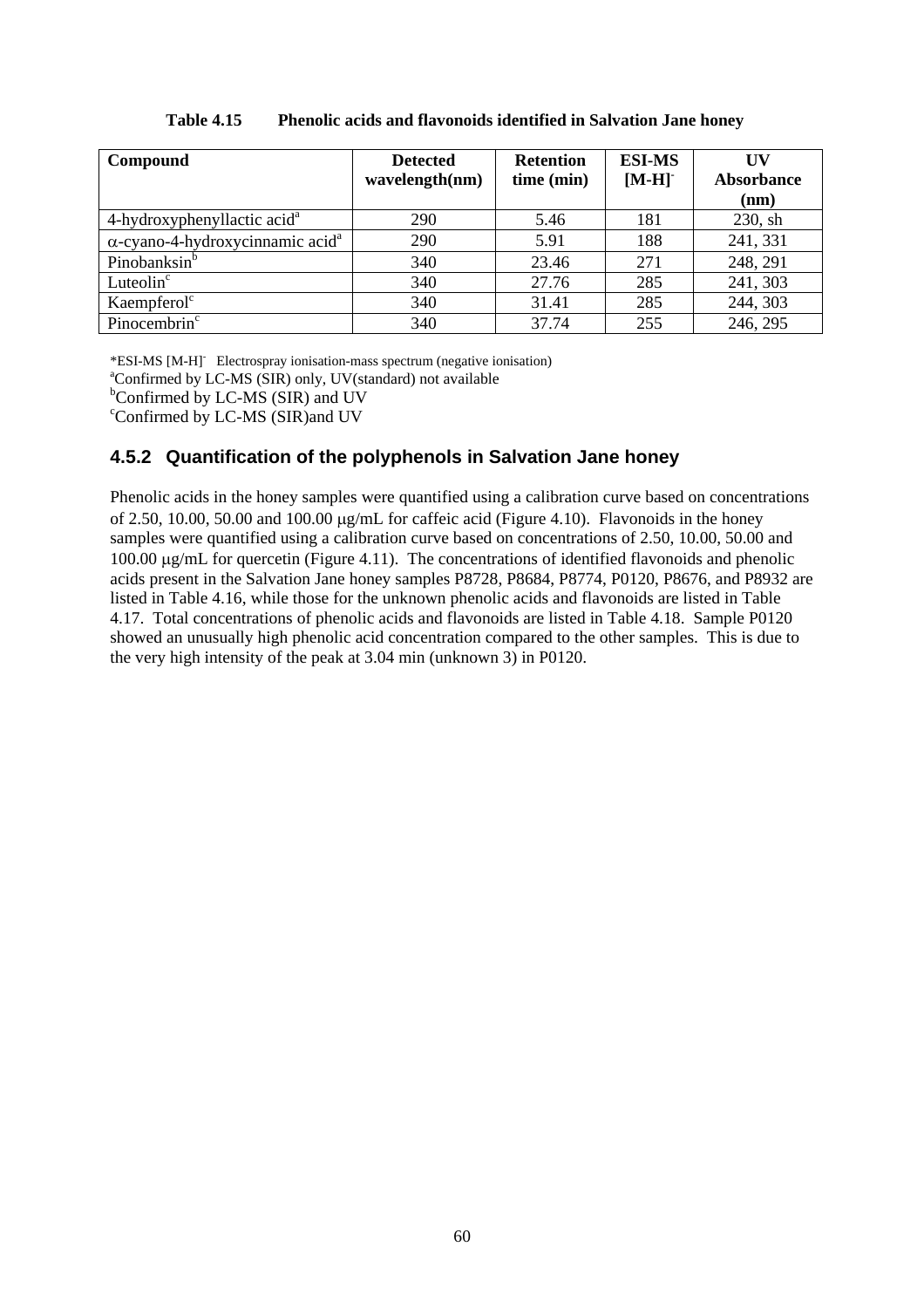| Compound                                            | <b>Detected</b><br>wavelength(nm) | <b>Retention</b><br>time (min) | <b>ESI-MS</b><br>$[M-H]$ | <b>IIV</b><br>Absorbance<br>(nm) |
|-----------------------------------------------------|-----------------------------------|--------------------------------|--------------------------|----------------------------------|
| 4-hydroxyphenyllactic acid <sup>a</sup>             | 290                               | 5.46                           | 181                      | $230$ , sh                       |
| $\alpha$ -cyano-4-hydroxycinnamic acid <sup>a</sup> | 290                               | 5.91                           | 188                      | 241, 331                         |
| Pinobanksin <sup>b</sup>                            | 340                               | 23.46                          | 271                      | 248, 291                         |
| Luteolin <sup>c</sup>                               | 340                               | 27.76                          | 285                      | 241, 303                         |
| Kaempferol <sup>c</sup>                             | 340                               | 31.41                          | 285                      | 244, 303                         |
| Pinocembrin <sup>c</sup>                            | 340                               | 37.74                          | 255                      | 246, 295                         |

#### **Table 4.15 Phenolic acids and flavonoids identified in Salvation Jane honey**

\*ESI-MS [M-H] Electrospray ionisation-mass spectrum (negative ionisation)  $^4$ Confirmed by LC MS (SIB) only HV(ctonderd) not quailable

Confirmed by LC-MS (SIR) only, UV(standard) not available

c Confirmed by LC-MS (SIR)and UV

### **4.5.2 Quantification of the polyphenols in Salvation Jane honey**

Phenolic acids in the honey samples were quantified using a calibration curve based on concentrations of 2.50, 10.00, 50.00 and 100.00 µg/mL for caffeic acid (Figure 4.10). Flavonoids in the honey samples were quantified using a calibration curve based on concentrations of 2.50, 10.00, 50.00 and 100.00 µg/mL for quercetin (Figure 4.11). The concentrations of identified flavonoids and phenolic acids present in the Salvation Jane honey samples P8728, P8684, P8774, P0120, P8676, and P8932 are listed in Table 4.16, while those for the unknown phenolic acids and flavonoids are listed in Table 4.17. Total concentrations of phenolic acids and flavonoids are listed in Table 4.18. Sample P0120 showed an unusually high phenolic acid concentration compared to the other samples. This is due to the very high intensity of the peak at 3.04 min (unknown 3) in P0120.

<sup>&</sup>lt;sup>b</sup>Confirmed by LC-MS (SIR) and UV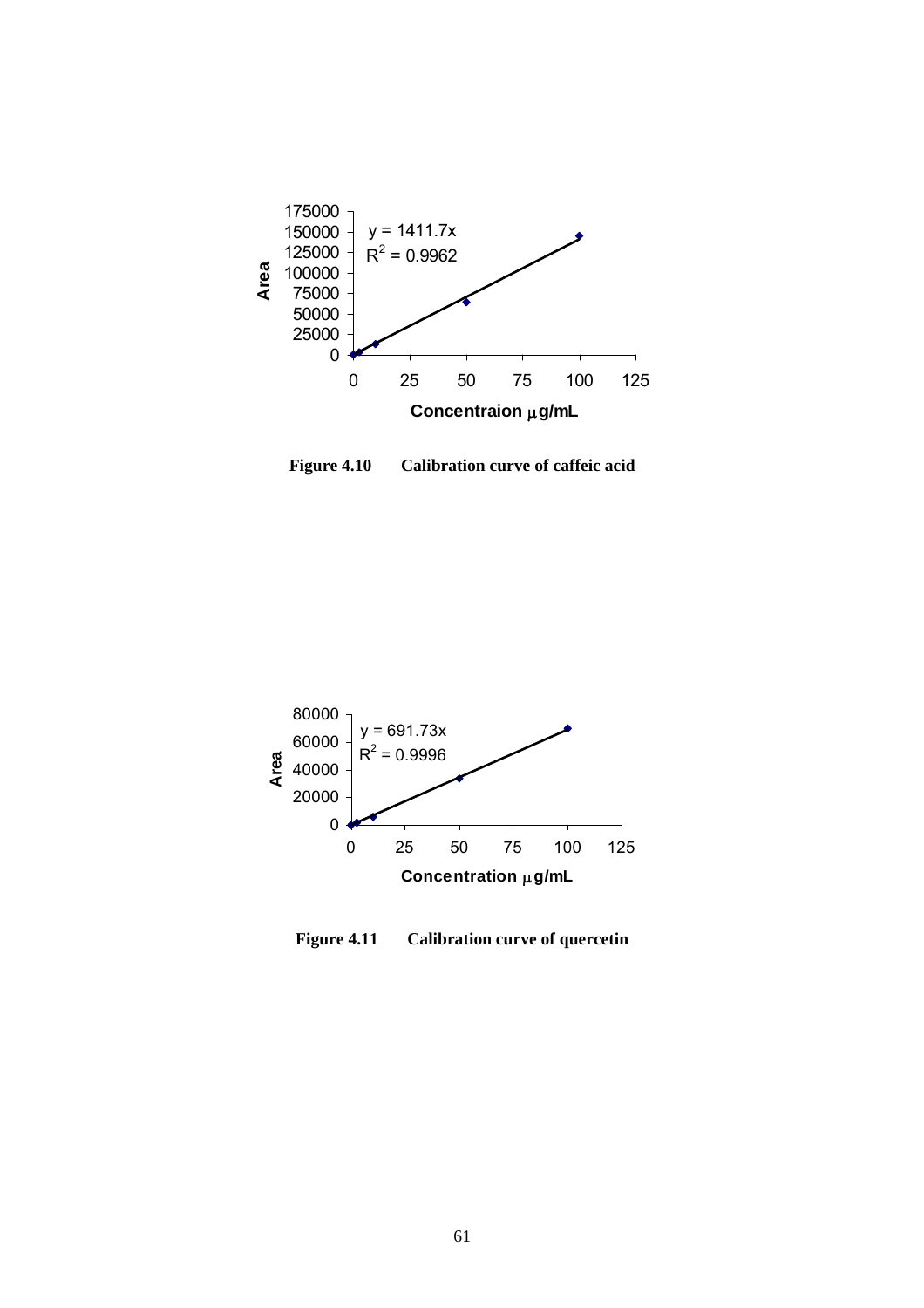

**Figure 4.10 Calibration curve of caffeic acid** 



**Figure 4.11 Calibration curve of quercetin**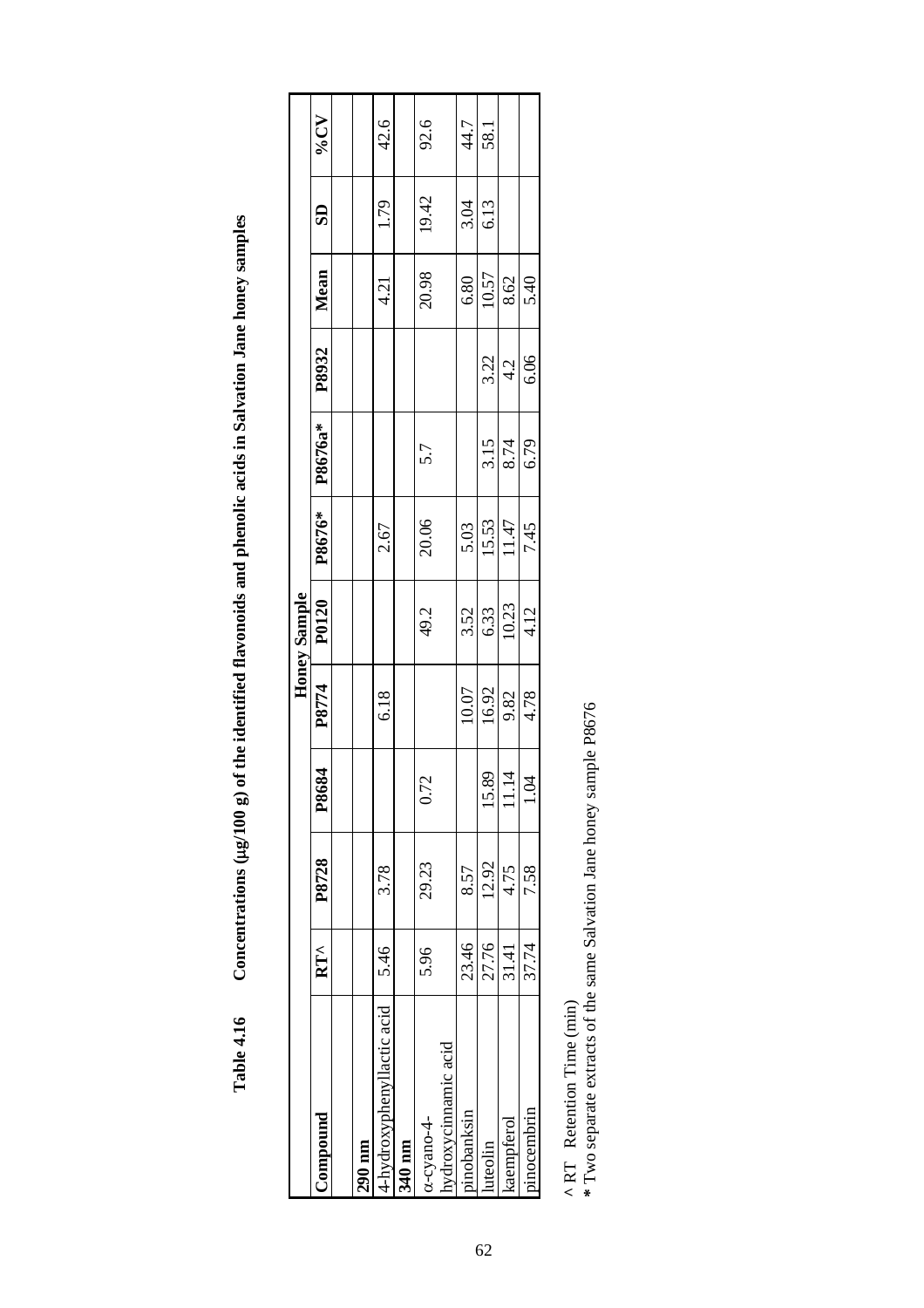|                           |               |       |                |       | Honey Sample |        |         |       |       |                         |         |
|---------------------------|---------------|-------|----------------|-------|--------------|--------|---------|-------|-------|-------------------------|---------|
| bunocium)                 | $RT^{\wedge}$ | P8728 | P8684          | P8774 | P0120        | P8676* | P8676a* | P8932 | Mean  | $\overline{\mathbf{S}}$ | $V_0CV$ |
|                           |               |       |                |       |              |        |         |       |       |                         |         |
| $.90 \text{ nm}$          |               |       |                |       |              |        |         |       |       |                         |         |
| -hydroxyphenyllactic acid | 5.46          | 3.78  |                | 6.18  |              | 2.67   |         |       | 4.21  | 1.79                    | 42.6    |
| 340 nm                    |               |       |                |       |              |        |         |       |       |                         |         |
| x-cyano-4-                | 5.96          | 29.23 | .72            |       | 49.2         | 20.06  | 5.7     |       | 20.98 | 19.42                   | 92.6    |
| ydroxycimamic acid        |               |       |                |       |              |        |         |       |       |                         |         |
| inobanksin                | 23.46         | 8.57  |                | 10.07 | 3.52         | 5.03   |         |       | 6.80  | 3.04                    | 44.7    |
| uteolin                   | 27.76         | 12.92 | .89            | 16.92 | 6.33         | 15.53  | 3.15    | 3.22  | 10.57 | 6.13                    | 58.1    |
| aempferol                 | 31.41         | 4.75  | $\frac{4}{11}$ | 9.82  | 10.23        | 11.47  | 8.74    | 4.2   | 8.62  |                         |         |
| nocembrin                 | 37.74         | 7.58  | $\ddot{9}$     | 4.78  | 4.12         | 7.45   | 6.79    | 6.06  | 5.40  |                         |         |
|                           |               |       |                |       |              |        |         |       |       |                         |         |

Concentrations (µg/100 g) of the identified flavonoids and phenolic acids in Salvation Jane honey samples **Table 4.16 Concentrations (**µ**g/100 g) of the identified flavonoids and phenolic acids in Salvation Jane honey samples Table 4.16** 

**^** RT Retention Time (min)

 $^\text{A}$  RT  $\,$  Retention Time (min)  $^\text{A}$  <br>same Salvation Jane honey sample P8676  $^\text{*}$  Two separate extracts of the same Salvation Jane honey sample P8676 **\*** Two separate extracts of the same Salvation Jane honey sample P8676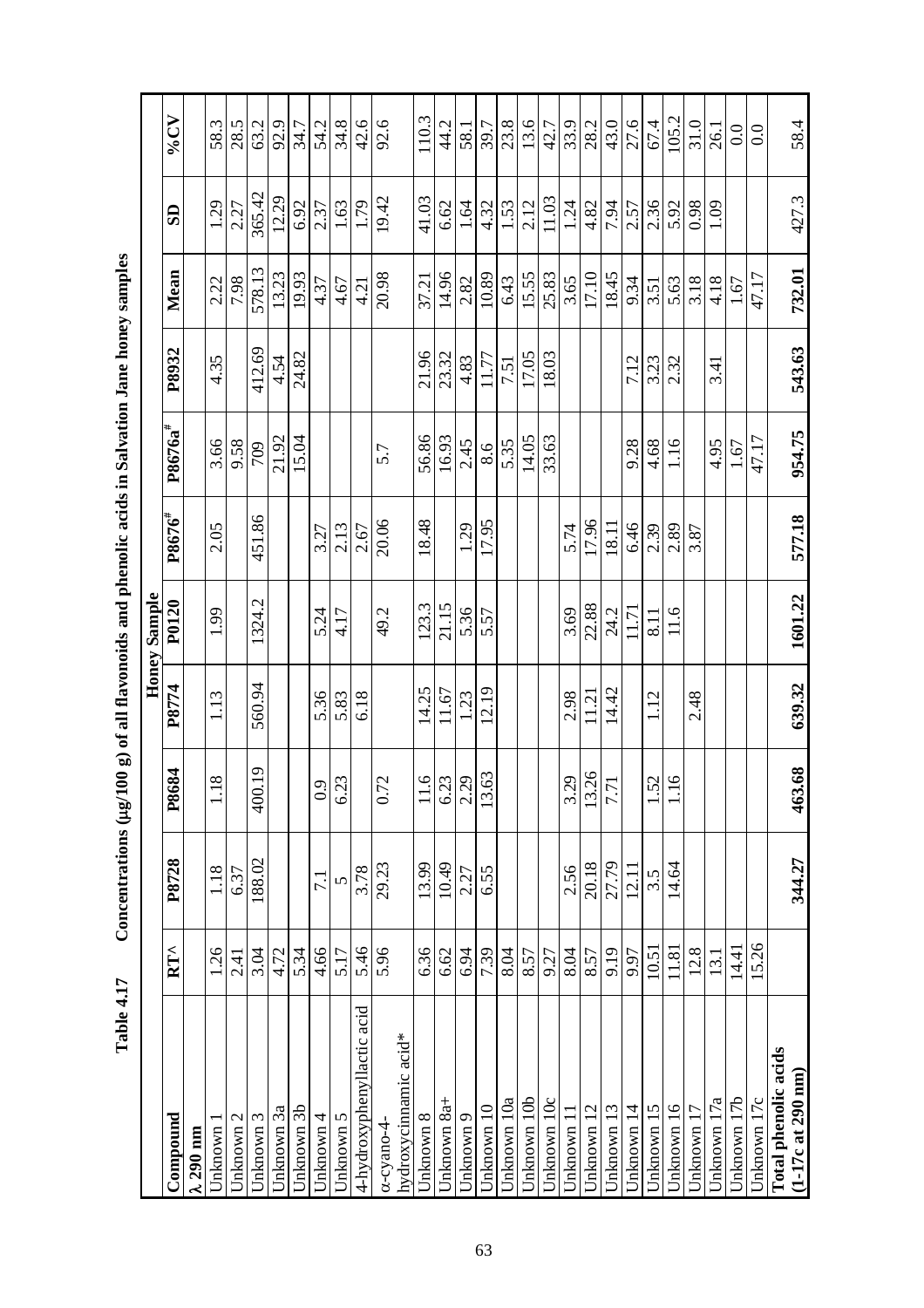|                                                              |               |                  |                      |        | <b>Honey Sample</b> |                    |            |        |        |               |       |
|--------------------------------------------------------------|---------------|------------------|----------------------|--------|---------------------|--------------------|------------|--------|--------|---------------|-------|
| $\mathbb{C}{\rm on}{\rm p}{\rm o}{\rm u}{\rm n}{\rm d}$      | $RT^{\wedge}$ | P8728            | 684<br>P8            | P8774  | P0120               | P8676 <sup>#</sup> | $P8676a^*$ | P8932  | Mean   | $\mathbf{S}$  | VoCV  |
| $\lambda$ 290 nm                                             |               |                  |                      |        |                     |                    |            |        |        |               |       |
| Jnknown                                                      | 1.26          | 1.18             | 18                   | 1.13   | 1.99                | 2.05               | 3.66       | 4.35   | 2.22   | 1.29          | 58.3  |
| Unknown 2                                                    | 2.41          | 6.37             |                      |        |                     |                    | 9.58       |        | 7.98   | 2.27          | 28.5  |
| Jnknown 3                                                    | 3.04          | 188.02           | 400.19               | 560.94 | 1324.2              | 451.86             | 709        | 412.69 | 578.13 | 365.42        | 63.2  |
| Jnknown 3a                                                   | 4.72          |                  |                      |        |                     |                    | 21.92      | 4.54   | 13.23  | 12.29         | 92.9  |
| Unknown 3b                                                   | 5.34          |                  |                      |        |                     |                    | 15.04      | 24.82  | 19.93  | 6.92          | 34.7  |
| Jnknown 4                                                    | 4.66          | $\overline{7.1}$ | 0.9                  | 5.36   | 5.24                | 3.27               |            |        | 4.37   | 2.37          | 54.2  |
| Unknown 5                                                    | 5.17          | 5                | 6.23                 | 5.83   | 4.17                | 2.13               |            |        | 4.67   | 1.63          | 34.8  |
| 4-hydroxyphenyllactic acid                                   | 5.46          | 3.78             |                      | 6.18   |                     | 2.67               |            |        | 4.21   | 1.79          | 42.6  |
| α-cyano-4                                                    | 5.96          | 29.23            | 0.72                 |        | 49.2                | 20.06              | 5.7        |        | 20.98  | 19.42         | 92.6  |
| hydroxycinnamic acid*                                        |               |                  |                      |        |                     |                    |            |        |        |               |       |
| Jnknown 8                                                    | 6.36          | 13.99            | $\ddot{\mathbf{e}}$  | 14.25  | 123.3               | 18.48              | 56.86      | 21.96  | 37.21  | 41.03         | 110.3 |
| Jnknown 8a+                                                  | 6.62          | 10.49            | $\frac{6.23}{2.29}$  | 11.67  | 21.15               |                    | 16.93      | 23.32  | 14.96  | 6.62          | 44.2  |
| Unknown 9                                                    | 6.94          | 2.27             |                      | 1.23   | 5.36                | 1.29               | 2.45       | 4.83   | 2.82   | 1.64          | 58.1  |
| Unknown 10                                                   | 7.39          | 6.55             | 63<br>13             | 12.19  | 5.57                | 17.95              | 8.6        | 11.77  | 10.89  | 4.32          | 39.7  |
| Jnknown 10a                                                  | 8.04          |                  |                      |        |                     |                    | 5.35       | 7.51   | 6.43   | 1.53          | 23.8  |
| Jnknown 10b                                                  | 8.57          |                  |                      |        |                     |                    | 14.05      | 17.05  | 15.55  | 2.12          | 13.6  |
| Jnknown 10c                                                  | 9.27          |                  |                      |        |                     |                    | 33.63      | 18.03  | 25.83  | 11.03         | 42.7  |
| Jnknown 11                                                   | 8.04          | 2.56             | 3.29                 | 2.98   | 3.69                | 5.74               |            |        | 3.65   | 1.24          | 33.9  |
| Jnknown 12                                                   | 8.57          | 20.18            |                      | 11.21  | 22.88               | 17.96              |            |        | 17.10  | 4.82          | 28.2  |
| Unknown 13                                                   | 9.19          | 27.79            | $\frac{13.26}{7.71}$ | 14.42  | 24.2                | 18.11              |            |        | 18.45  | 7.94          | 43.0  |
| Unknown 14                                                   | 9.97          | 12.11            |                      |        | 11.71               | 6.46               | 928        | 7.12   | 9.34   | 2.57          | 27.6  |
| Unknown 15                                                   | 10.51         | 3.5              | 52                   | 1.12   | 8.11                | 2.39               | 4.68       | 3.23   | 3.51   | 2.36          | 67.4  |
| Unknown 16                                                   | 11.81         | 14.64            | 16                   |        | 11.6                | 2.89               | 1.16       | 2.32   | 5.63   | 5.92          | 105.2 |
| Jnknown 17                                                   | 12.8          |                  |                      | 2.48   |                     | 3.87               |            |        | 3.18   | 0.98          | 31.0  |
| Unknown 17a                                                  | 13.1          |                  |                      |        |                     |                    | 4.95       | 3.41   | 4.18   | $\frac{1}{2}$ | 26.1  |
| Unknown 17b                                                  | 14.41         |                  |                      |        |                     |                    | 1.67       |        | 1.67   |               | 0.0   |
| Unknown 17c                                                  | 15.26         |                  |                      |        |                     |                    | 47.17      |        | 47.17  |               | 0.0   |
| Total phenolic acids<br>$(1-17c \text{ at } 290 \text{ nm})$ |               | 344.27           | 463.68               | 639.32 | 1601.22             | 577.18             | 954.75     | 543.63 | 732.01 | 427.3         | 58.4  |

Concentrations (µg/100 g) of all flavonoids and phenolic acids in Salvation Jane honey samples **Table 4.17 Concentrations (**µ**g/100 g) of all flavonoids and phenolic acids in Salvation Jane honey samples**  Table 4.17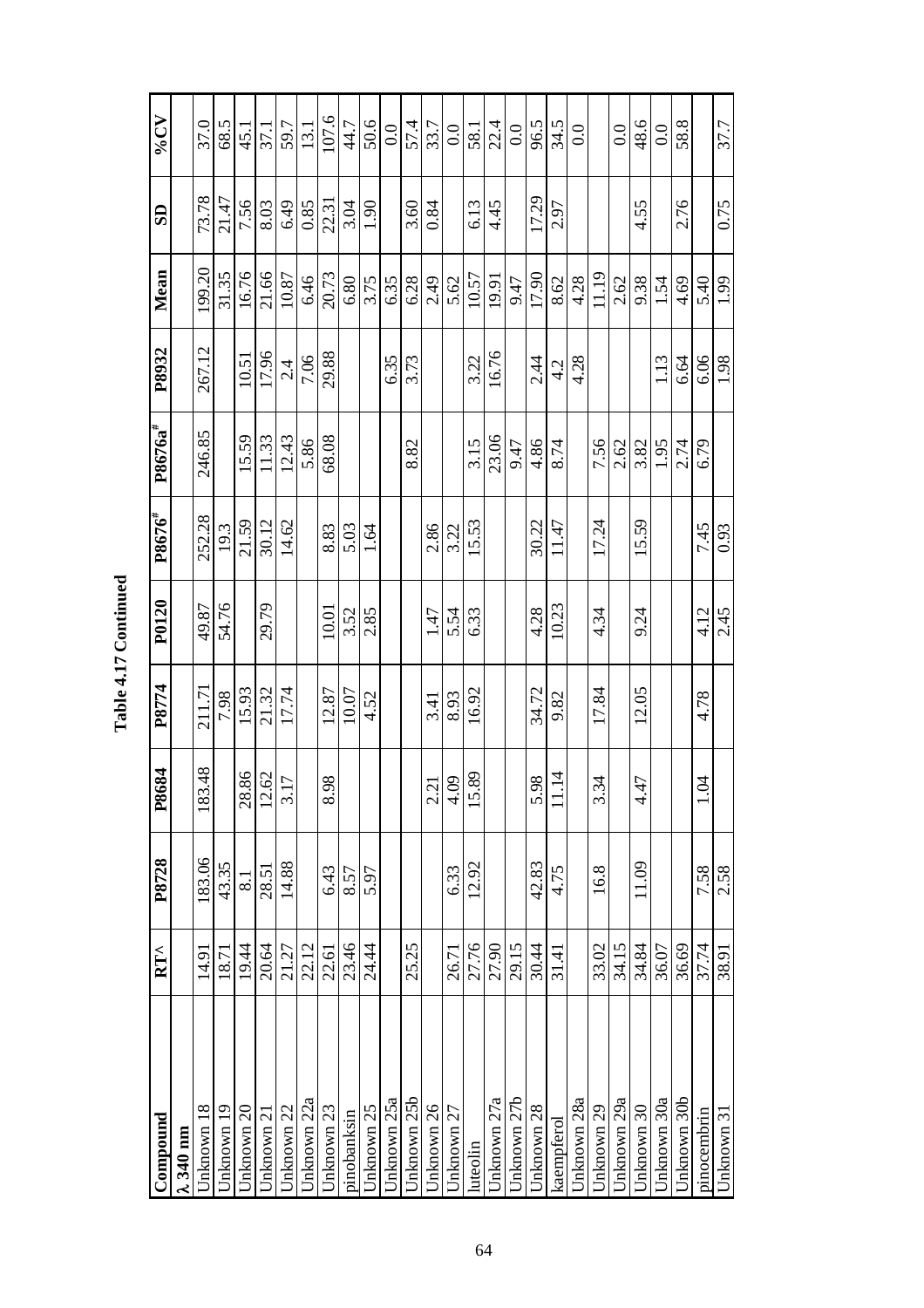| Compound          | $RT^{\wedge}$ | P8728               | P8684                                | P8774  | P0120 | P8676 <sup>#</sup> | $P8676a^*$ | P8932  | Mean   | $\overline{\mathbf{S}}$ | $V_0CV$      |
|-------------------|---------------|---------------------|--------------------------------------|--------|-------|--------------------|------------|--------|--------|-------------------------|--------------|
| $\lambda$ 340 nm  |               |                     |                                      |        |       |                    |            |        |        |                         |              |
| Jnknown 18        | 14.91         | 183.06              | 48<br>183.                           | 211.71 | 49.87 | 252.28             | 246.85     | 267.12 | 199.20 | 73.78                   | 37.0         |
| Jnknown 19        | 18.71         | 43.35               |                                      | 7.98   | 54.76 | 19.3               |            |        | 31.35  | 21.47                   | 68.5         |
| Jnknown 20        | 19.44         | $\overline{\infty}$ | 28.86                                | 15.93  |       | 21.59              | 15.59      | 10.51  | 16.76  | 7.56                    | 45.1         |
| Jnknown 21        | 20.64         | 28.51               | 12.62                                | 21.32  | 29.79 | 30.12              | 11.33      | 17.96  | 21.66  | 8.03                    | 37.1         |
| Jnknown 22        | 21.27         | 14.88               | $\overline{C}$<br>$\frac{1}{3}$      | 17.74  |       | 14.62              | 12.43      | 2.4    | 10.87  | 6.49                    | 59.7         |
| Unknown 22a       | 22.12         |                     |                                      |        |       |                    | 5.86       | 7.06   | 6.46   | 0.85                    | 13.1         |
| Unknown 23        | 22.61         | 6.43                | $\infty$<br>$\overline{8.9}$         | 12.87  | 10.01 | 8.83               | 68.08      | 29.88  | 20.73  | 22.31                   | 107.6        |
| pinobanksin       | 23.46         | 8.57                |                                      | 10.07  | 3.52  | 5.03               |            |        | 6.80   | 3.04                    | 44.7         |
| Unknown 25        | 24.44         | 5.97                |                                      | 4.52   | 2.85  | 1.64               |            |        | 3.75   | 1.90                    | 50.6         |
| Jnknown 25a       |               |                     |                                      |        |       |                    |            | 6.35   | 6.35   |                         | 0.0          |
| Jnknown 25b       | 25.25         |                     |                                      |        |       |                    | 8.82       | 3.73   | 6.28   | 3.60                    | 57.4         |
| <b>Jnknown 26</b> |               |                     |                                      | 3.41   | 1.47  | 2.86               |            |        | 2.49   | 0.84                    | 33.7         |
| Jnknown 27        | 26.71         | 6.33                | $\frac{2.21}{4.09}$                  | 8.93   | 5.54  | 3.22               |            |        | 5.62   |                         | 0.0          |
| luteolin          | 27.76         | 12.92               | 15.89                                | 16.92  | 6.33  | 15.53              | 3.15       | 3.22   | 10.57  | 6.13                    | 58.1         |
| Jnknown 27a       | 27.90         |                     |                                      |        |       |                    | 23.06      | 16.76  | 19.91  | 4.45                    | 22.4         |
| Jnknown 27b       | 29.15         |                     |                                      |        |       |                    | 9.47       |        | 9.47   |                         | 0.0          |
| Jnknown 28        | 30.44         | 42.83               | $\infty$ $\vert \overline{4}$<br>5.9 | 34.72  | 4.28  | 30.22              | 4.86       | 2.44   | 17.90  | 17.29                   | 96.5         |
| kaempferol        | 31.41         | 4.75                | $\equiv$                             | 9.82   | 10.23 | 11.47              | 8.74       | 4.2    | 8.62   | 2.97                    | 34.5         |
| Jnknown 28a       |               |                     |                                      |        |       |                    |            | 4.28   | 4.28   |                         | $_{\rm 0.0}$ |
| Jnknown 29        | 33.02         | 16.8                | 3.34                                 | 17.84  | 4.34  | 17.24              | 7.56       |        | 11.19  |                         |              |
| Unknown 29a       | 34.15         |                     |                                      |        |       |                    | 2.62       |        | 2.62   |                         | 0.0          |
| Jnknown 30        | 34.84         | 11.09               | $\overline{a}$<br>त<br>न             | 12.05  | 9.24  | 15.59              | 3.82       |        | 9.38   | 4.55                    | 48.6         |
| Jnknown 30a       | 36.07         |                     |                                      |        |       |                    | 1.95       | 1.13   | 1.54   |                         | 0.0          |
| Unknown 30b       | 36.69         |                     |                                      |        |       |                    | 2.74       | 6.64   | 4.69   | 2.76                    | 58.8         |
| pinocembrin       | 37.74         | 7.58                | 4<br>Ċ.                              | 4.78   | 4.12  | 7.45               | 6.79       | 6.06   | 5.40   |                         |              |
| Unknown 31        | 38.91         | 2.58                |                                      |        | 2.45  | 0.93               |            | 1.98   | 1.99   | 0.75                    | 37.7         |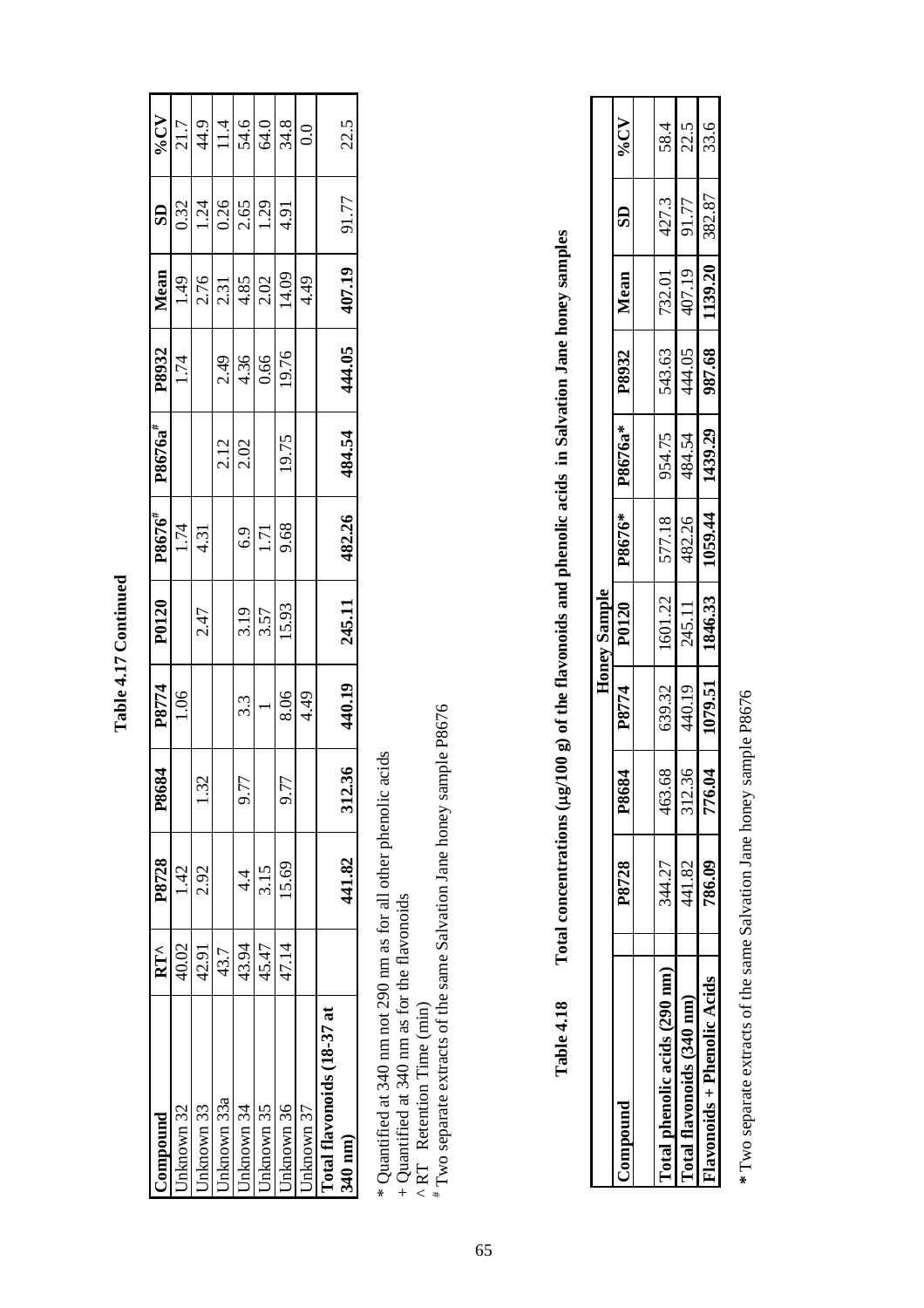| d          |
|------------|
|            |
|            |
|            |
|            |
|            |
|            |
|            |
| ŗ          |
|            |
|            |
|            |
|            |
|            |
| r          |
| Ξ          |
|            |
| d          |
|            |
|            |
| Ξ          |
|            |
|            |
|            |
| <b>Lab</b> |

| <b>Compound</b>                                                 | $RT^{\wedge}$ | P8728     | P8684                        | P8774<br>1.06 | P0120         | P8676 <sup>#</sup> | $P8676a^*$ | P8932<br>1.74        | Mean                           | $\frac{SD}{2}$      |                                         |
|-----------------------------------------------------------------|---------------|-----------|------------------------------|---------------|---------------|--------------------|------------|----------------------|--------------------------------|---------------------|-----------------------------------------|
| Jnknown 32                                                      | 40.02         | 1.42      |                              |               |               | 1.74               |            |                      | 1.49                           | 0.32                | $\frac{96CV}{21.7}$                     |
| $\frac{2}{\frac{1}{\text{ln}}\left(\frac{1}{\text{ln}}\right)}$ | 42.91         | 2.92      |                              |               | 2.47          | 4.31               |            |                      |                                |                     |                                         |
| Jnknown 33a                                                     | 43.7          |           |                              |               |               |                    | 2.12       | 2.49                 | $\frac{2 5 }{2 3 8 8 2 13 14}$ | $\frac{1.24}{0.26}$ |                                         |
| Jnknown 34                                                      | 43.94         | $\dot{4}$ | $\tilde{\mathcal{L}}$<br>9.7 | 3.3           | 3.19          | 6.9                | 2.02       | 4.36                 |                                |                     |                                         |
| Jnknown 35                                                      | 45.47         | 3.15      |                              |               | 3.57<br>15.93 | 1.71               |            |                      |                                | 1.29                |                                         |
| Jnknown 36                                                      | 47.14         | 15.69     | r<br>9.7                     | 8.06          |               | 9.68               | 19.75      | $\frac{0.66}{19.76}$ |                                | 4.91                | $\frac{44.9}{11.4}$ $\frac{46.0}{64.8}$ |
| Jnknown 37                                                      |               |           |                              | 4.49          |               |                    |            |                      | 4.49                           |                     | 0.0                                     |
| l'otal flavonoids (18-37 at                                     |               |           |                              |               |               |                    |            |                      |                                |                     |                                         |
| $340 \text{ nm}$                                                |               | 441.82    | 312.36                       | 440.19        | 245.11        | 482.26             | 484.54     | 444.05               | 407.19                         | 91.77               | 22.5                                    |
|                                                                 |               |           |                              |               |               |                    |            |                      |                                |                     |                                         |

\* Quantified at 340 nm not 290 nm as for all other phenolic acids

+ Quantified at 340 nm as for the flavonoids

^ RT Retention Time (min)

\* Quantified at 340 nm not 290 nm as for all other phenolic acids<br>+ Quantified at 340 nm as for the flavonoids<br>^ RT Retention Time (min)<br># Two separate extracts of the same Salvation Jane honey sample P8676 # Two separate extracts of the same Salvation Jane honey sample P8676

|            | 1            |
|------------|--------------|
|            |              |
|            |              |
|            |              |
|            |              |
|            |              |
|            |              |
|            |              |
|            |              |
|            |              |
|            | $\mathbf{I}$ |
|            |              |
|            |              |
|            |              |
|            |              |
|            |              |
|            |              |
|            |              |
|            |              |
|            |              |
|            |              |
|            |              |
|            |              |
|            |              |
|            | ١            |
|            |              |
|            |              |
|            |              |
|            |              |
|            |              |
|            |              |
|            |              |
|            |              |
|            |              |
| Î          | )            |
|            |              |
|            |              |
| Total<br>ľ |              |
|            |              |
|            |              |
| Table 4.18 |              |
|            |              |
|            |              |
|            |              |
|            |              |

|                               |        |             |         | Honey Sample |         |              |        |         |                         |         |
|-------------------------------|--------|-------------|---------|--------------|---------|--------------|--------|---------|-------------------------|---------|
| <b>bunborund</b>              | P8728  | <b>P868</b> | P8774   | P0120        | P8676*  | $-1$ P8676a* | P8932  | Mean    | $\overline{\textbf{S}}$ | $V_0CV$ |
| [otal phenolic acids (290 nm) | 344.27 | 463.6       | 639.32  | 1601.22      | 577.18  | 954.75       | 543.63 | 732.01  | 427.3                   | 58.4    |
| Total flavonoids (340 nm)     | 441.82 | 312.3       | 440.19  | 245.11       | 482.26  | 484.54       | 144.05 | 407.19  | 91.77                   | 22.5    |
| lavonoids + Phenolic Acids    | 786.09 | 4<br>776.0  | 1079.51 | 1846.33      | 1059.44 | 1439.29      | 987.68 | 1139.20 | 382.87                  | 33.6    |

\* Two separate extracts of the same Salvation Jane honey sample P8676  **\*** Two separate extracts of the same Salvation Jane honey sample P8676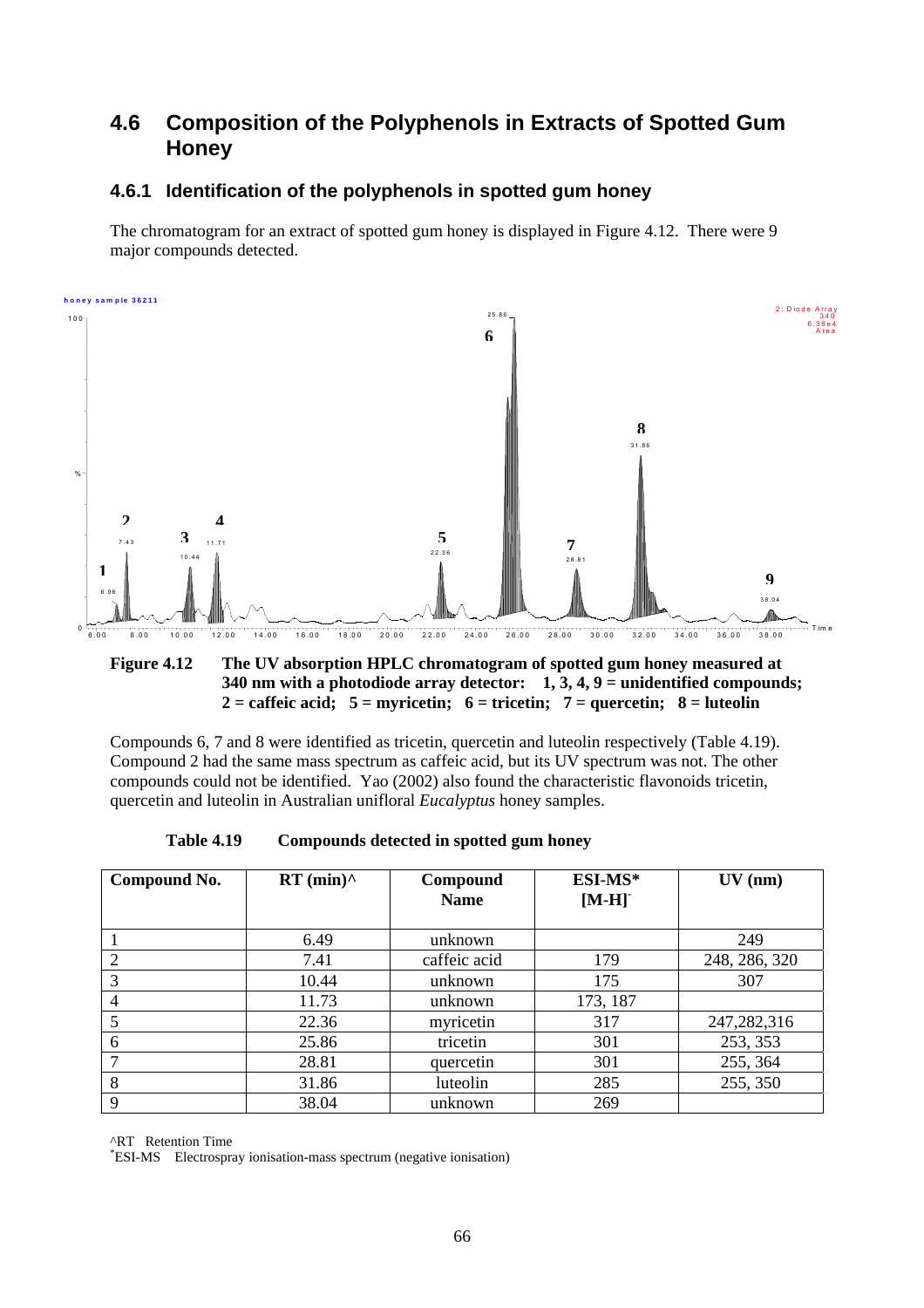### **4.6 Composition of the Polyphenols in Extracts of Spotted Gum Honey**

### **4.6.1 Identification of the polyphenols in spotted gum honey**

The chromatogram for an extract of spotted gum honey is displayed in Figure 4.12. There were 9 major compounds detected.



#### **Figure 4.12 The UV absorption HPLC chromatogram of spotted gum honey measured at 340 nm with a photodiode array detector: 1, 3, 4, 9 = unidentified compounds; 2 = caffeic acid; 5 = myricetin; 6 = tricetin; 7 = quercetin; 8 = luteolin**

Compounds 6, 7 and 8 were identified as tricetin, quercetin and luteolin respectively (Table 4.19). Compound 2 had the same mass spectrum as caffeic acid, but its UV spectrum was not. The other compounds could not be identified. Yao (2002) also found the characteristic flavonoids tricetin, quercetin and luteolin in Australian unifloral *Eucalyptus* honey samples.

| <b>Table 4.19</b> | Compounds detected in spotted gum honey |  |
|-------------------|-----------------------------------------|--|
|-------------------|-----------------------------------------|--|

| Compound No. | $RT$ (min) $^{\wedge}$ | Compound<br><b>Name</b> | ESI-MS*<br>$[M-H]$ | $UV$ (nm)     |
|--------------|------------------------|-------------------------|--------------------|---------------|
|              | 6.49                   | unknown                 |                    | 249           |
|              | 7.41                   | caffeic acid            | 179                | 248, 286, 320 |
|              | 10.44                  | unknown                 | 175                | 307           |
| 4            | 11.73                  | unknown                 | 173, 187           |               |
| 5            | 22.36                  | myricetin               | 317                | 247,282,316   |
| 6            | 25.86                  | tricetin                | 301                | 253, 353      |
|              | 28.81                  | quercetin               | 301                | 255, 364      |
| 8            | 31.86                  | luteolin                | 285                | 255, 350      |
| 9            | 38.04                  | unknown                 | 269                |               |

^RT Retention Time

\* ESI-MS Electrospray ionisation-mass spectrum (negative ionisation)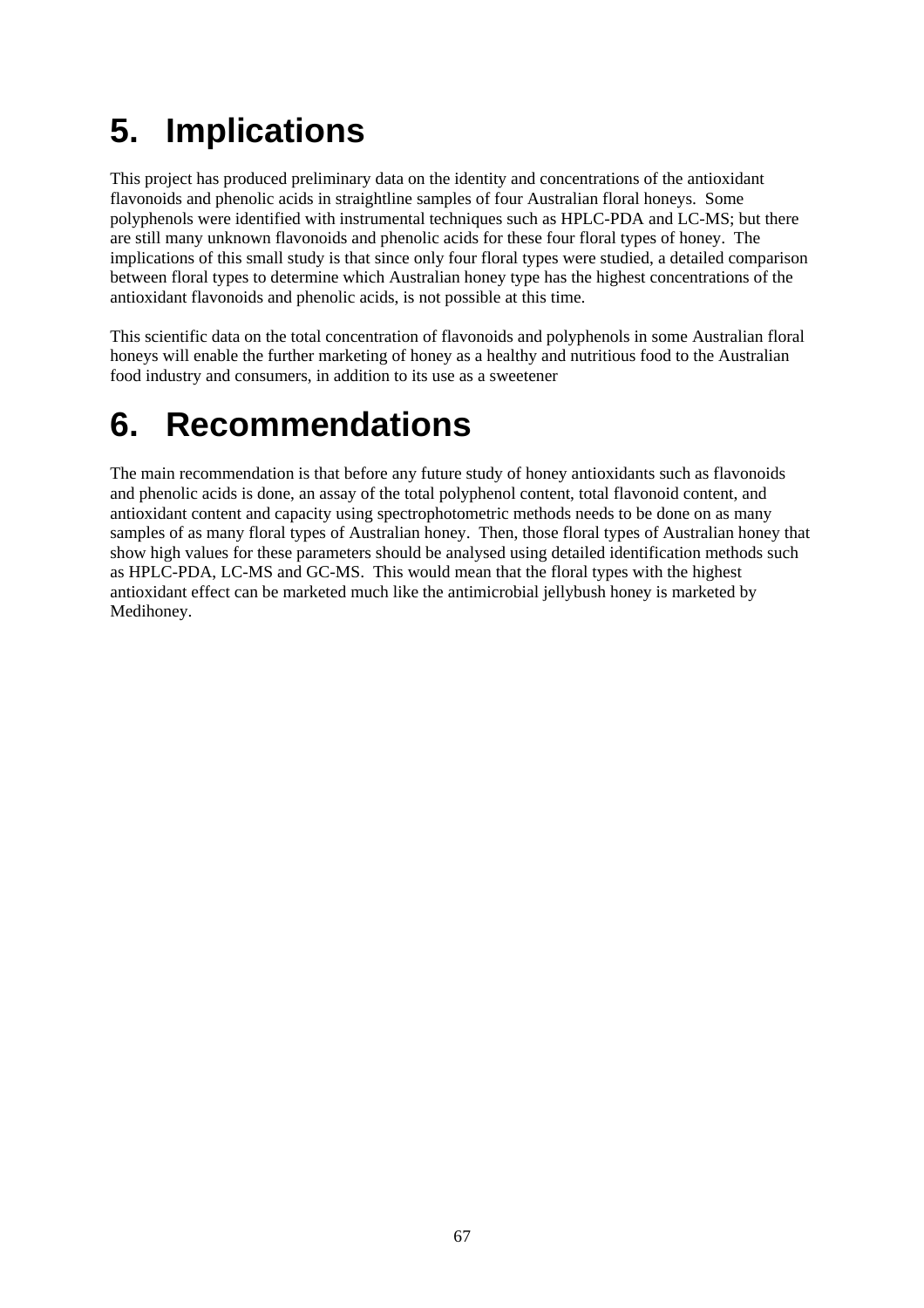# **5. Implications**

This project has produced preliminary data on the identity and concentrations of the antioxidant flavonoids and phenolic acids in straightline samples of four Australian floral honeys. Some polyphenols were identified with instrumental techniques such as HPLC-PDA and LC-MS; but there are still many unknown flavonoids and phenolic acids for these four floral types of honey. The implications of this small study is that since only four floral types were studied, a detailed comparison between floral types to determine which Australian honey type has the highest concentrations of the antioxidant flavonoids and phenolic acids, is not possible at this time.

This scientific data on the total concentration of flavonoids and polyphenols in some Australian floral honeys will enable the further marketing of honey as a healthy and nutritious food to the Australian food industry and consumers, in addition to its use as a sweetener

## **6. Recommendations**

The main recommendation is that before any future study of honey antioxidants such as flavonoids and phenolic acids is done, an assay of the total polyphenol content, total flavonoid content, and antioxidant content and capacity using spectrophotometric methods needs to be done on as many samples of as many floral types of Australian honey. Then, those floral types of Australian honey that show high values for these parameters should be analysed using detailed identification methods such as HPLC-PDA, LC-MS and GC-MS. This would mean that the floral types with the highest antioxidant effect can be marketed much like the antimicrobial jellybush honey is marketed by Medihoney.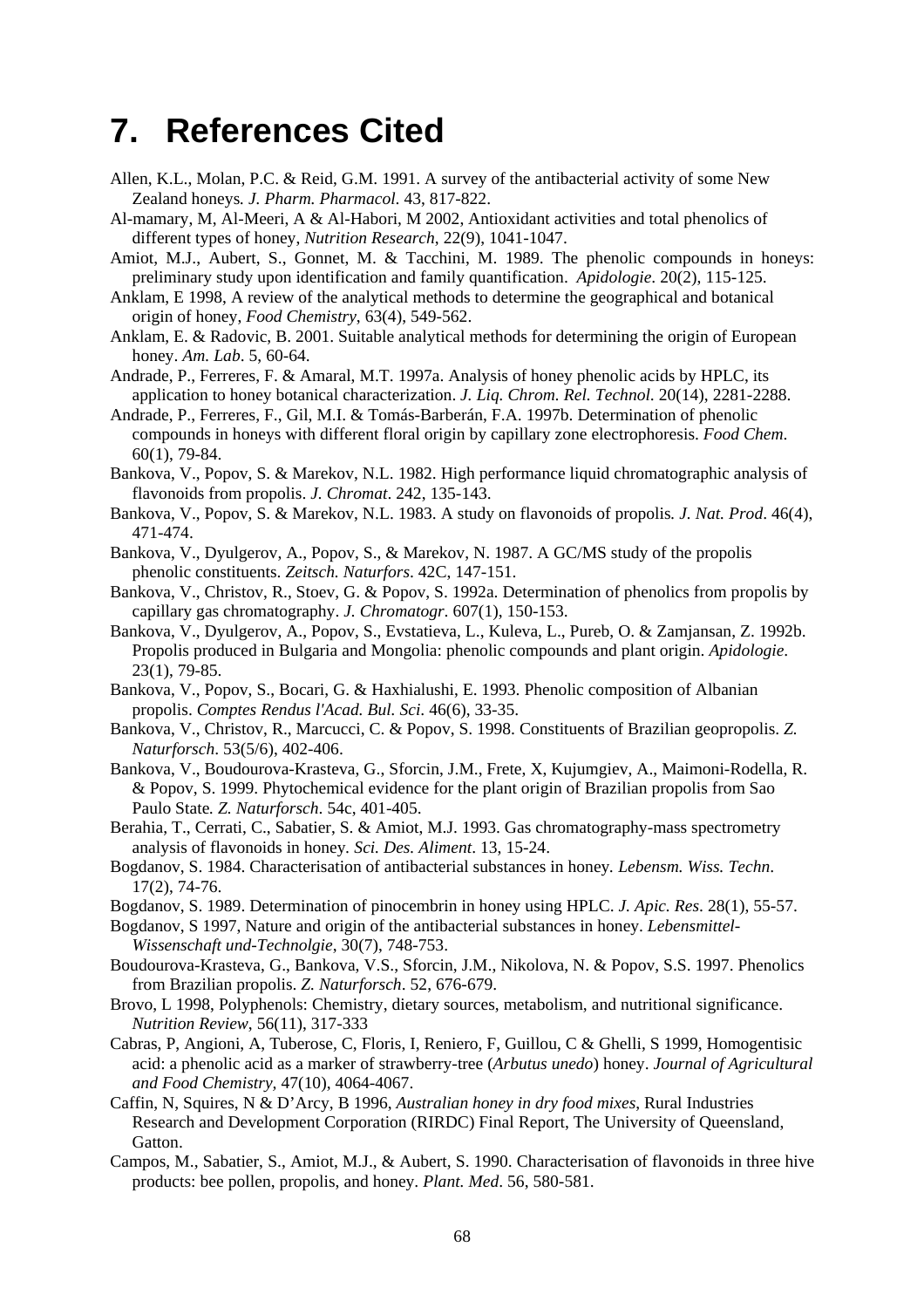### **7. References Cited**

- Allen, K.L., Molan, P.C. & Reid, G.M. 1991. A survey of the antibacterial activity of some New Zealand honeys*. J. Pharm. Pharmacol*. 43, 817-822.
- Al-mamary, M, Al-Meeri, A & Al-Habori, M 2002, Antioxidant activities and total phenolics of different types of honey, *Nutrition Research*, 22(9), 1041-1047.
- Amiot, M.J., Aubert, S., Gonnet, M. & Tacchini, M. 1989. The phenolic compounds in honeys: preliminary study upon identification and family quantification. *Apidologie*. 20(2), 115-125.
- Anklam, E 1998, A review of the analytical methods to determine the geographical and botanical origin of honey, *Food Chemistry*, 63(4), 549-562.
- Anklam, E. & Radovic, B. 2001. Suitable analytical methods for determining the origin of European honey. *Am. Lab*. 5, 60-64.
- Andrade, P., Ferreres, F. & Amaral, M.T. 1997a. Analysis of honey phenolic acids by HPLC, its application to honey botanical characterization. *J. Liq. Chrom. Rel. Technol*. 20(14), 2281-2288.
- Andrade, P., Ferreres, F., Gil, M.I. & Tomás-Barberán, F.A. 1997b. Determination of phenolic compounds in honeys with different floral origin by capillary zone electrophoresis. *Food Chem*. 60(1), 79-84.
- Bankova, V., Popov, S. & Marekov, N.L. 1982. High performance liquid chromatographic analysis of flavonoids from propolis. *J. Chromat*. 242, 135-143.
- Bankova, V., Popov, S. & Marekov, N.L. 1983. A study on flavonoids of propolis*. J. Nat. Prod*. 46(4), 471-474.
- Bankova, V., Dyulgerov, A., Popov, S., & Marekov, N. 1987. A GC/MS study of the propolis phenolic constituents. *Zeitsch. Naturfors*. 42C, 147-151.
- Bankova, V., Christov, R., Stoev, G. & Popov, S. 1992a. Determination of phenolics from propolis by capillary gas chromatography. *J. Chromatogr*. 607(1), 150-153.
- Bankova, V., Dyulgerov, A., Popov, S., Evstatieva, L., Kuleva, L., Pureb, O. & Zamjansan, Z. 1992b. Propolis produced in Bulgaria and Mongolia: phenolic compounds and plant origin. *Apidologie*.  $23(1)$ , 79-85.
- Bankova, V., Popov, S., Bocari, G. & Haxhialushi, E. 1993. Phenolic composition of Albanian propolis. *Comptes Rendus l'Acad. Bul. Sci*. 46(6), 33-35.
- Bankova, V., Christov, R., Marcucci, C. & Popov, S. 1998. Constituents of Brazilian geopropolis. *Z. Naturforsch*. 53(5/6), 402-406.
- Bankova, V., Boudourova-Krasteva, G., Sforcin, J.M., Frete, X, Kujumgiev, A., Maimoni-Rodella, R. & Popov, S. 1999. Phytochemical evidence for the plant origin of Brazilian propolis from Sao Paulo State*. Z. Naturforsch*. 54c, 401-405.
- Berahia, T., Cerrati, C., Sabatier, S. & Amiot, M.J. 1993. Gas chromatography-mass spectrometry analysis of flavonoids in honey*. Sci. Des. Aliment*. 13, 15-24.
- Bogdanov, S. 1984. Characterisation of antibacterial substances in honey*. Lebensm. Wiss. Techn*. 17(2), 74-76.
- Bogdanov, S. 1989. Determination of pinocembrin in honey using HPLC. *J. Apic. Res*. 28(1), 55-57.
- Bogdanov, S 1997, Nature and origin of the antibacterial substances in honey. *Lebensmittel-Wissenschaft und-Technolgie*, 30(7), 748-753.
- Boudourova-Krasteva, G., Bankova, V.S., Sforcin, J.M., Nikolova, N. & Popov, S.S. 1997. Phenolics from Brazilian propolis. *Z. Naturforsch*. 52, 676-679.
- Brovo, L 1998, Polyphenols: Chemistry, dietary sources, metabolism, and nutritional significance. *Nutrition Review*, 56(11), 317-333
- Cabras, P, Angioni, A, Tuberose, C, Floris, I, Reniero, F, Guillou, C & Ghelli, S 1999, Homogentisic acid: a phenolic acid as a marker of strawberry-tree (*Arbutus unedo*) honey. *Journal of Agricultural and Food Chemistry,* 47(10), 4064-4067.
- Caffin, N, Squires, N & D'Arcy, B 1996, *Australian honey in dry food mixes*, Rural Industries Research and Development Corporation (RIRDC) Final Report, The University of Queensland, Gatton.
- Campos, M., Sabatier, S., Amiot, M.J., & Aubert, S. 1990. Characterisation of flavonoids in three hive products: bee pollen, propolis, and honey. *Plant. Med*. 56, 580-581.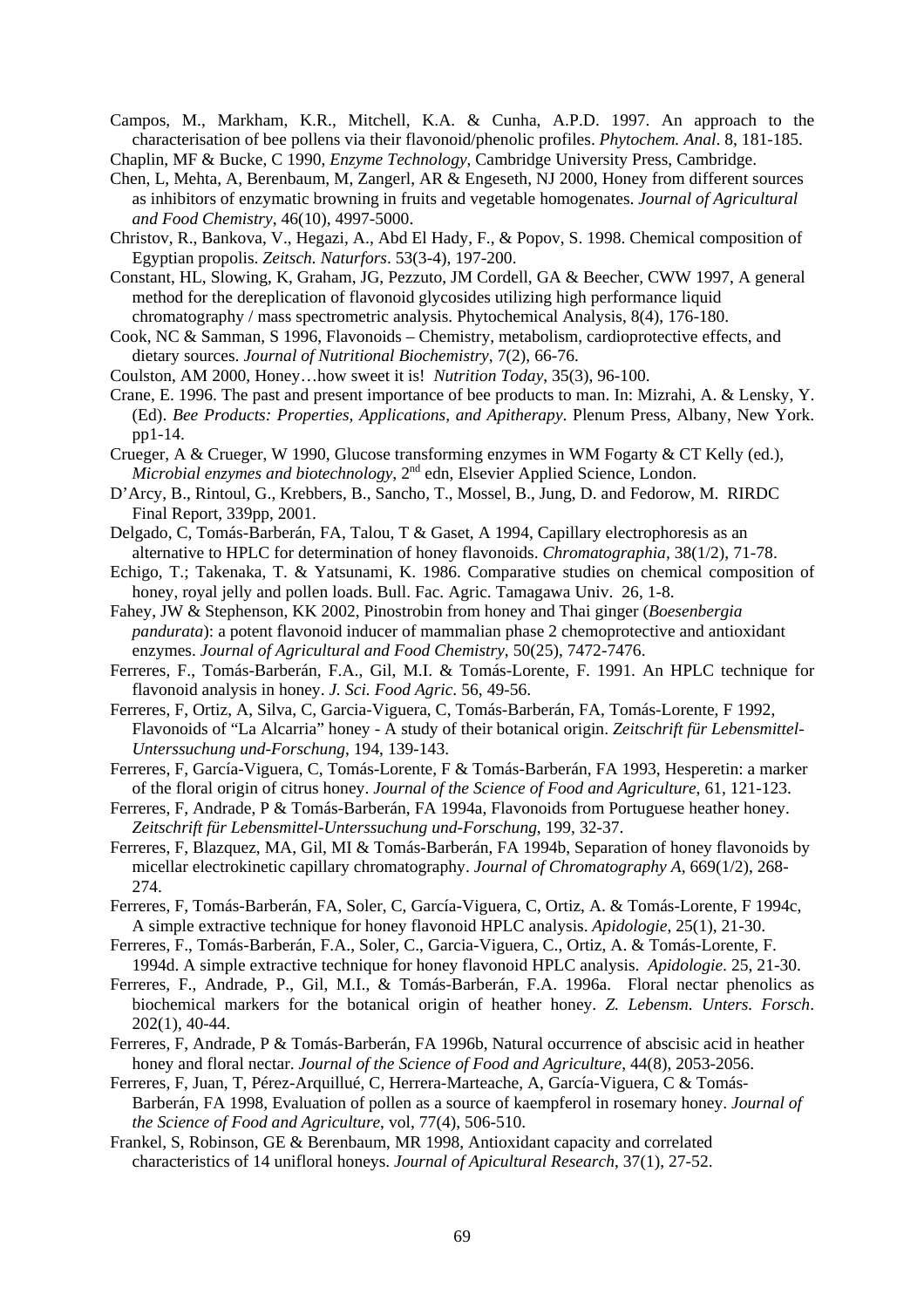Campos, M., Markham, K.R., Mitchell, K.A. & Cunha, A.P.D. 1997. An approach to the characterisation of bee pollens via their flavonoid/phenolic profiles. *Phytochem. Anal*. 8, 181-185.

Chaplin, MF & Bucke, C 1990, *Enzyme Technology*, Cambridge University Press, Cambridge.

- Chen, L, Mehta, A, Berenbaum, M, Zangerl, AR & Engeseth, NJ 2000, Honey from different sources as inhibitors of enzymatic browning in fruits and vegetable homogenates. *Journal of Agricultural and Food Chemistry*, 46(10), 4997-5000.
- Christov, R., Bankova, V., Hegazi, A., Abd El Hady, F., & Popov, S. 1998. Chemical composition of Egyptian propolis. *Zeitsch. Naturfors*. 53(3-4), 197-200.
- Constant, HL, Slowing, K, Graham, JG, Pezzuto, JM Cordell, GA & Beecher, CWW 1997, A general method for the dereplication of flavonoid glycosides utilizing high performance liquid chromatography / mass spectrometric analysis. Phytochemical Analysis, 8(4), 176-180.
- Cook, NC & Samman, S 1996, Flavonoids Chemistry, metabolism, cardioprotective effects, and dietary sources. *Journal of Nutritional Biochemistry*, 7(2), 66-76.
- Coulston, AM 2000, Honey…how sweet it is! *Nutrition Today*, 35(3), 96-100.
- Crane, E. 1996. The past and present importance of bee products to man. In: Mizrahi, A. & Lensky, Y. (Ed). *Bee Products: Properties, Applications, and Apitherapy*. Plenum Press, Albany, New York. pp1-14.
- Crueger, A & Crueger, W 1990, Glucose transforming enzymes in WM Fogarty & CT Kelly (ed.), *Microbial enzymes and biotechnology*, 2<sup>nd</sup> edn, Elsevier Applied Science, London.
- D'Arcy, B., Rintoul, G., Krebbers, B., Sancho, T., Mossel, B., Jung, D. and Fedorow, M. RIRDC Final Report, 339pp, 2001.
- Delgado, C, Tomás-Barberán, FA, Talou, T & Gaset, A 1994, Capillary electrophoresis as an alternative to HPLC for determination of honey flavonoids. *Chromatographia,* 38(1/2), 71-78.
- Echigo, T.; Takenaka, T. & Yatsunami, K. 1986. Comparative studies on chemical composition of honey, royal jelly and pollen loads. Bull. Fac. Agric. Tamagawa Univ. 26, 1-8.
- Fahey, JW & Stephenson, KK 2002, Pinostrobin from honey and Thai ginger (*Boesenbergia pandurata*): a potent flavonoid inducer of mammalian phase 2 chemoprotective and antioxidant enzymes. *Journal of Agricultural and Food Chemistry*, 50(25), 7472-7476.
- Ferreres, F., Tomás-Barberán, F.A., Gil, M.I. & Tomás-Lorente, F. 1991. An HPLC technique for flavonoid analysis in honey. *J. Sci. Food Agric*. 56, 49-56.
- Ferreres, F, Ortiz, A, Silva, C, Garcia-Viguera, C, Tomás-Barberán, FA, Tomás-Lorente, F 1992, Flavonoids of "La Alcarria" honey - A study of their botanical origin. *Zeitschrift für Lebensmittel-Unterssuchung und-Forschung*, 194, 139-143.
- Ferreres, F, García-Viguera, C, Tomás-Lorente, F & Tomás-Barberán, FA 1993, Hesperetin: a marker of the floral origin of citrus honey. *Journal of the Science of Food and Agriculture*, 61, 121-123.
- Ferreres, F, Andrade, P & Tomás-Barberán, FA 1994a, Flavonoids from Portuguese heather honey. *Zeitschrift für Lebensmittel-Unterssuchung und-Forschung*, 199, 32-37.
- Ferreres, F, Blazquez, MA, Gil, MI & Tomás-Barberán, FA 1994b, Separation of honey flavonoids by micellar electrokinetic capillary chromatography. *Journal of Chromatography A*, 669(1/2), 268- 274.
- Ferreres, F, Tomás-Barberán, FA, Soler, C, García-Viguera, C, Ortiz, A. & Tomás-Lorente, F 1994c, A simple extractive technique for honey flavonoid HPLC analysis. *Apidologie*, 25(1), 21-30.
- Ferreres, F., Tomás-Barberán, F.A., Soler, C., Garcia-Viguera, C., Ortiz, A. & Tomás-Lorente, F. 1994d. A simple extractive technique for honey flavonoid HPLC analysis. *Apidologie*. 25, 21-30.
- Ferreres, F., Andrade, P., Gil, M.I., & Tomás-Barberán, F.A. 1996a. Floral nectar phenolics as biochemical markers for the botanical origin of heather honey. *Z. Lebensm. Unters. Forsch*. 202(1), 40-44.
- Ferreres, F, Andrade, P & Tomás-Barberán, FA 1996b, Natural occurrence of abscisic acid in heather honey and floral nectar. *Journal of the Science of Food and Agriculture*, 44(8), 2053-2056.
- Ferreres, F, Juan, T, Pérez-Arquillué, C, Herrera-Marteache, A, García-Viguera, C & Tomás-Barberán, FA 1998, Evaluation of pollen as a source of kaempferol in rosemary honey. *Journal of the Science of Food and Agriculture*, vol, 77(4), 506-510.
- Frankel, S, Robinson, GE & Berenbaum, MR 1998, Antioxidant capacity and correlated characteristics of 14 unifloral honeys. *Journal of Apicultural Research*, 37(1), 27-52.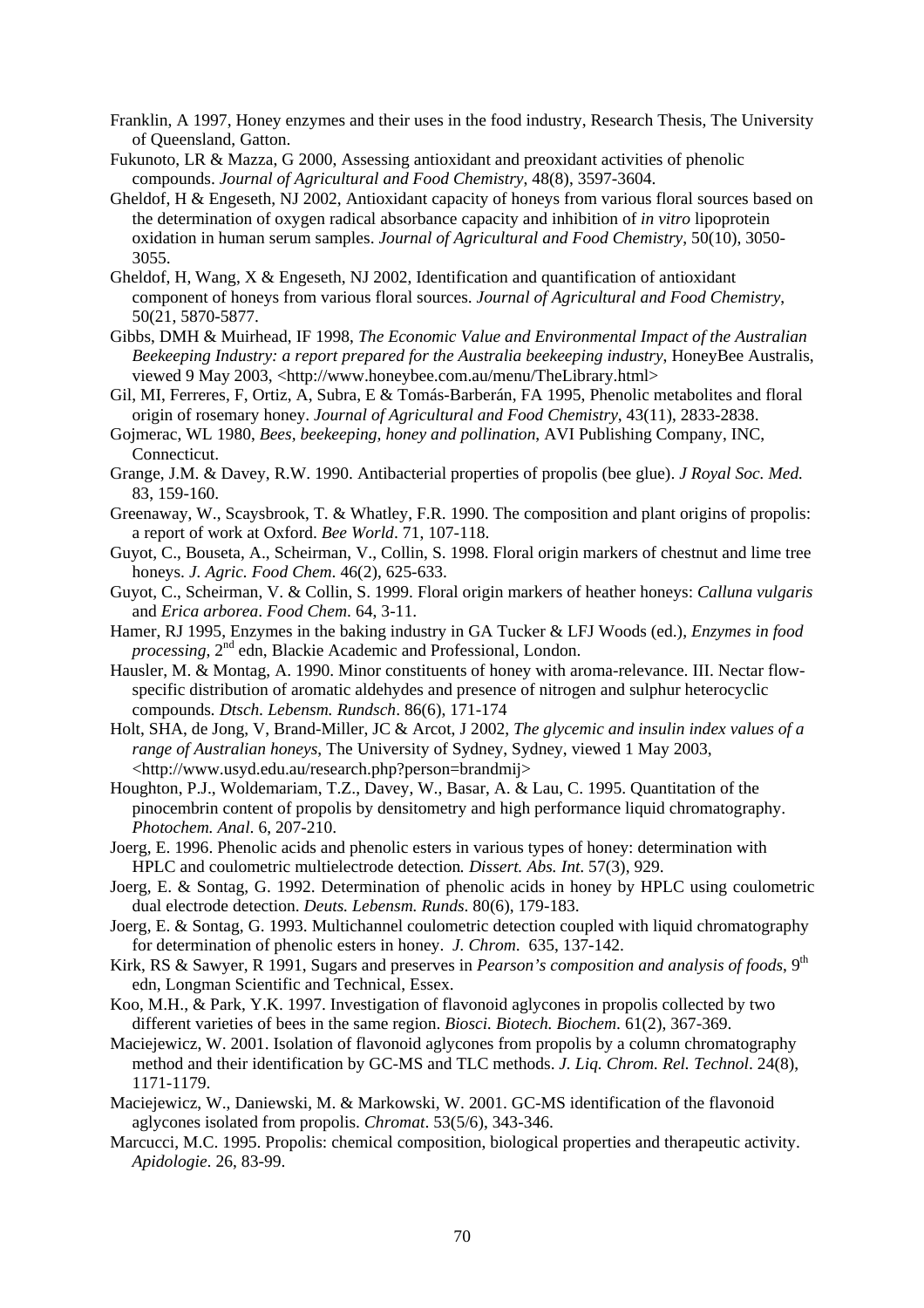- Franklin, A 1997, Honey enzymes and their uses in the food industry, Research Thesis, The University of Queensland, Gatton.
- Fukunoto, LR & Mazza, G 2000, Assessing antioxidant and preoxidant activities of phenolic compounds. *Journal of Agricultural and Food Chemistry*, 48(8), 3597-3604.
- Gheldof, H & Engeseth, NJ 2002, Antioxidant capacity of honeys from various floral sources based on the determination of oxygen radical absorbance capacity and inhibition of *in vitro* lipoprotein oxidation in human serum samples. *Journal of Agricultural and Food Chemistry*, 50(10), 3050- 3055.
- Gheldof, H, Wang,  $X \&$  Engeseth, NJ 2002, Identification and quantification of antioxidant component of honeys from various floral sources. *Journal of Agricultural and Food Chemistry*, 50(21, 5870-5877.
- Gibbs, DMH & Muirhead, IF 1998, *The Economic Value and Environmental Impact of the Australian Beekeeping Industry: a report prepared for the Australia beekeeping industry*, HoneyBee Australis, viewed 9 May 2003, <http://www.honeybee.com.au/menu/TheLibrary.html>
- Gil, MI, Ferreres, F, Ortiz, A, Subra, E & Tomás-Barberán, FA 1995, Phenolic metabolites and floral origin of rosemary honey. *Journal of Agricultural and Food Chemistry*, 43(11), 2833-2838.
- Gojmerac, WL 1980, *Bees, beekeeping, honey and pollination*, AVI Publishing Company, INC, Connecticut.
- Grange, J.M. & Davey, R.W. 1990. Antibacterial properties of propolis (bee glue). *J Royal Soc. Med.* 83, 159-160.
- Greenaway, W., Scaysbrook, T. & Whatley, F.R. 1990. The composition and plant origins of propolis: a report of work at Oxford. *Bee World*. 71, 107-118.
- Guyot, C., Bouseta, A., Scheirman, V., Collin, S. 1998. Floral origin markers of chestnut and lime tree honeys. *J. Agric. Food Chem*. 46(2), 625-633.
- Guyot, C., Scheirman, V. & Collin, S. 1999. Floral origin markers of heather honeys: *Calluna vulgaris* and *Erica arborea*. *Food Chem*. 64, 3-11.
- Hamer, RJ 1995, Enzymes in the baking industry in GA Tucker & LFJ Woods (ed.), *Enzymes in food processing*,  $2^{nd}$  edn, Blackie Academic and Professional, London.
- Hausler, M. & Montag, A. 1990. Minor constituents of honey with aroma-relevance. III. Nectar flowspecific distribution of aromatic aldehydes and presence of nitrogen and sulphur heterocyclic compounds*. Dtsch. Lebensm. Rundsch*. 86(6), 171-174
- Holt, SHA, de Jong, V, Brand-Miller, JC & Arcot, J 2002, *The glycemic and insulin index values of a range of Australian honeys*, The University of Sydney, Sydney, viewed 1 May 2003, <http://www.usyd.edu.au/research.php?person=brandmij>
- Houghton, P.J., Woldemariam, T.Z., Davey, W., Basar, A. & Lau, C. 1995. Quantitation of the pinocembrin content of propolis by densitometry and high performance liquid chromatography. *Photochem. Anal*. 6, 207-210.
- Joerg, E. 1996. Phenolic acids and phenolic esters in various types of honey: determination with HPLC and coulometric multielectrode detection*. Dissert. Abs. Int*. 57(3), 929.
- Joerg, E. & Sontag, G. 1992. Determination of phenolic acids in honey by HPLC using coulometric dual electrode detection. *Deuts. Lebensm. Runds*. 80(6), 179-183.
- Joerg, E. & Sontag, G. 1993. Multichannel coulometric detection coupled with liquid chromatography for determination of phenolic esters in honey. *J. Chrom*. 635, 137-142.
- Kirk, RS & Sawyer, R 1991, Sugars and preserves in *Pearson's composition and analysis of foods*, 9<sup>th</sup> edn, Longman Scientific and Technical, Essex.
- Koo, M.H., & Park, Y.K. 1997. Investigation of flavonoid aglycones in propolis collected by two different varieties of bees in the same region. *Biosci. Biotech. Biochem*. 61(2), 367-369.
- Maciejewicz, W. 2001. Isolation of flavonoid aglycones from propolis by a column chromatography method and their identification by GC-MS and TLC methods. *J. Liq. Chrom. Rel. Technol*. 24(8), 1171-1179.
- Maciejewicz, W., Daniewski, M. & Markowski, W. 2001. GC-MS identification of the flavonoid aglycones isolated from propolis. *Chromat*. 53(5/6), 343-346.
- Marcucci, M.C. 1995. Propolis: chemical composition, biological properties and therapeutic activity. *Apidologie*. 26, 83-99.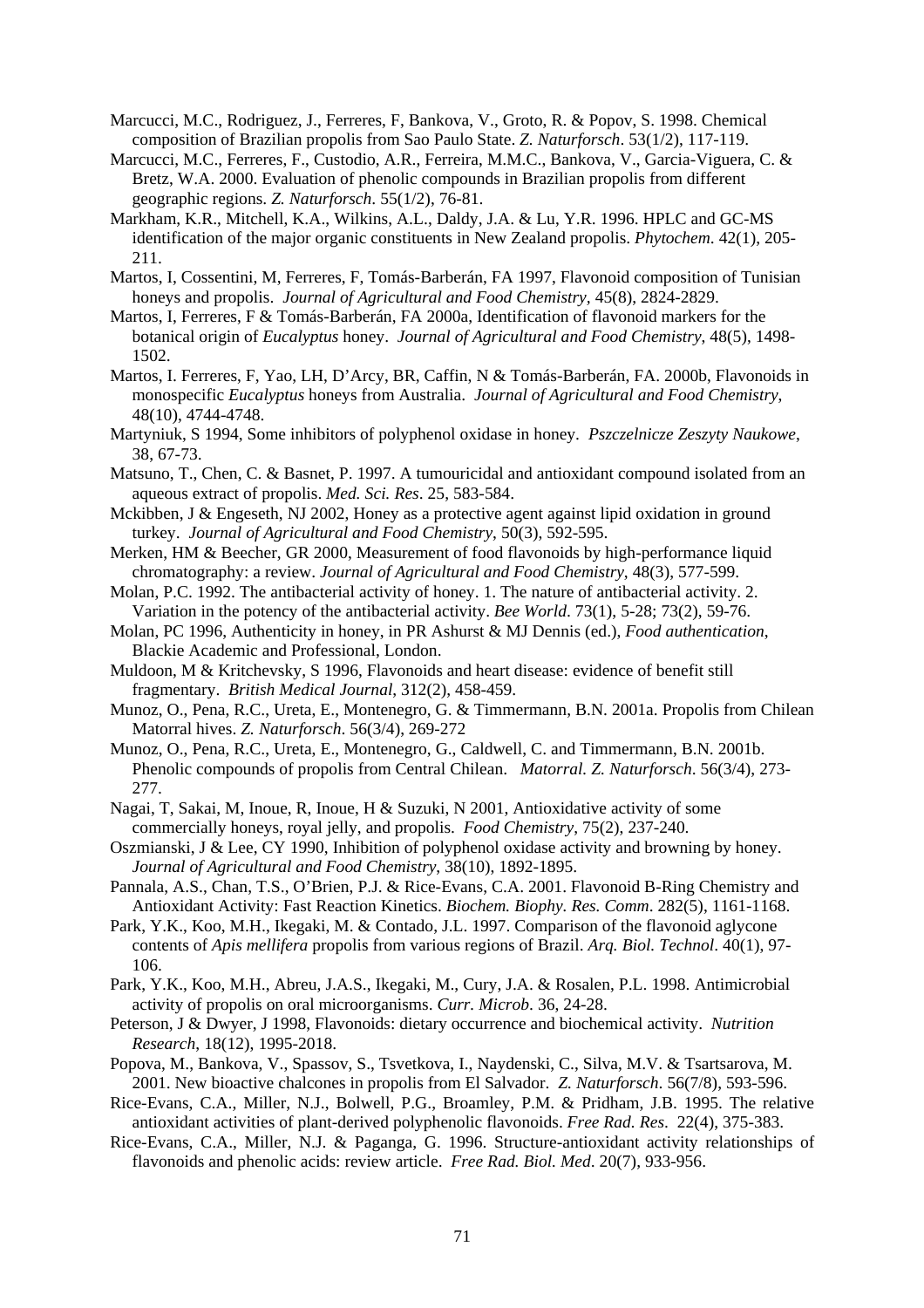- Marcucci, M.C., Rodriguez, J., Ferreres, F, Bankova, V., Groto, R. & Popov, S. 1998. Chemical composition of Brazilian propolis from Sao Paulo State. *Z. Naturforsch*. 53(1/2), 117-119.
- Marcucci, M.C., Ferreres, F., Custodio, A.R., Ferreira, M.M.C., Bankova, V., Garcia-Viguera, C. & Bretz, W.A. 2000. Evaluation of phenolic compounds in Brazilian propolis from different geographic regions. *Z. Naturforsch*. 55(1/2), 76-81.
- Markham, K.R., Mitchell, K.A., Wilkins, A.L., Daldy, J.A. & Lu, Y.R. 1996. HPLC and GC-MS identification of the major organic constituents in New Zealand propolis. *Phytochem*. 42(1), 205- 211.
- Martos, I, Cossentini, M, Ferreres, F, Tomás-Barberán, FA 1997, Flavonoid composition of Tunisian honeys and propolis. *Journal of Agricultural and Food Chemistry,* 45(8), 2824-2829.
- Martos, I, Ferreres, F & Tomás-Barberán, FA 2000a, Identification of flavonoid markers for the botanical origin of *Eucalyptus* honey. *Journal of Agricultural and Food Chemistry*, 48(5), 1498- 1502.
- Martos, I. Ferreres, F, Yao, LH, D'Arcy, BR, Caffin, N & Tomás-Barberán, FA. 2000b, Flavonoids in monospecific *Eucalyptus* honeys from Australia. *Journal of Agricultural and Food Chemistry*, 48(10), 4744-4748.
- Martyniuk, S 1994, Some inhibitors of polyphenol oxidase in honey. *Pszczelnicze Zeszyty Naukowe*, 38, 67-73.
- Matsuno, T., Chen, C. & Basnet, P. 1997. A tumouricidal and antioxidant compound isolated from an aqueous extract of propolis. *Med. Sci. Res*. 25, 583-584.
- Mckibben, J & Engeseth, NJ 2002, Honey as a protective agent against lipid oxidation in ground turkey. *Journal of Agricultural and Food Chemistry*, 50(3), 592-595.
- Merken, HM & Beecher, GR 2000, Measurement of food flavonoids by high-performance liquid chromatography: a review. *Journal of Agricultural and Food Chemistry*, 48(3), 577-599.
- Molan, P.C. 1992. The antibacterial activity of honey. 1. The nature of antibacterial activity. 2. Variation in the potency of the antibacterial activity. *Bee World*. 73(1), 5-28; 73(2), 59-76.
- Molan, PC 1996, Authenticity in honey, in PR Ashurst & MJ Dennis (ed.), *Food authentication*, Blackie Academic and Professional, London.
- Muldoon, M & Kritchevsky, S 1996, Flavonoids and heart disease: evidence of benefit still fragmentary. *British Medical Journal*, 312(2), 458-459.
- Munoz, O., Pena, R.C., Ureta, E., Montenegro, G. & Timmermann, B.N. 2001a. Propolis from Chilean Matorral hives. *Z. Naturforsch*. 56(3/4), 269-272
- Munoz, O., Pena, R.C., Ureta, E., Montenegro, G., Caldwell, C. and Timmermann, B.N. 2001b. Phenolic compounds of propolis from Central Chilean. *Matorral. Z. Naturforsch*. 56(3/4), 273- 277.
- Nagai, T, Sakai, M, Inoue, R, Inoue, H & Suzuki, N 2001, Antioxidative activity of some commercially honeys, royal jelly, and propolis. *Food Chemistry*, 75(2), 237-240.
- Oszmianski, J & Lee, CY 1990, Inhibition of polyphenol oxidase activity and browning by honey. *Journal of Agricultural and Food Chemistry*, 38(10), 1892-1895.
- Pannala, A.S., Chan, T.S., O'Brien, P.J. & Rice-Evans, C.A. 2001. Flavonoid B-Ring Chemistry and Antioxidant Activity: Fast Reaction Kinetics. *Biochem. Biophy. Res. Comm*. 282(5), 1161-1168.
- Park, Y.K., Koo, M.H., Ikegaki, M. & Contado, J.L. 1997. Comparison of the flavonoid aglycone contents of *Apis mellifera* propolis from various regions of Brazil. *Arq. Biol. Technol*. 40(1), 97- 106.
- Park, Y.K., Koo, M.H., Abreu, J.A.S., Ikegaki, M., Cury, J.A. & Rosalen, P.L. 1998. Antimicrobial activity of propolis on oral microorganisms. *Curr. Microb*. 36, 24-28.
- Peterson, J & Dwyer, J 1998, Flavonoids: dietary occurrence and biochemical activity. *Nutrition Research*, 18(12), 1995-2018.
- Popova, M., Bankova, V., Spassov, S., Tsvetkova, I., Naydenski, C., Silva, M.V. & Tsartsarova, M. 2001. New bioactive chalcones in propolis from El Salvador. *Z. Naturforsch*. 56(7/8), 593-596.
- Rice-Evans, C.A., Miller, N.J., Bolwell, P.G., Broamley, P.M. & Pridham, J.B. 1995. The relative antioxidant activities of plant-derived polyphenolic flavonoids. *Free Rad. Res*. 22(4), 375-383.
- Rice-Evans, C.A., Miller, N.J. & Paganga, G. 1996. Structure-antioxidant activity relationships of flavonoids and phenolic acids: review article. *Free Rad. Biol. Med*. 20(7), 933-956.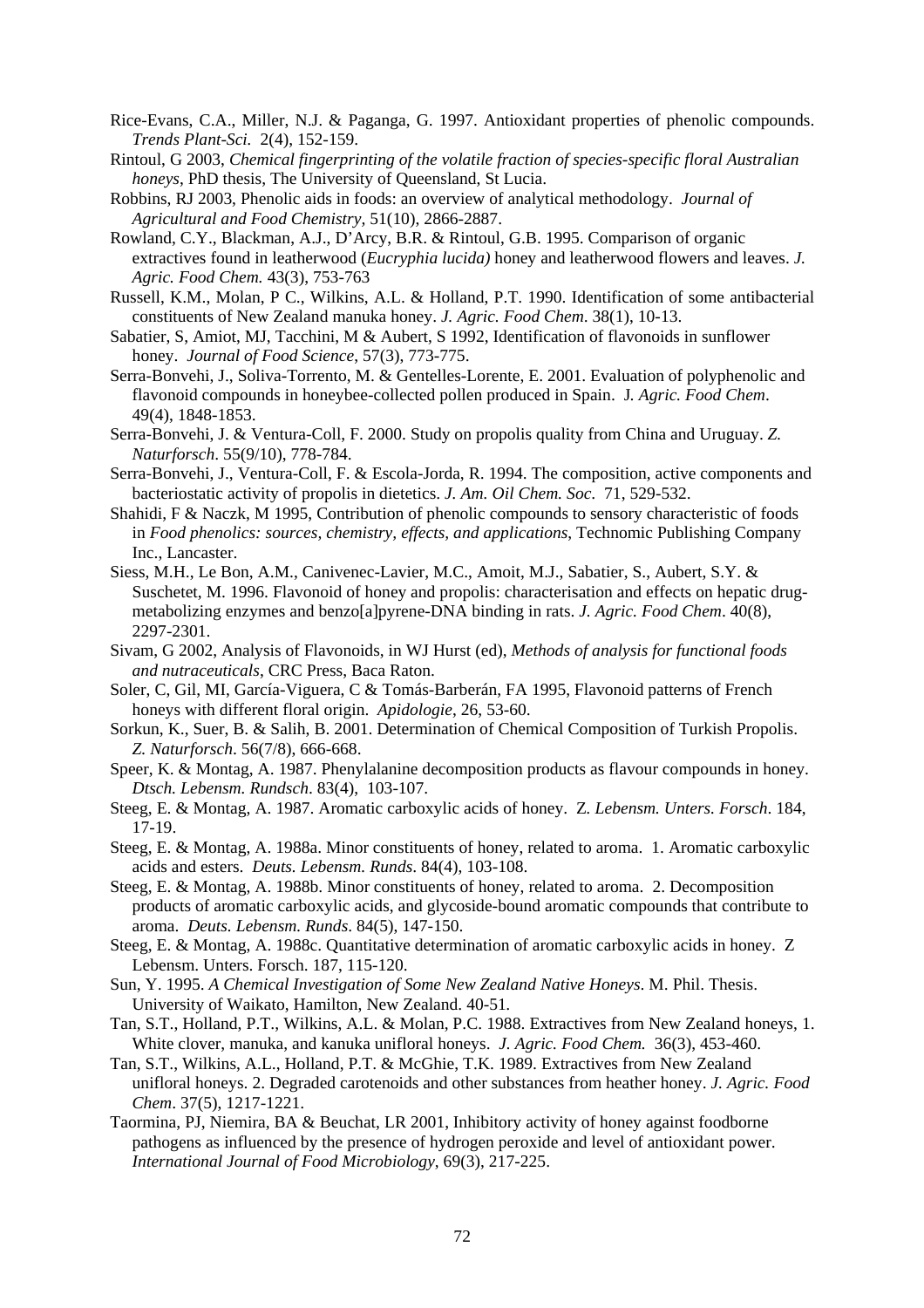- Rice-Evans, C.A., Miller, N.J. & Paganga, G. 1997. Antioxidant properties of phenolic compounds. *Trends Plant-Sci.* 2(4), 152-159.
- Rintoul, G 2003, *Chemical fingerprinting of the volatile fraction of species-specific floral Australian honeys*, PhD thesis, The University of Queensland, St Lucia.
- Robbins, RJ 2003, Phenolic aids in foods: an overview of analytical methodology. *Journal of Agricultural and Food Chemistry,* 51(10), 2866-2887.
- Rowland, C.Y., Blackman, A.J., D'Arcy, B.R. & Rintoul, G.B. 1995. Comparison of organic extractives found in leatherwood (*Eucryphia lucida)* honey and leatherwood flowers and leaves. *J. Agric. Food Chem.* 43(3), 753-763
- Russell, K.M., Molan, P C., Wilkins, A.L. & Holland, P.T. 1990. Identification of some antibacterial constituents of New Zealand manuka honey. *J. Agric. Food Chem*. 38(1), 10-13.
- Sabatier, S, Amiot, MJ, Tacchini, M & Aubert, S 1992, Identification of flavonoids in sunflower honey. *Journal of Food Science*, 57(3), 773-775.
- Serra-Bonvehi, J., Soliva-Torrento, M. & Gentelles-Lorente, E. 2001. Evaluation of polyphenolic and flavonoid compounds in honeybee-collected pollen produced in Spain. J*. Agric. Food Chem*. 49(4), 1848-1853.
- Serra-Bonvehi, J. & Ventura-Coll, F. 2000. Study on propolis quality from China and Uruguay. *Z. Naturforsch*. 55(9/10), 778-784.
- Serra-Bonvehi, J., Ventura-Coll, F. & Escola-Jorda, R. 1994. The composition, active components and bacteriostatic activity of propolis in dietetics. *J. Am. Oil Chem. Soc*. 71, 529-532.
- Shahidi, F & Naczk, M 1995, Contribution of phenolic compounds to sensory characteristic of foods in *Food phenolics: sources, chemistry, effects, and applications*, Technomic Publishing Company Inc., Lancaster.
- Siess, M.H., Le Bon, A.M., Canivenec-Lavier, M.C., Amoit, M.J., Sabatier, S., Aubert, S.Y. & Suschetet, M. 1996. Flavonoid of honey and propolis: characterisation and effects on hepatic drugmetabolizing enzymes and benzo[a]pyrene-DNA binding in rats. *J. Agric. Food Chem*. 40(8), 2297-2301.
- Sivam, G 2002, Analysis of Flavonoids, in WJ Hurst (ed), *Methods of analysis for functional foods and nutraceuticals*, CRC Press, Baca Raton.
- Soler, C, Gil, MI, García-Viguera, C & Tomás-Barberán, FA 1995, Flavonoid patterns of French honeys with different floral origin. *Apidologie*, 26, 53-60.
- Sorkun, K., Suer, B. & Salih, B. 2001. Determination of Chemical Composition of Turkish Propolis. *Z. Naturforsch*. 56(7/8), 666-668.
- Speer, K. & Montag, A. 1987. Phenylalanine decomposition products as flavour compounds in honey. *Dtsch. Lebensm. Rundsch*. 83(4), 103-107.
- Steeg, E. & Montag, A. 1987. Aromatic carboxylic acids of honey. Z*. Lebensm. Unters. Forsch*. 184, 17-19.
- Steeg, E. & Montag, A. 1988a. Minor constituents of honey, related to aroma. 1. Aromatic carboxylic acids and esters. *Deuts. Lebensm. Runds*. 84(4), 103-108.
- Steeg, E. & Montag, A. 1988b. Minor constituents of honey, related to aroma. 2. Decomposition products of aromatic carboxylic acids, and glycoside-bound aromatic compounds that contribute to aroma. *Deuts. Lebensm. Runds*. 84(5), 147-150.
- Steeg, E. & Montag, A. 1988c. Quantitative determination of aromatic carboxylic acids in honey. Z Lebensm. Unters. Forsch. 187, 115-120.
- Sun, Y. 1995. *A Chemical Investigation of Some New Zealand Native Honeys*. M. Phil. Thesis. University of Waikato, Hamilton, New Zealand. 40-51*.*
- Tan, S.T., Holland, P.T., Wilkins, A.L. & Molan, P.C. 1988. Extractives from New Zealand honeys, 1. White clover, manuka, and kanuka unifloral honeys. *J. Agric. Food Chem.* 36(3), 453-460.
- Tan, S.T., Wilkins, A.L., Holland, P.T. & McGhie, T.K. 1989. Extractives from New Zealand unifloral honeys. 2. Degraded carotenoids and other substances from heather honey. *J. Agric. Food Chem*. 37(5), 1217-1221.
- Taormina, PJ, Niemira, BA & Beuchat, LR 2001, Inhibitory activity of honey against foodborne pathogens as influenced by the presence of hydrogen peroxide and level of antioxidant power. *International Journal of Food Microbiology*, 69(3), 217-225.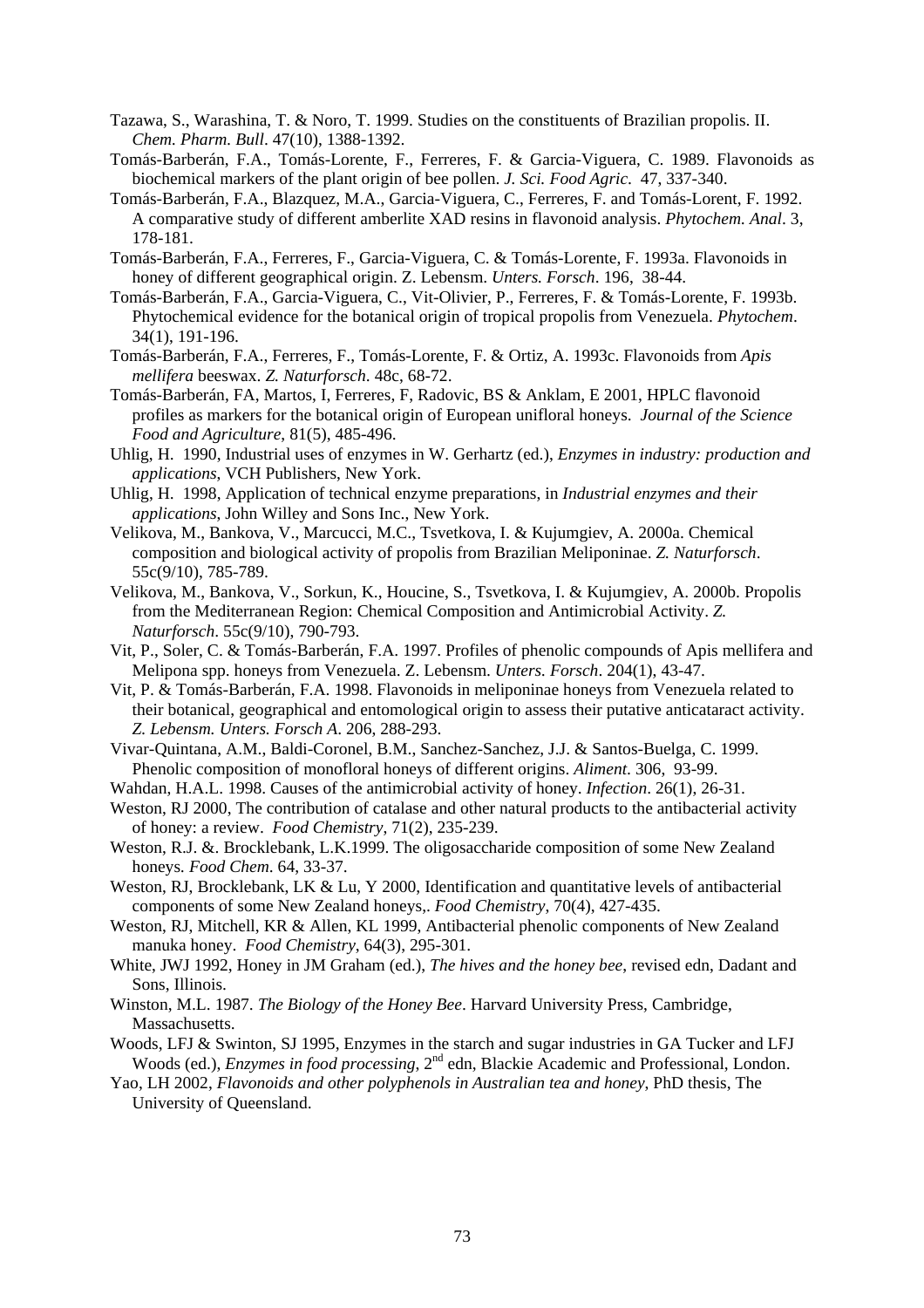- Tazawa, S., Warashina, T. & Noro, T. 1999. Studies on the constituents of Brazilian propolis. II. *Chem. Pharm. Bull*. 47(10), 1388-1392.
- Tomás-Barberán, F.A., Tomás-Lorente, F., Ferreres, F. & Garcia-Viguera, C. 1989. Flavonoids as biochemical markers of the plant origin of bee pollen. *J. Sci. Food Agric*. 47, 337-340.
- Tomás-Barberán, F.A., Blazquez, M.A., Garcia-Viguera, C., Ferreres, F. and Tomás-Lorent, F. 1992. A comparative study of different amberlite XAD resins in flavonoid analysis. *Phytochem. Anal*. 3, 178-181.
- Tomás-Barberán, F.A., Ferreres, F., Garcia-Viguera, C. & Tomás-Lorente, F. 1993a. Flavonoids in honey of different geographical origin. Z. Lebensm. *Unters. Forsch*. 196, 38-44.
- Tomás-Barberán, F.A., Garcia-Viguera, C., Vit-Olivier, P., Ferreres, F. & Tomás-Lorente, F. 1993b. Phytochemical evidence for the botanical origin of tropical propolis from Venezuela. *Phytochem*. 34(1), 191-196.
- Tomás-Barberán, F.A., Ferreres, F., Tomás-Lorente, F. & Ortiz, A. 1993c. Flavonoids from *Apis mellifera* beeswax. *Z. Naturforsch*. 48c, 68-72.
- Tomás-Barberán, FA, Martos, I, Ferreres, F, Radovic, BS & Anklam, E 2001, HPLC flavonoid profiles as markers for the botanical origin of European unifloral honeys. *Journal of the Science Food and Agriculture*, 81(5), 485-496.
- Uhlig, H. 1990, Industrial uses of enzymes in W. Gerhartz (ed.), *Enzymes in industry: production and applications*, VCH Publishers, New York.
- Uhlig, H. 1998, Application of technical enzyme preparations, in *Industrial enzymes and their applications*, John Willey and Sons Inc., New York.
- Velikova, M., Bankova, V., Marcucci, M.C., Tsvetkova, I. & Kujumgiev, A. 2000a. Chemical composition and biological activity of propolis from Brazilian Meliponinae. *Z. Naturforsch*. 55c(9/10), 785-789.
- Velikova, M., Bankova, V., Sorkun, K., Houcine, S., Tsvetkova, I. & Kujumgiev, A. 2000b. Propolis from the Mediterranean Region: Chemical Composition and Antimicrobial Activity. *Z. Naturforsch*. 55c(9/10), 790-793.
- Vit, P., Soler, C. & Tomás-Barberán, F.A. 1997. Profiles of phenolic compounds of Apis mellifera and Melipona spp. honeys from Venezuela. Z. Lebensm. *Unters. Forsch*. 204(1), 43-47.
- Vit, P. & Tomás-Barberán, F.A. 1998. Flavonoids in meliponinae honeys from Venezuela related to their botanical, geographical and entomological origin to assess their putative anticataract activity. *Z. Lebensm. Unters. Forsch A*. 206, 288-293.
- Vivar-Quintana, A.M., Baldi-Coronel, B.M., Sanchez-Sanchez, J.J. & Santos-Buelga, C. 1999. Phenolic composition of monofloral honeys of different origins. *Aliment*. 306, 93-99.
- Wahdan, H.A.L. 1998. Causes of the antimicrobial activity of honey. *Infection*. 26(1), 26-31.
- Weston, RJ 2000, The contribution of catalase and other natural products to the antibacterial activity of honey: a review. *Food Chemistry*, 71(2), 235-239.
- Weston, R.J. &. Brocklebank, L.K.1999. The oligosaccharide composition of some New Zealand honeys*. Food Chem*. 64, 33-37.
- Weston, RJ, Brocklebank, LK & Lu, Y 2000, Identification and quantitative levels of antibacterial components of some New Zealand honeys,. *Food Chemistry*, 70(4), 427-435.
- Weston, RJ, Mitchell, KR & Allen, KL 1999, Antibacterial phenolic components of New Zealand manuka honey. *Food Chemistry*, 64(3), 295-301.
- White, JWJ 1992, Honey in JM Graham (ed.), *The hives and the honey bee*, revised edn, Dadant and Sons, Illinois.
- Winston, M.L. 1987. *The Biology of the Honey Bee*. Harvard University Press, Cambridge, Massachusetts.
- Woods, LFJ & Swinton, SJ 1995, Enzymes in the starch and sugar industries in GA Tucker and LFJ Woods (ed.), *Enzymes in food processing*, 2<sup>nd</sup> edn, Blackie Academic and Professional, London.
- Yao, LH 2002, *Flavonoids and other polyphenols in Australian tea and honey*, PhD thesis, The University of Queensland.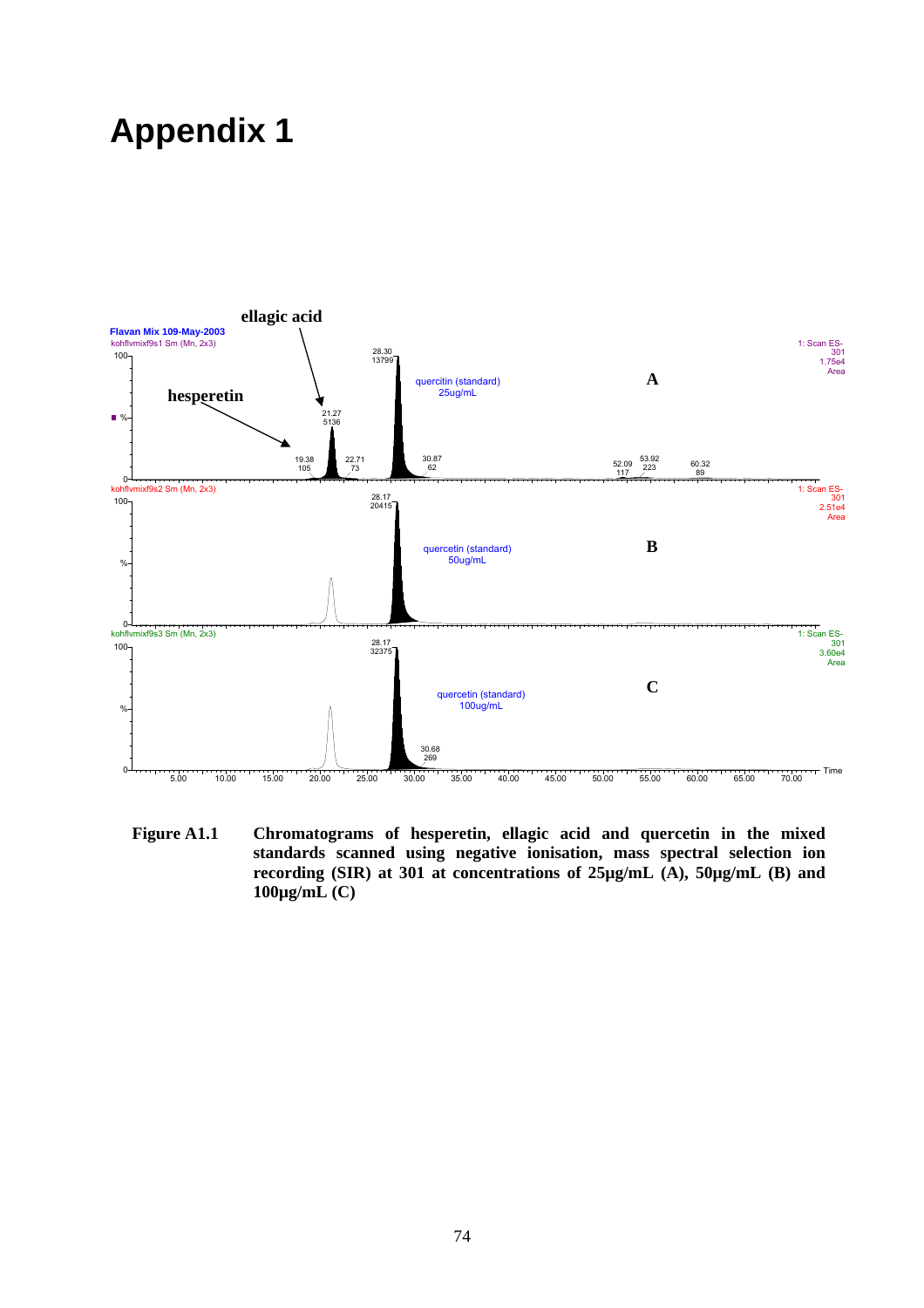### **Appendix 1**



**Figure A1.1 Chromatograms of hesperetin, ellagic acid and quercetin in the mixed standards scanned using negative ionisation, mass spectral selection ion recording (SIR) at 301 at concentrations of 25µg/mL (A), 50µg/mL (B) and 100µg/mL (C)**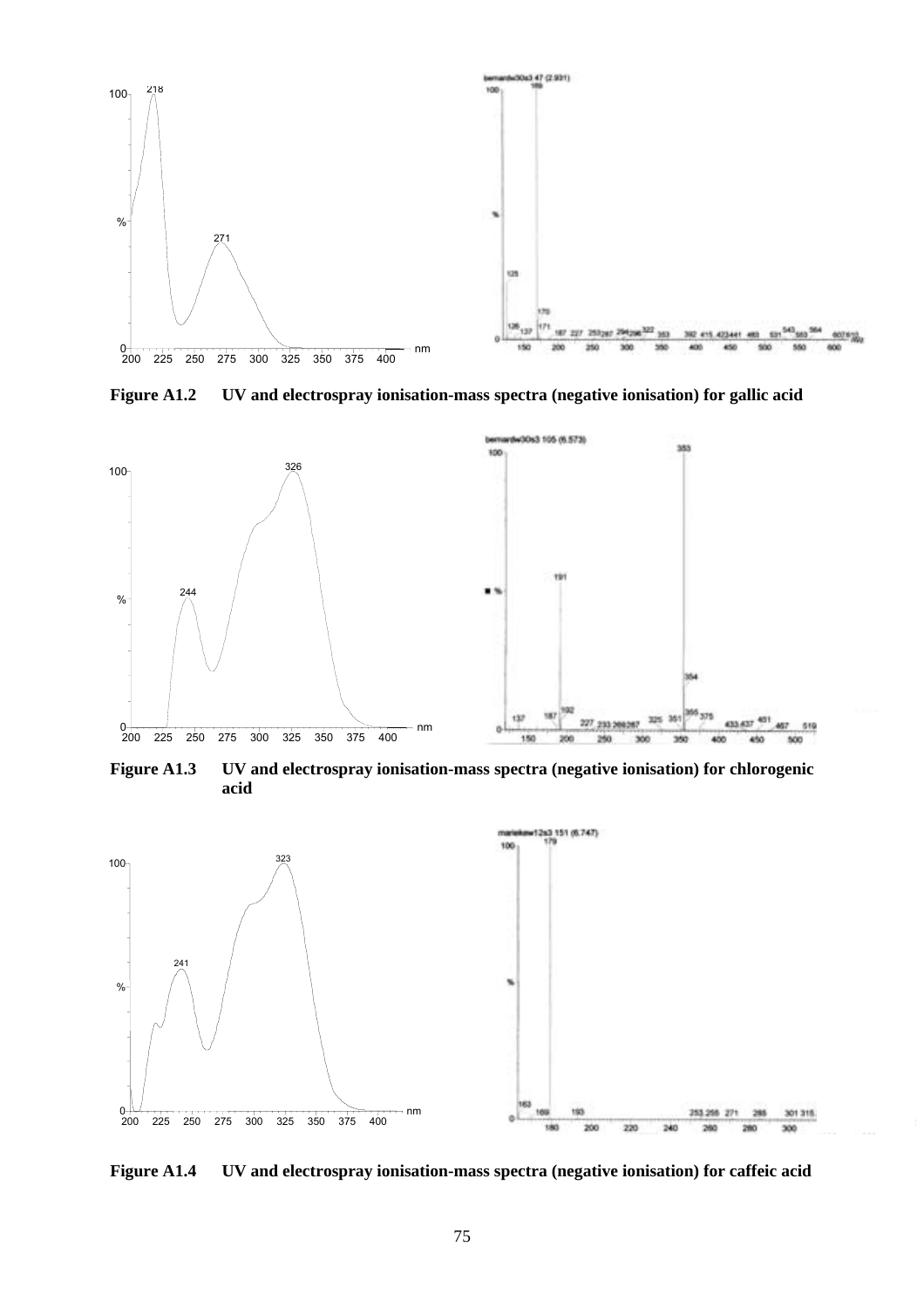

**Figure A1.2 UV and electrospray ionisation-mass spectra (negative ionisation) for gallic acid** 



**Figure A1.3 UV and electrospray ionisation-mass spectra (negative ionisation) for chlorogenic acid** 



**Figure A1.4 UV and electrospray ionisation-mass spectra (negative ionisation) for caffeic acid**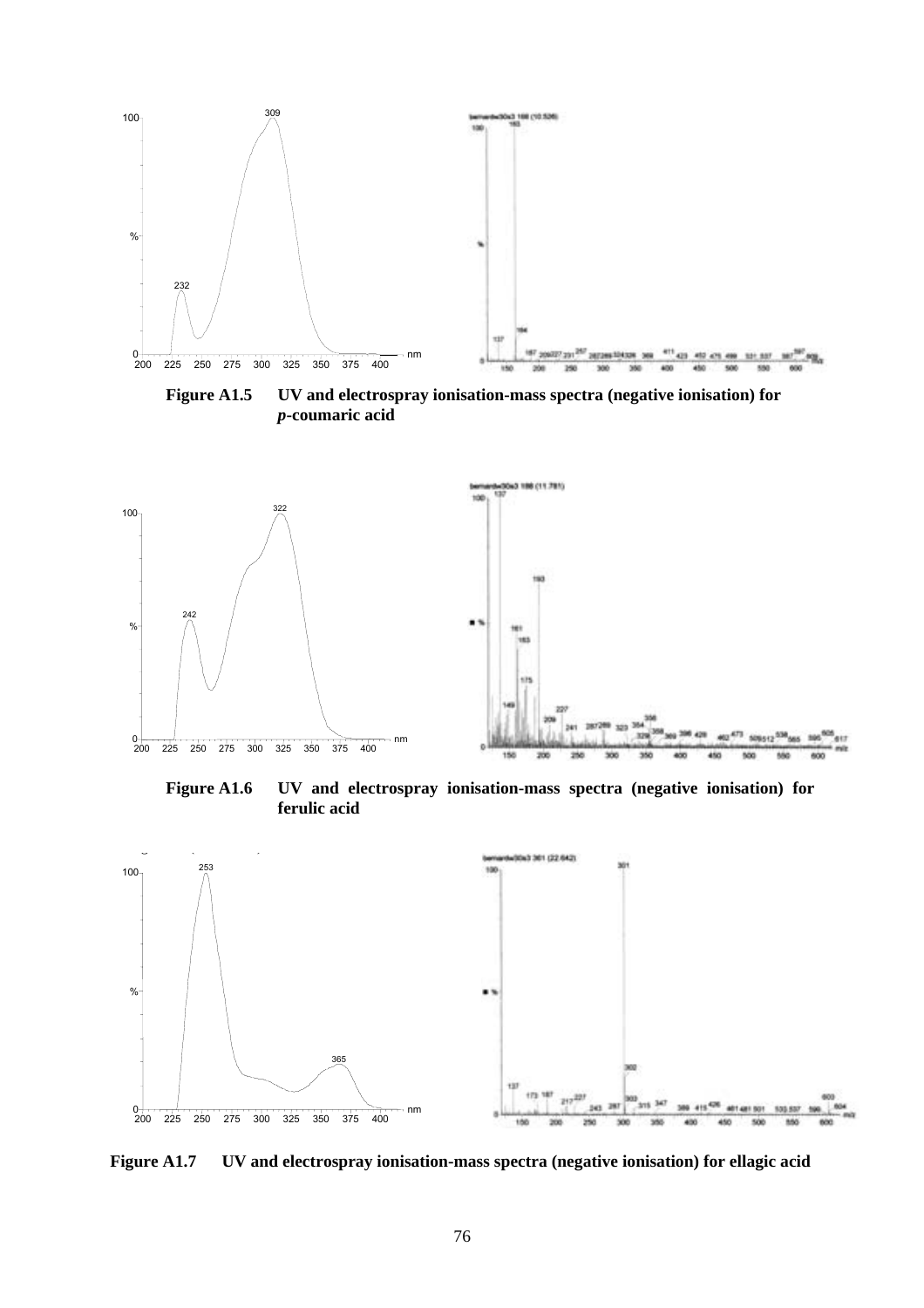

**Figure A1.5 UV and electrospray ionisation-mass spectra (negative ionisation) for**  *p***-coumaric acid** 



**Figure A1.6 UV and electrospray ionisation-mass spectra (negative ionisation) for ferulic acid** 



**Figure A1.7 UV and electrospray ionisation-mass spectra (negative ionisation) for ellagic acid**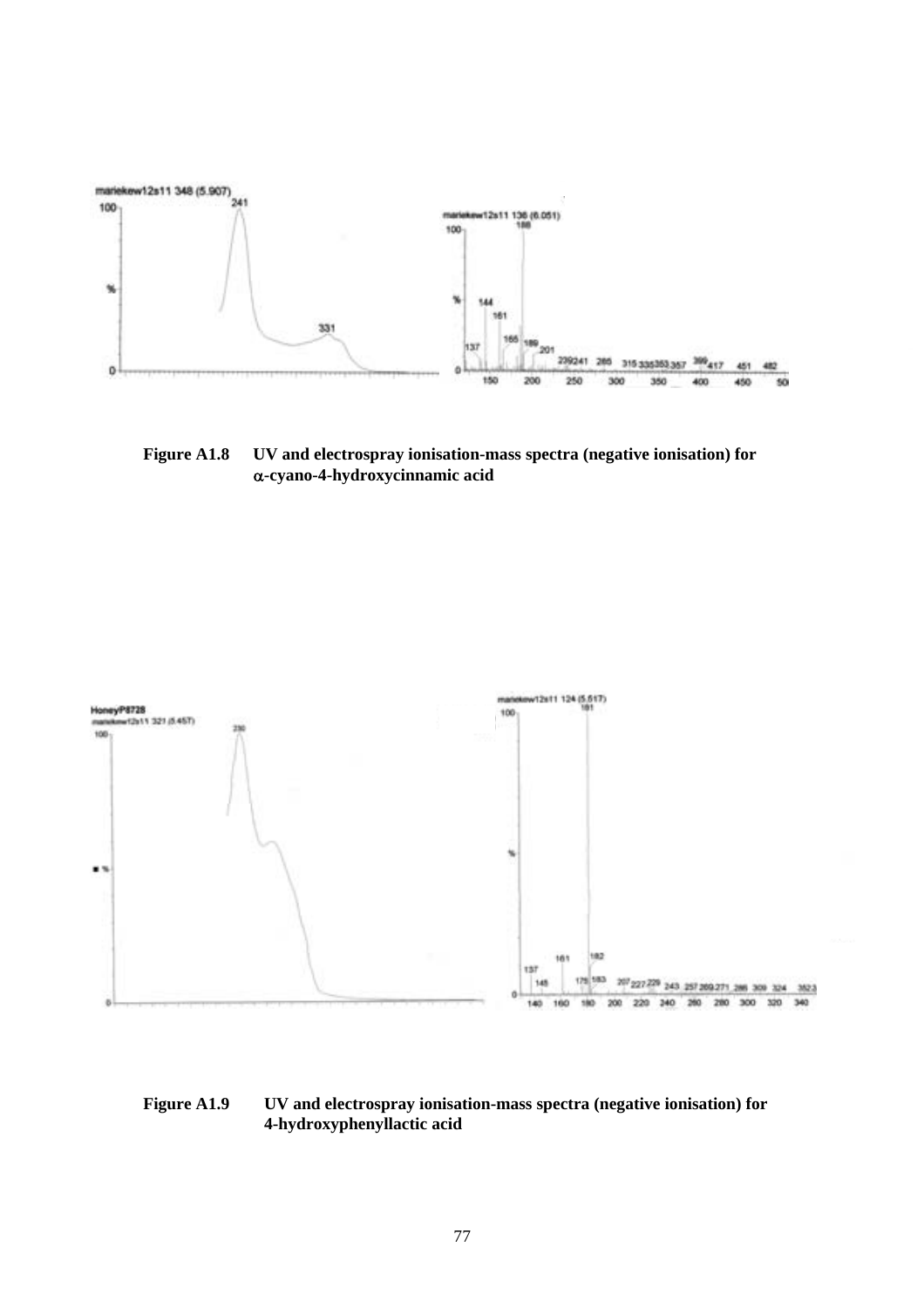

**Figure A1.8 UV and electrospray ionisation-mass spectra (negative ionisation) for**  α**-cyano-4-hydroxycinnamic acid** 



#### **Figure A1.9 UV and electrospray ionisation-mass spectra (negative ionisation) for 4-hydroxyphenyllactic acid**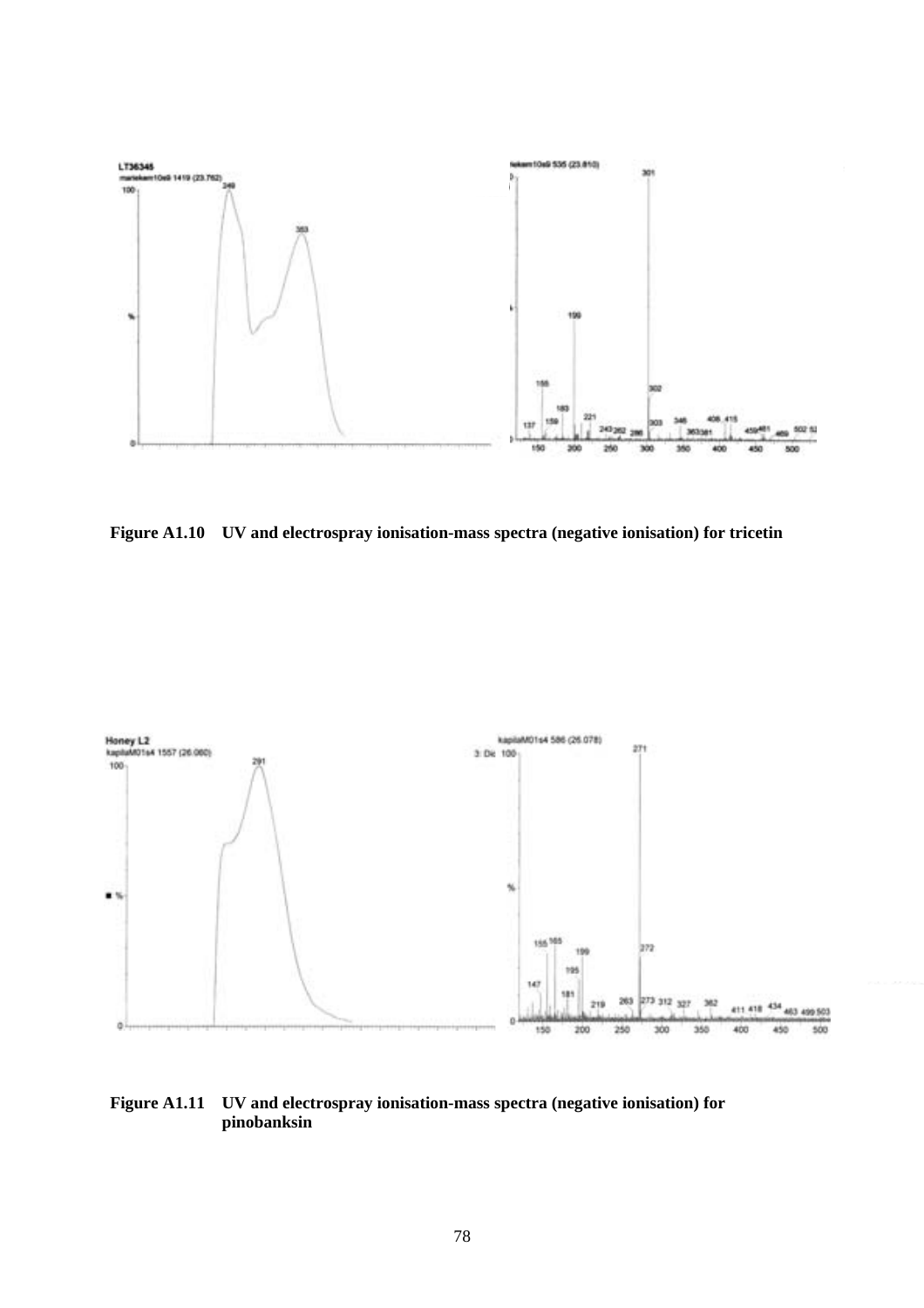

**Figure A1.10 UV and electrospray ionisation-mass spectra (negative ionisation) for tricetin** 



#### **Figure A1.11 UV and electrospray ionisation-mass spectra (negative ionisation) for pinobanksin**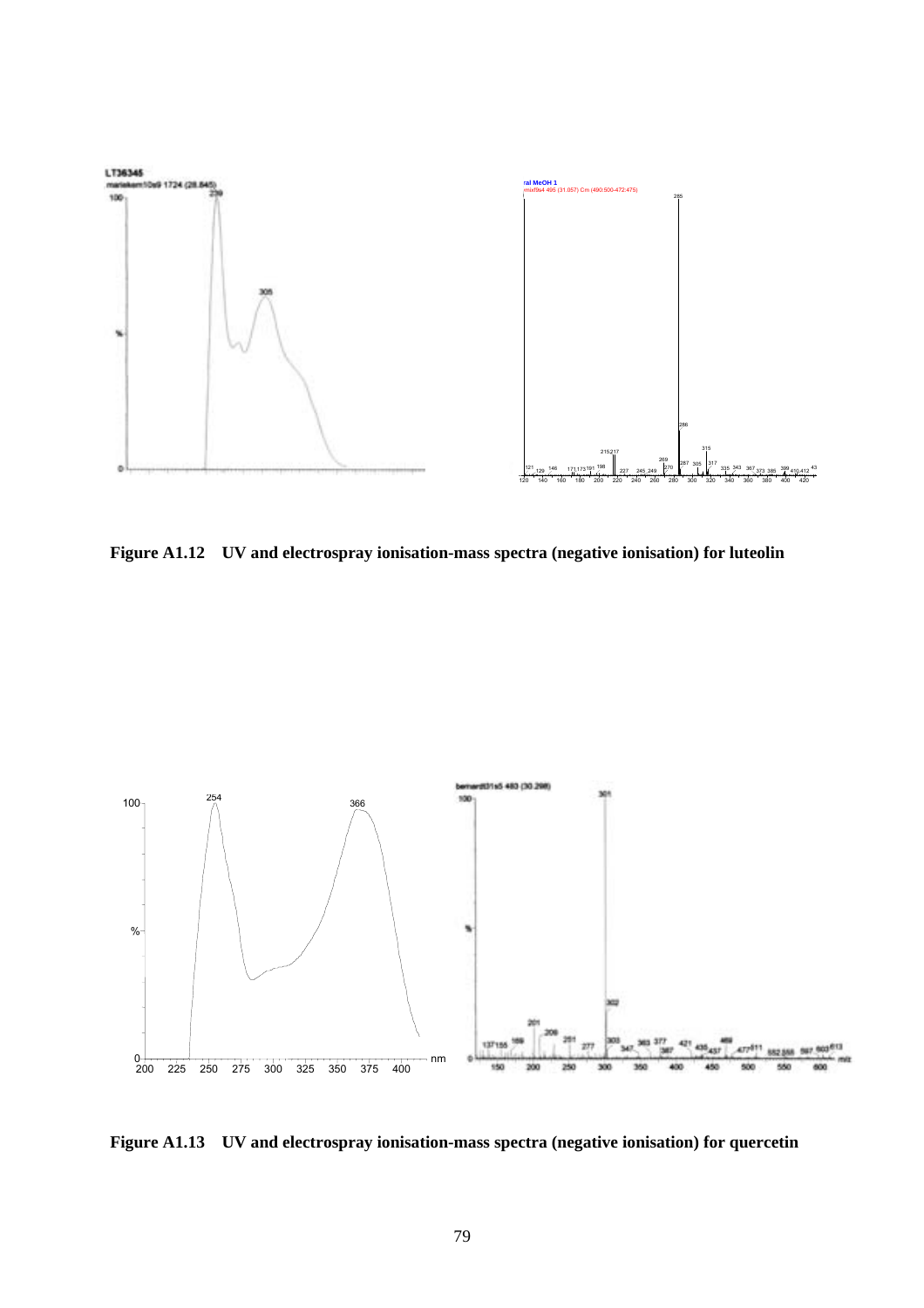

**Figure A1.12 UV and electrospray ionisation-mass spectra (negative ionisation) for luteolin** 



**Figure A1.13 UV and electrospray ionisation-mass spectra (negative ionisation) for quercetin**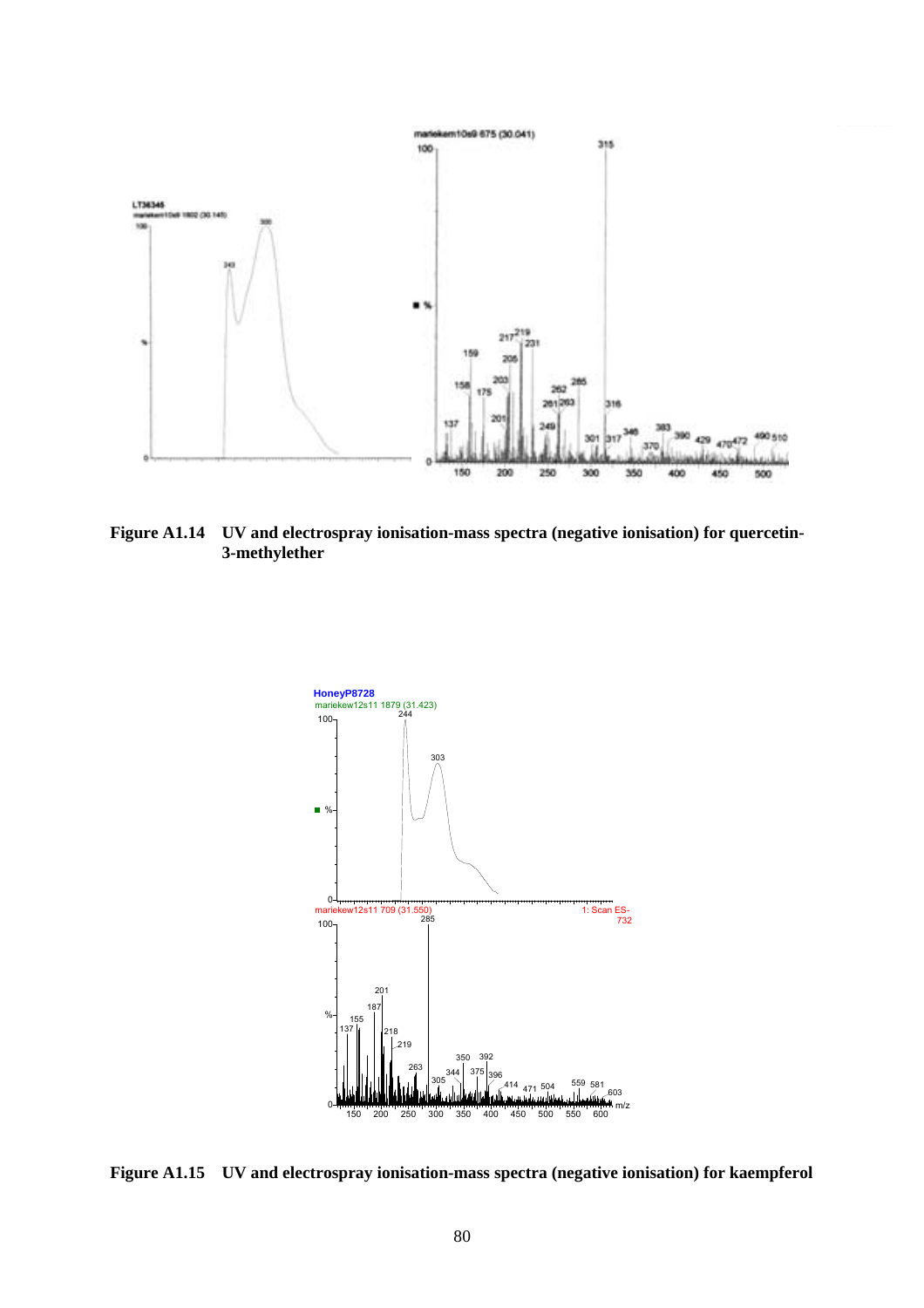

**Figure A1.14 UV and electrospray ionisation-mass spectra (negative ionisation) for quercetin-3-methylether** 



**Figure A1.15 UV and electrospray ionisation-mass spectra (negative ionisation) for kaempferol**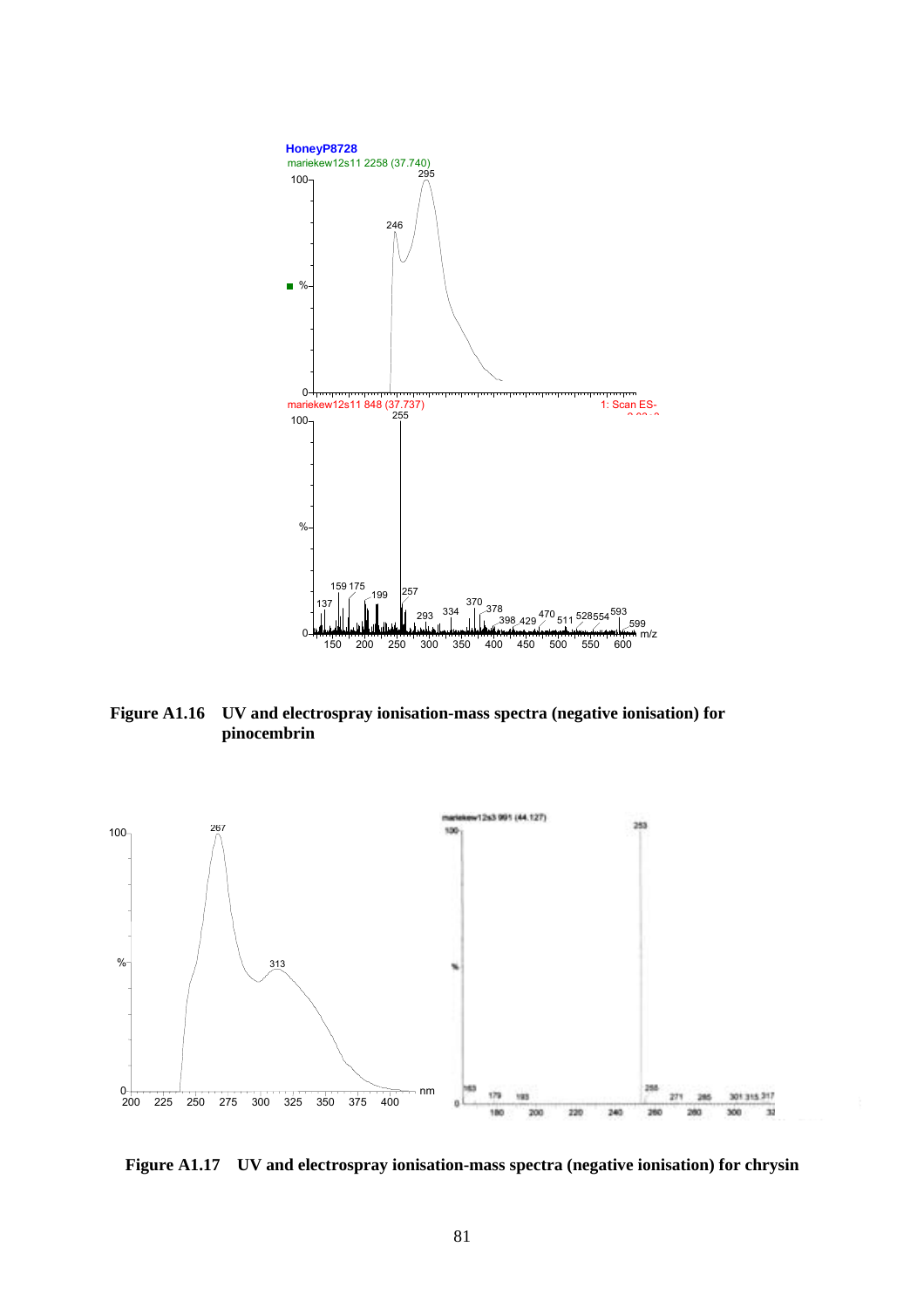

**Figure A1.16 UV and electrospray ionisation-mass spectra (negative ionisation) for pinocembrin** 



**Figure A1.17 UV and electrospray ionisation-mass spectra (negative ionisation) for chrysin**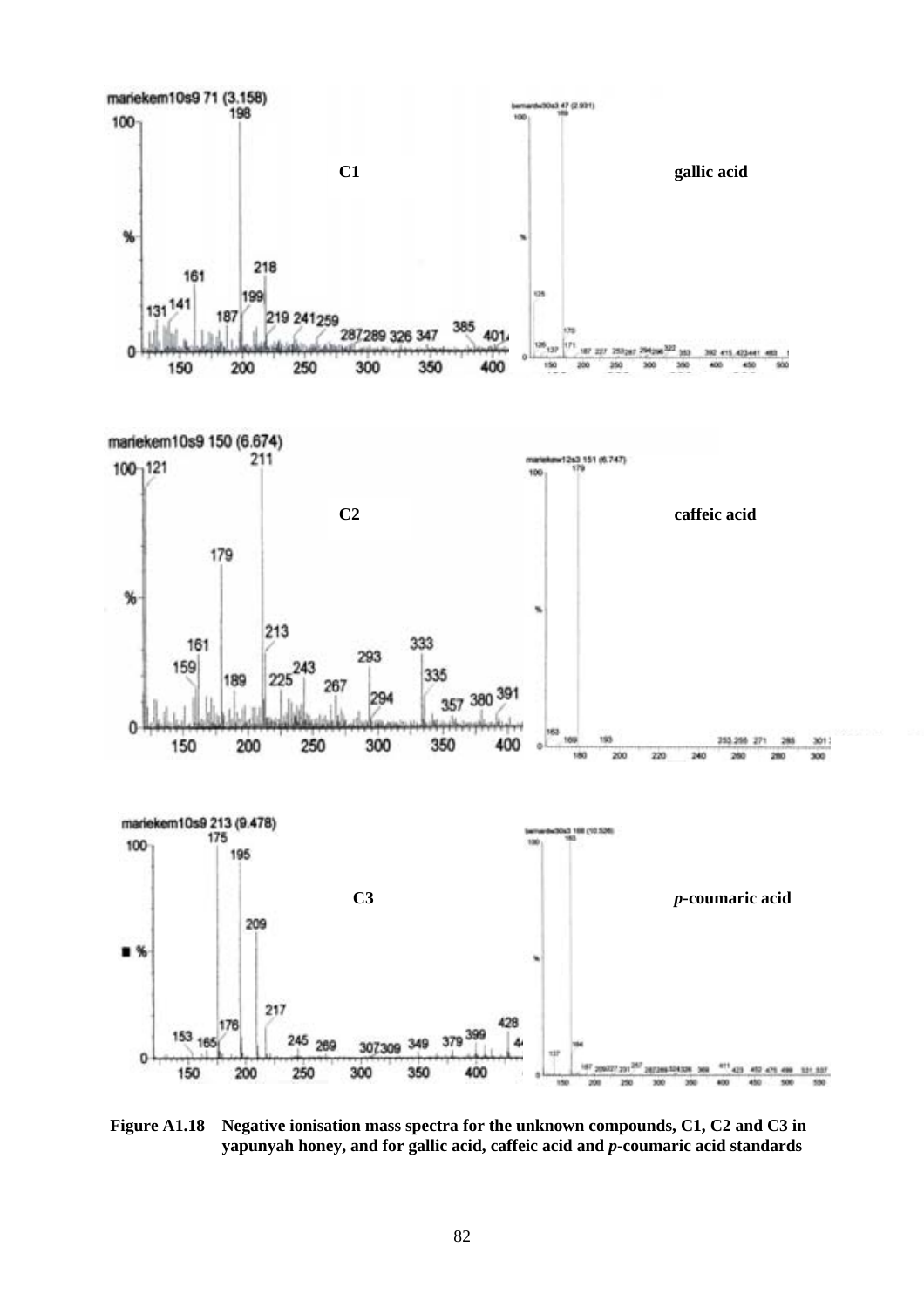

**Figure A1.18 Negative ionisation mass spectra for the unknown compounds, C1, C2 and C3 in yapunyah honey, and for gallic acid, caffeic acid and** *p***-coumaric acid standards**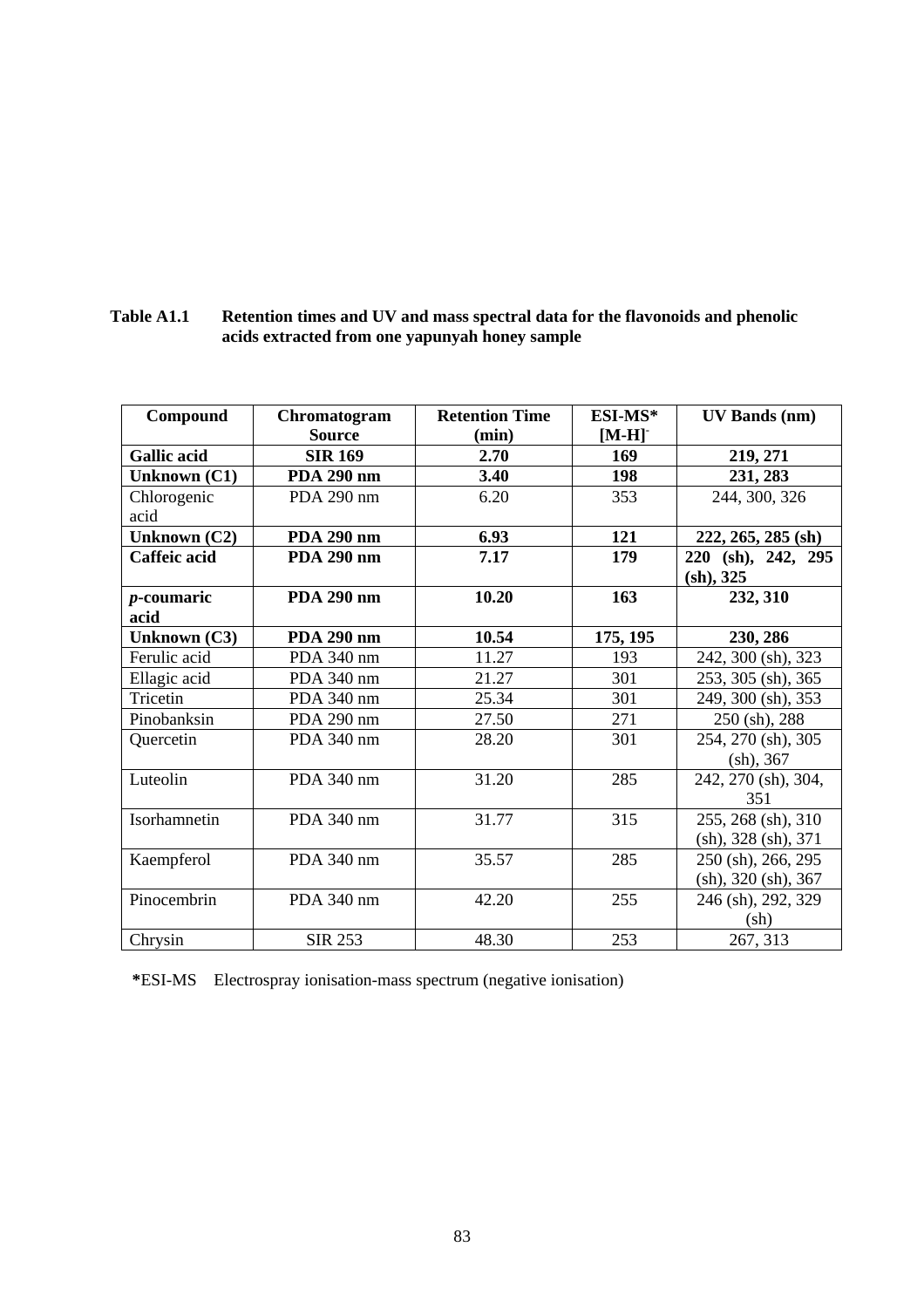| Compound            | Chromatogram      | <b>Retention Time</b> | ESI-MS*  | <b>UV Bands (nm)</b> |
|---------------------|-------------------|-----------------------|----------|----------------------|
|                     | <b>Source</b>     | (min)                 | $[M-H]$  |                      |
| <b>Gallic acid</b>  | <b>SIR 169</b>    | 2.70                  | 169      | 219, 271             |
| <b>Unknown (C1)</b> | PDA 290 nm        | 3.40                  | 198      | 231, 283             |
| Chlorogenic         | PDA 290 nm        | 6.20                  | 353      | 244, 300, 326        |
| acid                |                   |                       |          |                      |
| Unknown (C2)        | <b>PDA 290 nm</b> | 6.93                  | 121      | 222, 265, 285 (sh)   |
| Caffeic acid        | <b>PDA 290 nm</b> | 7.17                  | 179      | 220 (sh), 242, 295   |
|                     |                   |                       |          | (sh), 325            |
| $p$ -coumaric       | <b>PDA 290 nm</b> | 10.20                 | 163      | 232, 310             |
| acid                |                   |                       |          |                      |
| Unknown (C3)        | <b>PDA 290 nm</b> | 10.54                 | 175, 195 | 230, 286             |
| Ferulic acid        | PDA 340 nm        | 11.27                 | 193      | 242, 300 (sh), 323   |
| Ellagic acid        | PDA 340 nm        | 21.27                 | 301      | 253, 305 (sh), 365   |
| Tricetin            | PDA 340 nm        | 25.34                 | 301      | 249, 300 (sh), 353   |
| Pinobanksin         | PDA 290 nm        | 27.50                 | 271      | 250 (sh), 288        |
| Quercetin           | PDA 340 nm        | 28.20                 | 301      | 254, 270 (sh), 305   |
|                     |                   |                       |          | (sh), 367            |
| Luteolin            | PDA 340 nm        | 31.20                 | 285      | 242, 270 (sh), 304,  |
|                     |                   |                       |          | 351                  |
| Isorhamnetin        | PDA 340 nm        | 31.77                 | 315      | 255, 268 (sh), 310   |
|                     |                   |                       |          | (sh), 328 (sh), 371  |
| Kaempferol          | PDA 340 nm        | 35.57                 | 285      | 250 (sh), 266, 295   |
|                     |                   |                       |          | (sh), 320 (sh), 367  |
| Pinocembrin         | PDA 340 nm        | 42.20                 | 255      | 246 (sh), 292, 329   |
|                     |                   |                       |          | (sh)                 |
| Chrysin             | <b>SIR 253</b>    | 48.30                 | 253      | 267, 313             |

**Table A1.1 Retention times and UV and mass spectral data for the flavonoids and phenolic acids extracted from one yapunyah honey sample** 

**\***ESI-MS Electrospray ionisation-mass spectrum (negative ionisation)